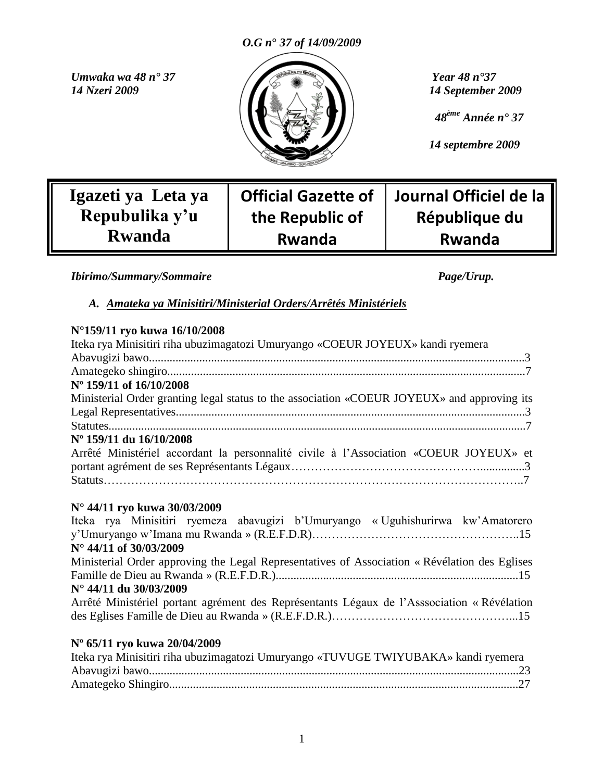

 *48ème Année n° 37*

 *14 septembre 2009*

**Journal Officiel de la** 

**République du** 

**Rwanda**

**Igazeti ya Leta ya Repubulika y"u Rwanda**

## **Official Gazette of the Republic of Rwanda**

*Ibirimo/Summary/Sommaire Page/Urup.* 

*A. Amateka ya Minisitiri/Ministerial Orders/Arrêtés Ministériels*

### **N°159/11 ryo kuwa 16/10/2008**

| Iteka rya Minisitiri riha ubuzimagatozi Umuryango «COEUR JOYEUX» kandi ryemera                |
|-----------------------------------------------------------------------------------------------|
|                                                                                               |
| N° 159/11 of 16/10/2008                                                                       |
| Ministerial Order granting legal status to the association «COEUR JOYEUX» and approving its   |
|                                                                                               |
|                                                                                               |
| Nº 159/11 du 16/10/2008                                                                       |
| Arrêté Ministériel accordant la personnalité civile à l'Association «COEUR JOYEUX» et         |
|                                                                                               |
|                                                                                               |
| N° 44/11 ryo kuwa 30/03/2009                                                                  |
| Iteka rya Minisitiri ryemeza abavugizi b'Umuryango «Uguhishurirwa kw'Amatorero                |
|                                                                                               |
| $N^{\circ}$ 44/11 of 30/03/2009                                                               |
| Ministerial Order approving the Legal Representatives of Association « Révélation des Eglises |
|                                                                                               |
| $N^{\circ}$ 44/11 du 30/03/2009                                                               |
| Arrêté Ministériel portant agrément des Représentants Légaux de l'Asssociation « Révélation   |

des Eglises Famille de Dieu au Rwanda » (R.E.F.D.R.)………………………………………...15

### **Nº 65/11 ryo kuwa 20/04/2009**

| Iteka rya Minisitiri riha ubuzimagatozi Umuryango «TUVUGE TWIYUBAKA» kandi ryemera |  |
|------------------------------------------------------------------------------------|--|
|                                                                                    |  |
|                                                                                    |  |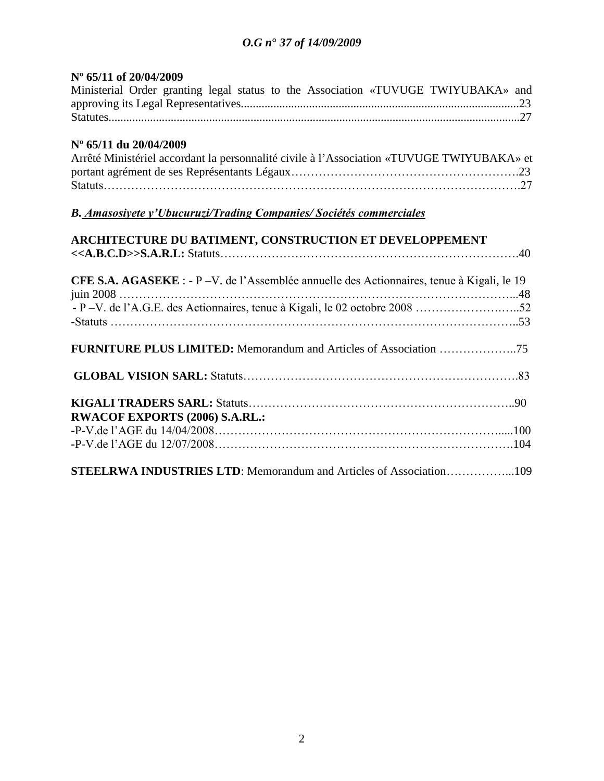### **Nº 65/11 of 20/04/2009**

|  |  |  |  | Ministerial Order granting legal status to the Association «TUVUGE TWIYUBAKA» and |  |
|--|--|--|--|-----------------------------------------------------------------------------------|--|
|  |  |  |  |                                                                                   |  |
|  |  |  |  |                                                                                   |  |

### **Nº 65/11 du 20/04/2009**

| Arrêté Ministériel accordant la personnalité civile à l'Association «TUVUGE TWIYUBAKA» et |  |
|-------------------------------------------------------------------------------------------|--|
|                                                                                           |  |
|                                                                                           |  |

## *B. Amasosiyete y'Ubucuruzi/Trading Companies/ Sociétés commerciales*

| ARCHITECTURE DU BATIMENT, CONSTRUCTION ET DEVELOPPEMENT                                            |  |
|----------------------------------------------------------------------------------------------------|--|
|                                                                                                    |  |
| <b>CFE S.A. AGASEKE</b> : - P - V. de l'Assemblée annuelle des Actionnaires, tenue à Kigali, le 19 |  |
|                                                                                                    |  |
|                                                                                                    |  |
|                                                                                                    |  |
|                                                                                                    |  |
|                                                                                                    |  |
| <b>RWACOF EXPORTS (2006) S.A.RL.:</b>                                                              |  |
|                                                                                                    |  |
|                                                                                                    |  |
| STEELRWA INDUSTRIES LTD: Memorandum and Articles of Association109                                 |  |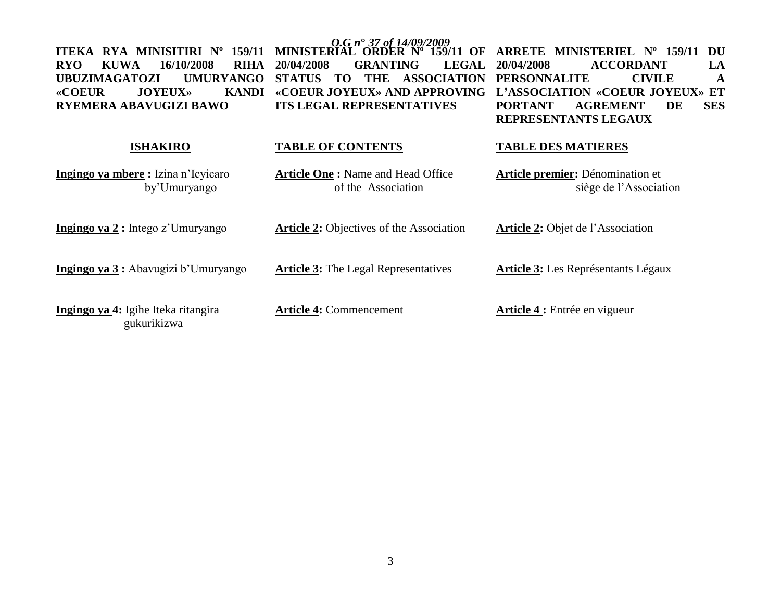| RYA MINISITIRI Nº<br>159/11<br><b>ITEKA</b><br>16/10/2008<br><b>RIHA</b><br><b>KUWA</b><br><b>RYO</b><br><b>UMURYANGO</b><br><b>UBUZIMAGATOZI</b><br><b>KANDI</b><br><b>«COEUR</b><br><b>JOYEUX</b> »<br>RYEMERA ABAVUGIZI BAWO | MINISTERIAL ORDER Nº 159/11 OF<br>20/04/2008<br><b>GRANTING</b><br><b>LEGAL</b><br><b>THE</b><br><b>ASSOCIATION</b><br><b>STATUS</b><br>TO.<br>«COEUR JOYEUX» AND APPROVING<br><b>ITS LEGAL REPRESENTATIVES</b> | <b>ARRETE MINISTERIEL Nº 159/11</b><br>DU<br><b>ACCORDANT</b><br>LA<br>20/04/2008<br><b>PERSONNALITE</b><br><b>CIVILE</b><br>$\mathbf A$<br>L'ASSOCIATION «COEUR JOYEUX» ET<br><b>AGREMENT</b><br><b>SES</b><br><b>PORTANT</b><br>DE<br>REPRESENTANTS LEGAUX |
|---------------------------------------------------------------------------------------------------------------------------------------------------------------------------------------------------------------------------------|-----------------------------------------------------------------------------------------------------------------------------------------------------------------------------------------------------------------|--------------------------------------------------------------------------------------------------------------------------------------------------------------------------------------------------------------------------------------------------------------|
| <b>ISHAKIRO</b>                                                                                                                                                                                                                 | <b>TABLE OF CONTENTS</b>                                                                                                                                                                                        | <b>TABLE DES MATIERES</b>                                                                                                                                                                                                                                    |
| Ingingo ya mbere: Izina n'Icyicaro<br>by'Umuryango                                                                                                                                                                              | <b>Article One: Name and Head Office</b><br>of the Association                                                                                                                                                  | <b>Article premier:</b> Dénomination et<br>siège de l'Association                                                                                                                                                                                            |
| Ingingo ya $2:$ Intego z'Umuryango                                                                                                                                                                                              | <b>Article 2:</b> Objectives of the Association                                                                                                                                                                 | Article 2: Objet de l'Association                                                                                                                                                                                                                            |
| Ingingo ya 3 : Abavugizi b'Umuryango                                                                                                                                                                                            | <b>Article 3:</b> The Legal Representatives                                                                                                                                                                     | <b>Article 3:</b> Les Représentants Légaux                                                                                                                                                                                                                   |
| Ingingo ya 4: Igihe Iteka ritangira<br>gukurikizwa                                                                                                                                                                              | <b>Article 4: Commencement</b>                                                                                                                                                                                  | <b>Article 4 :</b> Entrée en vigueur                                                                                                                                                                                                                         |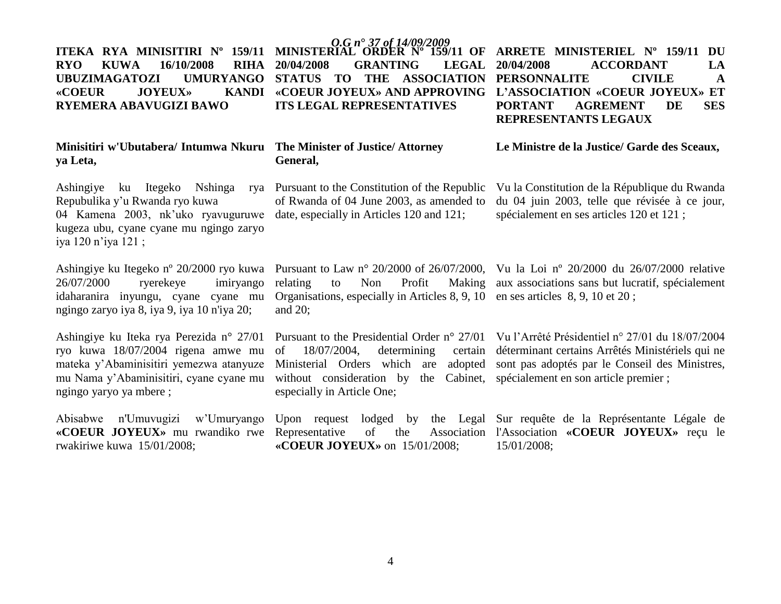### **RYO KUWA 16/10/2008 RIHA UBUZIMAGATOZI** «COEUR JOYEUX» **RYEMERA ABAVUGIZI BAWO**

### **Minisitiri w'Ubutabera/ Intumwa Nkuru The Minister of Justice/ Attorney ya Leta,**

Ashingiye ku Itegeko Nshinga Repubulika y"u Rwanda ryo kuwa 04 Kamena 2003, nk'uko ryavuguruwe date, especially in Articles 120 and 121; kugeza ubu, cyane cyane mu ngingo zaryo iya 120 n"iya 121 ;

26/07/2000 ryerekeye imiryango idaharanira inyungu, cyane cyane mu ngingo zaryo iya 8, iya 9, iya 10 n'iya 20;

Ashingiye ku Iteka rya Perezida n° 27/01 ryo kuwa 18/07/2004 rigena amwe mu mateka y"Abaminisitiri yemezwa atanyuze mu Nama y"Abaminisitiri, cyane cyane mu ngingo yaryo ya mbere ;

Abisabwe n'Umuvugizi w"Umuryango **«COEUR JOYEUX»** mu rwandiko rwe Representative of the Association rwakiriwe kuwa 15/01/2008;

*O.G n***°** *37 of 14/09/2009* **ITEKA RYA MINISITIRI Nº 159/11 MINISTERIAL ORDER Nº 159/11 OF 20/04/2008 GRANTING LEGAL ITS LEGAL REPRESENTATIVES**

## **General,**

Pursuant to the Constitution of the Republic of Rwanda of 04 June 2003, as amended to

> Organisations, especially in Articles 8, 9, 10 en ses articles 8, 9, 10 et 20 ; and 20;

of  $18/07/2004$ , determining without consideration by the Cabinet, spécialement en son article premier ; especially in Article One;

Upon request lodged by the Legal Sur requête de la Représentante Légale de **«COEUR JOYEUX»** on 15/01/2008;

STATUS TO THE ASSOCIATION PERSONNALITE CIVILE A **«COEUR JOYEUX» AND APPROVING L"ASSOCIATION «COEUR JOYEUX» ET ARRETE MINISTERIEL Nº 159/11 DU 20/04/2008 ACCORDANT LA PORTANT AGREMENT DE SES REPRESENTANTS LEGAUX** 

**Le Ministre de la Justice/ Garde des Sceaux,**

Vu la Constitution de la République du Rwanda du 04 juin 2003, telle que révisée à ce jour, spécialement en ses articles 120 et 121 ;

Ashingiye ku Itegeko nº 20/2000 ryo kuwa Pursuant to Law nº 20/2000 of 26/07/2000, Vu la Loi nº 20/2000 du 26/07/2000 relative relating to Non Profit Making aux associations sans but lucratif, spécialement

> Pursuant to the Presidential Order n° 27/01 Vu l"Arrêté Présidentiel n° 27/01 du 18/07/2004 Ministerial Orders which are adopted sont pas adoptés par le Conseil des Ministres, déterminant certains Arrêtés Ministériels qui ne

> > l'Association **«COEUR JOYEUX»** reçu le 15/01/2008;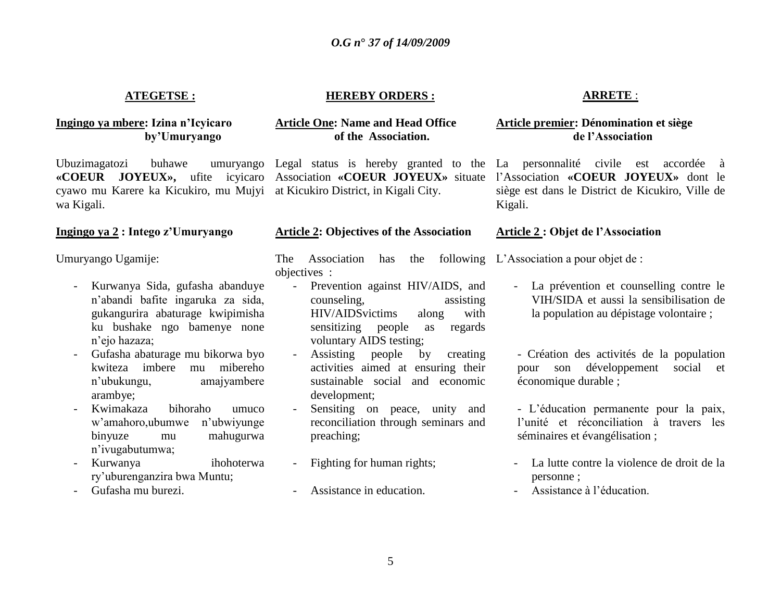### **ATEGETSE :**

### **Ingingo ya mbere: Izina n"Icyicaro by"Umuryango**

Ubuzimagatozi buhawe cyawo mu Karere ka Kicukiro, mu Mujyi at Kicukiro District, in Kigali City. wa Kigali.

### **Ingingo ya 2 : Intego z"Umuryango**

Umuryango Ugamije:

- Kurwanya Sida, gufasha abanduye n"abandi bafite ingaruka za sida, gukangurira abaturage kwipimisha ku bushake ngo bamenye none n"ejo hazaza;
- Gufasha abaturage mu bikorwa byo kwiteza imbere mu mibereho n"ubukungu, amajyambere arambye;
- Kwimakaza bihoraho umuco w"amahoro,ubumwe n"ubwiyunge binyuze mu mahugurwa n"ivugabutumwa;
- Kurwanya ihohoterwa ry"uburenganzira bwa Muntu;
- Gufasha mu burezi.

### **HEREBY ORDERS :**

### **Article One: Name and Head Office of the Association.**

#### **Article 2: Objectives of the Association**

The Association has the following L"Association a pour objet de : objectives :

- Prevention against HIV/AIDS, and counseling, assisting HIV/AIDSvictims along with sensitizing people as regards voluntary AIDS testing;
- Assisting people by creating activities aimed at ensuring their sustainable social and economic development;
- Sensiting on peace, unity and reconciliation through seminars and preaching;
- Fighting for human rights;
- Assistance in education.

### **ARRETE** :

### **Article premier: Dénomination et siège de l"Association**

**«COEUR JOYEUX»,** ufite icyicaro Association **«COEUR JOYEUX»** situate l"Association **«COEUR JOYEUX»** dont le Legal status is hereby granted to the La personnalité civile est accordée à siège est dans le District de Kicukiro, Ville de Kigali.

#### **Article 2 : Objet de l"Association**

- La prévention et counselling contre le VIH/SIDA et aussi la sensibilisation de la population au dépistage volontaire ;

- Création des activités de la population pour son développement social et économique durable ;

- L"éducation permanente pour la paix, l"unité et réconciliation à travers les séminaires et évangélisation ;

- La lutte contre la violence de droit de la personne ;
- Assistance à l"éducation.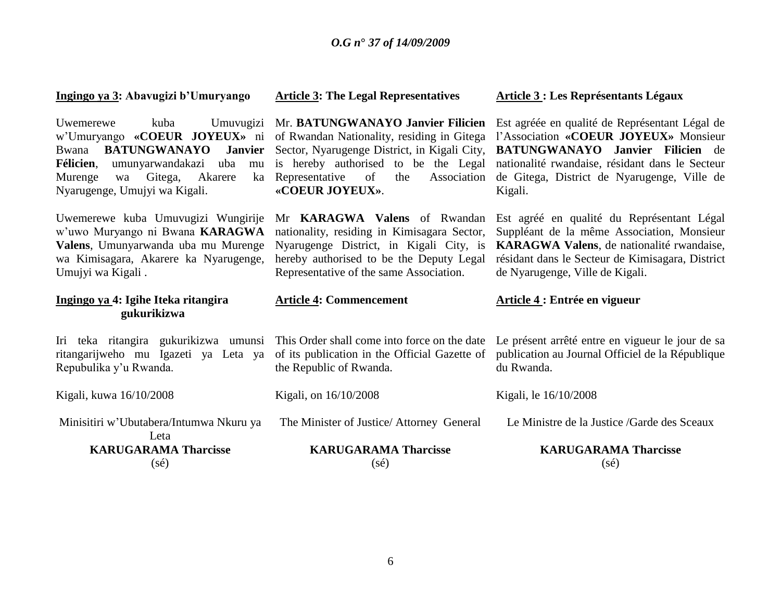|                                                                                                                                                                                                                                            | Ingingo ya 3: Abavugizi b'Umuryango                                                                     | <b>Article 3: The Legal Representatives</b>                                                                                                                                                                                              | <b>Article 3 : Les Représentants Légaux</b>                                                                                                                                                                                              |  |
|--------------------------------------------------------------------------------------------------------------------------------------------------------------------------------------------------------------------------------------------|---------------------------------------------------------------------------------------------------------|------------------------------------------------------------------------------------------------------------------------------------------------------------------------------------------------------------------------------------------|------------------------------------------------------------------------------------------------------------------------------------------------------------------------------------------------------------------------------------------|--|
| Umuvugizi<br>Uwemerewe<br>kuba<br>w'Umuryango «COEUR JOYEUX» ni<br><b>BATUNGWANAYO</b><br><b>Janvier</b><br>Bwana<br>Félicien,<br>umunyarwandakazi uba<br>mu<br>Akarere<br>Murenge<br>Gitega,<br>ka<br>wa<br>Nyarugenge, Umujyi wa Kigali. |                                                                                                         | Mr. BATUNGWANAYO Janvier Filicien<br>of Rwandan Nationality, residing in Gitega<br>Sector, Nyarugenge District, in Kigali City,<br>is hereby authorised to be the Legal<br>of<br>Representative<br>the<br>Association<br>«COEUR JOYEUX». | Est agréée en qualité de Représentant Légal de<br>l'Association «COEUR JOYEUX» Monsieur<br>BATUNGWANAYO Janvier Filicien de<br>nationalité rwandaise, résidant dans le Secteur<br>de Gitega, District de Nyarugenge, Ville de<br>Kigali. |  |
| Uwemerewe kuba Umuvugizi Wungirije<br>w'uwo Muryango ni Bwana KARAGWA<br>Valens, Umunyarwanda uba mu Murenge<br>wa Kimisagara, Akarere ka Nyarugenge,<br>Umujyi wa Kigali.                                                                 |                                                                                                         | Mr <b>KARAGWA</b> Valens of Rwandan<br>nationality, residing in Kimisagara Sector,<br>Nyarugenge District, in Kigali City, is<br>hereby authorised to be the Deputy Legal<br>Representative of the same Association.                     | Est agréé en qualité du Représentant Légal<br>Suppléant de la même Association, Monsieur<br>KARAGWA Valens, de nationalité rwandaise,<br>résidant dans le Secteur de Kimisagara, District<br>de Nyarugenge, Ville de Kigali.             |  |
|                                                                                                                                                                                                                                            |                                                                                                         |                                                                                                                                                                                                                                          |                                                                                                                                                                                                                                          |  |
|                                                                                                                                                                                                                                            | Ingingo ya 4: Igihe Iteka ritangira<br>gukurikizwa                                                      | <b>Article 4: Commencement</b>                                                                                                                                                                                                           | Article 4 : Entrée en vigueur                                                                                                                                                                                                            |  |
|                                                                                                                                                                                                                                            | Iri teka ritangira gukurikizwa umunsi<br>ritangarijweho mu Igazeti ya Leta ya<br>Repubulika y'u Rwanda. | This Order shall come into force on the date<br>of its publication in the Official Gazette of<br>the Republic of Rwanda.                                                                                                                 | Le présent arrêté entre en vigueur le jour de sa<br>publication au Journal Officiel de la République<br>du Rwanda.                                                                                                                       |  |
|                                                                                                                                                                                                                                            | Kigali, kuwa 16/10/2008                                                                                 | Kigali, on 16/10/2008                                                                                                                                                                                                                    | Kigali, le 16/10/2008                                                                                                                                                                                                                    |  |
|                                                                                                                                                                                                                                            | Minisitiri w'Ubutabera/Intumwa Nkuru ya<br>Leta                                                         | The Minister of Justice/ Attorney General                                                                                                                                                                                                | Le Ministre de la Justice / Garde des Sceaux                                                                                                                                                                                             |  |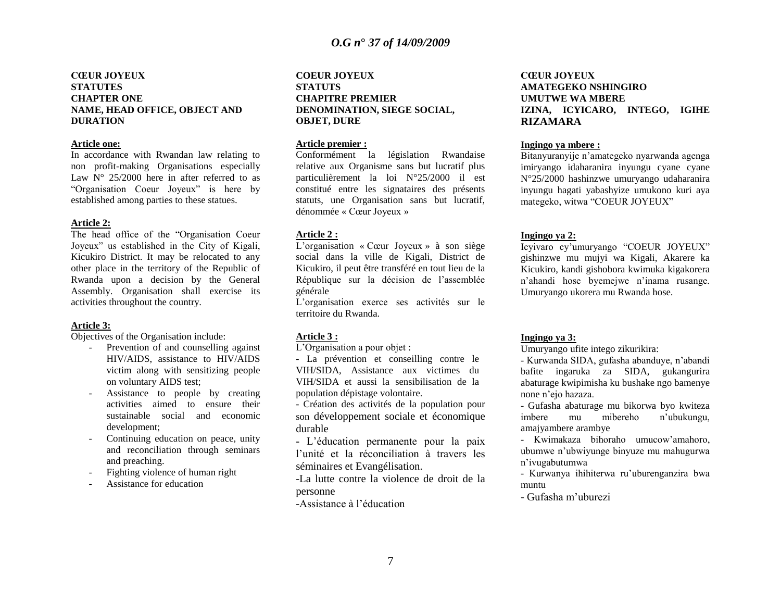#### **CŒUR JOYEUX STATUTES CHAPTER ONE NAME, HEAD OFFICE, OBJECT AND DURATION**

#### **Article one:**

In accordance with Rwandan law relating to non profit-making Organisations especially Law  $N^{\circ}$  25/2000 here in after referred to as "Organisation Coeur Joyeux" is here by established among parties to these statues.

#### **Article 2:**

The head office of the "Organisation Coeur Joyeux" us established in the City of Kigali, Kicukiro District. It may be relocated to any other place in the territory of the Republic of Rwanda upon a decision by the General Assembly. Organisation shall exercise its activities throughout the country.

#### **Article 3:**

Objectives of the Organisation include:

- Prevention of and counselling against HIV/AIDS, assistance to HIV/AIDS victim along with sensitizing people on voluntary AIDS test;
- Assistance to people by creating activities aimed to ensure their sustainable social and economic development;
- Continuing education on peace, unity and reconciliation through seminars and preaching.
- Fighting violence of human right
- Assistance for education

#### **COEUR JOYEUX STATUTS CHAPITRE PREMIER DENOMINATION, SIEGE SOCIAL, OBJET, DURE**

#### **Article premier :**

Conformément la législation Rwandaise relative aux Organisme sans but lucratif plus particulièrement la loi N°25/2000 il est constitué entre les signataires des présents statuts, une Organisation sans but lucratif, dénommée « Cœur Joyeux »

#### **Article 2 :**

L"organisation « Cœur Joyeux » à son siège social dans la ville de Kigali, District de Kicukiro, il peut être transféré en tout lieu de la République sur la décision de l"assemblée générale

L"organisation exerce ses activités sur le territoire du Rwanda.

#### **Article 3 :**

L"Organisation a pour objet :

- La prévention et conseilling contre le VIH/SIDA, Assistance aux victimes du VIH/SIDA et aussi la sensibilisation de la population dépistage volontaire.

- Création des activités de la population pour son développement sociale et économique durable

- L"éducation permanente pour la paix l"unité et la réconciliation à travers les séminaires et Evangélisation.

-La lutte contre la violence de droit de la personne

-Assistance à l"éducation

#### **CŒUR JOYEUX AMATEGEKO NSHINGIRO UMUTWE WA MBERE IZINA, ICYICARO, INTEGO, IGIHE RIZAMARA**

#### **Ingingo ya mbere :**

Bitanyuranyije n"amategeko nyarwanda agenga imiryango idaharanira inyungu cyane cyane N°25/2000 hashinzwe umuryango udaharanira inyungu hagati yabashyize umukono kuri aya mategeko, witwa "COEUR JOYEUX"

#### **Ingingo ya 2:**

Icyivaro cy"umuryango "COEUR JOYEUX" gishinzwe mu mujyi wa Kigali, Akarere ka Kicukiro, kandi gishobora kwimuka kigakorera n"ahandi hose byemejwe n"inama rusange. Umuryango ukorera mu Rwanda hose.

#### **Ingingo ya 3:**

Umuryango ufite intego zikurikira:

- Kurwanda SIDA, gufasha abanduye, n"abandi bafite ingaruka za SIDA, gukangurira abaturage kwipimisha ku bushake ngo bamenye none n"ejo hazaza.

- Gufasha abaturage mu bikorwa byo kwiteza imbere mu mibereho n"ubukungu, amajyambere arambye

- Kwimakaza bihoraho umucow"amahoro, ubumwe n"ubwiyunge binyuze mu mahugurwa n"ivugabutumwa

- Kurwanya ihihiterwa ru"uburenganzira bwa muntu

- Gufasha m"uburezi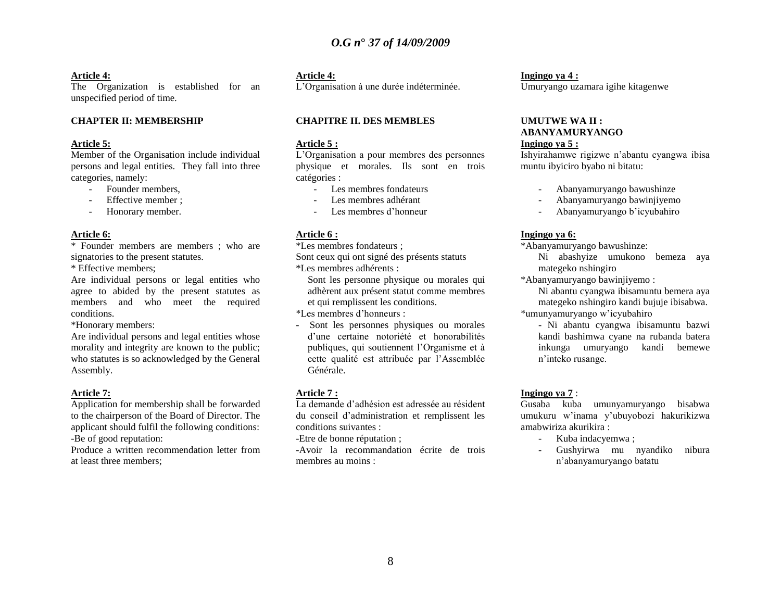#### **Article 4:**

The Organization is established for an unspecified period of time.

#### **CHAPTER II: MEMBERSHIP**

#### **Article 5:**

Member of the Organisation include individual persons and legal entities. They fall into three categories, namely:

- Founder members,
- Effective member :
- Honorary member.

#### **Article 6:**

\* Founder members are members ; who are signatories to the present statutes.

\* Effective members;

Are individual persons or legal entities who agree to abided by the present statutes as members and who meet the required conditions.

\*Honorary members:

Are individual persons and legal entities whose morality and integrity are known to the public; who statutes is so acknowledged by the General Assembly.

#### **Article 7:**

Application for membership shall be forwarded to the chairperson of the Board of Director. The applicant should fulfil the following conditions: -Be of good reputation:

Produce a written recommendation letter from at least three members;

#### **Article 4:**

L"Organisation à une durée indéterminée.

#### **CHAPITRE II. DES MEMBLES**

#### **Article 5 :**

L"Organisation a pour membres des personnes physique et morales. Ils sont en trois catégories :

- Les membres fondateurs
- Les membres adhérant
- Les membres d'honneur

#### **Article 6 :**

\*Les membres fondateurs ;

Sont ceux qui ont signé des présents statuts

\*Les membres adhérents :

Sont les personne physique ou morales qui adhèrent aux présent statut comme membres et qui remplissent les conditions.

\*Les membres d"honneurs :

- Sont les personnes physiques ou morales d"une certaine notoriété et honorabilités publiques, qui soutiennent l"Organisme et à cette qualité est attribuée par l"Assemblée Générale.

#### **Article 7 :**

La demande d"adhésion est adressée au résident du conseil d"administration et remplissent les conditions suivantes :

-Etre de bonne réputation ;

-Avoir la recommandation écrite de trois membres au moins :

#### **Ingingo ya 4 :** Umuryango uzamara igihe kitagenwe

#### **UMUTWE WA II : ABANYAMURYANGO Ingingo ya 5 :**

Ishyirahamwe rigizwe n"abantu cyangwa ibisa muntu ibyiciro byabo ni bitatu:

- Abanyamuryango bawushinze
- Abanyamuryango bawinjiyemo
- Abanyamuryango b"icyubahiro

#### **Ingingo ya 6:**

\*Abanyamuryango bawushinze:

Ni abashyize umukono bemeza aya mategeko nshingiro

\*Abanyamuryango bawinjiyemo :

Ni abantu cyangwa ibisamuntu bemera aya mategeko nshingiro kandi bujuje ibisabwa. \*umunyamuryango w"icyubahiro

- Ni abantu cyangwa ibisamuntu bazwi kandi bashimwa cyane na rubanda batera

inkunga umuryango kandi bemewe n"inteko rusange.

#### **Ingingo ya 7** :

Gusaba kuba umunyamuryango bisabwa umukuru w"inama y"ubuyobozi hakurikizwa amabwiriza akurikira :

- Kuba indacyemwa ;
- Gushyirwa mu nyandiko nibura n"abanyamuryango batatu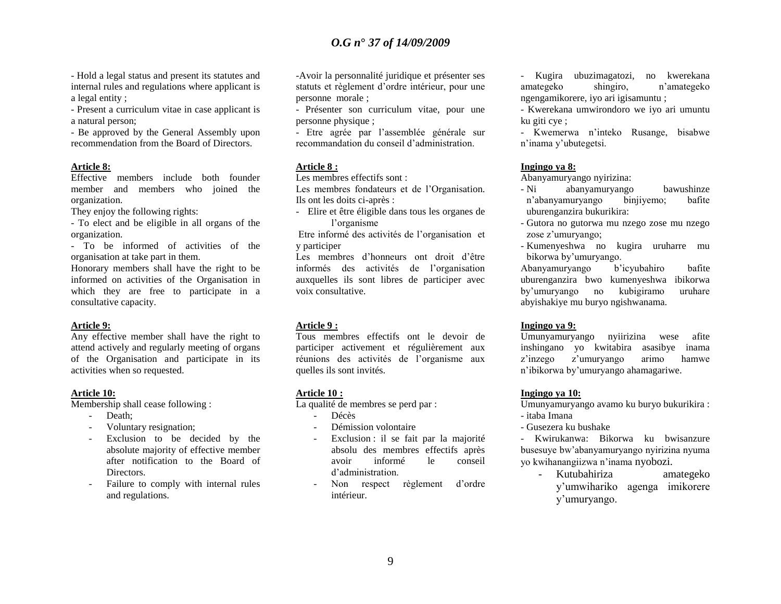- Hold a legal status and present its statutes and internal rules and regulations where applicant is a legal entity ;

- Present a curriculum vitae in case applicant is a natural person;

- Be approved by the General Assembly upon recommendation from the Board of Directors.

#### **Article 8:**

Effective members include both founder member and members who joined the organization.

They enjoy the following rights:

- To elect and be eligible in all organs of the organization.

- To be informed of activities of the organisation at take part in them.

Honorary members shall have the right to be informed on activities of the Organisation in which they are free to participate in a consultative capacity.

#### **Article 9:**

Any effective member shall have the right to attend actively and regularly meeting of organs of the Organisation and participate in its activities when so requested.

#### **Article 10:**

Membership shall cease following :

- Death;
- Voluntary resignation;
- Exclusion to be decided by the absolute majority of effective member after notification to the Board of Directors.
- Failure to comply with internal rules and regulations.

-Avoir la personnalité juridique et présenter ses statuts et règlement d"ordre intérieur, pour une personne morale ;

- Présenter son curriculum vitae, pour une personne physique ;

- Etre agrée par l"assemblée générale sur recommandation du conseil d"administration.

#### **Article 8 :**

Les membres effectifs sont :

Les membres fondateurs et de l"Organisation. Ils ont les doits ci-après :

- Elire et être éligible dans tous les organes de l"organisme

Etre informé des activités de l"organisation et y participer

Les membres d"honneurs ont droit d"être informés des activités de l"organisation auxquelles ils sont libres de participer avec voix consultative.

#### **Article 9 :**

Tous membres effectifs ont le devoir de participer activement et régulièrement aux réunions des activités de l"organisme aux quelles ils sont invités.

#### **Article 10 :**

La qualité de membres se perd par :

- Décès
- Démission volontaire
- Exclusion : il se fait par la majorité absolu des membres effectifs après avoir informé le conseil d"administration.
- Non respect règlement d"ordre intérieur.

- Kugira ubuzimagatozi, no kwerekana amategeko shingiro, n"amategeko ngengamikorere, iyo ari igisamuntu ;

- Kwerekana umwirondoro we iyo ari umuntu ku giti cye ;

- Kwemerwa n"inteko Rusange, bisabwe n"inama y"ubutegetsi.

#### **Ingingo ya 8:**

Abanyamuryango nyirizina:

- Ni abanyamuryango bawushinze n"abanyamuryango binjiyemo; bafite uburenganzira bukurikira:
- Gutora no gutorwa mu nzego zose mu nzego zose z'umuryango;
- Kumenyeshwa no kugira uruharre mu bikorwa by"umuryango.

Abanyamuryango b"icyubahiro bafite uburenganzira bwo kumenyeshwa ibikorwa by"umuryango no kubigiramo uruhare abyishakiye mu buryo ngishwanama.

#### **Ingingo ya 9:**

Umunyamuryango nyiirizina wese afite inshingano yo kwitabira asasibye inama z"inzego z"umuryango arimo hamwe n"ibikorwa by"umuryango ahamagariwe.

#### **Ingingo ya 10:**

Umunyamuryango avamo ku buryo bukurikira : - itaba Imana

- 
- Gusezera ku bushake

- Kwirukanwa: Bikorwa ku bwisanzure busesuye bw"abanyamuryango nyirizina nyuma yo kwihanangiizwa n"inama nyobozi.

- Kutubahiriza amategeko y"umwihariko agenga imikorere y"umuryango.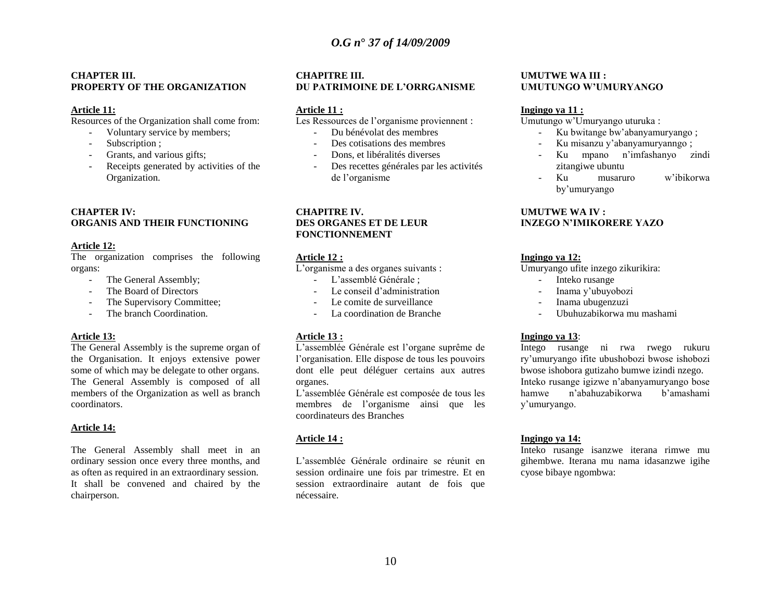#### **CHAPTER III. PROPERTY OF THE ORGANIZATION**

#### **Article 11:**

Resources of the Organization shall come from:

- Voluntary service by members;
- Subscription ;
- Grants, and various gifts;
- Receipts generated by activities of the Organization.

#### **CHAPTER IV: ORGANIS AND THEIR FUNCTIONING**

#### **Article 12:**

The organization comprises the following organs:

- The General Assembly:
- The Board of Directors
- The Supervisory Committee;
- The branch Coordination.

#### **Article 13:**

The General Assembly is the supreme organ of the Organisation. It enjoys extensive power some of which may be delegate to other organs. The General Assembly is composed of all members of the Organization as well as branch coordinators.

#### **Article 14:**

The General Assembly shall meet in an ordinary session once every three months, and as often as required in an extraordinary session. It shall be convened and chaired by the chairperson.

#### **CHAPITRE III. DU PATRIMOINE DE L"ORRGANISME**

#### **Article 11 :**

Les Ressources de l'organisme proviennent :

- Du bénévolat des membres
- Des cotisations des membres
- Dons, et libéralités diverses
- Des recettes générales par les activités de l"organisme

#### **CHAPITRE IV. DES ORGANES ET DE LEUR FONCTIONNEMENT**

#### **Article 12 :**

L"organisme a des organes suivants :

- L"assemblé Générale ;
- Le conseil d'administration
- Le comite de surveillance
- La coordination de Branche

#### **Article 13 :**

L"assemblée Générale est l"organe suprême de l"organisation. Elle dispose de tous les pouvoirs dont elle peut déléguer certains aux autres organes.

L"assemblée Générale est composée de tous les membres de l"organisme ainsi que les coordinateurs des Branches

#### **Article 14 :**

L"assemblée Générale ordinaire se réunit en session ordinaire une fois par trimestre. Et en session extraordinaire autant de fois que nécessaire.

#### **UMUTWE WA III : UMUTUNGO W"UMURYANGO**

#### **Ingingo ya 11 :**

Umutungo w"Umuryango uturuka :

- Ku bwitange bw"abanyamuryango ;
- Ku misanzu y"abanyamuryanngo ;
- Ku mpano n"imfashanyo zindi zitangiwe ubuntu
- Ku musaruro w'ibikorwa by"umuryango

#### **UMUTWE WA IV : INZEGO N"IMIKORERE YAZO**

#### **Ingingo ya 12:**

Umuryango ufite inzego zikurikira:

- Inteko rusange
- Inama y'ubuyobozi
- Inama ubugenzuzi
- Ubuhuzabikorwa mu mashami

#### **Ingingo ya 13**:

Intego rusange ni rwa rwego rukuru ry"umuryango ifite ubushobozi bwose ishobozi bwose ishobora gutizaho bumwe izindi nzego. Inteko rusange igizwe n"abanyamuryango bose hamwe n"abahuzabikorwa b"amashami y"umuryango.

#### **Ingingo ya 14:**

Inteko rusange isanzwe iterana rimwe mu gihembwe. Iterana mu nama idasanzwe igihe cyose bibaye ngombwa: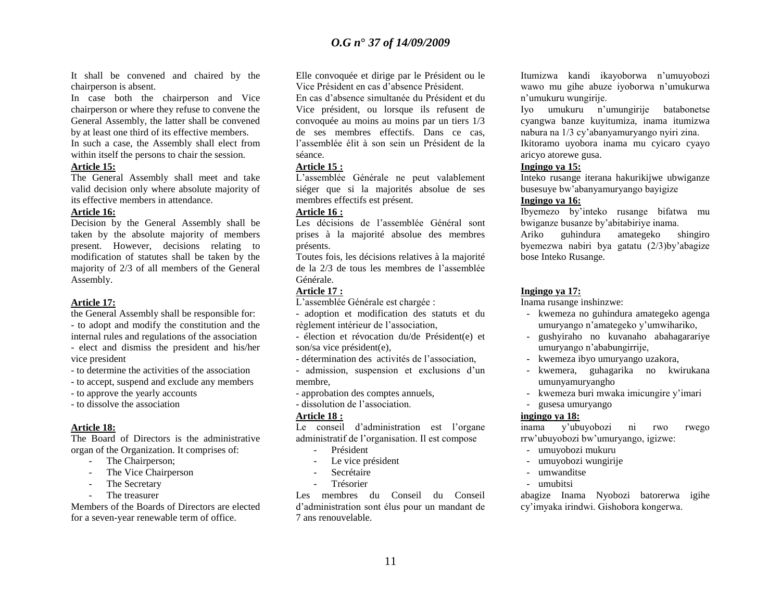It shall be convened and chaired by the chairperson is absent.

In case both the chairperson and Vice chairperson or where they refuse to convene the General Assembly, the latter shall be convened by at least one third of its effective members.

In such a case, the Assembly shall elect from within itself the persons to chair the session.

#### **Article 15:**

The General Assembly shall meet and take valid decision only where absolute majority of its effective members in attendance.

#### **Article 16:**

Decision by the General Assembly shall be taken by the absolute majority of members present. However, decisions relating to modification of statutes shall be taken by the majority of 2/3 of all members of the General Assembly.

#### **Article 17:**

the General Assembly shall be responsible for: - to adopt and modify the constitution and the internal rules and regulations of the association - elect and dismiss the president and his/her vice president

- to determine the activities of the association

- to accept, suspend and exclude any members

- to approve the yearly accounts
- to dissolve the association

#### **Article 18:**

The Board of Directors is the administrative organ of the Organization. It comprises of:

- The Chairperson;
- The Vice Chairperson
- The Secretary
- The treasurer

Members of the Boards of Directors are elected for a seven-year renewable term of office.

Elle convoquée et dirige par le Président ou le Vice Président en cas d"absence Président.

En cas d"absence simultanée du Président et du Vice président, ou lorsque ils refusent de convoquée au moins au moins par un tiers 1/3 de ses membres effectifs. Dans ce cas, l"assemblée élit à son sein un Président de la séance.

#### **Article 15 :**

L"assemblée Générale ne peut valablement siéger que si la majorités absolue de ses membres effectifs est présent.

#### **Article 16 :**

Les décisions de l"assemblée Général sont prises à la majorité absolue des membres présents.

Toutes fois, les décisions relatives à la majorité de la 2/3 de tous les membres de l"assemblée Générale.

#### **Article 17 :**

L"assemblée Générale est chargée :

- adoption et modification des statuts et du règlement intérieur de l"association,

- élection et révocation du/de Président(e) et son/sa vice président(e),

- détermination des activités de l"association,

- admission, suspension et exclusions d'un membre,

- approbation des comptes annuels,
- dissolution de l"association.

#### **Article 18 :**

Le conseil d'administration est l'organe administratif de l"organisation. Il est compose

- Président
- Le vice président
- Secrétaire
- **Trésorier**

Les membres du Conseil du Conseil d"administration sont élus pour un mandant de 7 ans renouvelable.

Itumizwa kandi ikayoborwa n"umuyobozi wawo mu gihe abuze iyoborwa n"umukurwa n"umukuru wungirije.

Iyo umukuru n"umungirije batabonetse cyangwa banze kuyitumiza, inama itumizwa nabura na 1/3 cy"abanyamuryango nyiri zina.

Ikitoramo uyobora inama mu cyicaro cyayo aricyo atorewe gusa.

#### **Ingingo ya 15:**

Inteko rusange iterana hakurikijwe ubwiganze busesuye bw"abanyamuryango bayigize

#### **Ingingo ya 16:**

Ibyemezo by"inteko rusange bifatwa mu bwiganze busanze by"abitabiriye inama.

Ariko guhindura amategeko shingiro byemezwa nabiri bya gatatu (2/3)by"abagize bose Inteko Rusange.

#### **Ingingo ya 17:**

Inama rusange inshinzwe:

- kwemeza no guhindura amategeko agenga umuryango n"amategeko y"umwihariko,
- gushyiraho no kuvanaho abahagarariye umuryango n"ababungirrije,
- kwemeza ibyo umuryango uzakora,
- kwemera, guhagarika no kwirukana umunyamuryangho
- kwemeza buri mwaka imicungire y"imari
- gusesa umuryango

#### **ingingo ya 18:**

inama y"ubuyobozi ni rwo rwego rrw"ubuyobozi bw"umuryango, igizwe:

- umuyobozi mukuru
- umuyobozi wungirije
- umwanditse
- umubitsi

abagize Inama Nyobozi batorerwa igihe cy"imyaka irindwi. Gishobora kongerwa.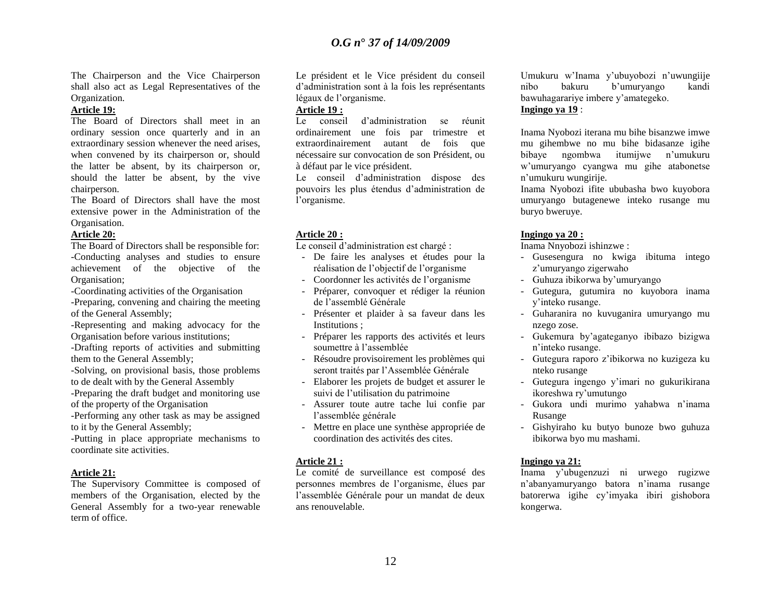The Chairperson and the Vice Chairperson shall also act as Legal Representatives of the Organization.

#### **Article 19:**

The Board of Directors shall meet in an ordinary session once quarterly and in an extraordinary session whenever the need arises, when convened by its chairperson or, should the latter be absent, by its chairperson or, should the latter be absent, by the vive chairperson.

The Board of Directors shall have the most extensive power in the Administration of the Organisation.

#### **Article 20:**

The Board of Directors shall be responsible for: -Conducting analyses and studies to ensure achievement of the objective of the Organisation;

-Coordinating activities of the Organisation

-Preparing, convening and chairing the meeting of the General Assembly;

-Representing and making advocacy for the Organisation before various institutions;

-Drafting reports of activities and submitting them to the General Assembly;

-Solving, on provisional basis, those problems to de dealt with by the General Assembly

-Preparing the draft budget and monitoring use of the property of the Organisation

-Performing any other task as may be assigned to it by the General Assembly;

-Putting in place appropriate mechanisms to coordinate site activities.

#### **Article 21:**

The Supervisory Committee is composed of members of the Organisation, elected by the General Assembly for a two-year renewable term of office.

Le président et le Vice président du conseil d"administration sont à la fois les représentants légaux de l"organisme.

#### **Article 19 :**

Le conseil d"administration se réunit ordinairement une fois par trimestre et extraordinairement autant de fois que nécessaire sur convocation de son Président, ou à défaut par le vice président.

Le conseil d"administration dispose des pouvoirs les plus étendus d"administration de l"organisme.

#### **Article 20 :**

Le conseil d"administration est chargé :

- De faire les analyses et études pour la réalisation de l"objectif de l"organisme
- Coordonner les activités de l"organisme
- Préparer, convoquer et rédiger la réunion de l"assemblé Générale
- Présenter et plaider à sa faveur dans les Institutions ;
- Préparer les rapports des activités et leurs soumettre à l"assemblée
- Résoudre provisoirement les problèmes qui seront traités par l"Assemblée Générale
- Elaborer les projets de budget et assurer le suivi de l"utilisation du patrimoine
- Assurer toute autre tache lui confie par l"assemblée générale
- Mettre en place une synthèse appropriée de coordination des activités des cites.

#### **Article 21 :**

Le comité de surveillance est composé des personnes membres de l"organisme, élues par l"assemblée Générale pour un mandat de deux ans renouvelable.

Umukuru w"Inama y"ubuyobozi n"uwungiije nibo bakuru b"umuryango kandi bawuhagarariye imbere y"amategeko. **Ingingo ya 19** :

Inama Nyobozi iterana mu bihe bisanzwe imwe mu gihembwe no mu bihe bidasanze igihe bibaye ngombwa itumijwe n"umukuru w"umuryango cyangwa mu gihe atabonetse n"umukuru wungirije.

Inama Nyobozi ifite ububasha bwo kuyobora umuryango butagenewe inteko rusange mu buryo bweruye.

#### **Ingingo ya 20 :**

Inama Nnyobozi ishinzwe :

- Gusesengura no kwiga ibituma intego z"umuryango zigerwaho
- Guhuza ibikorwa by"umuryango
- Gutegura, gutumira no kuyobora inama y"inteko rusange.
- Guharanira no kuvuganira umuryango mu nzego zose.
- Gukemura by"agateganyo ibibazo bizigwa n"inteko rusange.
- Gutegura raporo z"ibikorwa no kuzigeza ku nteko rusange
- Gutegura ingengo y"imari no gukurikirana ikoreshwa ry"umutungo
- Gukora undi murimo yahabwa n"inama Rusange
- Gishyiraho ku butyo bunoze bwo guhuza ibikorwa byo mu mashami.

#### **Ingingo ya 21:**

Inama y"ubugenzuzi ni urwego rugizwe n"abanyamuryango batora n"inama rusange batorerwa igihe cy"imyaka ibiri gishobora kongerwa.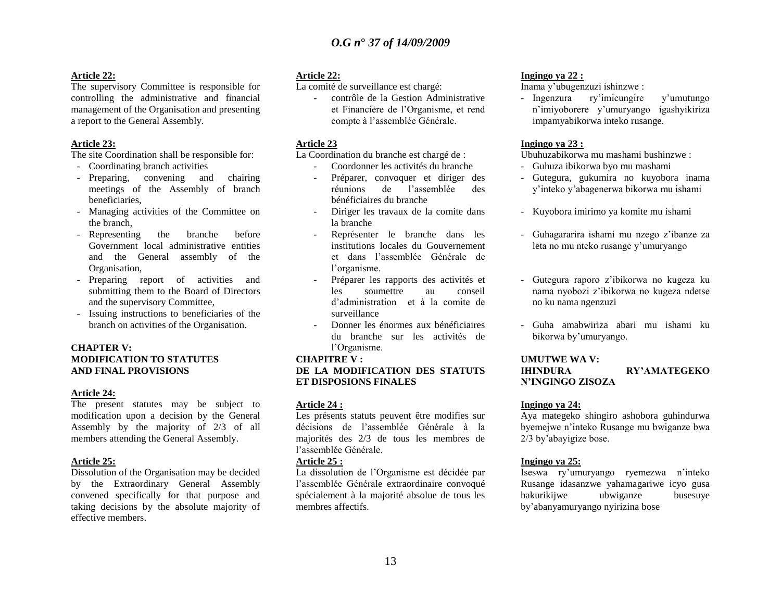#### **Article 22:**

The supervisory Committee is responsible for controlling the administrative and financial management of the Organisation and presenting a report to the General Assembly.

#### **Article 23:**

The site Coordination shall be responsible for:

- Coordinating branch activities
- Preparing, convening and chairing meetings of the Assembly of branch beneficiaries,
- Managing activities of the Committee on the branch,
- Representing the branche before Government local administrative entities and the General assembly of the Organisation,
- Preparing report of activities and submitting them to the Board of Directors and the supervisory Committee,
- Issuing instructions to beneficiaries of the branch on activities of the Organisation.

#### **CHAPTER V: MODIFICATION TO STATUTES AND FINAL PROVISIONS**

#### **Article 24:**

The present statutes may be subject to modification upon a decision by the General Assembly by the majority of 2/3 of all members attending the General Assembly.

#### **Article 25:**

Dissolution of the Organisation may be decided by the Extraordinary General Assembly convened specifically for that purpose and taking decisions by the absolute majority of effective members.

#### **Article 22:**

La comité de surveillance est chargé:

- contrôle de la Gestion Administrative et Financière de l"Organisme, et rend compte à l"assemblée Générale.

#### **Article 23**

La Coordination du branche est chargé de :

- Coordonner les activités du branche
- Préparer, convoquer et diriger des réunions de l"assemblée des bénéficiaires du branche
- Diriger les travaux de la comite dans la branche
- Représenter le branche dans les institutions locales du Gouvernement et dans l"assemblée Générale de l"organisme.
- Préparer les rapports des activités et les soumettre au conseil d"administration et à la comite de surveillance
- Donner les énormes aux bénéficiaires du branche sur les activités de l"Organisme.

#### **CHAPITRE V :**

#### **DE LA MODIFICATION DES STATUTS ET DISPOSIONS FINALES**

#### **Article 24 :**

Les présents statuts peuvent être modifies sur décisions de l"assemblée Générale à la majorités des 2/3 de tous les membres de l"assemblée Générale.

#### **Article 25 :**

La dissolution de l"Organisme est décidée par l"assemblée Générale extraordinaire convoqué spécialement à la majorité absolue de tous les membres affectifs.

#### **Ingingo ya 22 :**

Inama y"ubugenzuzi ishinzwe :

- Ingenzura ry'imicungire y'umutungo n"imiyoborere y"umuryango igashyikiriza impamyabikorwa inteko rusange.

#### **Ingingo ya 23 :**

Ubuhuzabikorwa mu mashami bushinzwe :

- Guhuza ibikorwa byo mu mashami
- Gutegura, gukumira no kuyobora inama y"inteko y"abagenerwa bikorwa mu ishami
- Kuyobora imirimo ya komite mu ishami
- Guhagararira ishami mu nzego z"ibanze za leta no mu nteko rusange y"umuryango
- Gutegura raporo z"ibikorwa no kugeza ku nama nyobozi z"ibikorwa no kugeza ndetse no ku nama ngenzuzi
- Guha amabwiriza abari mu ishami ku bikorwa by"umuryango.

#### **UMUTWE WA V:**

#### **IHINDURA RY"AMATEGEKO N"INGINGO ZISOZA**

#### **Ingingo ya 24:**

Aya mategeko shingiro ashobora guhindurwa byemejwe n"inteko Rusange mu bwiganze bwa 2/3 by"abayigize bose.

#### **Ingingo ya 25:**

Iseswa ry"umuryango ryemezwa n"inteko Rusange idasanzwe yahamagariwe icyo gusa hakurikijwe ubwiganze busesuye by"abanyamuryango nyirizina bose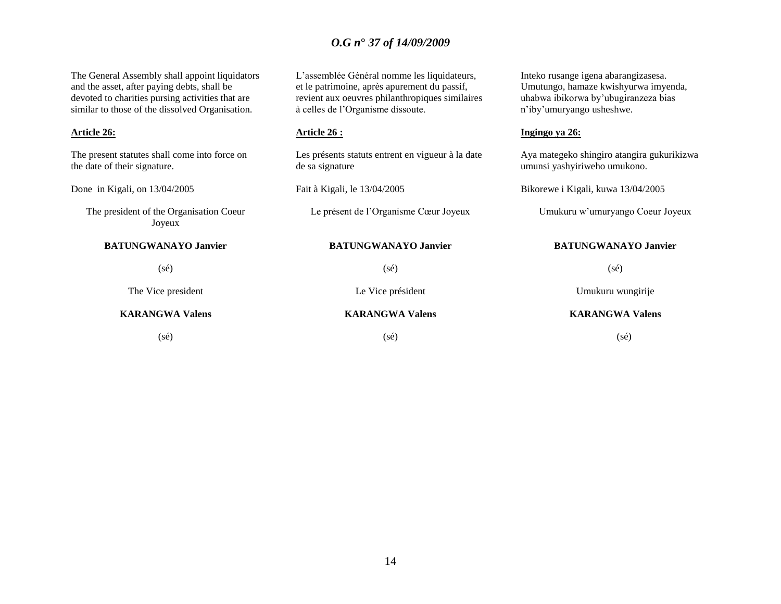| The General Assembly shall appoint liquidators<br>and the asset, after paying debts, shall be<br>devoted to charities pursing activities that are<br>similar to those of the dissolved Organisation. | L'assemblée Général nomme les liquidateurs,<br>et le patrimoine, après apurement du passif,<br>revient aux oeuvres philanthropiques similaires<br>à celles de l'Organisme dissoute. | Inteko rusange igena abarangizasesa.<br>Umutungo, hamaze kwishyurwa imyenda,<br>uhabwa ibikorwa by'ubugiranzeza bias<br>n'iby'umuryango usheshwe. |  |
|------------------------------------------------------------------------------------------------------------------------------------------------------------------------------------------------------|-------------------------------------------------------------------------------------------------------------------------------------------------------------------------------------|---------------------------------------------------------------------------------------------------------------------------------------------------|--|
| <b>Article 26:</b>                                                                                                                                                                                   | <u>Article 26 :</u>                                                                                                                                                                 | Ingingo ya 26:                                                                                                                                    |  |
| The present statutes shall come into force on<br>the date of their signature.                                                                                                                        | Les présents statuts entrent en vigueur à la date<br>de sa signature                                                                                                                | Aya mategeko shingiro atangira gukurikizwa<br>umunsi yashyiriweho umukono.                                                                        |  |
| Done in Kigali, on 13/04/2005                                                                                                                                                                        | Fait à Kigali, le 13/04/2005                                                                                                                                                        | Bikorewe i Kigali, kuwa 13/04/2005                                                                                                                |  |
| The president of the Organisation Coeur<br>Joyeux                                                                                                                                                    | Le présent de l'Organisme Cœur Joyeux                                                                                                                                               | Umukuru w'umuryango Coeur Joyeux                                                                                                                  |  |
| <b>BATUNGWANAYO Janvier</b>                                                                                                                                                                          | <b>BATUNGWANAYO Janvier</b>                                                                                                                                                         | <b>BATUNGWANAYO Janvier</b>                                                                                                                       |  |
| $(s\acute{e})$                                                                                                                                                                                       | $(s\acute{e})$                                                                                                                                                                      | $(s\acute{e})$                                                                                                                                    |  |
| The Vice president                                                                                                                                                                                   | Le Vice président                                                                                                                                                                   | Umukuru wungirije                                                                                                                                 |  |
| <b>KARANGWA Valens</b>                                                                                                                                                                               | <b>KARANGWA Valens</b>                                                                                                                                                              | <b>KARANGWA Valens</b>                                                                                                                            |  |
| (sé)                                                                                                                                                                                                 | (s <sub>é</sub> )                                                                                                                                                                   | (sé)                                                                                                                                              |  |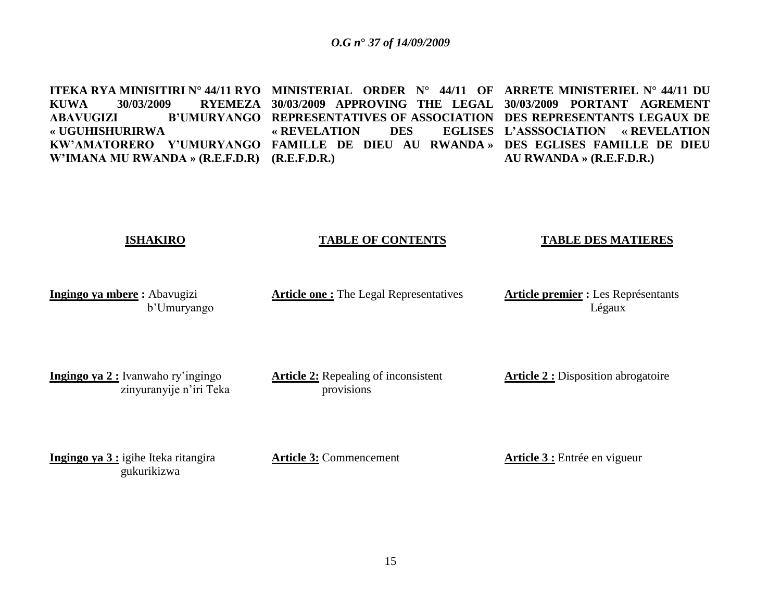**ITEKA RYA MINISITIRI N° 44/11 RYO MINISTERIAL ORDER N° 44/11 OF ARRETE MINISTERIEL N° 44/11 DU KUWA 30/03/2009 RYEMEZA 30/03/2009 APPROVING THE LEGAL 30/03/2009 PORTANT AGREMENT ABAVUGIZI B"UMURYANGO REPRESENTATIVES OF ASSOCIATION DES REPRESENTANTS LEGAUX DE « UGUHISHURIRWA KW"AMATORERO Y"UMURYANGO FAMILLE DE DIEU AU RWANDA » DES EGLISES FAMILLE DE DIEU W"IMANA MU RWANDA » (R.E.F.D.R) (R.E.F.D.R.) « REVELATION** DES **L"ASSSOCIATION « REVELATION AU RWANDA » (R.E.F.D.R.)**

#### **ISHAKIRO**

#### **TABLE OF CONTENTS**

#### **TABLE DES MATIERES**

**Ingingo ya mbere :** Abavugizi b"Umuryango **Article one :** The Legal Representatives

**Article premier :** Les Représentants Légaux

**Ingingo ya 2 :** Ivanwaho ry"ingingo zinyuranyije n"iri Teka **Article 2:** Repealing of inconsistent provisions

**Article 2 :** Disposition abrogatoire

**Ingingo ya 3 :** igihe Iteka ritangira gukurikizwa

**Article 3:** Commencement

**Article 3 :** Entrée en vigueur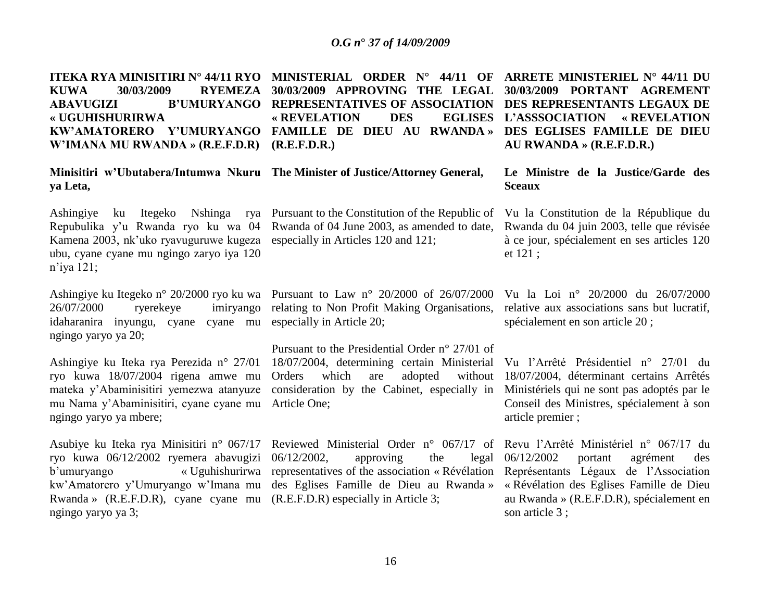**ITEKA RYA MINISITIRI N° 44/11 RYO MINISTERIAL ORDER N° 44/11 OF ARRETE MINISTERIEL N° 44/11 DU KUWA 30/03/2009 RYEMEZA 30/03/2009 APPROVING THE LEGAL 30/03/2009 PORTANT AGREMENT ABAVUGIZI B"UMURYANGO REPRESENTATIVES OF ASSOCIATION DES REPRESENTANTS LEGAUX DE « UGUHISHURIRWA KW"AMATORERO Y"UMURYANGO FAMILLE DE DIEU AU RWANDA » DES EGLISES FAMILLE DE DIEU W"IMANA MU RWANDA » (R.E.F.D.R) (R.E.F.D.R.) « REVELATION** DES **L"ASSSOCIATION « REVELATION AU RWANDA » (R.E.F.D.R.)**

**Minisitiri w"Ubutabera/Intumwa Nkuru The Minister of Justice/Attorney General, ya Leta,**

Repubulika y"u Rwanda ryo ku wa 04 Kamena 2003, nk'uko ryavuguruwe kugeza especially in Articles 120 and 121; ubu, cyane cyane mu ngingo zaryo iya 120 n"iya 121;

26/07/2000 ryerekeye imiryango idaharanira inyungu, cyane cyane mu especially in Article 20; ngingo yaryo ya 20;

ryo kuwa 18/07/2004 rigena amwe mu mateka y"Abaminisitiri yemezwa atanyuze mu Nama y"Abaminisitiri, cyane cyane mu Article One; ngingo yaryo ya mbere;

Asubiye ku Iteka rya Minisitiri n° 067/17 ryo kuwa 06/12/2002 ryemera abavugizi Rwanda » (R.E.F.D.R), cyane cyane mu (R.E.F.D.R) especially in Article 3; ngingo yaryo ya 3;

Ashingiye ku Itegeko Nshinga rya Pursuant to the Constitution of the Republic of Vu la Constitution de la République du Rwanda of 04 June 2003, as amended to date, Rwanda du 04 juin 2003, telle que révisée

Ashingiye ku Itegeko n° 20/2000 ryo ku wa Pursuant to Law n° 20/2000 of 26/07/2000 Vu la Loi n° 20/2000 du 26/07/2000 relating to Non Profit Making Organisations,

Ashingiye ku Iteka rya Perezida n° 27/01 18/07/2004, determining certain Ministerial Vu l"Arrêté Présidentiel n° 27/01 du Pursuant to the Presidential Order n° 27/01 of Orders which are adopted consideration by the Cabinet, especially in Ministériels qui ne sont pas adoptés par le

b"umuryango « Uguhishurirwa representatives of the association « Révélation Représentants Légaux de l"Association kw"Amatorero y"Umuryango w"Imana mu des Eglises Famille de Dieu au Rwanda » « Révélation des Eglises Famille de Dieu  $06/12/2002$ , approving the

**Le Ministre de la Justice/Garde des Sceaux**

à ce jour, spécialement en ses articles 120 et 121 ;

relative aux associations sans but lucratif, spécialement en son article 20 ;

18/07/2004, déterminant certains Arrêtés Conseil des Ministres, spécialement à son article premier ;

Reviewed Ministerial Order n° 067/17 of Revu l'Arrêté Ministériel n° 067/17 du 06/12/2002 portant agrément des au Rwanda » (R.E.F.D.R), spécialement en son article 3 ;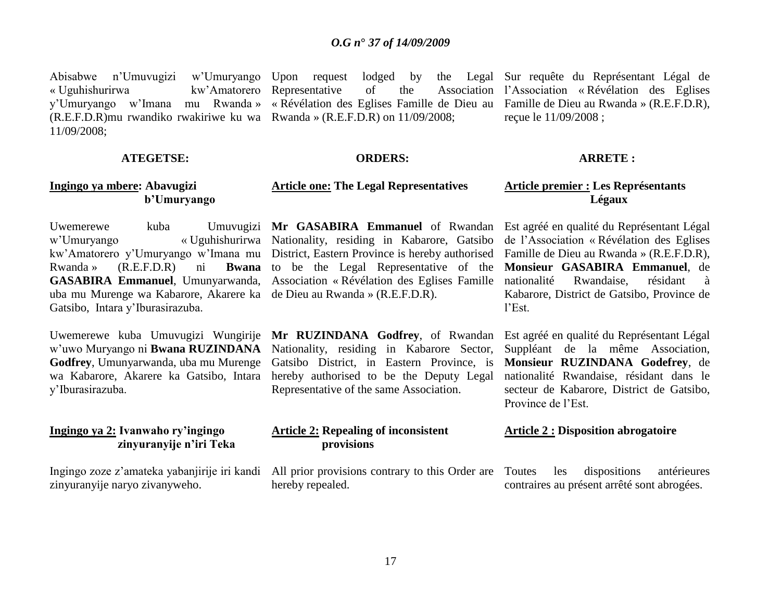Abisabwe n'Umuvugizi  $\ll$  Uguhishurirwa y"Umuryango w"Imana mu Rwanda » « Révélation des Eglises Famille de Dieu au Famille de Dieu au Rwanda » (R.E.F.D.R), (R.E.F.D.R)mu rwandiko rwakiriwe ku wa Rwanda » (R.E.F.D.R) on 11/09/2008; 11/09/2008; w'Umuryango Upon request lodged by kw'Amatorero Representative of the

### **ATEGETSE:**

 **b"Umuryango**

**Ingingo ya mbere: Abavugizi** 

### **ORDERS:**

### **Article one: The Legal Representatives**

Rwanda » (R.E.F.D.R) ni **Bwana**  uba mu Murenge wa Kabarore, Akarere ka de Dieu au Rwanda » (R.E.F.D.R). Gatsibo, Intara y"Iburasirazuba.

Uwemerewe kuba Umuvugizi Wungirije w"uwo Muryango ni **Bwana RUZINDANA Godfrey**, Umunyarwanda, uba mu Murenge wa Kabarore, Akarere ka Gatsibo, Intara y"Iburasirazuba.

### **Ingingo ya 2: Ivanwaho ry"ingingo zinyuranyije n"iri Teka**

Ingingo zoze z"amateka yabanjirije iri kandi zinyuranyije naryo zivanyweho.

w"Umuryango « Uguhishurirwa Nationality, residing in Kabarore, Gatsibo de l"Association « Révélation des Eglises kw"Amatorero y"Umuryango w"Imana mu District, Eastern Province is hereby authorised Famille de Dieu au Rwanda » (R.E.F.D.R), **GASABIRA Emmanuel**, Umunyarwanda, Association « Révélation des Eglises Famille to be the Legal Representative of the **Monsieur GASABIRA Emmanuel**, de

> **Mr RUZINDANA Godfrey**, of Rwandan Est agréé en qualité du Représentant Légal Nationality, residing in Kabarore Sector, Gatsibo District, in Eastern Province, is hereby authorised to be the Deputy Legal Representative of the same Association.

### **Article 2: Repealing of inconsistent provisions**

All prior provisions contrary to this Order are Toutes hereby repealed.

Sur requête du Représentant Légal de l"Association « Révélation des Eglises reçue le 11/09/2008 ;

#### **ARRETE :**

### **Article premier : Les Représentants Légaux**

Uwemerewe kuba Umuvugizi **Mr GASABIRA Emmanuel** of Rwandan Est agréé en qualité du Représentant Légal Rwandaise, résidant à Kabarore, District de Gatsibo, Province de l"Est.

> Suppléant de la même Association, **Monsieur RUZINDANA Godefrey**, de nationalité Rwandaise, résidant dans le secteur de Kabarore, District de Gatsibo, Province de l"Est.

### **Article 2 : Disposition abrogatoire**

les dispositions antérieures contraires au présent arrêté sont abrogées.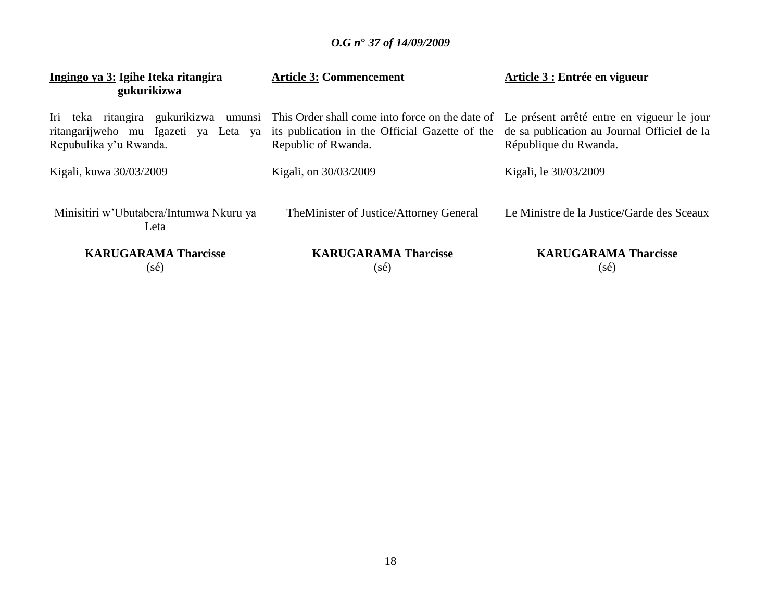| Ingingo ya 3: Igihe Iteka ritangira<br>gukurikizwa | <b>Article 3: Commencement</b>                                                                                                                                                                                                                                                             | Article 3 : Entrée en vigueur              |
|----------------------------------------------------|--------------------------------------------------------------------------------------------------------------------------------------------------------------------------------------------------------------------------------------------------------------------------------------------|--------------------------------------------|
| Repubulika y'u Rwanda.                             | Iri teka ritangira gukurikizwa umunsi This Order shall come into force on the date of Le présent arrêté entre en vigueur le jour<br>ritangarijweho mu Igazeti ya Leta ya its publication in the Official Gazette of the de sa publication au Journal Officiel de la<br>Republic of Rwanda. | République du Rwanda.                      |
| Kigali, kuwa 30/03/2009                            | Kigali, on 30/03/2009                                                                                                                                                                                                                                                                      | Kigali, le 30/03/2009                      |
| Minisitiri w'Ubutabera/Intumwa Nkuru ya<br>Leta    | The Minister of Justice/Attorney General                                                                                                                                                                                                                                                   | Le Ministre de la Justice/Garde des Sceaux |
| <b>KARUGARAMA Tharcisse</b><br>(sé)                | <b>KARUGARAMA Tharcisse</b><br>(sé)                                                                                                                                                                                                                                                        | <b>KARUGARAMA Tharcisse</b><br>(sé)        |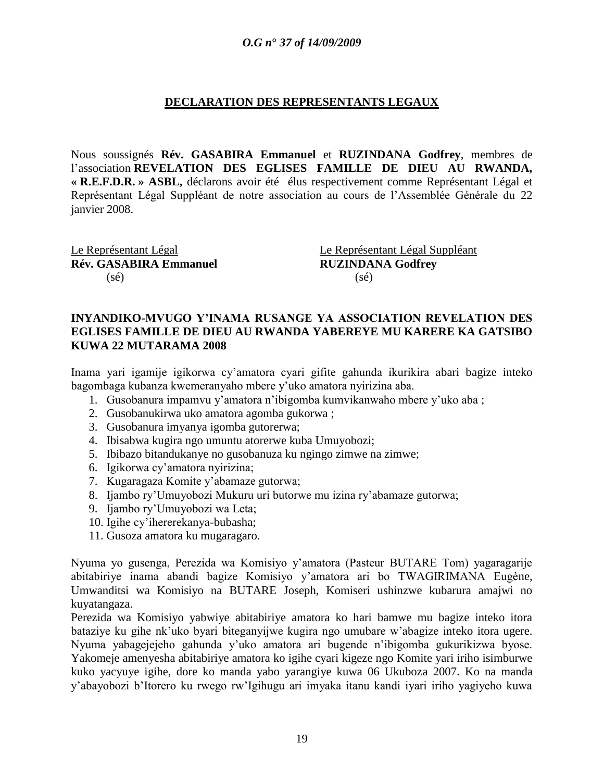### **DECLARATION DES REPRESENTANTS LEGAUX**

Nous soussignés **Rév. GASABIRA Emmanuel** et **RUZINDANA Godfrey**, membres de l"association **REVELATION DES EGLISES FAMILLE DE DIEU AU RWANDA, « R.E.F.D.R. » ASBL,** déclarons avoir été élus respectivement comme Représentant Légal et Représentant Légal Suppléant de notre association au cours de l"Assemblée Générale du 22 janvier 2008.

**Rév. GASABIRA Emmanuel RUZINDANA Godfrey**  $(s\acute{e})$  (sé)

Le Représentant Légal Le Représentant Légal Suppléant

### **INYANDIKO-MVUGO Y"INAMA RUSANGE YA ASSOCIATION REVELATION DES EGLISES FAMILLE DE DIEU AU RWANDA YABEREYE MU KARERE KA GATSIBO KUWA 22 MUTARAMA 2008**

Inama yari igamije igikorwa cy"amatora cyari gifite gahunda ikurikira abari bagize inteko bagombaga kubanza kwemeranyaho mbere y"uko amatora nyirizina aba.

- 1. Gusobanura impamvu y"amatora n"ibigomba kumvikanwaho mbere y"uko aba ;
- 2. Gusobanukirwa uko amatora agomba gukorwa ;
- 3. Gusobanura imyanya igomba gutorerwa;
- 4. Ibisabwa kugira ngo umuntu atorerwe kuba Umuyobozi;
- 5. Ibibazo bitandukanye no gusobanuza ku ngingo zimwe na zimwe;
- 6. Igikorwa cy"amatora nyirizina;
- 7. Kugaragaza Komite y"abamaze gutorwa;
- 8. Ijambo ry"Umuyobozi Mukuru uri butorwe mu izina ry"abamaze gutorwa;
- 9. Ijambo ry"Umuyobozi wa Leta;
- 10. Igihe cy"ihererekanya-bubasha;
- 11. Gusoza amatora ku mugaragaro.

Nyuma yo gusenga, Perezida wa Komisiyo y"amatora (Pasteur BUTARE Tom) yagaragarije abitabiriye inama abandi bagize Komisiyo y"amatora ari bo TWAGIRIMANA Eugène, Umwanditsi wa Komisiyo na BUTARE Joseph, Komiseri ushinzwe kubarura amajwi no kuyatangaza.

Perezida wa Komisiyo yabwiye abitabiriye amatora ko hari bamwe mu bagize inteko itora bataziye ku gihe nk"uko byari biteganyijwe kugira ngo umubare w"abagize inteko itora ugere. Nyuma yabagejejeho gahunda y"uko amatora ari bugende n"ibigomba gukurikizwa byose. Yakomeje amenyesha abitabiriye amatora ko igihe cyari kigeze ngo Komite yari iriho isimburwe kuko yacyuye igihe, dore ko manda yabo yarangiye kuwa 06 Ukuboza 2007. Ko na manda y"abayobozi b"Itorero ku rwego rw"Igihugu ari imyaka itanu kandi iyari iriho yagiyeho kuwa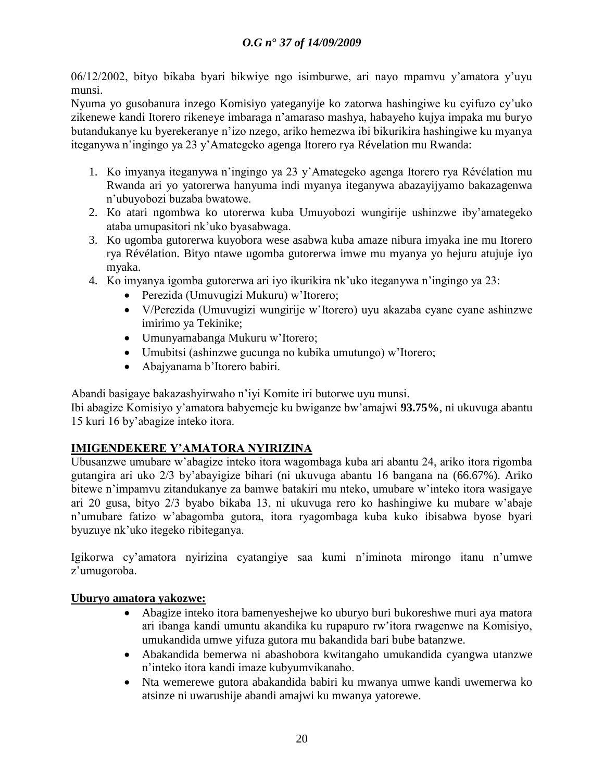06/12/2002, bityo bikaba byari bikwiye ngo isimburwe, ari nayo mpamvu y"amatora y"uyu munsi.

Nyuma yo gusobanura inzego Komisiyo yateganyije ko zatorwa hashingiwe ku cyifuzo cy"uko zikenewe kandi Itorero rikeneye imbaraga n"amaraso mashya, habayeho kujya impaka mu buryo butandukanye ku byerekeranye n"izo nzego, ariko hemezwa ibi bikurikira hashingiwe ku myanya iteganywa n"ingingo ya 23 y"Amategeko agenga Itorero rya Révelation mu Rwanda:

- 1. Ko imyanya iteganywa n"ingingo ya 23 y"Amategeko agenga Itorero rya Révélation mu Rwanda ari yo yatorerwa hanyuma indi myanya iteganywa abazayijyamo bakazagenwa n"ubuyobozi buzaba bwatowe.
- 2. Ko atari ngombwa ko utorerwa kuba Umuyobozi wungirije ushinzwe iby"amategeko ataba umupasitori nk"uko byasabwaga.
- 3. Ko ugomba gutorerwa kuyobora wese asabwa kuba amaze nibura imyaka ine mu Itorero rya Révélation. Bityo ntawe ugomba gutorerwa imwe mu myanya yo hejuru atujuje iyo myaka.
- 4. Ko imyanya igomba gutorerwa ari iyo ikurikira nk"uko iteganywa n"ingingo ya 23:
	- Perezida (Umuvugizi Mukuru) w"Itorero;
	- V/Perezida (Umuvugizi wungirije w"Itorero) uyu akazaba cyane cyane ashinzwe imirimo ya Tekinike;
	- Umunyamabanga Mukuru w"Itorero;
	- Umubitsi (ashinzwe gucunga no kubika umutungo) w"Itorero;
	- Abajyanama b"Itorero babiri.

Abandi basigaye bakazashyirwaho n"iyi Komite iri butorwe uyu munsi.

Ibi abagize Komisiyo y"amatora babyemeje ku bwiganze bw"amajwi **93.75%**, ni ukuvuga abantu 15 kuri 16 by"abagize inteko itora.

### **IMIGENDEKERE Y"AMATORA NYIRIZINA**

Ubusanzwe umubare w"abagize inteko itora wagombaga kuba ari abantu 24, ariko itora rigomba gutangira ari uko 2/3 by"abayigize bihari (ni ukuvuga abantu 16 bangana na (66.67%). Ariko bitewe n"impamvu zitandukanye za bamwe batakiri mu nteko, umubare w"inteko itora wasigaye ari 20 gusa, bityo 2/3 byabo bikaba 13, ni ukuvuga rero ko hashingiwe ku mubare w"abaje n"umubare fatizo w"abagomba gutora, itora ryagombaga kuba kuko ibisabwa byose byari byuzuye nk"uko itegeko ribiteganya.

Igikorwa cy"amatora nyirizina cyatangiye saa kumi n"iminota mirongo itanu n"umwe z"umugoroba.

### **Uburyo amatora yakozwe:**

- Abagize inteko itora bamenyeshejwe ko uburyo buri bukoreshwe muri aya matora ari ibanga kandi umuntu akandika ku rupapuro rw"itora rwagenwe na Komisiyo, umukandida umwe yifuza gutora mu bakandida bari bube batanzwe.
- Abakandida bemerwa ni abashobora kwitangaho umukandida cyangwa utanzwe n"inteko itora kandi imaze kubyumvikanaho.
- Nta wemerewe gutora abakandida babiri ku mwanya umwe kandi uwemerwa ko atsinze ni uwarushije abandi amajwi ku mwanya yatorewe.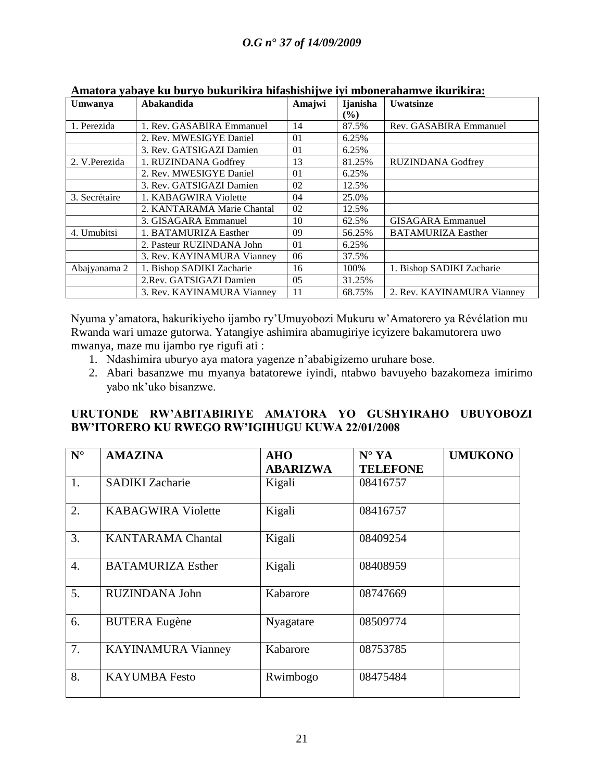| Umwanya       | Abakandida                 | Amajwi         | <b>I</b> janisha<br>$($ %) | <b>Uwatsinze</b>           |
|---------------|----------------------------|----------------|----------------------------|----------------------------|
| 1. Perezida   | 1. Rev. GASABIRA Emmanuel  | 14             | 87.5%                      | Rev. GASABIRA Emmanuel     |
|               | 2. Rev. MWESIGYE Daniel    | 01             | 6.25%                      |                            |
|               | 3. Rev. GATSIGAZI Damien   | 01             | 6.25%                      |                            |
| 2. V.Perezida | 1. RUZINDANA Godfrey       | 13             | 81.25%                     | <b>RUZINDANA Godfrey</b>   |
|               | 2. Rev. MWESIGYE Daniel    | 01             | 6.25%                      |                            |
|               | 3. Rev. GATSIGAZI Damien   | 02             | 12.5%                      |                            |
| 3. Secrétaire | 1. KABAGWIRA Violette      | 04             | 25.0%                      |                            |
|               | 2. KANTARAMA Marie Chantal | 02             | 12.5%                      |                            |
|               | 3. GISAGARA Emmanuel       | 10             | 62.5%                      | <b>GISAGARA</b> Emmanuel   |
| 4. Umubitsi   | 1. BATAMURIZA Easther      | 09             | 56.25%                     | <b>BATAMURIZA Easther</b>  |
|               | 2. Pasteur RUZINDANA John  | 01             | 6.25%                      |                            |
|               | 3. Rev. KAYINAMURA Vianney | 06             | 37.5%                      |                            |
| Abajyanama 2  | 1. Bishop SADIKI Zacharie  | 16             | 100%                       | 1. Bishop SADIKI Zacharie  |
|               | 2. Rev. GATSIGAZI Damien   | 0 <sub>5</sub> | 31.25%                     |                            |
|               | 3. Rev. KAYINAMURA Vianney | 11             | 68.75%                     | 2. Rev. KAYINAMURA Vianney |

|  |  | Amatora yabaye ku buryo bukurikira hifashishijwe iyi mbonerahamwe ikurikira: |
|--|--|------------------------------------------------------------------------------|
|  |  |                                                                              |

Nyuma y"amatora, hakurikiyeho ijambo ry"Umuyobozi Mukuru w"Amatorero ya Révélation mu Rwanda wari umaze gutorwa. Yatangiye ashimira abamugiriye icyizere bakamutorera uwo mwanya, maze mu ijambo rye rigufi ati :

- 1. Ndashimira uburyo aya matora yagenze n"ababigizemo uruhare bose.
- 2. Abari basanzwe mu myanya batatorewe iyindi, ntabwo bavuyeho bazakomeza imirimo yabo nk"uko bisanzwe.

### **URUTONDE RW"ABITABIRIYE AMATORA YO GUSHYIRAHO UBUYOBOZI BW"ITORERO KU RWEGO RW"IGIHUGU KUWA 22/01/2008**

| $N^{\circ}$      | <b>AMAZINA</b>            | <b>AHO</b><br><b>ABARIZWA</b> | $N^{\circ}$ YA<br><b>TELEFONE</b> | <b>UMUKONO</b> |
|------------------|---------------------------|-------------------------------|-----------------------------------|----------------|
| 1.               | <b>SADIKI</b> Zacharie    | Kigali                        | 08416757                          |                |
| 2.               | <b>KABAGWIRA Violette</b> | Kigali                        | 08416757                          |                |
| 3.               | <b>KANTARAMA Chantal</b>  | Kigali                        | 08409254                          |                |
| $\overline{4}$ . | <b>BATAMURIZA Esther</b>  | Kigali                        | 08408959                          |                |
| 5.               | RUZINDANA John            | Kabarore                      | 08747669                          |                |
| 6.               | <b>BUTERA Eugène</b>      | Nyagatare                     | 08509774                          |                |
| 7.               | <b>KAYINAMURA Vianney</b> | Kabarore                      | 08753785                          |                |
| 8.               | <b>KAYUMBA</b> Festo      | Rwimbogo                      | 08475484                          |                |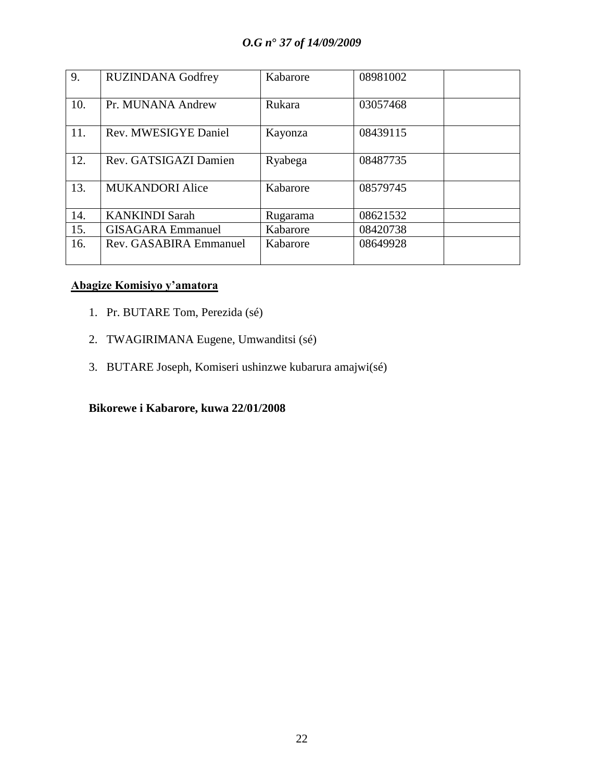| 9.  | <b>RUZINDANA Godfrey</b> | Kabarore | 08981002 |
|-----|--------------------------|----------|----------|
| 10. | Pr. MUNANA Andrew        | Rukara   | 03057468 |
| 11. | Rev. MWESIGYE Daniel     | Kayonza  | 08439115 |
| 12. | Rev. GATSIGAZI Damien    | Ryabega  | 08487735 |
| 13. | <b>MUKANDORI Alice</b>   | Kabarore | 08579745 |
| 14. | <b>KANKINDI Sarah</b>    | Rugarama | 08621532 |
| 15. | <b>GISAGARA</b> Emmanuel | Kabarore | 08420738 |
| 16. | Rev. GASABIRA Emmanuel   | Kabarore | 08649928 |

### **Abagize Komisiyo y"amatora**

- 1. Pr. BUTARE Tom, Perezida (sé)
- 2. TWAGIRIMANA Eugene, Umwanditsi (sé)
- 3. BUTARE Joseph, Komiseri ushinzwe kubarura amajwi(sé)

### **Bikorewe i Kabarore, kuwa 22/01/2008**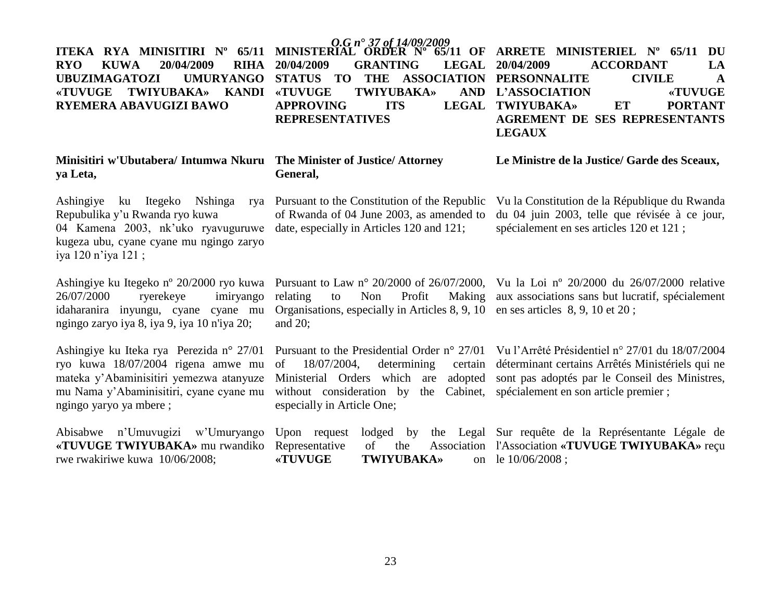### **RYO KUWA 20/04/2009 RIHA UBUZIMAGATOZI «TUVUGE TWIYUBAKA» KANDI RYEMERA ABAVUGIZI BAWO**

### **Minisitiri w'Ubutabera/ Intumwa Nkuru The Minister of Justice/ Attorney ya Leta,**

Ashingiye ku Itegeko Nshinga Repubulika y"u Rwanda ryo kuwa 04 Kamena 2003, nk'uko ryavuguruwe date, especially in Articles 120 and 121; kugeza ubu, cyane cyane mu ngingo zaryo iya 120 n"iya 121 ;

26/07/2000 ryerekeye imiryango idaharanira inyungu, cyane cyane mu ngingo zaryo iya 8, iya 9, iya 10 n'iya 20;

Ashingiye ku Iteka rya Perezida n° 27/01 ryo kuwa 18/07/2004 rigena amwe mu mateka y"Abaminisitiri yemezwa atanyuze mu Nama y"Abaminisitiri, cyane cyane mu ngingo yaryo ya mbere ;

Abisabwe n'Umuvugi **«TUVUGE TWIYUBAKA»** mu rwandiko rwe rwakiriwe kuwa  $10/$ 

*O.G n***°** *37 of 14/09/2009* **20/04/2009 GRANTING LEGAL TWIYUBAKA» APPROVING ITS REPRESENTATIVES**

# **General,**

of Rwanda of 04 June 2003, as amended to

Organisations, especially in Articles 8, 9, 10 en ses articles 8, 9, 10 et 20 ; and 20;

of 18/07/2004, determining certain without consideration by the Cabinet, spécialement en son article premier ; especially in Article One;

**ITEKA RYA MINISITIRI Nº 65/11 MINISTERIAL ORDER Nº 65/11 OF ARRETE MINISTERIEL Nº 65/11 DU** STATUS TO THE ASSOCIATION PERSONNALITE CIVILE A **20/04/2009 ACCORDANT LA L"ASSOCIATION «TUVUGE**  LEGAL TWIYUBAKA» ET PORTANT **AGREMENT DE SES REPRESENTANTS LEGAUX** 

**Le Ministre de la Justice/ Garde des Sceaux,**

Pursuant to the Constitution of the Republic Vu la Constitution de la République du Rwanda du 04 juin 2003, telle que révisée à ce jour, spécialement en ses articles 120 et 121 ;

Ashingiye ku Itegeko nº 20/2000 ryo kuwa Pursuant to Law nº 20/2000 of 26/07/2000, Vu la Loi nº 20/2000 du 26/07/2000 relative relating to Non Profit Making aux associations sans but lucratif, spécialement

> Pursuant to the Presidential Order n° 27/01 Vu l"Arrêté Présidentiel n° 27/01 du 18/07/2004 Ministerial Orders which are adopted sont pas adoptés par le Conseil des Ministres, déterminant certains Arrêtés Ministériels qui ne

|              |         |                   | izi w'Umuryango Upon request lodged by the Legal Sur requête de la Représentante Légale de            |
|--------------|---------|-------------------|-------------------------------------------------------------------------------------------------------|
|              |         |                   | <b>KA</b> mu rwandiko Representative of the Association l'Association <b>«TUVUGE TWIYUBAKA</b> » recu |
| $/06/2008$ ; | «TUVUGE | <b>TWIYUBAKA»</b> | on le $10/06/2008$ :                                                                                  |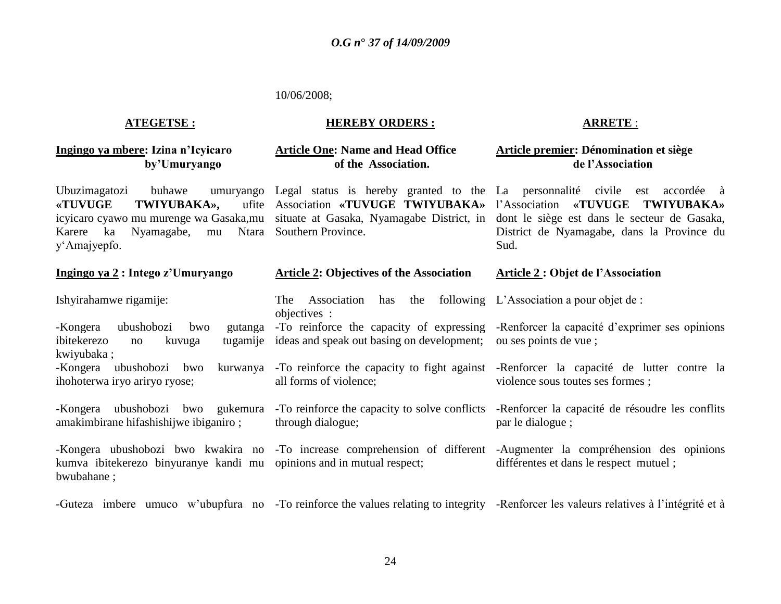#### 10/06/2008;

### **ATEGETSE :**

#### **HEREBY ORDERS :**

### **Ingingo ya mbere: Izina n"Icyicaro by"Umuryango**

### **Article One: Name and Head Office of the Association.**

Ubuzimagatozi buhawe «TUVUGE TWIYUBAKA», Karere ka Nyamagabe, mu y"Amajyepfo.

#### **Ingingo ya 2 : Intego z"Umuryango**

Ishyirahamwe rigamije:

-Kongera ubushobozi bwo ibitekerezo no kuvuga kwiyubaka ; -To reinforce the capacity of expressing tugamije ideas and speak out basing on development;

-Kongera ubushobozi bwo ihohoterwa iryo ariryo ryose;

-Kongera ubushobozi bwo amakimbirane hifashishijwe ibiganiro ; -To reinforce the capacity to solve conflicts

kumva ibitekerezo binyuranye kandi mu opinions and in mutual respect; bwubahane ;

Ntara Southern Province.

**Article 2: Objectives of the Association**

The Association has

all forms of violence;

through dialogue;

objectives :

### **ARRETE** :

### **Article premier: Dénomination et siège de l"Association**

icyicaro cyawo mu murenge wa Gasaka,mu situate at Gasaka, Nyamagabe District, in dont le siège est dans le secteur de Gasaka, Legal status is hereby granted to the La personnalité civile est accordée à Association **«TUVUGE TWIYUBAKA»**  l"Association **«TUVUGE TWIYUBAKA»**  District de Nyamagabe, dans la Province du Sud.

### **Article 2 : Objet de l"Association**

the following L'Association a pour objet de :

-Renforcer la capacité d"exprimer ses opinions ou ses points de vue ;

-To reinforce the capacity to fight against -Renforcer la capacité de lutter contre la violence sous toutes ses formes ;

> -Renforcer la capacité de résoudre les conflits par le dialogue ;

-Kongera ubushobozi bwo kwakira no -To increase comprehension of different -Augmenter la compréhension des opinions différentes et dans le respect mutuel ;

-Guteza imbere umuco w'ubupfura no -To reinforce the values relating to integrity -Renforcer les valeurs relatives à l'intégrité et à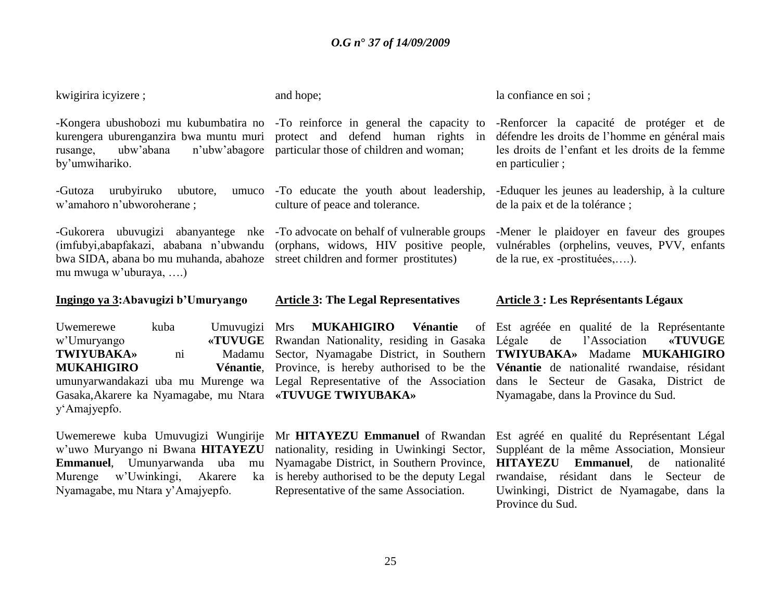kwigirira icyizere ;

rusange, ubw"abana n"ubw"abagore particular those of children and woman; by"umwihariko.

-Gutoza urubyiruko ubutore, w"amahoro n"ubworoherane ;

bwa SIDA, abana bo mu muhanda, abahoze street children and former prostitutes) mu mwuga w"uburaya, ….)

### **Ingingo ya 3:Abavugizi b"Umuryango**

| Uwemerewe         | kuba | Umuvugizi      |
|-------------------|------|----------------|
| w'Umuryango       |      | <b>«TUVUGE</b> |
| <b>TWIYUBAKA»</b> | ni   | Madamu         |
| <b>MUKAHIGIRO</b> |      | Vénantie,      |

Gasaka,Akarere ka Nyamagabe, mu Ntara **«TUVUGE TWIYUBAKA»**  y"Amajyepfo.

Uwemerewe kuba Umuvugizi Wungirije w"uwo Muryango ni Bwana **HITAYEZU Emmanuel**, Umunyarwanda uba mu Murenge w'Uwinkingi, Akarere Nyamagabe, mu Ntara y"Amajyepfo.

and hope;

umuco -To educate the youth about leadership, culture of peace and tolerance.

-Gukorera ubuvugizi abanyantege nke -To advocate on behalf of vulnerable groups (imfubyi,abapfakazi, ababana n"ubwandu (orphans, widows, HIV positive people,

#### **Article 3: The Legal Representatives**

Mrs **MUKAHIGIRO Vénantie** of E Rwandan Nationality, residing in Gasaka Légale

Mr **HITAYEZU Emmanuel** of Rwandan nationality, residing in Uwinkingi Sector, Nyamagabe District, in Southern Province, ka is hereby authorised to be the deputy Legal Representative of the same Association.

la confiance en soi ;

-Kongera ubushobozi mu kubumbatira no -To reinforce in general the capacity to -Renforcer la capacité de protéger et de kurengera uburenganzira bwa muntu muri protect and defend human rights in défendre les droits de l"homme en général mais les droits de l"enfant et les droits de la femme en particulier ;

> -Eduquer les jeunes au leadership, à la culture de la paix et de la tolérance ;

> -Mener le plaidoyer en faveur des groupes vulnérables (orphelins, veuves, PVV, enfants de la rue, ex -prostituées,….).

### **Article 3 : Les Représentants Légaux**

umunyarwandakazi uba mu Murenge wa Legal Representative of the Association dans le Secteur de Gasaka, District de Sector, Nyamagabe District, in Southern **TWIYUBAKA»** Madame **MUKAHIGIRO**  Province, is hereby authorised to be the **Vénantie** de nationalité rwandaise, résidant Est agréée en qualité de la Représentante Légale de l"Association **«TUVUGE**  Nyamagabe, dans la Province du Sud.

> Est agréé en qualité du Représentant Légal Suppléant de la même Association, Monsieur **HITAYEZU Emmanuel**, de nationalité rwandaise, résidant dans le Secteur de Uwinkingi, District de Nyamagabe, dans la Province du Sud.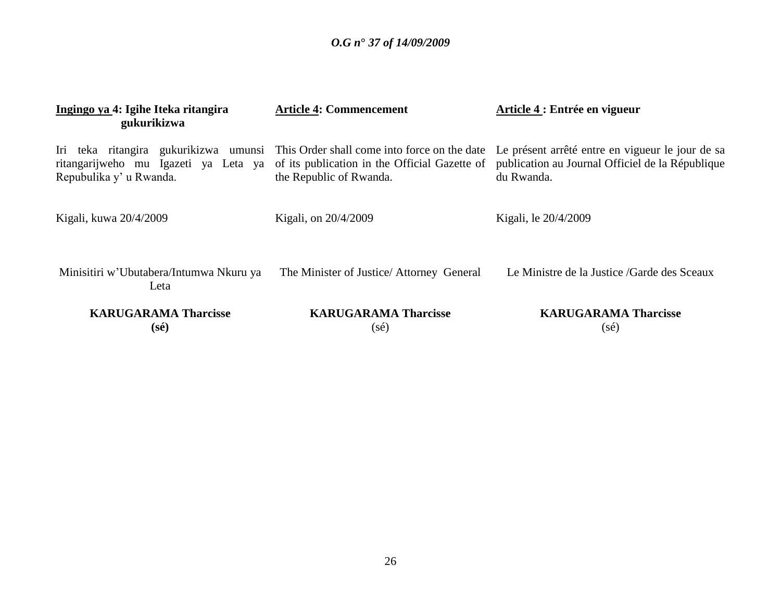| Ingingo ya 4: Igihe Iteka ritangira<br>gukurikizwa                                                       | <b>Article 4: Commencement</b>                                                                                           | Article 4 : Entrée en vigueur                                                                                      |
|----------------------------------------------------------------------------------------------------------|--------------------------------------------------------------------------------------------------------------------------|--------------------------------------------------------------------------------------------------------------------|
| Iri teka ritangira gukurikizwa umunsi<br>ritangarijweho mu Igazeti ya Leta ya<br>Repubulika y' u Rwanda. | This Order shall come into force on the date<br>of its publication in the Official Gazette of<br>the Republic of Rwanda. | Le présent arrêté entre en vigueur le jour de sa<br>publication au Journal Officiel de la République<br>du Rwanda. |
| Kigali, kuwa 20/4/2009                                                                                   | Kigali, on 20/4/2009                                                                                                     | Kigali, le 20/4/2009                                                                                               |
| Minisitiri w'Ubutabera/Intumwa Nkuru ya<br>Leta                                                          | The Minister of Justice/ Attorney General                                                                                | Le Ministre de la Justice /Garde des Sceaux                                                                        |
| <b>KARUGARAMA Tharcisse</b><br>(sé)                                                                      | <b>KARUGARAMA Tharcisse</b><br>(sé)                                                                                      | <b>KARUGARAMA Tharcisse</b><br>$(s\acute{e})$                                                                      |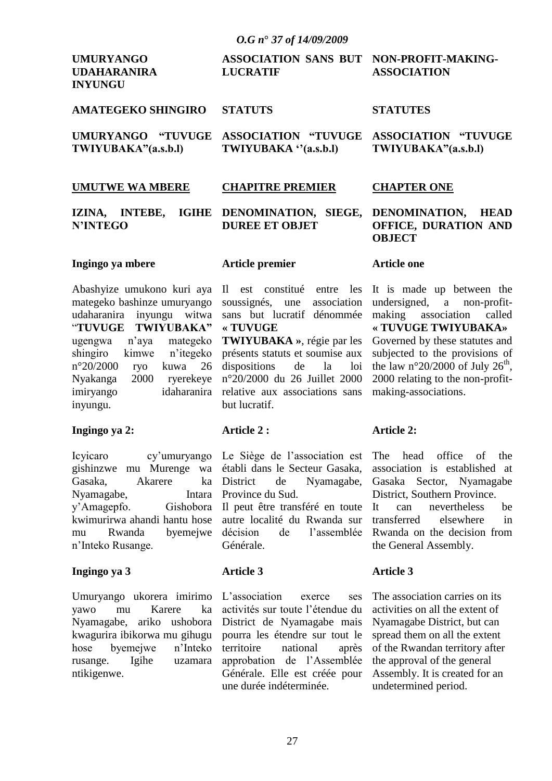| <b>UMURYANGO</b><br><b>UDAHARANIRA</b><br><b>INYUNGU</b> | ASSOCIATION SANS BUT NON-PROFIT-MAKING-<br><b>LUCRATIF</b>                        | <b>ASSOCIATION</b>  |
|----------------------------------------------------------|-----------------------------------------------------------------------------------|---------------------|
| AMATEGEKO SHINGIRO STATUTS                               |                                                                                   | <b>STATUTES</b>     |
| TWIYUBAKA"(a.s.b.l)                                      | UMURYANGO "TUVUGE ASSOCIATION "TUVUGE ASSOCIATION "TUVUGE<br>TWIYUBAKA "(a.s.b.l) | TWIYUBAKA"(a.s.b.l) |

### **UMUTWE WA MBERE**

#### **IZINA, INTEBE, IGIHE DENOMINATION, SIEGE, DUREE ET OBJET**

**CHAPITRE PREMIER**

### **Ingingo ya mbere**

**N"INTEGO**

Abashyize umukono kuri aya mategeko bashinze umuryango udaharanira inyungu witwa "**TUVUGE TWIYUBAKA"** ugengwa n"aya mategeko shingiro kimwe n"itegeko n°20/2000 ryo kuwa 26 Nyakanga 2000 ryerekeye imiryango idaharanira inyungu.

### **Ingingo ya 2:**

Icyicaro cy"umuryango gishinzwe mu Murenge wa Gasaka, Akarere ka Nyamagabe, Intara y"Amagepfo. Gishobora kwimurirwa ahandi hantu hose mu Rwanda byemejwe n"Inteko Rusange.

### **Ingingo ya 3**

Umuryango ukorera imirimo yawo mu Karere ka Nyamagabe, ariko ushobora kwagurira ibikorwa mu gihugu hose byemejwe n"Inteko rusange. Igihe uzamara ntikigenwe.

### **Article premier**

Il est constitué entre les soussignés, une association sans but lucratif dénommée **« TUVUGE TWIYUBAKA »**, régie par les présents statuts et soumise aux dispositions de la loi n°20/2000 du 26 Juillet 2000 relative aux associations sans

### **Article 2 :**

but lucratif.

Le Siège de l"association est établi dans le Secteur Gasaka, District de Nyamagabe, Province du Sud. Il peut être transféré en toute autre localité du Rwanda sur décision de l"assemblée

Générale.

### **Article 3**

L'association exerce ses activités sur toute l"étendue du District de Nyamagabe mais pourra les étendre sur tout le territoire national après approbation de l"Assemblée Générale. Elle est créée pour une durée indéterminée.

### **CHAPTER ONE**

### **DENOMINATION, HEAD OFFICE, DURATION AND OBJECT**

### **Article one**

It is made up between the undersigned, a non-profitmaking association called **« TUVUGE TWIYUBAKA»** Governed by these statutes and subjected to the provisions of the law n°20/2000 of July 26<sup>th</sup>, 2000 relating to the non-profitmaking-associations.

### **Article 2:**

The head office of the association is established at Gasaka Sector, Nyamagabe District, Southern Province.

It can nevertheless be transferred elsewhere in Rwanda on the decision from the General Assembly.

### **Article 3**

The association carries on its activities on all the extent of Nyamagabe District, but can spread them on all the extent of the Rwandan territory after the approval of the general Assembly. It is created for an undetermined period.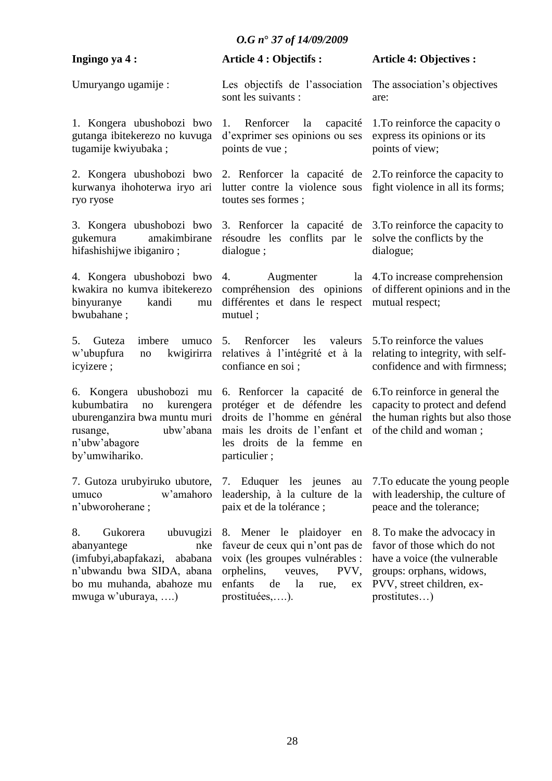| Ingingo ya 4:                                                                                                                                                         | <b>Article 4 : Objectifs :</b>                                                                                                                                                            | <b>Article 4: Objectives :</b>                                                                                                                                     |
|-----------------------------------------------------------------------------------------------------------------------------------------------------------------------|-------------------------------------------------------------------------------------------------------------------------------------------------------------------------------------------|--------------------------------------------------------------------------------------------------------------------------------------------------------------------|
| Umuryango ugamije:                                                                                                                                                    | Les objectifs de l'association<br>sont les suivants :                                                                                                                                     | The association's objectives<br>are:                                                                                                                               |
| 1. Kongera ubushobozi bwo<br>gutanga ibitekerezo no kuvuga<br>tugamije kwiyubaka;                                                                                     | 1. Renforcer<br>la<br>capacité<br>d'exprimer ses opinions ou ses<br>points de vue;                                                                                                        | 1. To reinforce the capacity o<br>express its opinions or its<br>points of view;                                                                                   |
| 2. Kongera ubushobozi bwo<br>kurwanya ihohoterwa iryo ari<br>ryo ryose                                                                                                | 2. Renforcer la capacité de<br>lutter contre la violence sous<br>toutes ses formes;                                                                                                       | 2. To reinforce the capacity to<br>fight violence in all its forms;                                                                                                |
| 3. Kongera ubushobozi bwo<br>gukemura<br>amakimbirane<br>hifashishijwe ibiganiro;                                                                                     | 3. Renforcer la capacité de<br>résoudre les conflits par le<br>dialogue;                                                                                                                  | 3. To reinforce the capacity to<br>solve the conflicts by the<br>dialogue;                                                                                         |
| 4. Kongera ubushobozi bwo 4.<br>kwakira no kumva ibitekerezo<br>binyuranye<br>kandi<br>${\rm mu}$<br>bwubahane;                                                       | Augmenter<br>compréhension des opinions<br>différentes et dans le respect<br>mutuel;                                                                                                      | la 4. To increase comprehension<br>of different opinions and in the<br>mutual respect;                                                                             |
| imbere<br>5.<br>Guteza<br>umuco<br>kwigirirra<br>w'ubupfura<br>$\rm no$<br>icyizere;                                                                                  | 5. Renforcer<br>valeurs<br>les<br>relatives à l'intégrité et à la<br>confiance en soi ;                                                                                                   | 5. To reinforce the values<br>relating to integrity, with self-<br>confidence and with firmness;                                                                   |
| 6. Kongera ubushobozi mu<br>kubumbatira<br>kurengera<br>no<br>uburenganzira bwa muntu muri<br>ubw'abana<br>rusange,<br>n'ubw'abagore<br>by'umwihariko.                | 6. Renforcer la capacité de<br>protéger et de défendre les<br>droits de l'homme en général<br>mais les droits de l'enfant et<br>les droits de la femme en<br>particulier;                 | 6. To reinforce in general the<br>capacity to protect and defend<br>the human rights but also those<br>of the child and woman;                                     |
| 7. Gutoza urubyiruko ubutore,<br>w'amahoro<br>umuco<br>n'ubworoherane;                                                                                                | 7. Eduquer les jeunes au<br>leadership, à la culture de la<br>paix et de la tolérance ;                                                                                                   | 7. To educate the young people<br>with leadership, the culture of<br>peace and the tolerance;                                                                      |
| Gukorera<br>ubuvugizi<br>8.<br>nke<br>abanyantege<br>(imfubyi, abapfakazi,<br>ababana<br>n'ubwandu bwa SIDA, abana<br>bo mu muhanda, abahoze mu<br>mwuga w'uburaya, ) | 8. Mener le plaidoyer<br>en<br>faveur de ceux qui n'ont pas de<br>voix (les groupes vulnérables :<br>orphelins,<br>veuves,<br>PVV.<br>enfants<br>de<br>la<br>rue,<br>ex<br>prostituées,). | 8. To make the advocacy in<br>favor of those which do not<br>have a voice (the vulnerable<br>groups: orphans, widows,<br>PVV, street children, ex-<br>prostitutes) |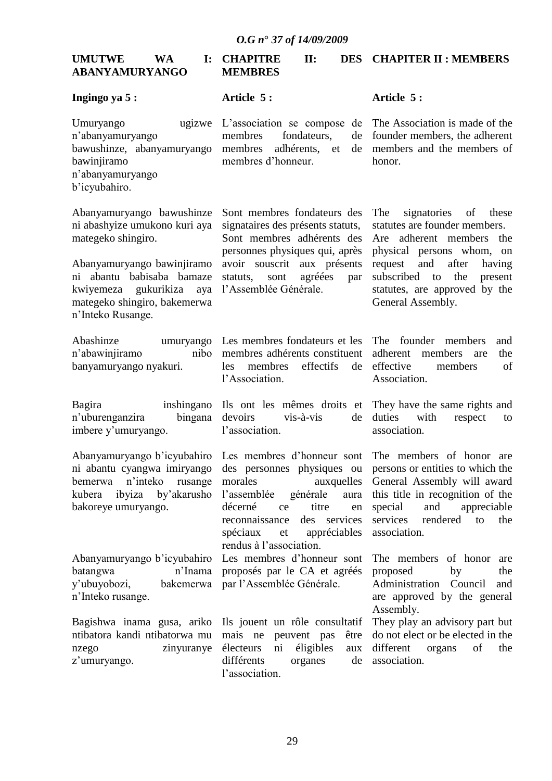| <b>UMUTWE</b>  | <b>WA</b> | I: CHAPITRE    |  | <b>DES CHAPITER II: MEMBERS</b> |
|----------------|-----------|----------------|--|---------------------------------|
| ABANYAMURYANGO |           | <b>MEMBRES</b> |  |                                 |

### **Ingingo ya 5 :**

**Article 5 :**

Umuryango ugizwe n"abanyamuryango bawushinze, abanyamuryango bawinjiramo n"abanyamuryango b"icyubahiro.

Abanyamuryango bawushinze ni abashyize umukono kuri aya mategeko shingiro.

Abanyamuryango bawinjiramo ni abantu babisaba bamaze kwiyemeza gukurikiza aya mategeko shingiro, bakemerwa n"Inteko Rusange.

Abashinze umuryango n"abawinjiramo nibo banyamuryango nyakuri.

Bagira inshingano n"uburenganzira bingana imbere y"umuryango.

Abanyamuryango b"icyubahiro ni abantu cyangwa imiryango bemerwa n"inteko rusange kubera ibyiza by"akarusho bakoreye umuryango.

Abanyamuryango b"icyubahiro batangwa n'Inama y"ubuyobozi, bakemerwa n"Inteko rusange.

Bagishwa inama gusa, ariko ntibatora kandi ntibatorwa mu nzego zinyuranye z'umuryango.

L"association se compose de membres fondateurs, de membres adhérents, et de membres d"honneur.

### **Article 5 :**

The Association is made of the founder members, the adherent members and the members of honor.

Sont membres fondateurs des signataires des présents statuts, Sont membres adhérents des personnes physiques qui, après avoir souscrit aux présents statuts, sont agréées par l"Assemblée Générale.

The signatories of these statutes are founder members. Are adherent members the physical persons whom, on request and after having subscribed to the present statutes, are approved by the General Assembly.

Les membres fondateurs et les membres adhérents constituent les membres effectifs de l"Association.

Ils ont les mêmes droits et devoirs vis-à-vis de l"association.

Les membres d"honneur sont des personnes physiques ou morales auxquelles l"assemblée générale aura décerné ce titre en reconnaissance des services spéciaux et appréciables rendus à l"association.

Les membres d"honneur sont proposés par le CA et agréés par l"Assemblée Générale.

Ils jouent un rôle consultatif mais ne peuvent pas être électeurs ni éligibles aux différents organes de l"association.

The founder members and adherent members are the effective members of Association.

They have the same rights and duties with respect to association.

The members of honor are persons or entities to which the General Assembly will award this title in recognition of the special and appreciable services rendered to the association.

The members of honor are proposed by the Administration Council and are approved by the general Assembly.

They play an advisory part but do not elect or be elected in the different organs of the association.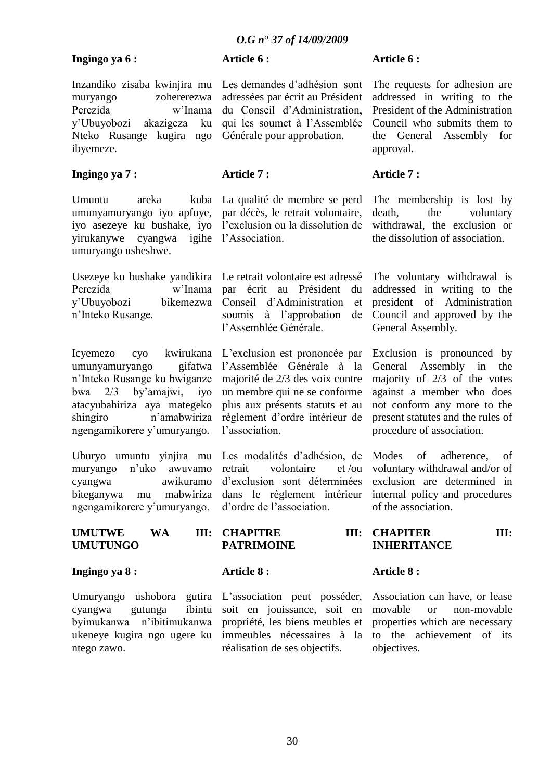### **Ingingo ya 6 :**

**Article 6 :**

Inzandiko zisaba kwinjira mu muryango zohererezwa Perezida w"Inama y"Ubuyobozi akazigeza ku Nteko Rusange kugira ngo ibyemeze.

### **Ingingo ya 7 :**

Umuntu areka kuba umunyamuryango iyo apfuye, iyo asezeye ku bushake, iyo yirukanywe cyangwa igihe l"Association. umuryango usheshwe.

Usezeye ku bushake yandikira Perezida w"Inama y"Ubuyobozi bikemezwa n"Inteko Rusange.

Icyemezo cyo kwirukana umunyamuryango gifatwa n"Inteko Rusange ku bwiganze bwa 2/3 by"amajwi, iyo atacyubahiriza aya mategeko shingiro n'amabwiriza ngengamikorere y"umuryango.

Uburyo umuntu yinjira mu muryango n"uko awuvamo cyangwa awikuramo biteganywa mu mabwiriza ngengamikorere y"umuryango.

Les demandes d"adhésion sont adressées par écrit au Président du Conseil d"Administration, qui les soumet à l"Assemblée Générale pour approbation.

### **Article 7 :**

La qualité de membre se perd par décès, le retrait volontaire, l'exclusion ou la dissolution de

Le retrait volontaire est adressé par écrit au Président du Conseil d"Administration et soumis à l"approbation de l"Assemblée Générale.

L"exclusion est prononcée par l"Assemblée Générale à la majorité de 2/3 des voix contre un membre qui ne se conforme plus aux présents statuts et au règlement d"ordre intérieur de l"association.

Les modalités d"adhésion, de retrait volontaire et /ou d"exclusion sont déterminées dans le règlement intérieur d"ordre de l"association.

### **Article 6 :**

The requests for adhesion are addressed in writing to the President of the Administration Council who submits them to the General Assembly for approval.

### **Article 7 :**

The membership is lost by death, the voluntary withdrawal, the exclusion or the dissolution of association.

The voluntary withdrawal is addressed in writing to the president of Administration Council and approved by the General Assembly.

Exclusion is pronounced by General Assembly in the majority of 2/3 of the votes against a member who does not conform any more to the present statutes and the rules of procedure of association.

Modes of adherence, of voluntary withdrawal and/or of exclusion are determined in internal policy and procedures of the association.

UMUTWE WA **UMUTUNGO III: CHAPITRE PATRIMOINE III: CHAPITER III: INHERITANCE**

### **Ingingo ya 8 :**

Umuryango ushobora gutira cyangwa gutunga ibintu byimukanwa n"ibitimukanwa ukeneye kugira ngo ugere ku ntego zawo.

**Article 8 :**

L'association peut posséder, soit en jouissance, soit en propriété, les biens meubles et immeubles nécessaires à la réalisation de ses objectifs.

### **Article 8 :**

Association can have, or lease movable or non-movable properties which are necessary to the achievement of its objectives.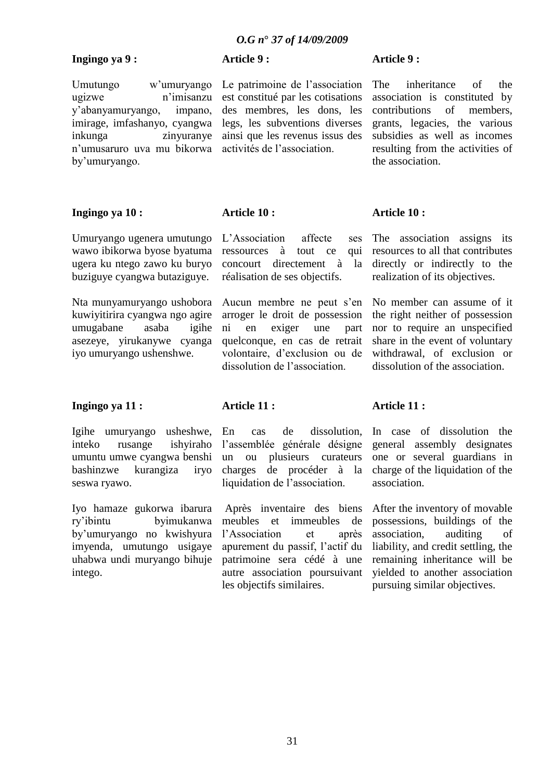Le patrimoine de l"association est constitué par les cotisations des membres, les dons, les legs, les subventions diverses ainsi que les revenus issus des activités de l"association.

### **Ingingo ya 9 :**

**Article 9 :**

Umutungo w"umuryango ugizwe n"imisanzu y"abanyamuryango, impano, imirage, imfashanyo, cyangwa inkunga zinyuranye n"umusaruro uva mu bikorwa by"umuryango.

### **Ingingo ya 10 :**

Umuryango ugenera umutungo wawo ibikorwa byose byatuma ugera ku ntego zawo ku buryo buziguye cyangwa butaziguye.

Nta munyamuryango ushobora kuwiyitirira cyangwa ngo agire umugabane asaba igihe asezeye, yirukanywe cyanga iyo umuryango ushenshwe.

L"Association affecte ses ressources à tout ce qui concourt directement à la réalisation de ses objectifs.

Aucun membre ne peut s'en arroger le droit de possession ni en exiger une part quelconque, en cas de retrait volontaire, d"exclusion ou de dissolution de l"association.

**Article 10 :** The association assigns its resources to all that contributes directly or indirectly to the

realization of its objectives.

No member can assume of it the right neither of possession nor to require an unspecified share in the event of voluntary withdrawal, of exclusion or dissolution of the association.

### **Ingingo ya 11 :**

Igihe umuryango usheshwe, inteko rusange ishyiraho umuntu umwe cyangwa benshi bashinzwe kurangiza iryo seswa ryawo.

Iyo hamaze gukorwa ibarura ry"ibintu byimukanwa by"umuryango no kwishyura imyenda, umutungo usigaye uhabwa undi muryango bihuje intego.

### **Article 11 :**

**Article 10 :**

En cas de dissolution, l"assemblée générale désigne un ou plusieurs curateurs charges de procéder à la liquidation de l"association.

Après inventaire des biens meubles et immeubles de l"Association et après apurement du passif, l"actif du patrimoine sera cédé à une autre association poursuivant les objectifs similaires.

### **Article 11 :**

In case of dissolution the general assembly designates one or several guardians in charge of the liquidation of the association.

After the inventory of movable possessions, buildings of the association, auditing of liability, and credit settling, the remaining inheritance will be yielded to another association pursuing similar objectives.

The inheritance of the association is constituted by contributions of members, grants, legacies, the various subsidies as well as incomes resulting from the activities of the association.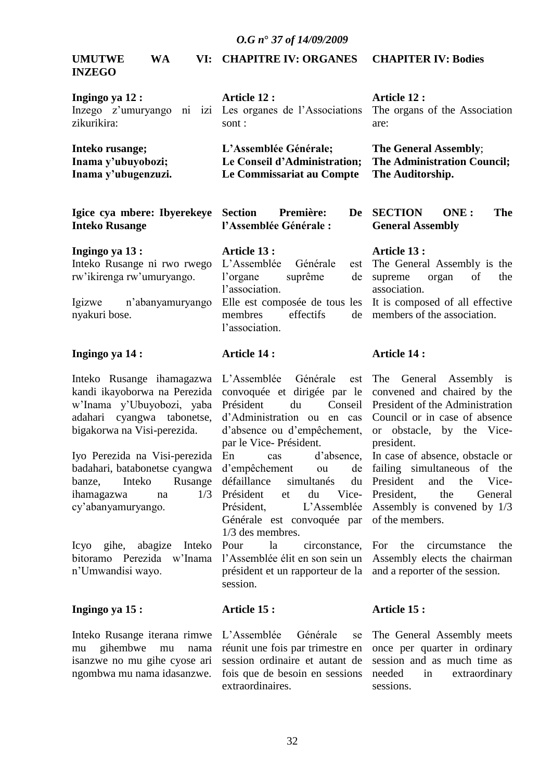#### **UMUTWE WA INZEGO CHAPITRE IV: ORGANES CHAPITER IV: Bodies**

| Ingingo ya 12 :<br>zikurikira: | Article 12 :<br>Inzego z'umuryango ni izi Les organes de l'Associations<br>sont: | Article 12 :<br>The organs of the Association<br>are: |
|--------------------------------|----------------------------------------------------------------------------------|-------------------------------------------------------|
| Inteko rusange;                | L'Assemblée Générale;                                                            | The General Assembly;                                 |
| Inama y'ubuyobozi;             | Le Conseil d'Administration;                                                     | <b>The Administration Council;</b>                    |
| Inama y'ubugenzuzi.            | Le Commissariat au Compte                                                        | The Auditorship.                                      |

**Igice cya mbere: Ibyerekeye Inteko Rusange Section Première: l"Assemblée Générale :**

**Ingingo ya 13 :** Inteko Rusange ni rwo rwego rw"ikirenga rw"umuryango. **Article 13 :** L"Assemblée Générale est l"organe suprême de l"association. Elle est composée de tous les

Igizwe n"abanyamuryango nyakuri bose.

### **Ingingo ya 14 :**

### **Article 14 :**

l"association.

Inteko Rusange ihamagazwa kandi ikayoborwa na Perezida w"Inama y"Ubuyobozi, yaba adahari cyangwa tabonetse, bigakorwa na Visi-perezida.

Iyo Perezida na Visi-perezida badahari, batabonetse cyangwa banze, Inteko Rusange ihamagazwa na 1/3 cy"abanyamuryango.

Icyo gihe, abagize Inteko bitoramo Perezida w"Inama n"Umwandisi wayo.

### **Ingingo ya 15 :**

Inteko Rusange iterana rimwe mu gihembwe mu nama isanzwe no mu gihe cyose ari ngombwa mu nama idasanzwe.

L"Assemblée Générale est convoquée et dirigée par le Président du Conseil d"Administration ou en cas d"absence ou d"empêchement, par le Vice- Président. En cas d"absence, d"empêchement ou de défaillance simultanés Président et du Vice-Président, L"Assemblée Générale est convoquée par 1/3 des membres. Pour la circonstance,

membres effectifs de

l"Assemblée élit en son sein un président et un rapporteur de la session.

### **Article 15 :**

L"Assemblée Générale se réunit une fois par trimestre en session ordinaire et autant de fois que de besoin en sessions extraordinaires.

**SECTION ONE : The General Assembly**

### **Article 13 :**

The General Assembly is the supreme organ of the association.

It is composed of all effective members of the association.

### **Article 14 :**

The General Assembly is convened and chaired by the President of the Administration Council or in case of absence or obstacle, by the Vicepresident.

In case of absence, obstacle or failing simultaneous of the President and the Vice-President, the General Assembly is convened by 1/3 of the members.

> For the circumstance the Assembly elects the chairman and a reporter of the session.

### **Article 15 :**

The General Assembly meets once per quarter in ordinary session and as much time as needed in extraordinary sessions.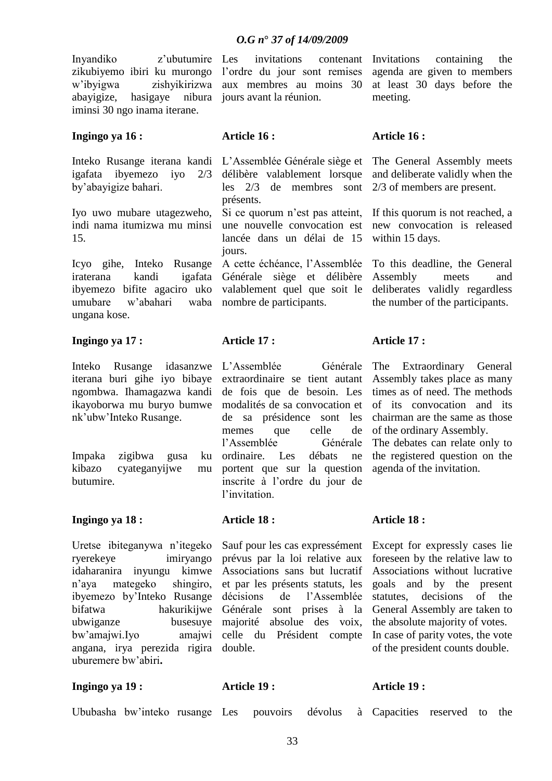invitations contenant

Inyandiko z"ubutumire zikubiyemo ibiri ku murongo w"ibyigwa zishyikirizwa abayigize, hasigaye iminsi 30 ngo inama iterane.

### **Ingingo ya 16 :**

Inteko Rusange iterana kandi igafata ibyemezo iyo 2/3 by"abayigize bahari.

Iyo uwo mubare utagezweho, indi nama itumizwa mu minsi 15.

Icyo gihe, Inteko Rusange iraterana kandi igafata ibyemezo bifite agaciro uko umubare w"abahari waba ungana kose.

### **Ingingo ya 17 :**

Inteko Rusange idasanzwe iterana buri gihe iyo bibaye ngombwa. Ihamagazwa kandi ikayoborwa mu buryo bumwe nk"ubw"Inteko Rusange.

Impaka zigibwa gusa ku kibazo cyateganyijwe mu butumire.

### **Ingingo ya 18 :**

Uretse ibiteganywa n"itegeko ryerekeye imiryango idaharanira inyungu kimwe n"aya mategeko shingiro, ibyemezo by"Inteko Rusange bifatwa hakurikijwe ubwiganze busesuye bw"amajwi.Iyo amajwi angana, irya perezida rigira uburemere bw"abiri**.**

l"ordre du jour sont remises aux membres au moins 30 nibura jours avant la réunion.

### **Article 16 :**

L"Assemblée Générale siège et délibère valablement lorsque les 2/3 de membres sont présents.

Si ce quorum n'est pas atteint, une nouvelle convocation est lancée dans un délai de 15 jours.

A cette échéance, l"Assemblée Générale siège et délibère valablement quel que soit le nombre de participants.

### **Article 17 :**

L"Assemblée Générale extraordinaire se tient autant de fois que de besoin. Les modalités de sa convocation et de sa présidence sont les memes que celle de l"Assemblée Générale ordinaire. Les débats ne portent que sur la question inscrite à l"ordre du jour de l'invitation

### **Article 18 :**

Sauf pour les cas expressément prévus par la loi relative aux Associations sans but lucratif et par les présents statuts, les décisions de l"Assemblée Générale sont prises à la majorité absolue des voix, celle du Président compte double.

Invitations containing the agenda are given to members at least 30 days before the meeting.

### **Article 16 :**

The General Assembly meets and deliberate validly when the 2/3 of members are present.

If this quorum is not reached, a new convocation is released within 15 days.

To this deadline, the General Assembly meets and deliberates validly regardless the number of the participants.

### **Article 17 :**

The Extraordinary General Assembly takes place as many times as of need. The methods of its convocation and its chairman are the same as those of the ordinary Assembly.

The debates can relate only to the registered question on the agenda of the invitation.

### **Article 18 :**

Except for expressly cases lie foreseen by the relative law to Associations without lucrative goals and by the present statutes, decisions of the General Assembly are taken to the absolute majority of votes. In case of parity votes, the vote of the president counts double.

### **Ingingo ya 19 :**

**Article 19 :**

### **Article 19 :**

Ububasha bw"inteko rusange

Capacities reserved to the

pouvoirs dévolus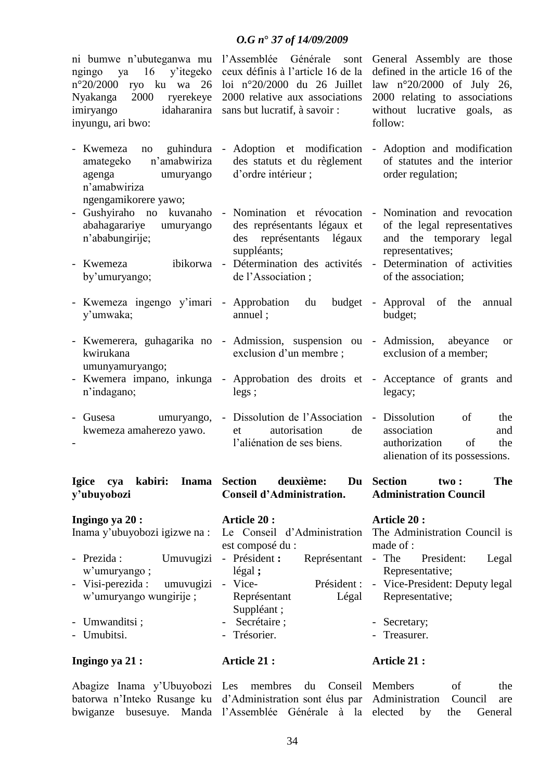|                                                                                                                                                                                          | $0. G n^{\circ} 37 of 14/09/2009$                                                                                                                       |                                                                                                                                                                                 |
|------------------------------------------------------------------------------------------------------------------------------------------------------------------------------------------|---------------------------------------------------------------------------------------------------------------------------------------------------------|---------------------------------------------------------------------------------------------------------------------------------------------------------------------------------|
| ni bumwe n'ubuteganwa mu l'Assemblée Générale<br>16<br>ngingo<br>ya<br>$n^{\circ}20/2000$<br>ryo ku wa 26<br>2000 ryerekeye<br>Nyakanga<br>imiryango<br>idaharanira<br>inyungu, ari bwo: | sont<br>y'itegeko ceux définis à l'article 16 de la<br>loi n°20/2000 du 26 Juillet<br>2000 relative aux associations<br>sans but lucratif, à savoir :   | General Assembly are those<br>defined in the article 16 of the<br>law $n^{\circ}20/2000$ of July 26,<br>2000 relating to associations<br>without lucrative goals, as<br>follow: |
| $\overline{\phantom{0}}$<br>Kwemeza<br>no<br>n'amabwiriza<br>amategeko<br>agenga<br>umuryango<br>n'amabwiriza<br>ngengamikorere yawo;                                                    | guhindura - Adoption et modification - Adoption and modification<br>des statuts et du règlement<br>d'ordre intérieur;                                   | of statutes and the interior<br>order regulation;                                                                                                                               |
| $\overline{\phantom{0}}$<br>abahagarariye<br>umuryango<br>n'ababungirije;                                                                                                                | Gushyiraho no kuvanaho - Nomination et révocation - Nomination and revocation<br>des représentants légaux et<br>des représentants légaux<br>suppléants; | of the legal representatives<br>and the temporary legal<br>representatives;                                                                                                     |
| Kwemeza<br>by'umuryango;                                                                                                                                                                 | ibikorwa - Détermination des activités - Determination of activities<br>de l'Association;                                                               | of the association;                                                                                                                                                             |
| y'umwaka;                                                                                                                                                                                | - Kwemeza ingengo y'imari - Approbation du budget - Approval of the annual<br>annuel;                                                                   | budget;                                                                                                                                                                         |
| kwirukana<br>umunyamuryango;                                                                                                                                                             | - Kwemerera, guhagarika no - Admission, suspension ou - Admission, abeyance<br>exclusion d'un membre ; exclusion of a member;                           | <b>or</b>                                                                                                                                                                       |
| $\frac{1}{2}$<br>n'indagano;                                                                                                                                                             | Kwemera impano, inkunga - Approbation des droits et - Acceptance of grants and<br>legs;                                                                 | legacy;                                                                                                                                                                         |
| $\overline{a}$<br>Gusesa<br>kwemeza amaherezo yawo.                                                                                                                                      | umuryango, - Dissolution de l'Association - Dissolution<br>autorisation<br>de<br>et<br>l'aliénation de ses biens.                                       | of<br>the<br>association<br>and<br>of<br>authorization<br>the<br>alienation of its possessions.                                                                                 |
| kabiri:<br><b>Igice</b><br>cya<br><b>Inama</b><br>y'ubuyobozi                                                                                                                            | <b>Section</b><br>deuxième:<br><b>Conseil d'Administration.</b>                                                                                         | Du Section<br><b>The</b><br>two:<br><b>Administration Council</b>                                                                                                               |
| Ingingo ya 20:<br>Inama y'ubuyobozi igizwe na :                                                                                                                                          | Article 20:<br>est composé du :                                                                                                                         | Article 20:<br>Le Conseil d'Administration The Administration Council is<br>made of :                                                                                           |
| Prezida:<br>Umuvugizi<br>$\overline{a}$<br>w'umuryango;<br>Visi-perezida:<br>umuvugizi<br>$\overline{\phantom{0}}$<br>w'umuryango wungirije;                                             | - Président :<br>Représentant<br>$legal$ ;<br>Président :<br>- Vice-<br>Représentant<br>Légal<br>Suppléant;                                             | - The<br>President:<br>Legal<br>Representative;<br>- Vice-President: Deputy legal<br>Representative;                                                                            |
| - Umwanditsi;<br>- Umubitsi.                                                                                                                                                             | Secrétaire;<br>- Trésorier.                                                                                                                             | Secretary;<br>- Treasurer.                                                                                                                                                      |

#### **Ingingo ya 21 : Article 21 :**

Abagize Inama y"Ubuyobozi Les membres du Conseil Members of the batorwa n"Inteko Rusange ku d"Administration sont élus par Administration Council are bwiganze busesuye. Manda l"Assemblée Générale à la

by the General

**Article 21 :**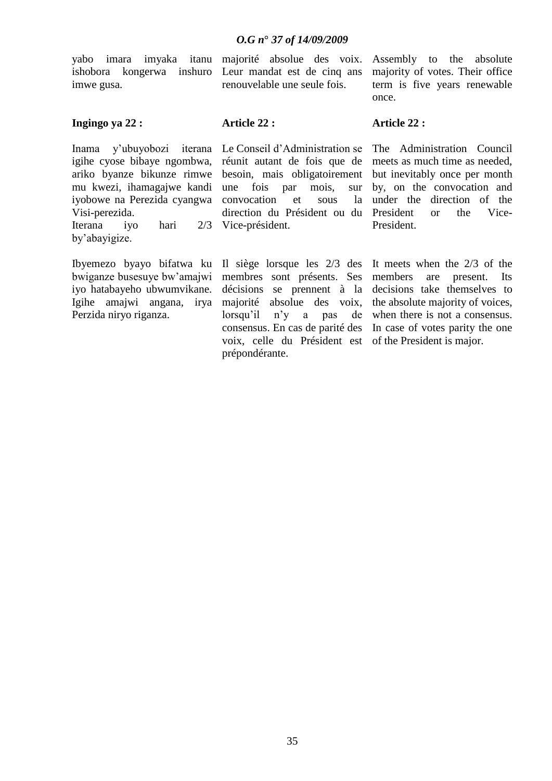yabo imara imyaka itanu ishobora kongerwa inshuro imwe gusa.

majorité absolue des voix. Leur mandat est de cinq ans renouvelable une seule fois.

Assembly to the absolute majority of votes. Their office term is five years renewable once.

### **Ingingo ya 22 :**

**Article 22 :**

Inama y"ubuyobozi iterana igihe cyose bibaye ngombwa, ariko byanze bikunze rimwe mu kwezi, ihamagajwe kandi iyobowe na Perezida cyangwa Visi-perezida. Iterana iyo hari by"abayigize.

Ibyemezo byayo bifatwa ku bwiganze busesuye bw"amajwi iyo hatabayeho ubwumvikane. Igihe amajwi angana, irya Perzida niryo riganza.

Le Conseil d"Administration se réunit autant de fois que de besoin, mais obligatoirement une fois par mois, sur convocation et sous la direction du Président ou du 2/3 Vice-président.

> Il siège lorsque les 2/3 des membres sont présents. Ses décisions se prennent à la majorité absolue des voix, lorsqu"il n"y a pas de consensus. En cas de parité des voix, celle du Président est prépondérante.

**Article 22 :**

The Administration Council meets as much time as needed, but inevitably once per month by, on the convocation and under the direction of the President or the Vice-President.

It meets when the 2/3 of the members are present. Its decisions take themselves to the absolute majority of voices, when there is not a consensus. In case of votes parity the one of the President is major.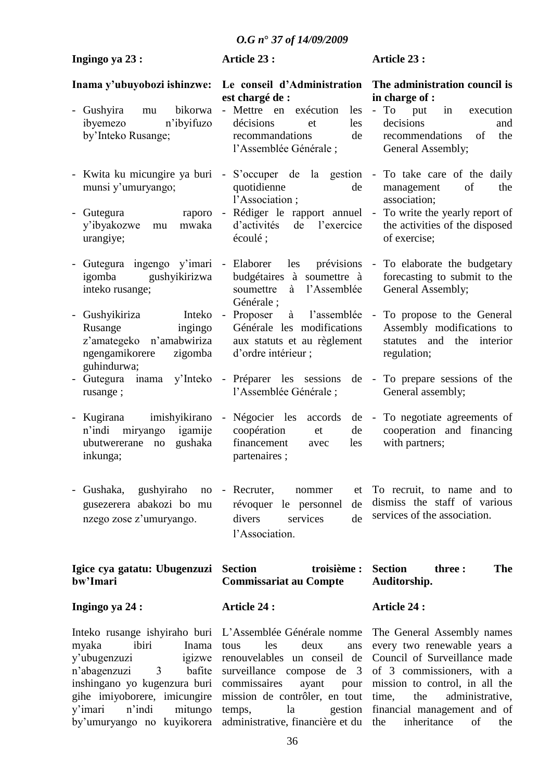| Ingingo ya 23:                                                                                                                                                                                                                                                             | Article 23 :                                                                                                                                                                                                                       | Article 23 :                                                                                                                                                                                                                                                   |
|----------------------------------------------------------------------------------------------------------------------------------------------------------------------------------------------------------------------------------------------------------------------------|------------------------------------------------------------------------------------------------------------------------------------------------------------------------------------------------------------------------------------|----------------------------------------------------------------------------------------------------------------------------------------------------------------------------------------------------------------------------------------------------------------|
| Inama y'ubuyobozi ishinzwe:<br>bikorwa<br>Gushyira<br>mu<br>$\sim$<br>n'ibyifuzo<br>ibyemezo<br>by'Inteko Rusange;                                                                                                                                                         | Le conseil d'Administration<br>est chargé de :<br>- Mettre en<br>exécution<br>les<br>décisions<br>les<br>et<br>recommandations<br>de<br>l'Assemblée Générale;                                                                      | The administration council is<br>in charge of :<br>$-$ To<br>in<br>put<br>execution<br>decisions<br>and<br>of<br>the<br>recommendations<br>General Assembly;                                                                                                   |
| - Kwita ku micungire ya buri<br>munsi y'umuryango;<br>Gutegura<br>raporo<br>$\overline{\phantom{0}}$<br>y'ibyakozwe<br>mwaka<br>mu<br>urangiye;                                                                                                                            | S'occuper<br>$\overline{\phantom{a}}$<br>quotidienne<br>de<br>l'Association;<br>$\overline{\phantom{a}}$<br>d'activités<br>de<br>l'exercice<br>écoulé;                                                                             | de la gestion - To take care of the daily<br>of<br>management<br>the<br>association;<br>Rédiger le rapport annuel - To write the yearly report of<br>the activities of the disposed<br>of exercise;                                                            |
| Gutegura ingengo y'imari<br>igomba<br>gushyikirizwa<br>inteko rusange;                                                                                                                                                                                                     | - Elaborer<br>les<br>prévisions<br>budgétaires à soumettre à<br>l'Assemblée<br>soumettre<br>à<br>Générale ;                                                                                                                        | - To elaborate the budgetary<br>forecasting to submit to the<br>General Assembly;                                                                                                                                                                              |
| - Gushyikiriza<br>Inteko<br>Rusange<br>ingingo<br>z'amategeko n'amabwiriza<br>ngengamikorere<br>zigomba<br>guhindurwa;                                                                                                                                                     | - Proposer<br>à<br>l'assemblée<br>Générale les modifications<br>aux statuts et au règlement<br>d'ordre intérieur;                                                                                                                  | - To propose to the General<br>Assembly modifications to<br>statutes and<br>the<br>interior<br>regulation;                                                                                                                                                     |
| Gutegura<br>y'Inteko<br>inama<br>rusange;                                                                                                                                                                                                                                  | - Préparer les sessions<br>l'Assemblée Générale;                                                                                                                                                                                   | de - To prepare sessions of the<br>General assembly;                                                                                                                                                                                                           |
| - Kugirana imishyikirano<br>n'indi<br>igamije<br>miryango<br>gushaka<br>ubutwererane<br>$\operatorname{no}$<br>inkunga;                                                                                                                                                    | Négocier les<br>$\sim$ $-$<br>accords<br>coopération<br>de<br>et<br>financement<br>les<br>avec<br>partenaires;                                                                                                                     | de - To negotiate agreements of<br>cooperation and financing<br>with partners;                                                                                                                                                                                 |
| - Gushaka,<br>gushyiraho<br>gusezerera abakozi bo mu<br>nzego zose z'umuryango.                                                                                                                                                                                            | no - Recruter,<br>nommer<br>et<br>de<br>révoquer le personnel<br>de<br>divers<br>services<br>l'Association.                                                                                                                        | To recruit, to name and to<br>dismiss the staff of various<br>services of the association.                                                                                                                                                                     |
| Igice cya gatatu: Ubugenzuzi<br>bw'Imari                                                                                                                                                                                                                                   | <b>Section</b><br>troisième :<br><b>Commissariat au Compte</b>                                                                                                                                                                     | <b>Section</b><br><b>The</b><br>three :<br>Auditorship.                                                                                                                                                                                                        |
| Ingingo ya 24 :                                                                                                                                                                                                                                                            | <b>Article 24:</b>                                                                                                                                                                                                                 | <b>Article 24:</b>                                                                                                                                                                                                                                             |
| Inteko rusange ishyiraho buri L'Assemblée Générale nomme<br>ibiri<br>myaka<br>Inama<br>y'ubugenzuzi<br>igizwe<br>n'abagenzuzi<br>bafite<br>3<br>inshingano yo kugenzura buri<br>gihe imiyoborere, imicungire<br>n'indi<br>mitungo<br>y'imari<br>by'umuryango no kuyikorera | les<br>deux<br>tous<br>ans<br>renouvelables un conseil de<br>surveillance compose<br>$de \quad 3$<br>commissaires<br>ayant<br>pour<br>mission de contrôler, en tout<br>temps,<br>la<br>gestion<br>administrative, financière et du | The General Assembly names<br>every two renewable years a<br>Council of Surveillance made<br>of 3 commissioners, with a<br>mission to control, in all the<br>time,<br>the<br>administrative,<br>financial management and of<br>inheritance<br>the<br>of<br>the |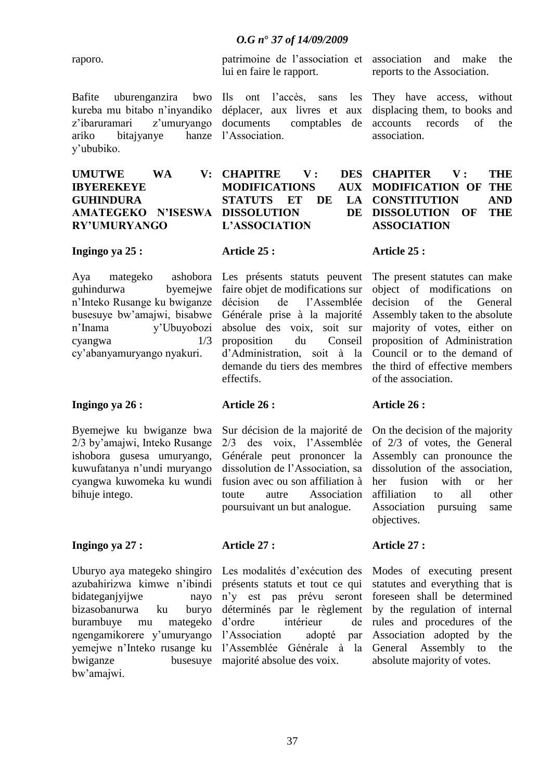raporo.

Bafite uburenganzira bwo kureba mu bitabo n"inyandiko z'ibaruramari z'umuryango ariko bitajyanye hanze y"ububiko.

## **UMUTWE WA V: IBYEREKEYE GUHINDURA AMATEGEKO N"ISESWA DISSOLUTION DE RY"UMURYANGO**

**Ingingo ya 25 :**

Aya mategeko ashobora guhindurwa byemejwe n"Inteko Rusange ku bwiganze busesuye bw"amajwi, bisabwe n"Inama y"Ubuyobozi cyangwa 1/3 cy"abanyamuryango nyakuri.

### **Ingingo ya 26 :**

Byemejwe ku bwiganze bwa 2/3 by"amajwi, Inteko Rusange ishobora gusesa umuryango, kuwufatanya n"undi muryango cyangwa kuwomeka ku wundi bihuje intego.

### **Ingingo ya 27 :**

Uburyo aya mategeko shingiro azubahirizwa kimwe n"ibindi bidateganjyijwe nayo bizasobanurwa ku buryo burambuye mu mategeko ngengamikorere y"umuryango yemejwe n"Inteko rusange ku bwiganze busesuye bw"amajwi.

patrimoine de l"association et lui en faire le rapport.

Ils ont l"accès, sans les déplacer, aux livres et aux documents comptables de l"Association.

**CHAPITRE V : DES MODIFICATIONS AUX STATUTS ET DE LA L"ASSOCIATION**

# **Article 25 :**

Les présents statuts peuvent faire objet de modifications sur décision de l"Assemblée Générale prise à la majorité absolue des voix, soit sur proposition du Conseil d"Administration, soit à la demande du tiers des membres effectifs.

Sur décision de la majorité de 2/3 des voix, l"Assemblée Générale peut prononcer la dissolution de l"Association, sa fusion avec ou son affiliation à toute autre Association poursuivant un but analogue.

# **Article 27 :**

**Article 26 :**

Les modalités d"exécution des présents statuts et tout ce qui n"y est pas prévu seront déterminés par le règlement d"ordre intérieur de l"Association adopté par l"Assemblée Générale à la majorité absolue des voix.

association and make the reports to the Association.

They have access, without displacing them, to books and accounts records of the association.

## **CHAPITER V : THE MODIFICATION OF THE CONSTITUTION AND DISSOLUTION OF THE ASSOCIATION**

# **Article 25 :**

The present statutes can make object of modifications on decision of the General Assembly taken to the absolute majority of votes, either on proposition of Administration Council or to the demand of the third of effective members of the association.

# **Article 26 :**

On the decision of the majority of 2/3 of votes, the General Assembly can pronounce the dissolution of the association, her fusion with or her affiliation to all other Association pursuing same objectives.

# **Article 27 :**

Modes of executing present statutes and everything that is foreseen shall be determined by the regulation of internal rules and procedures of the Association adopted by the General Assembly to the absolute majority of votes.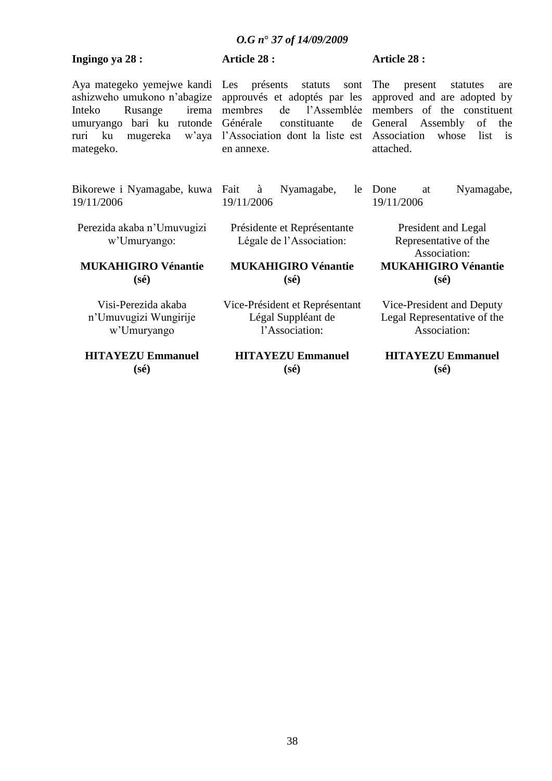# **Ingingo ya 28 :**

# **Article 28 :**

Aya mategeko yemejwe kandi ashizweho umukono n"abagize Inteko Rusange irema umuryango bari ku rutonde ruri ku mugereka w"aya mategeko.

Bikorewe i Nyamagabe, kuwa 19/11/2006

Perezida akaba n"Umuvugizi w"Umuryango:

## **MUKAHIGIRO Vénantie (sé)**

Visi-Perezida akaba n"Umuvugizi Wungirije w"Umuryango

**HITAYEZU Emmanuel (sé)**

Les présents statuts sont approuvés et adoptés par les membres de l"Assemblée Générale constituante de l"Association dont la liste est en annexe.

# **Article 28 :**

The present statutes are approved and are adopted by members of the constituent General Assembly of the Association whose list is attached.

Fait à Nyamagabe, le 19/11/2006

Présidente et Représentante Légale de l"Association:

**MUKAHIGIRO Vénantie (sé)**

Vice-Président et Représentant Légal Suppléant de l"Association:

**HITAYEZU Emmanuel (sé)**

at Nyamagabe, 19/11/2006

President and Legal Representative of the Association: **MUKAHIGIRO Vénantie**

**(sé)**

Vice-President and Deputy Legal Representative of the Association:

## **HITAYEZU Emmanuel (sé)**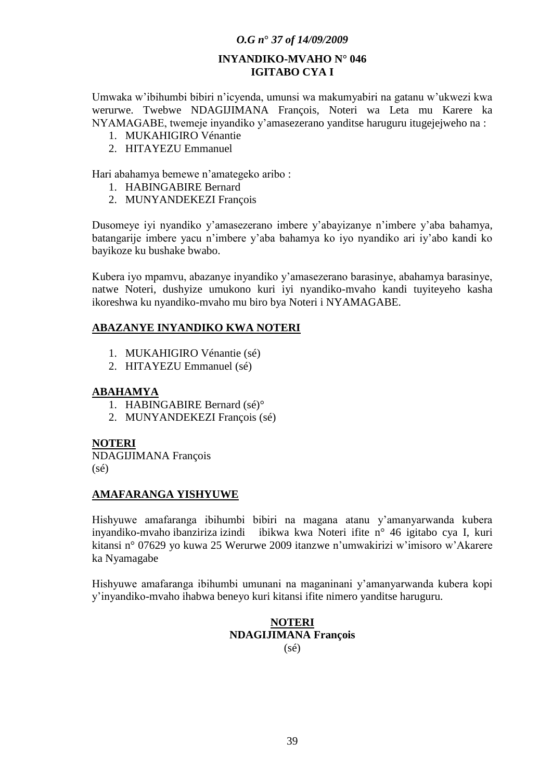# **INYANDIKO-MVAHO N° 046 IGITABO CYA I**

Umwaka w"ibihumbi bibiri n"icyenda, umunsi wa makumyabiri na gatanu w"ukwezi kwa werurwe. Twebwe NDAGIJIMANA François, Noteri wa Leta mu Karere ka NYAMAGABE, twemeje inyandiko y"amasezerano yanditse haruguru itugejejweho na :

- 1. MUKAHIGIRO Vénantie
- 2. HITAYEZU Emmanuel

Hari abahamya bemewe n"amategeko aribo :

- 1. HABINGABIRE Bernard
- 2. MUNYANDEKEZI François

Dusomeye iyi nyandiko y"amasezerano imbere y"abayizanye n"imbere y"aba bahamya, batangarije imbere yacu n"imbere y"aba bahamya ko iyo nyandiko ari iy"abo kandi ko bayikoze ku bushake bwabo.

Kubera iyo mpamvu, abazanye inyandiko y"amasezerano barasinye, abahamya barasinye, natwe Noteri, dushyize umukono kuri iyi nyandiko-mvaho kandi tuyiteyeho kasha ikoreshwa ku nyandiko-mvaho mu biro bya Noteri i NYAMAGABE.

# **ABAZANYE INYANDIKO KWA NOTERI**

- 1. MUKAHIGIRO Vénantie (sé)
- 2. HITAYEZU Emmanuel (sé)

## **ABAHAMYA**

- 1. HABINGABIRE Bernard (sé)°
- 2. MUNYANDEKEZI François (sé)

# **NOTERI**

NDAGIJIMANA François (sé)

### **AMAFARANGA YISHYUWE**

Hishyuwe amafaranga ibihumbi bibiri na magana atanu y"amanyarwanda kubera inyandiko-mvaho ibanziriza izindi ibikwa kwa Noteri ifite n° 46 igitabo cya I, kuri kitansi n° 07629 yo kuwa 25 Werurwe 2009 itanzwe n"umwakirizi w"imisoro w"Akarere ka Nyamagabe

Hishyuwe amafaranga ibihumbi umunani na maganinani y"amanyarwanda kubera kopi y"inyandiko-mvaho ihabwa beneyo kuri kitansi ifite nimero yanditse haruguru.

### **NOTERI NDAGIJIMANA François**  $(s\acute{e})$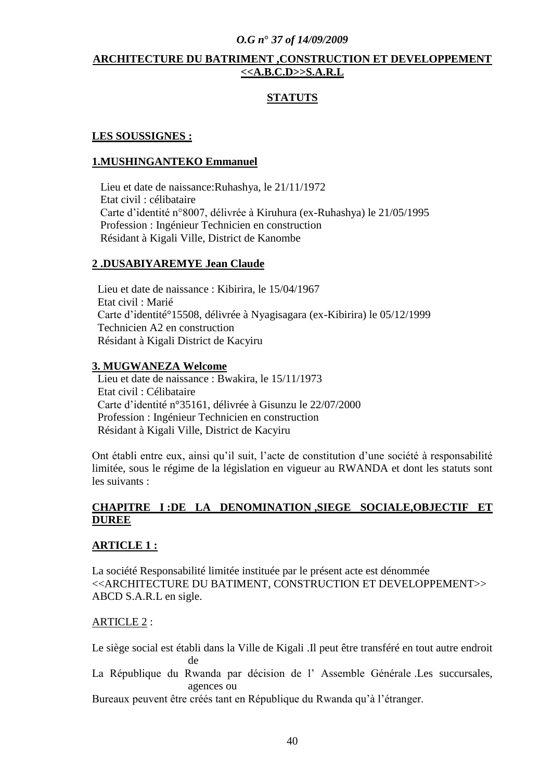# **ARCHITECTURE DU BATRIMENT ,CONSTRUCTION ET DEVELOPPEMENT <<A.B.C.D>>S.A.R.L**

# **STATUTS**

## **LES SOUSSIGNES :**

## **1.MUSHINGANTEKO Emmanuel**

 Lieu et date de naissance:Ruhashya, le 21/11/1972 Etat civil : célibataire Carte d"identité n°8007, délivrée à Kiruhura (ex-Ruhashya) le 21/05/1995 Profession : Ingénieur Technicien en construction Résidant à Kigali Ville, District de Kanombe

### **2 .DUSABIYAREMYE Jean Claude**

 Lieu et date de naissance : Kibirira, le 15/04/1967 Etat civil : Marié Carte d"identité°15508, délivrée à Nyagisagara (ex-Kibirira) le 05/12/1999 Technicien A2 en construction Résidant à Kigali District de Kacyiru

# **3. MUGWANEZA Welcome**

 Lieu et date de naissance : Bwakira, le 15/11/1973 Etat civil : Célibataire Carte d"identité n°35161, délivrée à Gisunzu le 22/07/2000 Profession : Ingénieur Technicien en construction Résidant à Kigali Ville, District de Kacyiru

Ont établi entre eux, ainsi qu"il suit, l"acte de constitution d"une société à responsabilité limitée, sous le régime de la législation en vigueur au RWANDA et dont les statuts sont les suivants :

# **CHAPITRE I :DE LA DENOMINATION ,SIEGE SOCIALE,OBJECTIF ET DUREE**

### **ARTICLE 1 :**

La société Responsabilité limitée instituée par le présent acte est dénommée <<ARCHITECTURE DU BATIMENT, CONSTRUCTION ET DEVELOPPEMENT>> ABCD S.A.R.L en sigle.

### ARTICLE 2 :

Le siège social est établi dans la Ville de Kigali .Il peut être transféré en tout autre endroit de La République du Rwanda par décision de l'Assemble Générale .Les succursales, agences ou

Bureaux peuvent être créés tant en République du Rwanda qu"à l"étranger.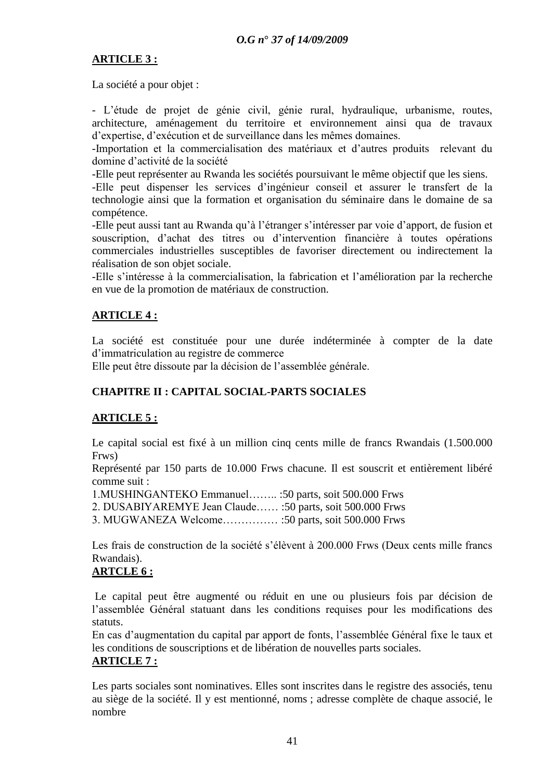# **ARTICLE 3 :**

La société a pour objet :

- L"étude de projet de génie civil, génie rural, hydraulique, urbanisme, routes, architecture, aménagement du territoire et environnement ainsi qua de travaux d"expertise, d"exécution et de surveillance dans les mêmes domaines.

-Importation et la commercialisation des matériaux et d"autres produits relevant du domine d"activité de la société

-Elle peut représenter au Rwanda les sociétés poursuivant le même objectif que les siens.

-Elle peut dispenser les services d"ingénieur conseil et assurer le transfert de la technologie ainsi que la formation et organisation du séminaire dans le domaine de sa compétence.

-Elle peut aussi tant au Rwanda qu"à l"étranger s"intéresser par voie d"apport, de fusion et souscription, d"achat des titres ou d"intervention financière à toutes opérations commerciales industrielles susceptibles de favoriser directement ou indirectement la réalisation de son objet sociale.

-Elle s"intéresse à la commercialisation, la fabrication et l"amélioration par la recherche en vue de la promotion de matériaux de construction.

# **ARTICLE 4 :**

La société est constituée pour une durée indéterminée à compter de la date d"immatriculation au registre de commerce

Elle peut être dissoute par la décision de l"assemblée générale.

# **CHAPITRE II : CAPITAL SOCIAL-PARTS SOCIALES**

# **ARTICLE 5 :**

Le capital social est fixé à un million cinq cents mille de francs Rwandais (1.500.000 Frws)

Représenté par 150 parts de 10.000 Frws chacune. Il est souscrit et entièrement libéré comme suit :

1.MUSHINGANTEKO Emmanuel…….. :50 parts, soit 500.000 Frws

2. DUSABIYAREMYE Jean Claude…… :50 parts, soit 500.000 Frws

3. MUGWANEZA Welcome…………… :50 parts, soit 500.000 Frws

Les frais de construction de la société s'élèvent à 200.000 Frws (Deux cents mille francs Rwandais).

# **ARTCLE 6 :**

Le capital peut être augmenté ou réduit en une ou plusieurs fois par décision de l"assemblée Général statuant dans les conditions requises pour les modifications des statuts.

En cas d"augmentation du capital par apport de fonts, l"assemblée Général fixe le taux et les conditions de souscriptions et de libération de nouvelles parts sociales. **ARTICLE 7 :**

Les parts sociales sont nominatives. Elles sont inscrites dans le registre des associés, tenu au siège de la société. Il y est mentionné, noms ; adresse complète de chaque associé, le nombre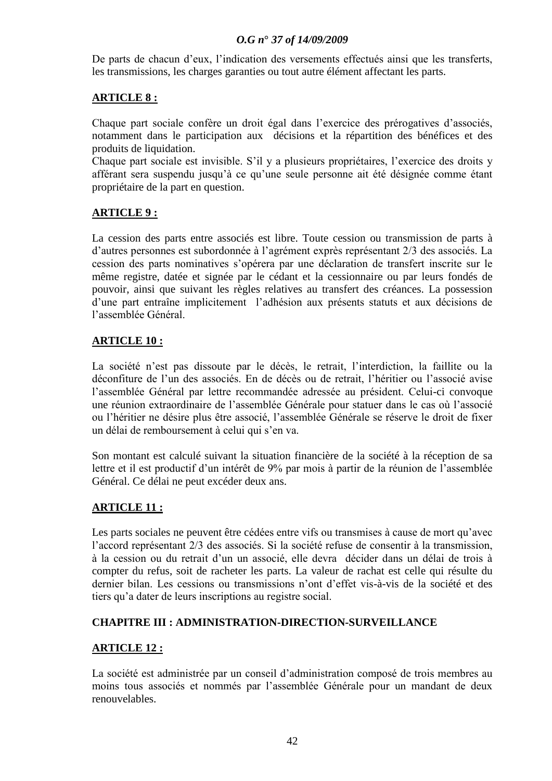De parts de chacun d'eux, l'indication des versements effectués ainsi que les transferts, les transmissions, les charges garanties ou tout autre élément affectant les parts.

# **ARTICLE 8 :**

Chaque part sociale confère un droit égal dans l"exercice des prérogatives d"associés, notamment dans le participation aux décisions et la répartition des bénéfices et des produits de liquidation.

Chaque part sociale est invisible. S"il y a plusieurs propriétaires, l"exercice des droits y afférant sera suspendu jusqu"à ce qu"une seule personne ait été désignée comme étant propriétaire de la part en question.

# **ARTICLE 9 :**

La cession des parts entre associés est libre. Toute cession ou transmission de parts à d"autres personnes est subordonnée à l"agrément exprès représentant 2/3 des associés. La cession des parts nominatives s"opérera par une déclaration de transfert inscrite sur le même registre, datée et signée par le cédant et la cessionnaire ou par leurs fondés de pouvoir, ainsi que suivant les règles relatives au transfert des créances. La possession d"une part entraîne implicitement l"adhésion aux présents statuts et aux décisions de l"assemblée Général.

# **ARTICLE 10 :**

La société n"est pas dissoute par le décès, le retrait, l"interdiction, la faillite ou la déconfiture de l"un des associés. En de décès ou de retrait, l"héritier ou l"associé avise l"assemblée Général par lettre recommandée adressée au président. Celui-ci convoque une réunion extraordinaire de l"assemblée Générale pour statuer dans le cas où l"associé ou l"héritier ne désire plus être associé, l"assemblée Générale se réserve le droit de fixer un délai de remboursement à celui qui s'en va.

Son montant est calculé suivant la situation financière de la société à la réception de sa lettre et il est productif d'un intérêt de 9% par mois à partir de la réunion de l'assemblée Général. Ce délai ne peut excéder deux ans.

# **ARTICLE 11 :**

Les parts sociales ne peuvent être cédées entre vifs ou transmises à cause de mort qu'avec l"accord représentant 2/3 des associés. Si la société refuse de consentir à la transmission, à la cession ou du retrait d"un un associé, elle devra décider dans un délai de trois à compter du refus, soit de racheter les parts. La valeur de rachat est celle qui résulte du dernier bilan. Les cessions ou transmissions n"ont d"effet vis-à-vis de la société et des tiers qu"a dater de leurs inscriptions au registre social.

# **CHAPITRE III : ADMINISTRATION-DIRECTION-SURVEILLANCE**

# **ARTICLE 12 :**

La société est administrée par un conseil d"administration composé de trois membres au moins tous associés et nommés par l"assemblée Générale pour un mandant de deux renouvelables.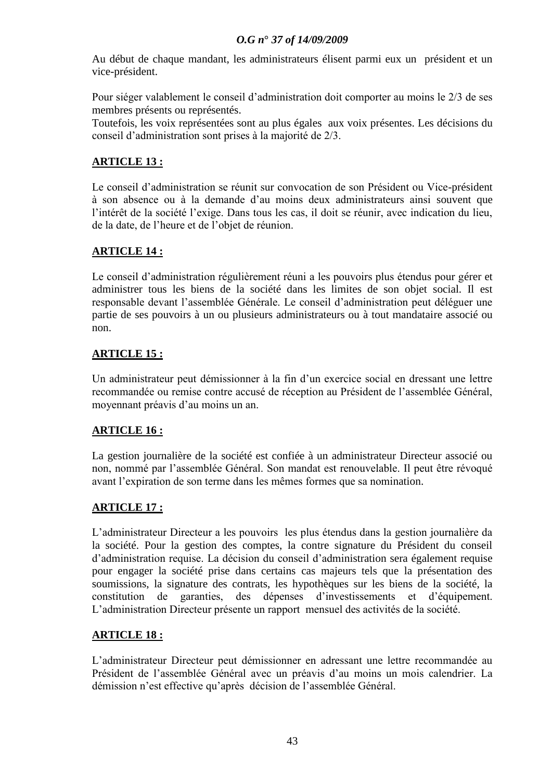Au début de chaque mandant, les administrateurs élisent parmi eux un président et un vice-président.

Pour siéger valablement le conseil d"administration doit comporter au moins le 2/3 de ses membres présents ou représentés.

Toutefois, les voix représentées sont au plus égales aux voix présentes. Les décisions du conseil d"administration sont prises à la majorité de 2/3.

# **ARTICLE 13 :**

Le conseil d"administration se réunit sur convocation de son Président ou Vice-président à son absence ou à la demande d"au moins deux administrateurs ainsi souvent que l"intérêt de la société l"exige. Dans tous les cas, il doit se réunir, avec indication du lieu, de la date, de l"heure et de l"objet de réunion.

# **ARTICLE 14 :**

Le conseil d'administration régulièrement réuni a les pouvoirs plus étendus pour gérer et administrer tous les biens de la société dans les limites de son objet social. Il est responsable devant l"assemblée Générale. Le conseil d"administration peut déléguer une partie de ses pouvoirs à un ou plusieurs administrateurs ou à tout mandataire associé ou non.

# **ARTICLE 15 :**

Un administrateur peut démissionner à la fin d'un exercice social en dressant une lettre recommandée ou remise contre accusé de réception au Président de l"assemblée Général, moyennant préavis d"au moins un an.

# **ARTICLE 16 :**

La gestion journalière de la société est confiée à un administrateur Directeur associé ou non, nommé par l"assemblée Général. Son mandat est renouvelable. Il peut être révoqué avant l"expiration de son terme dans les mêmes formes que sa nomination.

# **ARTICLE 17 :**

L"administrateur Directeur a les pouvoirs les plus étendus dans la gestion journalière da la société. Pour la gestion des comptes, la contre signature du Président du conseil d"administration requise. La décision du conseil d"administration sera également requise pour engager la société prise dans certains cas majeurs tels que la présentation des soumissions, la signature des contrats, les hypothèques sur les biens de la société, la constitution de garanties, des dépenses d"investissements et d"équipement. L"administration Directeur présente un rapport mensuel des activités de la société.

# **ARTICLE 18 :**

L"administrateur Directeur peut démissionner en adressant une lettre recommandée au Président de l"assemblée Général avec un préavis d"au moins un mois calendrier. La démission n"est effective qu"après décision de l"assemblée Général.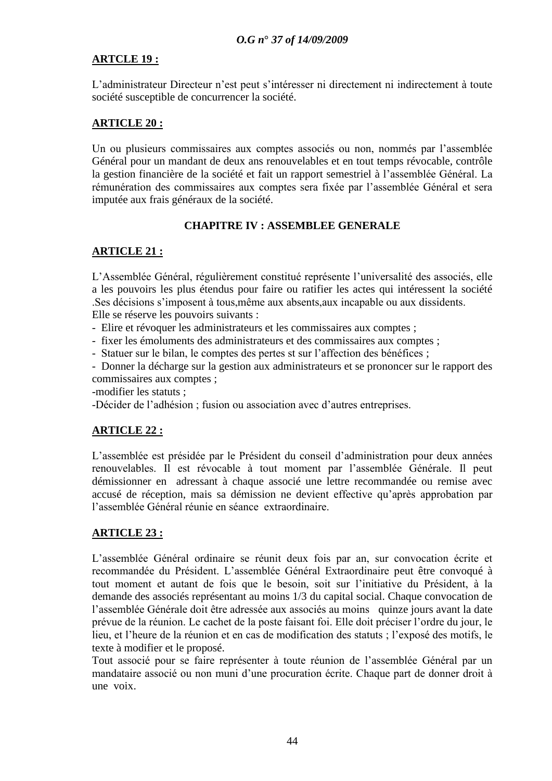# **ARTCLE 19 :**

L"administrateur Directeur n"est peut s"intéresser ni directement ni indirectement à toute société susceptible de concurrencer la société.

# **ARTICLE 20 :**

Un ou plusieurs commissaires aux comptes associés ou non, nommés par l"assemblée Général pour un mandant de deux ans renouvelables et en tout temps révocable, contrôle la gestion financière de la société et fait un rapport semestriel à l"assemblée Général. La rémunération des commissaires aux comptes sera fixée par l"assemblée Général et sera imputée aux frais généraux de la société.

# **CHAPITRE IV : ASSEMBLEE GENERALE**

# **ARTICLE 21 :**

L"Assemblée Général, régulièrement constitué représente l"universalité des associés, elle a les pouvoirs les plus étendus pour faire ou ratifier les actes qui intéressent la société .Ses décisions s"imposent à tous,même aux absents,aux incapable ou aux dissidents. Elle se réserve les pouvoirs suivants :

- Elire et révoquer les administrateurs et les commissaires aux comptes ;

- fixer les émoluments des administrateurs et des commissaires aux comptes ;

- Statuer sur le bilan, le comptes des pertes st sur l"affection des bénéfices ;

- Donner la décharge sur la gestion aux administrateurs et se prononcer sur le rapport des commissaires aux comptes ;

-modifier les statuts ;

-Décider de l"adhésion ; fusion ou association avec d"autres entreprises.

# **ARTICLE 22 :**

L"assemblée est présidée par le Président du conseil d"administration pour deux années renouvelables. Il est révocable à tout moment par l"assemblée Générale. Il peut démissionner en adressant à chaque associé une lettre recommandée ou remise avec accusé de réception, mais sa démission ne devient effective qu"après approbation par l"assemblée Général réunie en séance extraordinaire.

# **ARTICLE 23 :**

L"assemblée Général ordinaire se réunit deux fois par an, sur convocation écrite et recommandée du Président. L"assemblée Général Extraordinaire peut être convoqué à tout moment et autant de fois que le besoin, soit sur l"initiative du Président, à la demande des associés représentant au moins 1/3 du capital social. Chaque convocation de l"assemblée Générale doit être adressée aux associés au moins quinze jours avant la date prévue de la réunion. Le cachet de la poste faisant foi. Elle doit préciser l"ordre du jour, le lieu, et l"heure de la réunion et en cas de modification des statuts ; l"exposé des motifs, le texte à modifier et le proposé.

Tout associé pour se faire représenter à toute réunion de l"assemblée Général par un mandataire associé ou non muni d'une procuration écrite. Chaque part de donner droit à une voix.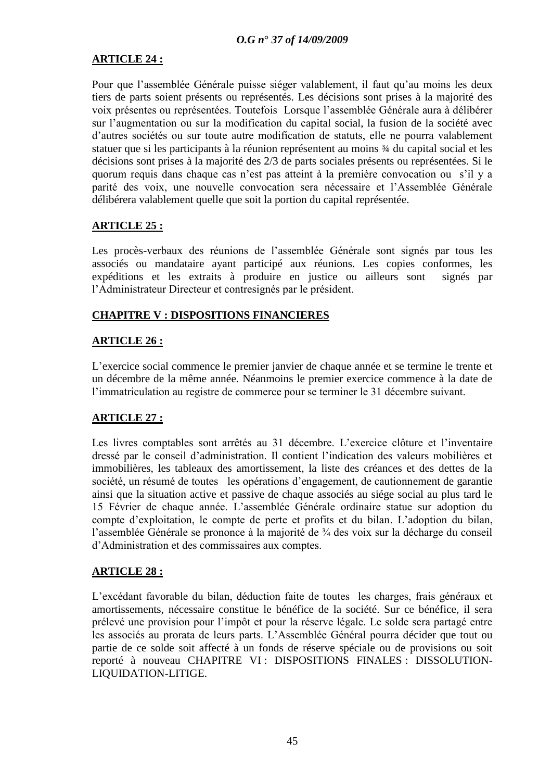# **ARTICLE 24 :**

Pour que l'assemblée Générale puisse siéger valablement, il faut qu'au moins les deux tiers de parts soient présents ou représentés. Les décisions sont prises à la majorité des voix présentes ou représentées. Toutefois Lorsque l"assemblée Générale aura à délibérer sur l"augmentation ou sur la modification du capital social, la fusion de la société avec d"autres sociétés ou sur toute autre modification de statuts, elle ne pourra valablement statuer que si les participants à la réunion représentent au moins ¾ du capital social et les décisions sont prises à la majorité des 2/3 de parts sociales présents ou représentées. Si le quorum requis dans chaque cas n"est pas atteint à la première convocation ou s"il y a parité des voix, une nouvelle convocation sera nécessaire et l"Assemblée Générale délibérera valablement quelle que soit la portion du capital représentée.

# **ARTICLE 25 :**

Les procès-verbaux des réunions de l'assemblée Générale sont signés par tous les associés ou mandataire ayant participé aux réunions. Les copies conformes, les expéditions et les extraits à produire en justice ou ailleurs sont signés par l"Administrateur Directeur et contresignés par le président.

# **CHAPITRE V : DISPOSITIONS FINANCIERES**

# **ARTICLE 26 :**

L"exercice social commence le premier janvier de chaque année et se termine le trente et un décembre de la même année. Néanmoins le premier exercice commence à la date de l'immatriculation au registre de commerce pour se terminer le 31 décembre suivant.

# **ARTICLE 27 :**

Les livres comptables sont arrêtés au 31 décembre. L'exercice clôture et l'inventaire dressé par le conseil d"administration. Il contient l"indication des valeurs mobilières et immobilières, les tableaux des amortissement, la liste des créances et des dettes de la société, un résumé de toutes les opérations d'engagement, de cautionnement de garantie ainsi que la situation active et passive de chaque associés au siége social au plus tard le 15 Février de chaque année. L"assemblée Générale ordinaire statue sur adoption du compte d"exploitation, le compte de perte et profits et du bilan. L"adoption du bilan, l"assemblée Générale se prononce à la majorité de ¾ des voix sur la décharge du conseil d"Administration et des commissaires aux comptes.

# **ARTICLE 28 :**

L"excédant favorable du bilan, déduction faite de toutes les charges, frais généraux et amortissements, nécessaire constitue le bénéfice de la société. Sur ce bénéfice, il sera prélevé une provision pour l"impôt et pour la réserve légale. Le solde sera partagé entre les associés au prorata de leurs parts. L"Assemblée Général pourra décider que tout ou partie de ce solde soit affecté à un fonds de réserve spéciale ou de provisions ou soit reporté à nouveau CHAPITRE VI : DISPOSITIONS FINALES : DISSOLUTION-LIQUIDATION-LITIGE.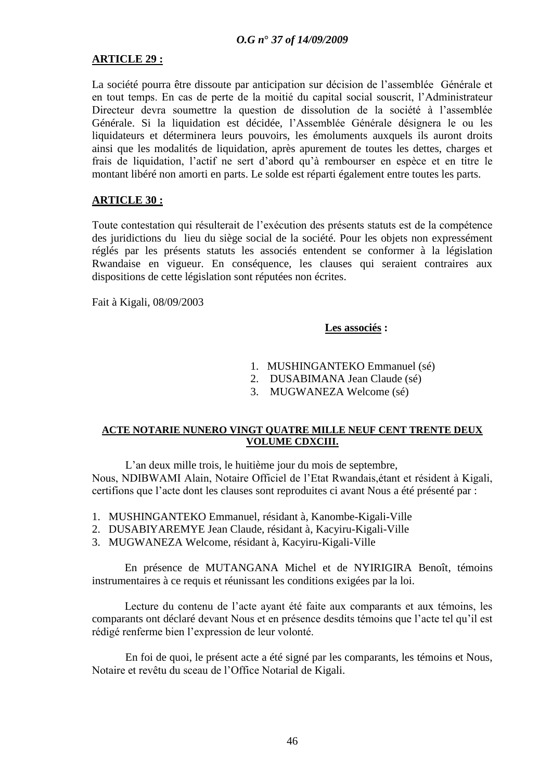# **ARTICLE 29 :**

La société pourra être dissoute par anticipation sur décision de l"assemblée Générale et en tout temps. En cas de perte de la moitié du capital social souscrit, l"Administrateur Directeur devra soumettre la question de dissolution de la société à l"assemblée Générale. Si la liquidation est décidée, l"Assemblée Générale désignera le ou les liquidateurs et déterminera leurs pouvoirs, les émoluments auxquels ils auront droits ainsi que les modalités de liquidation, après apurement de toutes les dettes, charges et frais de liquidation, l"actif ne sert d"abord qu"à rembourser en espèce et en titre le montant libéré non amorti en parts. Le solde est réparti également entre toutes les parts.

# **ARTICLE 30 :**

Toute contestation qui résulterait de l"exécution des présents statuts est de la compétence des juridictions du lieu du siège social de la société. Pour les objets non expressément réglés par les présents statuts les associés entendent se conformer à la législation Rwandaise en vigueur. En conséquence, les clauses qui seraient contraires aux dispositions de cette législation sont réputées non écrites.

Fait à Kigali, 08/09/2003

### **Les associés :**

- 1. MUSHINGANTEKO Emmanuel (sé)
- 2. DUSABIMANA Jean Claude (sé)
- 3. MUGWANEZA Welcome (sé)

### **ACTE NOTARIE NUNERO VINGT QUATRE MILLE NEUF CENT TRENTE DEUX VOLUME CDXCIII.**

L"an deux mille trois, le huitième jour du mois de septembre, Nous, NDIBWAMI Alain, Notaire Officiel de l"Etat Rwandais,étant et résident à Kigali, certifions que l"acte dont les clauses sont reproduites ci avant Nous a été présenté par :

- 1. MUSHINGANTEKO Emmanuel, résidant à, Kanombe-Kigali-Ville
- 2. DUSABIYAREMYE Jean Claude, résidant à, Kacyiru-Kigali-Ville
- 3. MUGWANEZA Welcome, résidant à, Kacyiru-Kigali-Ville

En présence de MUTANGANA Michel et de NYIRIGIRA Benoît, témoins instrumentaires à ce requis et réunissant les conditions exigées par la loi.

Lecture du contenu de l"acte ayant été faite aux comparants et aux témoins, les comparants ont déclaré devant Nous et en présence desdits témoins que l"acte tel qu"il est rédigé renferme bien l"expression de leur volonté.

En foi de quoi, le présent acte a été signé par les comparants, les témoins et Nous, Notaire et revêtu du sceau de l"Office Notarial de Kigali.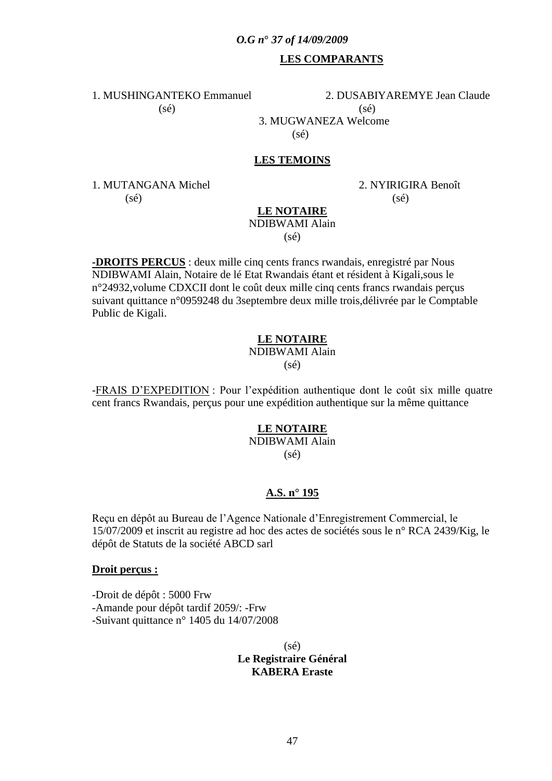# **LES COMPARANTS**

1. MUSHINGANTEKO Emmanuel 2. DUSABIYAREMYE Jean Claude  $(s\acute{e})$  (sé) 3. MUGWANEZA Welcome  $(s\acute{e})$ 

# **LES TEMOINS**

1. MUTANGANA Michel 2. NYIRIGIRA Benoît  $(s\acute{e})$  (sé)

#### **LE NOTAIRE** NDIBWAMI Alain

(sé)

**-DROITS PERCUS** : deux mille cinq cents francs rwandais, enregistré par Nous NDIBWAMI Alain, Notaire de lé Etat Rwandais étant et résident à Kigali,sous le n°24932,volume CDXCII dont le coût deux mille cinq cents francs rwandais perçus suivant quittance n°0959248 du 3septembre deux mille trois,délivrée par le Comptable Public de Kigali.

# **LE NOTAIRE**

NDIBWAMI Alain

 $(s\acute{e})$ 

-FRAIS D"EXPEDITION : Pour l"expédition authentique dont le coût six mille quatre cent francs Rwandais, perçus pour une expédition authentique sur la même quittance

# **LE NOTAIRE**

NDIBWAMI Alain (sé)

### **A.S. n° 195**

Reçu en dépôt au Bureau de l"Agence Nationale d"Enregistrement Commercial, le 15/07/2009 et inscrit au registre ad hoc des actes de sociétés sous le n° RCA 2439/Kig, le dépôt de Statuts de la société ABCD sarl

#### **Droit perçus :**

-Droit de dépôt : 5000 Frw -Amande pour dépôt tardif 2059/: -Frw -Suivant quittance n° 1405 du 14/07/2008

> (sé) **Le Registraire Général KABERA Eraste**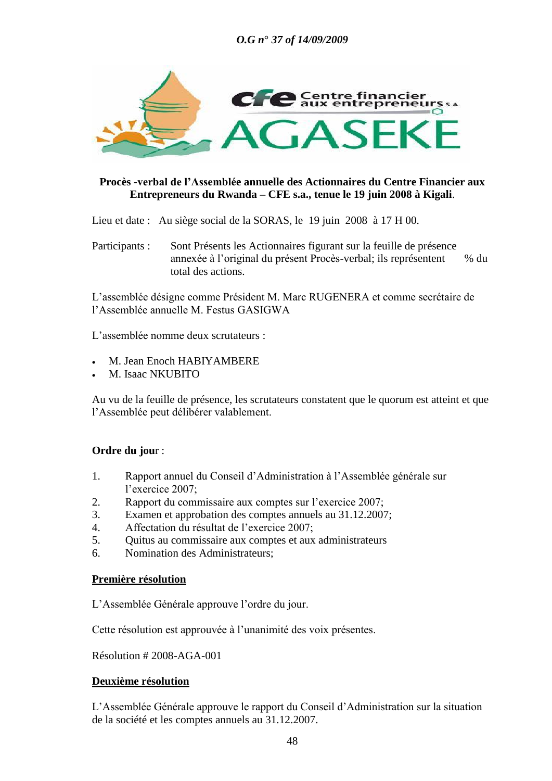

# **Procès -verbal de l"Assemblée annuelle des Actionnaires du Centre Financier aux Entrepreneurs du Rwanda – CFE s.a., tenue le 19 juin 2008 à Kigali**.

Lieu et date : Au siège social de la SORAS, le 19 juin 2008 à 17 H 00.

Participants : Sont Présents les Actionnaires figurant sur la feuille de présence annexée à l"original du présent Procès-verbal; ils représentent % du total des actions.

L"assemblée désigne comme Président M. Marc RUGENERA et comme secrétaire de l"Assemblée annuelle M. Festus GASIGWA

L'assemblée nomme deux scrutateurs :

- M. Jean Enoch HABIYAMBERE
- M. Isaac NKUBITO

Au vu de la feuille de présence, les scrutateurs constatent que le quorum est atteint et que l"Assemblée peut délibérer valablement.

# **Ordre du jou**r :

- 1. Rapport annuel du Conseil d"Administration à l"Assemblée générale sur l'exercice 2007;
- 2. Rapport du commissaire aux comptes sur l"exercice 2007;
- 3. Examen et approbation des comptes annuels au 31.12.2007;
- 4. Affectation du résultat de l"exercice 2007;
- 5. Quitus au commissaire aux comptes et aux administrateurs
- 6. Nomination des Administrateurs;

### **Première résolution**

L"Assemblée Générale approuve l"ordre du jour.

Cette résolution est approuvée à l"unanimité des voix présentes.

Résolution # 2008-AGA-001

### **Deuxième résolution**

L"Assemblée Générale approuve le rapport du Conseil d"Administration sur la situation de la société et les comptes annuels au 31.12.2007.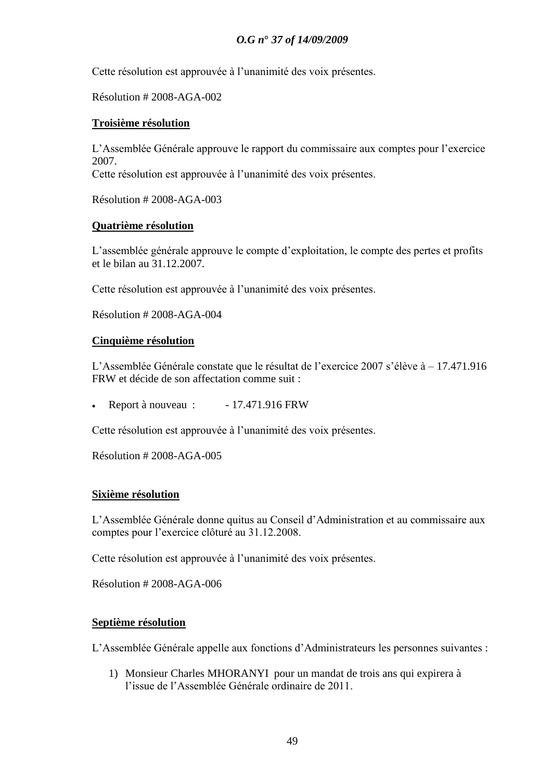Cette résolution est approuvée à l"unanimité des voix présentes.

Résolution # 2008-AGA-002

# **Troisième résolution**

L"Assemblée Générale approuve le rapport du commissaire aux comptes pour l"exercice 2007.

Cette résolution est approuvée à l"unanimité des voix présentes.

Résolution # 2008-AGA-003

# **Quatrième résolution**

L'assemblée générale approuve le compte d'exploitation, le compte des pertes et profits et le bilan au 31.12.2007.

Cette résolution est approuvée à l"unanimité des voix présentes.

Résolution # 2008-AGA-004

# **Cinquième résolution**

L"Assemblée Générale constate que le résultat de l"exercice 2007 s"élève à – 17.471.916 FRW et décide de son affectation comme suit :

Exercise Report à nouveau :  $-17.471.916$  FRW

Cette résolution est approuvée à l"unanimité des voix présentes.

Résolution # 2008-AGA-005

### **Sixième résolution**

L"Assemblée Générale donne quitus au Conseil d"Administration et au commissaire aux comptes pour l"exercice clôturé au 31.12.2008.

Cette résolution est approuvée à l"unanimité des voix présentes.

Résolution # 2008-AGA-006

### **Septième résolution**

L"Assemblée Générale appelle aux fonctions d"Administrateurs les personnes suivantes :

1) Monsieur Charles MHORANYI pour un mandat de trois ans qui expirera à l'issue de l'Assemblée Générale ordinaire de 2011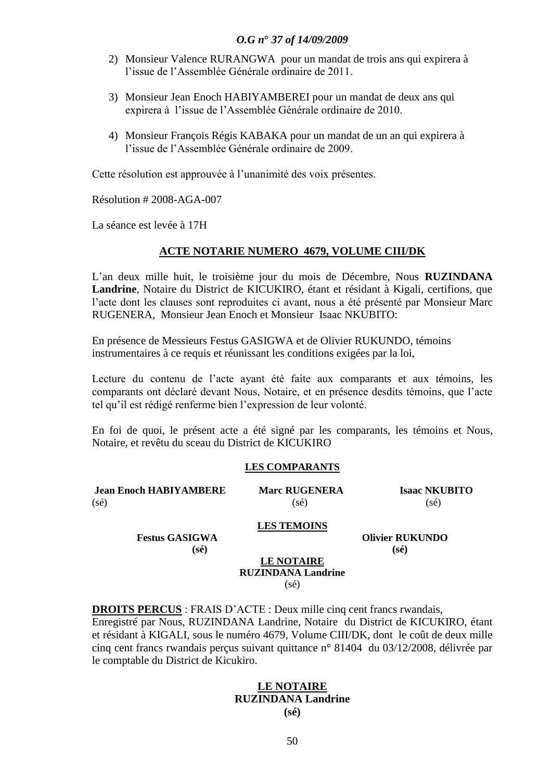- 2) Monsieur Valence RURANGWA pour un mandat de trois ans qui expirera à l"issue de l"Assemblée Générale ordinaire de 2011.
- 3) Monsieur Jean Enoch HABIYAMBEREI pour un mandat de deux ans qui expirera à l"issue de l"Assemblée Générale ordinaire de 2010.
- 4) Monsieur François Régis KABAKA pour un mandat de un an qui expirera à l'issue de l'Assemblée Générale ordinaire de 2009

Cette résolution est approuvée à l"unanimité des voix présentes.

Résolution # 2008-AGA-007

La séance est levée à 17H

#### **ACTE NOTARIE NUMERO 4679, VOLUME CIII/DK**

L"an deux mille huit, le troisième jour du mois de Décembre, Nous **RUZINDANA Landrine**, Notaire du District de KICUKIRO, étant et résidant à Kigali, certifions, que l"acte dont les clauses sont reproduites ci avant, nous a été présenté par Monsieur Marc RUGENERA, Monsieur Jean Enoch et Monsieur Isaac NKUBITO:

En présence de Messieurs Festus GASIGWA et de Olivier RUKUNDO, témoins instrumentaires à ce requis et réunissant les conditions exigées par la loi,

Lecture du contenu de l'acte ayant été faite aux comparants et aux témoins, les comparants ont déclaré devant Nous, Notaire, et en présence desdits témoins, que l"acte tel qu"il est rédigé renferme bien l"expression de leur volonté.

En foi de quoi, le présent acte a été signé par les comparants, les témoins et Nous, Notaire, et revêtu du sceau du District de KICUKIRO

#### **LES COMPARANTS**

| <b>Jean Enoch HABIYAMBERE</b> | <b>Marc RUGENERA</b> | <b>Isaac NKUBITO</b> |
|-------------------------------|----------------------|----------------------|
| $(s\acute{e})$                | $(s\acute{e})$       | $(s\acute{e})$       |

#### **LES TEMOINS**

**Festus GASIGWA Olivier RUKUNDO (sé) (sé)**

#### **LE NOTAIRE RUZINDANA Landrine** (sé)

**DROITS PERCUS** : FRAIS D"ACTE : Deux mille cinq cent francs rwandais, Enregistré par Nous, RUZINDANA Landrine, Notaire du District de KICUKIRO, étant et résidant à KIGALI, sous le numéro 4679, Volume CIII/DK, dont le coût de deux mille cinq cent francs rwandais perçus suivant quittance n° 81404 du 03/12/2008, délivrée par le comptable du District de Kicukiro.

# **LE NOTAIRE RUZINDANA Landrine**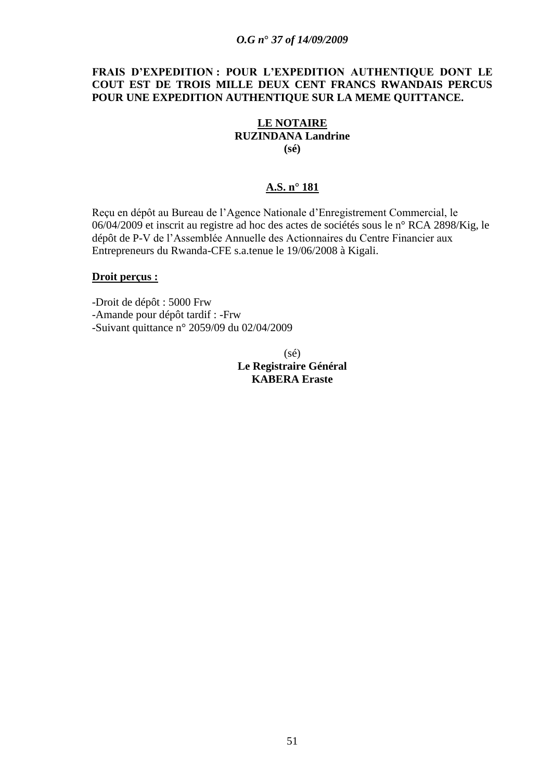# **FRAIS D"EXPEDITION : POUR L"EXPEDITION AUTHENTIQUE DONT LE COUT EST DE TROIS MILLE DEUX CENT FRANCS RWANDAIS PERCUS POUR UNE EXPEDITION AUTHENTIQUE SUR LA MEME QUITTANCE.**

### **LE NOTAIRE RUZINDANA Landrine (sé)**

# **A.S. n° 181**

Reçu en dépôt au Bureau de l"Agence Nationale d"Enregistrement Commercial, le 06/04/2009 et inscrit au registre ad hoc des actes de sociétés sous le n° RCA 2898/Kig, le dépôt de P-V de l"Assemblée Annuelle des Actionnaires du Centre Financier aux Entrepreneurs du Rwanda-CFE s.a.tenue le 19/06/2008 à Kigali.

#### **Droit perçus :**

-Droit de dépôt : 5000 Frw -Amande pour dépôt tardif : -Frw -Suivant quittance n° 2059/09 du 02/04/2009

> $(s\acute{e})$ **Le Registraire Général KABERA Eraste**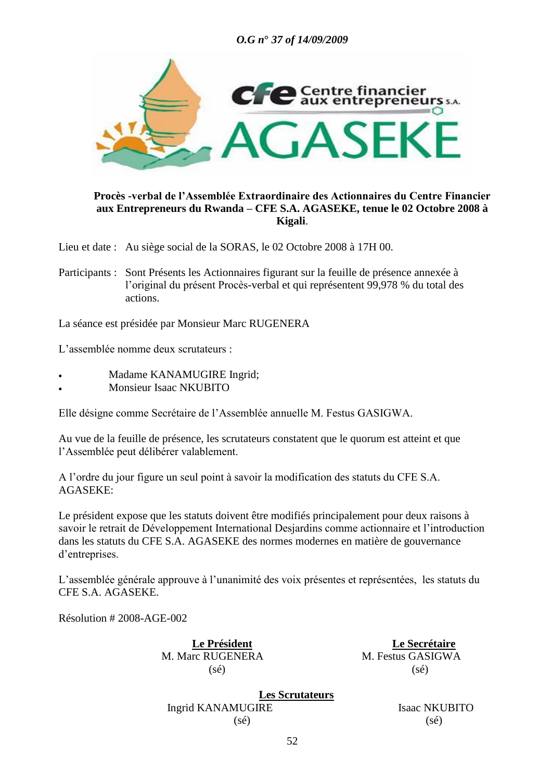

## **Procès -verbal de l"Assemblée Extraordinaire des Actionnaires du Centre Financier aux Entrepreneurs du Rwanda – CFE S.A. AGASEKE, tenue le 02 Octobre 2008 à Kigali**.

Lieu et date : Au siège social de la SORAS, le 02 Octobre 2008 à 17H 00.

Participants : Sont Présents les Actionnaires figurant sur la feuille de présence annexée à l"original du présent Procès-verbal et qui représentent 99,978 % du total des actions.

La séance est présidée par Monsieur Marc RUGENERA

L'assemblée nomme deux scrutateurs :

- Madame KANAMUGIRE Ingrid;
- Monsieur Isaac NKUBITO

Elle désigne comme Secrétaire de l"Assemblée annuelle M. Festus GASIGWA.

Au vue de la feuille de présence, les scrutateurs constatent que le quorum est atteint et que l"Assemblée peut délibérer valablement.

A l"ordre du jour figure un seul point à savoir la modification des statuts du CFE S.A. AGASEKE:

Le président expose que les statuts doivent être modifiés principalement pour deux raisons à savoir le retrait de Développement International Desjardins comme actionnaire et l"introduction dans les statuts du CFE S.A. AGASEKE des normes modernes en matière de gouvernance d"entreprises.

L"assemblée générale approuve à l"unanimité des voix présentes et représentées, les statuts du CFE S.A. AGASEKE.

Résolution # 2008-AGE-002

M. Marc RUGENERA M. Festus GASIGWA  $(s\acute{e})$  (sé)

 **Le Président Le Secrétaire**

**Les Scrutateurs** Ingrid KANAMUGIRE **Isaac NKUBITO**  $(s\acute{e})$  (sé)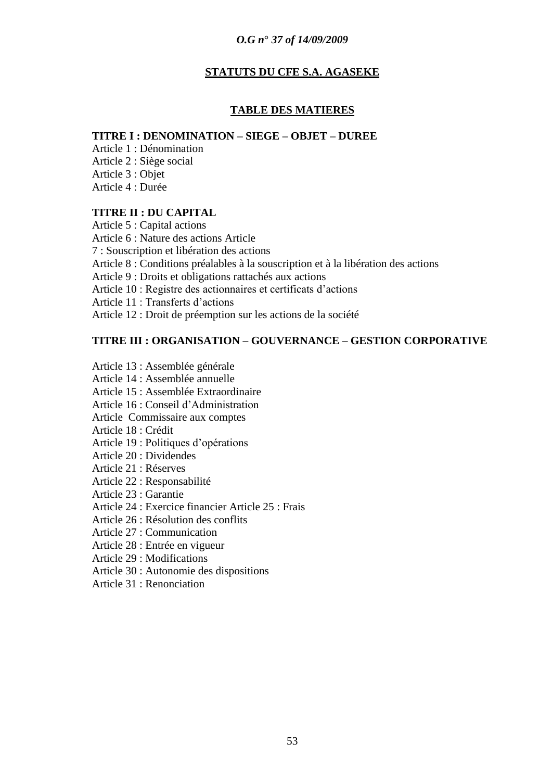## **STATUTS DU CFE S.A. AGASEKE**

### **TABLE DES MATIERES**

#### **TITRE I : DENOMINATION – SIEGE – OBJET – DUREE**

Article 1 : Dénomination Article 2 : Siège social Article 3 : Objet Article 4 : Durée

# **TITRE II : DU CAPITAL**

Article 5 : Capital actions Article 6 : Nature des actions Article 7 : Souscription et libération des actions Article 8 : Conditions préalables à la souscription et à la libération des actions Article 9 : Droits et obligations rattachés aux actions Article 10 : Registre des actionnaires et certificats d"actions Article 11 : Transferts d"actions Article 12 : Droit de préemption sur les actions de la société

# **TITRE III : ORGANISATION – GOUVERNANCE – GESTION CORPORATIVE**

Article 13 : Assemblée générale Article 14 : Assemblée annuelle Article 15 : Assemblée Extraordinaire Article 16 : Conseil d"Administration Article Commissaire aux comptes Article 18 : Crédit Article 19 : Politiques d"opérations Article 20 : Dividendes Article 21 : Réserves Article 22 : Responsabilité Article 23 : Garantie Article 24 : Exercice financier Article 25 : Frais Article 26 : Résolution des conflits Article 27 : Communication Article 28 : Entrée en vigueur Article 29 : Modifications Article 30 : Autonomie des dispositions Article 31 : Renonciation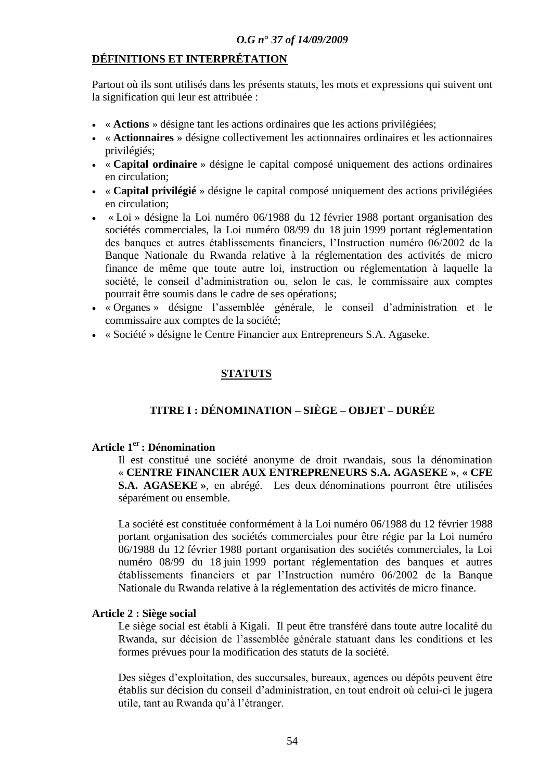# **DÉFINITIONS ET INTERPRÉTATION**

Partout où ils sont utilisés dans les présents statuts, les mots et expressions qui suivent ont la signification qui leur est attribuée :

- « **Actions** » désigne tant les actions ordinaires que les actions privilégiées;
- « **Actionnaires** » désigne collectivement les actionnaires ordinaires et les actionnaires privilégiés;
- « **Capital ordinaire** » désigne le capital composé uniquement des actions ordinaires en circulation;
- « **Capital privilégié** » désigne le capital composé uniquement des actions privilégiées en circulation;
- « Loi » désigne la Loi numéro 06/1988 du 12 février 1988 portant organisation des sociétés commerciales, la Loi numéro 08/99 du 18 juin 1999 portant réglementation des banques et autres établissements financiers, l"Instruction numéro 06/2002 de la Banque Nationale du Rwanda relative à la réglementation des activités de micro finance de même que toute autre loi, instruction ou réglementation à laquelle la société, le conseil d"administration ou, selon le cas, le commissaire aux comptes pourrait être soumis dans le cadre de ses opérations;
- « Organes » désigne l"assemblée générale, le conseil d"administration et le commissaire aux comptes de la société;
- « Société » désigne le Centre Financier aux Entrepreneurs S.A. Agaseke.

# **STATUTS**

# **TITRE I : DÉNOMINATION – SIÈGE – OBJET – DURÉE**

## **Article 1er : Dénomination**

Il est constitué une société anonyme de droit rwandais, sous la dénomination « **CENTRE FINANCIER AUX ENTREPRENEURS S.A. AGASEKE »**, **« CFE S.A. AGASEKE »**, en abrégé. Les deux dénominations pourront être utilisées séparément ou ensemble.

La société est constituée conformément à la Loi numéro 06/1988 du 12 février 1988 portant organisation des sociétés commerciales pour être régie par la Loi numéro 06/1988 du 12 février 1988 portant organisation des sociétés commerciales, la Loi numéro 08/99 du 18 juin 1999 portant réglementation des banques et autres établissements financiers et par l"Instruction numéro 06/2002 de la Banque Nationale du Rwanda relative à la réglementation des activités de micro finance.

### **Article 2 : Siège social**

Le siège social est établi à Kigali. Il peut être transféré dans toute autre localité du Rwanda, sur décision de l"assemblée générale statuant dans les conditions et les formes prévues pour la modification des statuts de la société.

Des sièges d"exploitation, des succursales, bureaux, agences ou dépôts peuvent être établis sur décision du conseil d"administration, en tout endroit où celui-ci le jugera utile, tant au Rwanda qu"à l"étranger.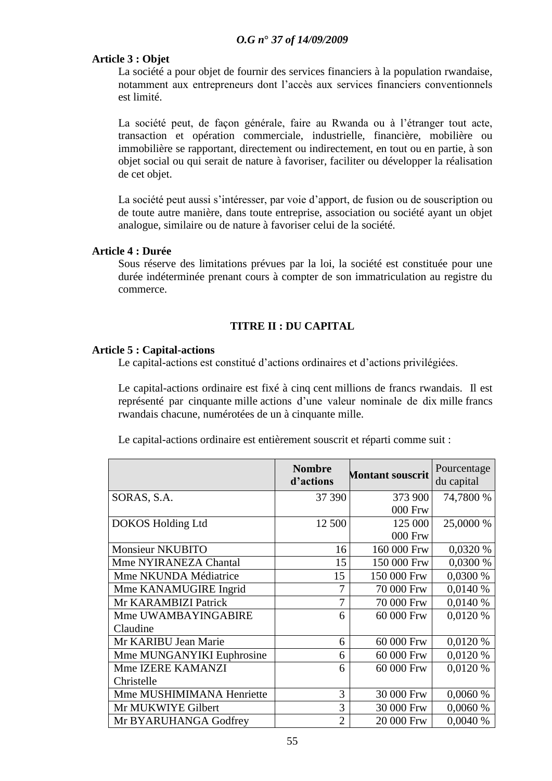# **Article 3 : Objet**

La société a pour objet de fournir des services financiers à la population rwandaise, notamment aux entrepreneurs dont l"accès aux services financiers conventionnels est limité.

La société peut, de façon générale, faire au Rwanda ou à l"étranger tout acte, transaction et opération commerciale, industrielle, financière, mobilière ou immobilière se rapportant, directement ou indirectement, en tout ou en partie, à son objet social ou qui serait de nature à favoriser, faciliter ou développer la réalisation de cet objet.

La société peut aussi s'intéresser, par voie d'apport, de fusion ou de souscription ou de toute autre manière, dans toute entreprise, association ou société ayant un objet analogue, similaire ou de nature à favoriser celui de la société.

### **Article 4 : Durée**

Sous réserve des limitations prévues par la loi, la société est constituée pour une durée indéterminée prenant cours à compter de son immatriculation au registre du commerce.

# **TITRE II : DU CAPITAL**

### **Article 5 : Capital-actions**

Le capital-actions est constitué d"actions ordinaires et d"actions privilégiées.

Le capital-actions ordinaire est fixé à cinq cent millions de francs rwandais. Il est représenté par cinquante mille actions d"une valeur nominale de dix mille francs rwandais chacune, numérotées de un à cinquante mille.

| Le capital-actions ordinaire est entièrement souscrit et réparti comme suit : |  |
|-------------------------------------------------------------------------------|--|
|                                                                               |  |

|                           | <b>Nombre</b><br>d'actions | <b>Montant souscrit</b> | Pourcentage<br>du capital |
|---------------------------|----------------------------|-------------------------|---------------------------|
| SORAS, S.A.               | 37 390                     | 373 900                 | 74,7800 %                 |
|                           |                            | 000 Frw                 |                           |
| <b>DOKOS Holding Ltd</b>  | 12 500                     | 125 000                 | 25,0000 %                 |
|                           |                            | 000 Frw                 |                           |
| <b>Monsieur NKUBITO</b>   | 16                         | 160 000 Frw             | 0,0320 %                  |
| Mme NYIRANEZA Chantal     | 15                         | 150 000 Frw             | 0,0300 %                  |
| Mme NKUNDA Médiatrice     | 15                         | 150 000 Frw             | 0,0300 %                  |
| Mme KANAMUGIRE Ingrid     | 7                          | 70 000 Frw              | 0,0140 %                  |
| Mr KARAMBIZI Patrick      | 7                          | 70 000 Frw              | 0,0140 %                  |
| Mme UWAMBAYINGABIRE       | 6                          | 60 000 Frw              | 0,0120 %                  |
| Claudine                  |                            |                         |                           |
| Mr KARIBU Jean Marie      | 6                          | 60 000 Frw              | 0,0120 %                  |
| Mme MUNGANYIKI Euphrosine | 6                          | 60 000 Frw              | 0,0120 %                  |
| Mme IZERE KAMANZI         | 6                          | 60 000 Frw              | 0,0120 %                  |
| Christelle                |                            |                         |                           |
| Mme MUSHIMIMANA Henriette | 3                          | 30 000 Frw              | 0,0060 %                  |
| Mr MUKWIYE Gilbert        | 3                          | 30 000 Frw              | 0,0060%                   |
| Mr BYARUHANGA Godfrey     | $\overline{2}$             | 20 000 Frw              | 0,0040%                   |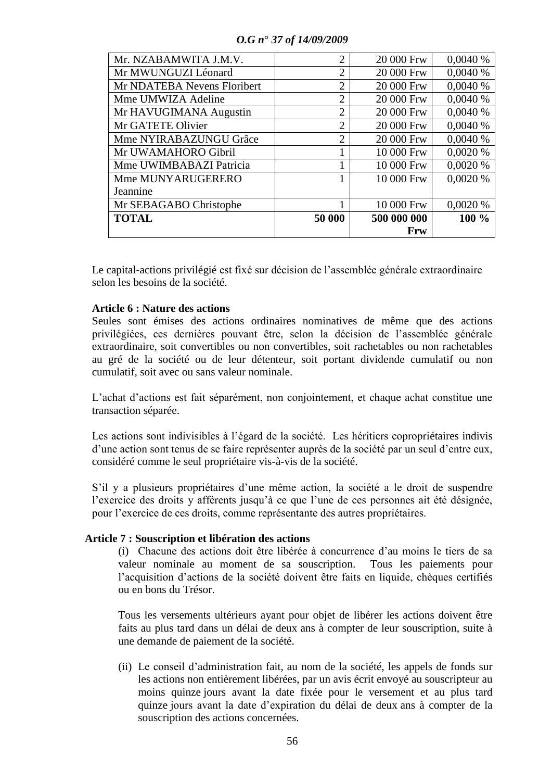| Mr. NZABAMWITA J.M.V.       | $\overline{2}$ | 20 000 Frw  | 0,0040%  |
|-----------------------------|----------------|-------------|----------|
| Mr MWUNGUZI Léonard         | $\overline{2}$ | 20 000 Frw  | 0,0040%  |
| Mr NDATEBA Nevens Floribert | $\overline{2}$ | 20 000 Frw  | 0,0040%  |
| Mme UMWIZA Adeline          | $\overline{2}$ | 20 000 Frw  | 0.0040%  |
| Mr HAVUGIMANA Augustin      | $\overline{2}$ | 20 000 Frw  | 0,0040%  |
| Mr GATETE Olivier           | $\overline{2}$ | 20 000 Frw  | 0,0040%  |
| Mme NYIRABAZUNGU Grâce      | $\overline{2}$ | 20 000 Frw  | 0.0040%  |
| Mr UWAMAHORO Gibril         |                | 10 000 Frw  | 0,0020 % |
| Mme UWIMBABAZI Patricia     |                | 10 000 Frw  | 0,0020 % |
| Mme MUNYARUGERERO           |                | 10 000 Frw  | 0,0020 % |
| Jeannine                    |                |             |          |
| Mr SEBAGABO Christophe      |                | 10 000 Frw  | 0.0020%  |
| <b>TOTAL</b>                | 50 000         | 500 000 000 | $100\%$  |
|                             |                | Frw         |          |

Le capital-actions privilégié est fixé sur décision de l"assemblée générale extraordinaire selon les besoins de la société.

### **Article 6 : Nature des actions**

Seules sont émises des actions ordinaires nominatives de même que des actions privilégiées, ces dernières pouvant être, selon la décision de l"assemblée générale extraordinaire, soit convertibles ou non convertibles, soit rachetables ou non rachetables au gré de la société ou de leur détenteur, soit portant dividende cumulatif ou non cumulatif, soit avec ou sans valeur nominale.

L"achat d"actions est fait séparément, non conjointement, et chaque achat constitue une transaction séparée.

Les actions sont indivisibles à l"égard de la société. Les héritiers copropriétaires indivis d'une action sont tenus de se faire représenter auprès de la société par un seul d'entre eux, considéré comme le seul propriétaire vis-à-vis de la société.

S"il y a plusieurs propriétaires d"une même action, la société a le droit de suspendre l"exercice des droits y afférents jusqu"à ce que l"une de ces personnes ait été désignée, pour l"exercice de ces droits, comme représentante des autres propriétaires.

### **Article 7 : Souscription et libération des actions**

(i) Chacune des actions doit être libérée à concurrence d"au moins le tiers de sa valeur nominale au moment de sa souscription. Tous les paiements pour l"acquisition d"actions de la société doivent être faits en liquide, chèques certifiés ou en bons du Trésor.

Tous les versements ultérieurs ayant pour objet de libérer les actions doivent être faits au plus tard dans un délai de deux ans à compter de leur souscription, suite à une demande de paiement de la société.

(ii) Le conseil d"administration fait, au nom de la société, les appels de fonds sur les actions non entièrement libérées, par un avis écrit envoyé au souscripteur au moins quinze jours avant la date fixée pour le versement et au plus tard quinze jours avant la date d"expiration du délai de deux ans à compter de la souscription des actions concernées.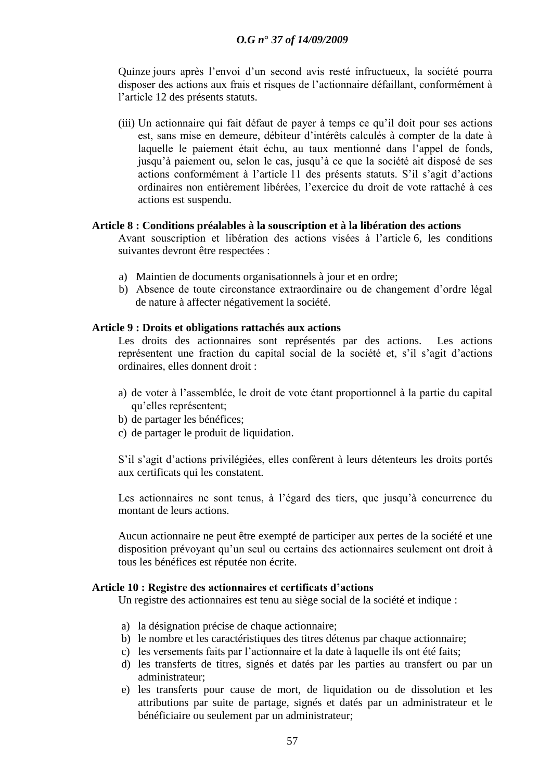Quinze jours après l'envoi d'un second avis resté infructueux, la société pourra disposer des actions aux frais et risques de l"actionnaire défaillant, conformément à l"article 12 des présents statuts.

(iii) Un actionnaire qui fait défaut de payer à temps ce qu"il doit pour ses actions est, sans mise en demeure, débiteur d"intérêts calculés à compter de la date à laquelle le paiement était échu, au taux mentionné dans l"appel de fonds, jusqu"à paiement ou, selon le cas, jusqu"à ce que la société ait disposé de ses actions conformément à l"article 11 des présents statuts. S"il s"agit d"actions ordinaires non entièrement libérées, l"exercice du droit de vote rattaché à ces actions est suspendu.

#### **Article 8 : Conditions préalables à la souscription et à la libération des actions**

Avant souscription et libération des actions visées à l"article 6, les conditions suivantes devront être respectées :

- a) Maintien de documents organisationnels à jour et en ordre;
- b) Absence de toute circonstance extraordinaire ou de changement d"ordre légal de nature à affecter négativement la société.

#### **Article 9 : Droits et obligations rattachés aux actions**

Les droits des actionnaires sont représentés par des actions. Les actions représentent une fraction du capital social de la société et, s"il s"agit d"actions ordinaires, elles donnent droit :

- a) de voter à l"assemblée, le droit de vote étant proportionnel à la partie du capital qu"elles représentent;
- b) de partager les bénéfices;
- c) de partager le produit de liquidation.

S"il s"agit d"actions privilégiées, elles confèrent à leurs détenteurs les droits portés aux certificats qui les constatent.

Les actionnaires ne sont tenus, à l'égard des tiers, que jusqu'à concurrence du montant de leurs actions.

Aucun actionnaire ne peut être exempté de participer aux pertes de la société et une disposition prévoyant qu"un seul ou certains des actionnaires seulement ont droit à tous les bénéfices est réputée non écrite.

#### **Article 10 : Registre des actionnaires et certificats d"actions**

Un registre des actionnaires est tenu au siège social de la société et indique :

- a) la désignation précise de chaque actionnaire;
- b) le nombre et les caractéristiques des titres détenus par chaque actionnaire;
- c) les versements faits par l"actionnaire et la date à laquelle ils ont été faits;
- d) les transferts de titres, signés et datés par les parties au transfert ou par un administrateur;
- e) les transferts pour cause de mort, de liquidation ou de dissolution et les attributions par suite de partage, signés et datés par un administrateur et le bénéficiaire ou seulement par un administrateur;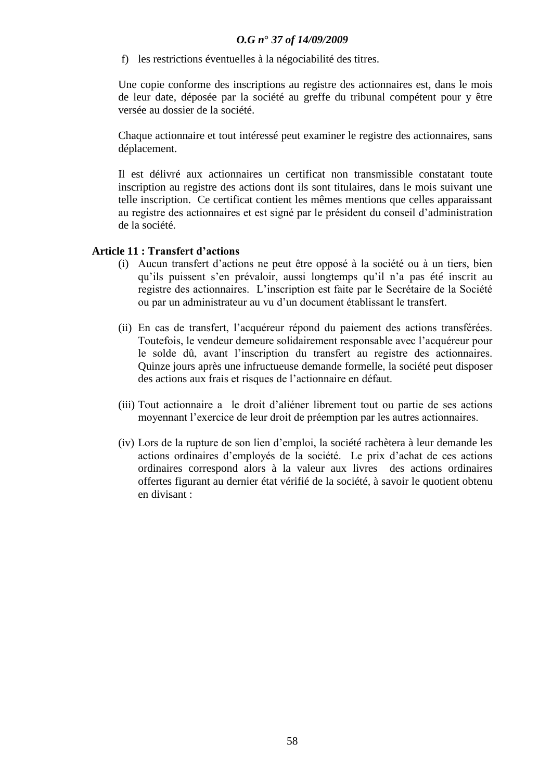f) les restrictions éventuelles à la négociabilité des titres.

Une copie conforme des inscriptions au registre des actionnaires est, dans le mois de leur date, déposée par la société au greffe du tribunal compétent pour y être versée au dossier de la société.

Chaque actionnaire et tout intéressé peut examiner le registre des actionnaires, sans déplacement.

Il est délivré aux actionnaires un certificat non transmissible constatant toute inscription au registre des actions dont ils sont titulaires, dans le mois suivant une telle inscription. Ce certificat contient les mêmes mentions que celles apparaissant au registre des actionnaires et est signé par le président du conseil d"administration de la société.

# **Article 11 : Transfert d"actions**

- (i) Aucun transfert d"actions ne peut être opposé à la société ou à un tiers, bien qu"ils puissent s"en prévaloir, aussi longtemps qu"il n"a pas été inscrit au registre des actionnaires. L"inscription est faite par le Secrétaire de la Société ou par un administrateur au vu d"un document établissant le transfert.
- (ii) En cas de transfert, l"acquéreur répond du paiement des actions transférées. Toutefois, le vendeur demeure solidairement responsable avec l"acquéreur pour le solde dû, avant l"inscription du transfert au registre des actionnaires. Quinze jours après une infructueuse demande formelle, la société peut disposer des actions aux frais et risques de l"actionnaire en défaut.
- (iii) Tout actionnaire a le droit d"aliéner librement tout ou partie de ses actions moyennant l"exercice de leur droit de préemption par les autres actionnaires.
- (iv) Lors de la rupture de son lien d"emploi, la société rachètera à leur demande les actions ordinaires d"employés de la société. Le prix d"achat de ces actions ordinaires correspond alors à la valeur aux livres des actions ordinaires offertes figurant au dernier état vérifié de la société, à savoir le quotient obtenu en divisant :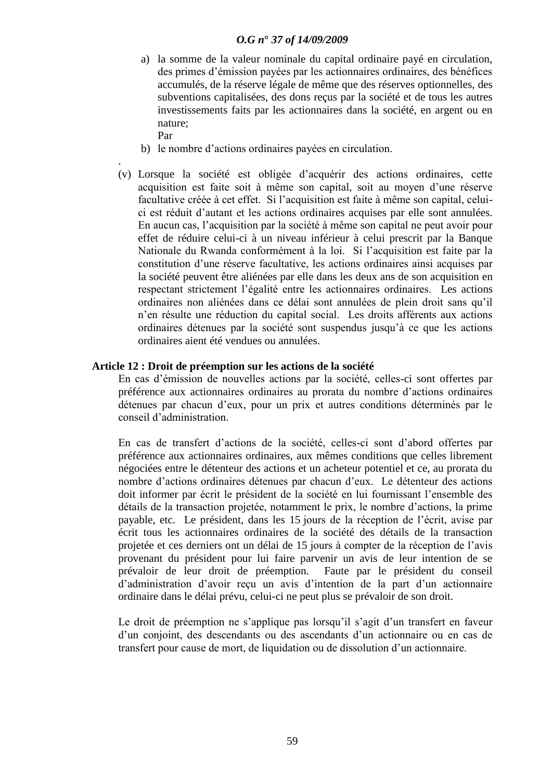- a) la somme de la valeur nominale du capital ordinaire payé en circulation, des primes d"émission payées par les actionnaires ordinaires, des bénéfices accumulés, de la réserve légale de même que des réserves optionnelles, des subventions capitalisées, des dons reçus par la société et de tous les autres investissements faits par les actionnaires dans la société, en argent ou en nature; Par
- b) le nombre d"actions ordinaires payées en circulation.
- . (v) Lorsque la société est obligée d"acquérir des actions ordinaires, cette acquisition est faite soit à même son capital, soit au moyen d"une réserve facultative créée à cet effet. Si l"acquisition est faite à même son capital, celuici est réduit d"autant et les actions ordinaires acquises par elle sont annulées. En aucun cas, l"acquisition par la société à même son capital ne peut avoir pour effet de réduire celui-ci à un niveau inférieur à celui prescrit par la Banque Nationale du Rwanda conformément à la loi. Si l"acquisition est faite par la constitution d"une réserve facultative, les actions ordinaires ainsi acquises par la société peuvent être aliénées par elle dans les deux ans de son acquisition en respectant strictement l"égalité entre les actionnaires ordinaires. Les actions ordinaires non aliénées dans ce délai sont annulées de plein droit sans qu"il n"en résulte une réduction du capital social. Les droits afférents aux actions ordinaires détenues par la société sont suspendus jusqu"à ce que les actions ordinaires aient été vendues ou annulées.

### **Article 12 : Droit de préemption sur les actions de la société**

En cas d"émission de nouvelles actions par la société, celles-ci sont offertes par préférence aux actionnaires ordinaires au prorata du nombre d"actions ordinaires détenues par chacun d"eux, pour un prix et autres conditions déterminés par le conseil d"administration.

En cas de transfert d"actions de la société, celles-ci sont d"abord offertes par préférence aux actionnaires ordinaires, aux mêmes conditions que celles librement négociées entre le détenteur des actions et un acheteur potentiel et ce, au prorata du nombre d"actions ordinaires détenues par chacun d"eux. Le détenteur des actions doit informer par écrit le président de la société en lui fournissant l"ensemble des détails de la transaction projetée, notamment le prix, le nombre d"actions, la prime payable, etc. Le président, dans les 15 jours de la réception de l"écrit, avise par écrit tous les actionnaires ordinaires de la société des détails de la transaction projetée et ces derniers ont un délai de 15 jours à compter de la réception de l"avis provenant du président pour lui faire parvenir un avis de leur intention de se prévaloir de leur droit de préemption. Faute par le président du conseil d"administration d"avoir reçu un avis d"intention de la part d"un actionnaire ordinaire dans le délai prévu, celui-ci ne peut plus se prévaloir de son droit.

Le droit de préemption ne s'applique pas lorsqu'il s'agit d'un transfert en faveur d"un conjoint, des descendants ou des ascendants d"un actionnaire ou en cas de transfert pour cause de mort, de liquidation ou de dissolution d"un actionnaire.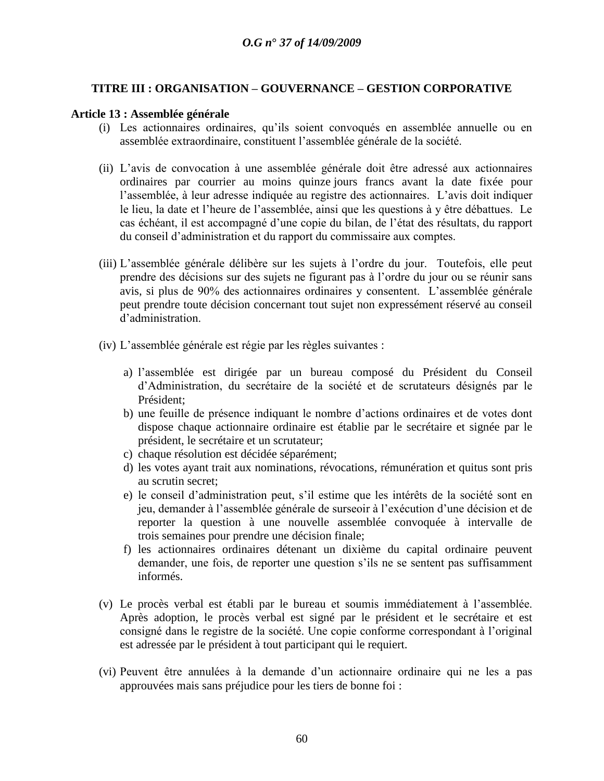# **TITRE III : ORGANISATION – GOUVERNANCE – GESTION CORPORATIVE**

#### **Article 13 : Assemblée générale**

- (i) Les actionnaires ordinaires, qu"ils soient convoqués en assemblée annuelle ou en assemblée extraordinaire, constituent l"assemblée générale de la société.
- (ii) L"avis de convocation à une assemblée générale doit être adressé aux actionnaires ordinaires par courrier au moins quinze jours francs avant la date fixée pour l"assemblée, à leur adresse indiquée au registre des actionnaires. L"avis doit indiquer le lieu, la date et l"heure de l"assemblée, ainsi que les questions à y être débattues. Le cas échéant, il est accompagné d"une copie du bilan, de l"état des résultats, du rapport du conseil d"administration et du rapport du commissaire aux comptes.
- (iii) L"assemblée générale délibère sur les sujets à l"ordre du jour. Toutefois, elle peut prendre des décisions sur des sujets ne figurant pas à l"ordre du jour ou se réunir sans avis, si plus de 90% des actionnaires ordinaires y consentent. L"assemblée générale peut prendre toute décision concernant tout sujet non expressément réservé au conseil d"administration.
- (iv) L"assemblée générale est régie par les règles suivantes :
	- a) l"assemblée est dirigée par un bureau composé du Président du Conseil d"Administration, du secrétaire de la société et de scrutateurs désignés par le Président;
	- b) une feuille de présence indiquant le nombre d"actions ordinaires et de votes dont dispose chaque actionnaire ordinaire est établie par le secrétaire et signée par le président, le secrétaire et un scrutateur;
	- c) chaque résolution est décidée séparément;
	- d) les votes ayant trait aux nominations, révocations, rémunération et quitus sont pris au scrutin secret;
	- e) le conseil d"administration peut, s"il estime que les intérêts de la société sont en jeu, demander à l"assemblée générale de surseoir à l"exécution d"une décision et de reporter la question à une nouvelle assemblée convoquée à intervalle de trois semaines pour prendre une décision finale;
	- f) les actionnaires ordinaires détenant un dixième du capital ordinaire peuvent demander, une fois, de reporter une question s"ils ne se sentent pas suffisamment informés.
- (v) Le procès verbal est établi par le bureau et soumis immédiatement à l"assemblée. Après adoption, le procès verbal est signé par le président et le secrétaire et est consigné dans le registre de la société. Une copie conforme correspondant à l"original est adressée par le président à tout participant qui le requiert.
- (vi) Peuvent être annulées à la demande d"un actionnaire ordinaire qui ne les a pas approuvées mais sans préjudice pour les tiers de bonne foi :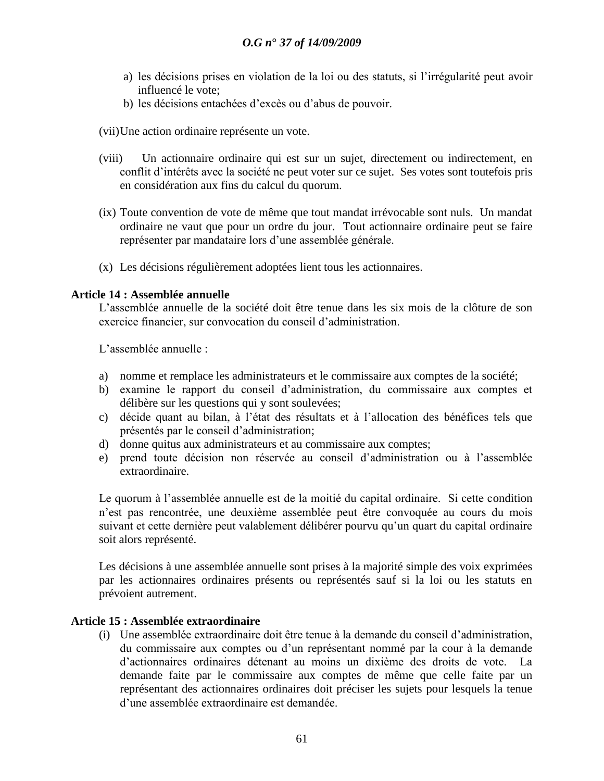- a) les décisions prises en violation de la loi ou des statuts, si l"irrégularité peut avoir influencé le vote;
- b) les décisions entachées d"excès ou d"abus de pouvoir.
- (vii)Une action ordinaire représente un vote.
- (viii) Un actionnaire ordinaire qui est sur un sujet, directement ou indirectement, en conflit d"intérêts avec la société ne peut voter sur ce sujet. Ses votes sont toutefois pris en considération aux fins du calcul du quorum.
- (ix) Toute convention de vote de même que tout mandat irrévocable sont nuls. Un mandat ordinaire ne vaut que pour un ordre du jour. Tout actionnaire ordinaire peut se faire représenter par mandataire lors d"une assemblée générale.
- (x) Les décisions régulièrement adoptées lient tous les actionnaires.

#### **Article 14 : Assemblée annuelle**

L"assemblée annuelle de la société doit être tenue dans les six mois de la clôture de son exercice financier, sur convocation du conseil d"administration.

L'assemblée annuelle :

- a) nomme et remplace les administrateurs et le commissaire aux comptes de la société;
- b) examine le rapport du conseil d"administration, du commissaire aux comptes et délibère sur les questions qui y sont soulevées;
- c) décide quant au bilan, à l"état des résultats et à l"allocation des bénéfices tels que présentés par le conseil d"administration;
- d) donne quitus aux administrateurs et au commissaire aux comptes;
- e) prend toute décision non réservée au conseil d"administration ou à l"assemblée extraordinaire.

Le quorum à l'assemblée annuelle est de la moitié du capital ordinaire. Si cette condition n"est pas rencontrée, une deuxième assemblée peut être convoquée au cours du mois suivant et cette dernière peut valablement délibérer pourvu qu"un quart du capital ordinaire soit alors représenté.

Les décisions à une assemblée annuelle sont prises à la majorité simple des voix exprimées par les actionnaires ordinaires présents ou représentés sauf si la loi ou les statuts en prévoient autrement.

### **Article 15 : Assemblée extraordinaire**

(i) Une assemblée extraordinaire doit être tenue à la demande du conseil d"administration, du commissaire aux comptes ou d"un représentant nommé par la cour à la demande d"actionnaires ordinaires détenant au moins un dixième des droits de vote. La demande faite par le commissaire aux comptes de même que celle faite par un représentant des actionnaires ordinaires doit préciser les sujets pour lesquels la tenue d"une assemblée extraordinaire est demandée.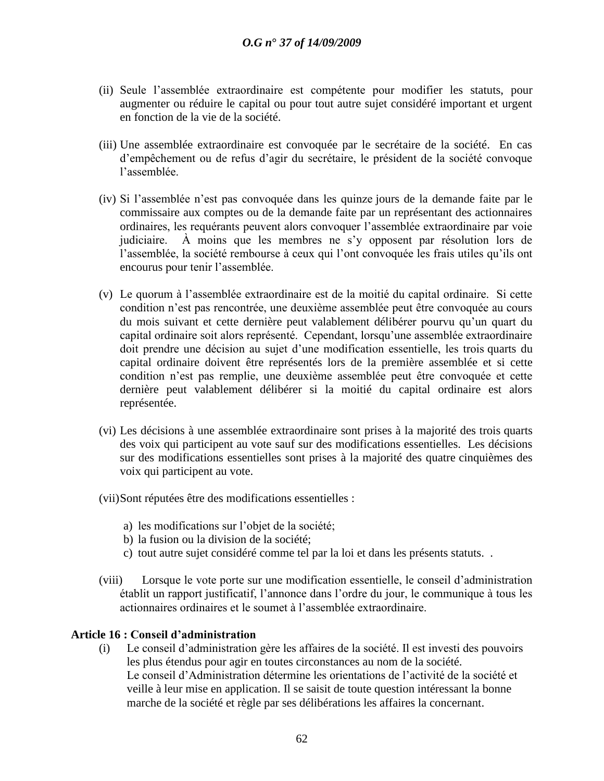- (ii) Seule l"assemblée extraordinaire est compétente pour modifier les statuts, pour augmenter ou réduire le capital ou pour tout autre sujet considéré important et urgent en fonction de la vie de la société.
- (iii) Une assemblée extraordinaire est convoquée par le secrétaire de la société. En cas d"empêchement ou de refus d"agir du secrétaire, le président de la société convoque l"assemblée.
- (iv) Si l"assemblée n"est pas convoquée dans les quinze jours de la demande faite par le commissaire aux comptes ou de la demande faite par un représentant des actionnaires ordinaires, les requérants peuvent alors convoquer l"assemblée extraordinaire par voie judiciaire. À moins que les membres ne s"y opposent par résolution lors de l"assemblée, la société rembourse à ceux qui l"ont convoquée les frais utiles qu"ils ont encourus pour tenir l"assemblée.
- (v) Le quorum à l"assemblée extraordinaire est de la moitié du capital ordinaire. Si cette condition n"est pas rencontrée, une deuxième assemblée peut être convoquée au cours du mois suivant et cette dernière peut valablement délibérer pourvu qu"un quart du capital ordinaire soit alors représenté. Cependant, lorsqu"une assemblée extraordinaire doit prendre une décision au sujet d"une modification essentielle, les trois quarts du capital ordinaire doivent être représentés lors de la première assemblée et si cette condition n"est pas remplie, une deuxième assemblée peut être convoquée et cette dernière peut valablement délibérer si la moitié du capital ordinaire est alors représentée.
- (vi) Les décisions à une assemblée extraordinaire sont prises à la majorité des trois quarts des voix qui participent au vote sauf sur des modifications essentielles. Les décisions sur des modifications essentielles sont prises à la majorité des quatre cinquièmes des voix qui participent au vote.
- (vii)Sont réputées être des modifications essentielles :
	- a) les modifications sur l"objet de la société;
	- b) la fusion ou la division de la société;
	- c) tout autre sujet considéré comme tel par la loi et dans les présents statuts. .
- (viii) Lorsque le vote porte sur une modification essentielle, le conseil d"administration établit un rapport justificatif, l"annonce dans l"ordre du jour, le communique à tous les actionnaires ordinaires et le soumet à l"assemblée extraordinaire.

# **Article 16 : Conseil d"administration**

(i) Le conseil d"administration gère les affaires de la société. Il est investi des pouvoirs les plus étendus pour agir en toutes circonstances au nom de la société. Le conseil d"Administration détermine les orientations de l"activité de la société et veille à leur mise en application. Il se saisit de toute question intéressant la bonne marche de la société et règle par ses délibérations les affaires la concernant.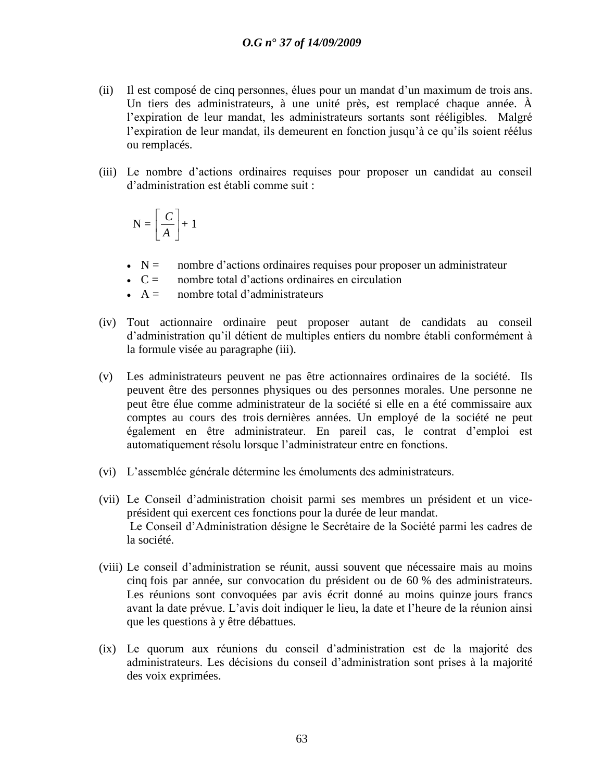- (ii) Il est composé de cinq personnes, élues pour un mandat d"un maximum de trois ans. Un tiers des administrateurs, à une unité près, est remplacé chaque année. À l'expiration de leur mandat, les administrateurs sortants sont rééligibles. Malgré l"expiration de leur mandat, ils demeurent en fonction jusqu"à ce qu"ils soient réélus ou remplacés.
- (iii) Le nombre d"actions ordinaires requises pour proposer un candidat au conseil d"administration est établi comme suit :

$$
N = \left[\frac{C}{A}\right] + 1
$$

- $\sim N =$  nombre d'actions ordinaires requises pour proposer un administrateur
- $\degree$  C = nombre total d'actions ordinaires en circulation
- $\overline{A}$  = nombre total d'administrateurs
- (iv) Tout actionnaire ordinaire peut proposer autant de candidats au conseil d"administration qu"il détient de multiples entiers du nombre établi conformément à la formule visée au paragraphe (iii).
- (v) Les administrateurs peuvent ne pas être actionnaires ordinaires de la société. Ils peuvent être des personnes physiques ou des personnes morales. Une personne ne peut être élue comme administrateur de la société si elle en a été commissaire aux comptes au cours des trois dernières années. Un employé de la société ne peut également en être administrateur. En pareil cas, le contrat d"emploi est automatiquement résolu lorsque l"administrateur entre en fonctions.
- (vi) L"assemblée générale détermine les émoluments des administrateurs.
- (vii) Le Conseil d"administration choisit parmi ses membres un président et un viceprésident qui exercent ces fonctions pour la durée de leur mandat. Le Conseil d"Administration désigne le Secrétaire de la Société parmi les cadres de la société.
- (viii) Le conseil d"administration se réunit, aussi souvent que nécessaire mais au moins cinq fois par année, sur convocation du président ou de 60 % des administrateurs. Les réunions sont convoquées par avis écrit donné au moins quinze jours francs avant la date prévue. L"avis doit indiquer le lieu, la date et l"heure de la réunion ainsi que les questions à y être débattues.
- (ix) Le quorum aux réunions du conseil d"administration est de la majorité des administrateurs. Les décisions du conseil d"administration sont prises à la majorité des voix exprimées.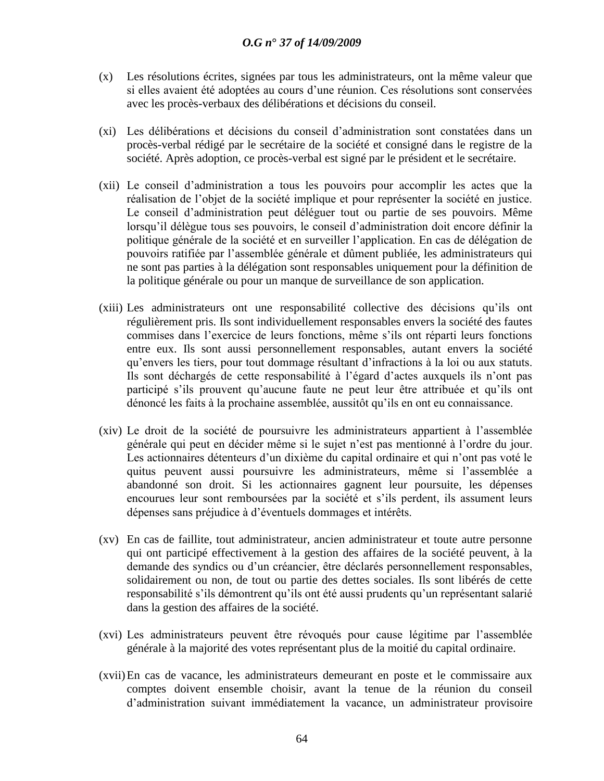- (x) Les résolutions écrites, signées par tous les administrateurs, ont la même valeur que si elles avaient été adoptées au cours d"une réunion. Ces résolutions sont conservées avec les procès-verbaux des délibérations et décisions du conseil.
- (xi) Les délibérations et décisions du conseil d"administration sont constatées dans un procès-verbal rédigé par le secrétaire de la société et consigné dans le registre de la société. Après adoption, ce procès-verbal est signé par le président et le secrétaire.
- (xii) Le conseil d"administration a tous les pouvoirs pour accomplir les actes que la réalisation de l"objet de la société implique et pour représenter la société en justice. Le conseil d"administration peut déléguer tout ou partie de ses pouvoirs. Même lorsqu"il délègue tous ses pouvoirs, le conseil d"administration doit encore définir la politique générale de la société et en surveiller l"application. En cas de délégation de pouvoirs ratifiée par l"assemblée générale et dûment publiée, les administrateurs qui ne sont pas parties à la délégation sont responsables uniquement pour la définition de la politique générale ou pour un manque de surveillance de son application.
- (xiii) Les administrateurs ont une responsabilité collective des décisions qu"ils ont régulièrement pris. Ils sont individuellement responsables envers la société des fautes commises dans l"exercice de leurs fonctions, même s"ils ont réparti leurs fonctions entre eux. Ils sont aussi personnellement responsables, autant envers la société qu"envers les tiers, pour tout dommage résultant d"infractions à la loi ou aux statuts. Ils sont déchargés de cette responsabilité à l"égard d"actes auxquels ils n"ont pas participé s"ils prouvent qu"aucune faute ne peut leur être attribuée et qu"ils ont dénoncé les faits à la prochaine assemblée, aussitôt qu"ils en ont eu connaissance.
- (xiv) Le droit de la société de poursuivre les administrateurs appartient à l"assemblée générale qui peut en décider même si le sujet n"est pas mentionné à l"ordre du jour. Les actionnaires détenteurs d'un dixième du capital ordinaire et qui n'ont pas voté le quitus peuvent aussi poursuivre les administrateurs, même si l"assemblée a abandonné son droit. Si les actionnaires gagnent leur poursuite, les dépenses encourues leur sont remboursées par la société et s"ils perdent, ils assument leurs dépenses sans préjudice à d"éventuels dommages et intérêts.
- (xv) En cas de faillite, tout administrateur, ancien administrateur et toute autre personne qui ont participé effectivement à la gestion des affaires de la société peuvent, à la demande des syndics ou d"un créancier, être déclarés personnellement responsables, solidairement ou non, de tout ou partie des dettes sociales. Ils sont libérés de cette responsabilité s'ils démontrent qu'ils ont été aussi prudents qu'un représentant salarié dans la gestion des affaires de la société.
- (xvi) Les administrateurs peuvent être révoqués pour cause légitime par l"assemblée générale à la majorité des votes représentant plus de la moitié du capital ordinaire.
- (xvii)En cas de vacance, les administrateurs demeurant en poste et le commissaire aux comptes doivent ensemble choisir, avant la tenue de la réunion du conseil d"administration suivant immédiatement la vacance, un administrateur provisoire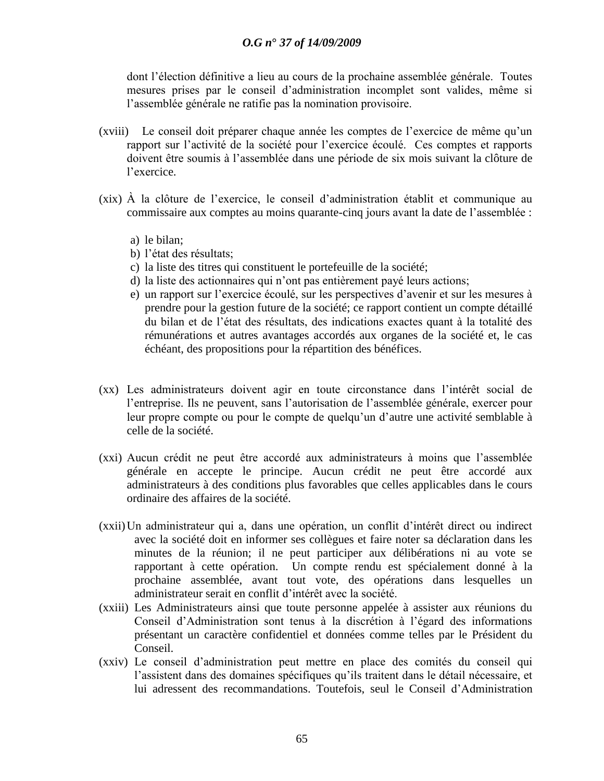dont l"élection définitive a lieu au cours de la prochaine assemblée générale. Toutes mesures prises par le conseil d"administration incomplet sont valides, même si l"assemblée générale ne ratifie pas la nomination provisoire.

- (xviii) Le conseil doit préparer chaque année les comptes de l"exercice de même qu"un rapport sur l"activité de la société pour l"exercice écoulé. Ces comptes et rapports doivent être soumis à l"assemblée dans une période de six mois suivant la clôture de l"exercice.
- (xix) À la clôture de l"exercice, le conseil d"administration établit et communique au commissaire aux comptes au moins quarante-cinq jours avant la date de l"assemblée :
	- a) le bilan;
	- b) l"état des résultats;
	- c) la liste des titres qui constituent le portefeuille de la société;
	- d) la liste des actionnaires qui n"ont pas entièrement payé leurs actions;
	- e) un rapport sur l"exercice écoulé, sur les perspectives d"avenir et sur les mesures à prendre pour la gestion future de la société; ce rapport contient un compte détaillé du bilan et de l"état des résultats, des indications exactes quant à la totalité des rémunérations et autres avantages accordés aux organes de la société et, le cas échéant, des propositions pour la répartition des bénéfices.
- (xx) Les administrateurs doivent agir en toute circonstance dans l"intérêt social de l"entreprise. Ils ne peuvent, sans l"autorisation de l"assemblée générale, exercer pour leur propre compte ou pour le compte de quelqu"un d"autre une activité semblable à celle de la société.
- (xxi) Aucun crédit ne peut être accordé aux administrateurs à moins que l"assemblée générale en accepte le principe. Aucun crédit ne peut être accordé aux administrateurs à des conditions plus favorables que celles applicables dans le cours ordinaire des affaires de la société.
- (xxii)Un administrateur qui a, dans une opération, un conflit d"intérêt direct ou indirect avec la société doit en informer ses collègues et faire noter sa déclaration dans les minutes de la réunion; il ne peut participer aux délibérations ni au vote se rapportant à cette opération. Un compte rendu est spécialement donné à la prochaine assemblée, avant tout vote, des opérations dans lesquelles un administrateur serait en conflit d"intérêt avec la société.
- (xxiii) Les Administrateurs ainsi que toute personne appelée à assister aux réunions du Conseil d"Administration sont tenus à la discrétion à l"égard des informations présentant un caractère confidentiel et données comme telles par le Président du Conseil.
- (xxiv) Le conseil d"administration peut mettre en place des comités du conseil qui l"assistent dans des domaines spécifiques qu"ils traitent dans le détail nécessaire, et lui adressent des recommandations. Toutefois, seul le Conseil d"Administration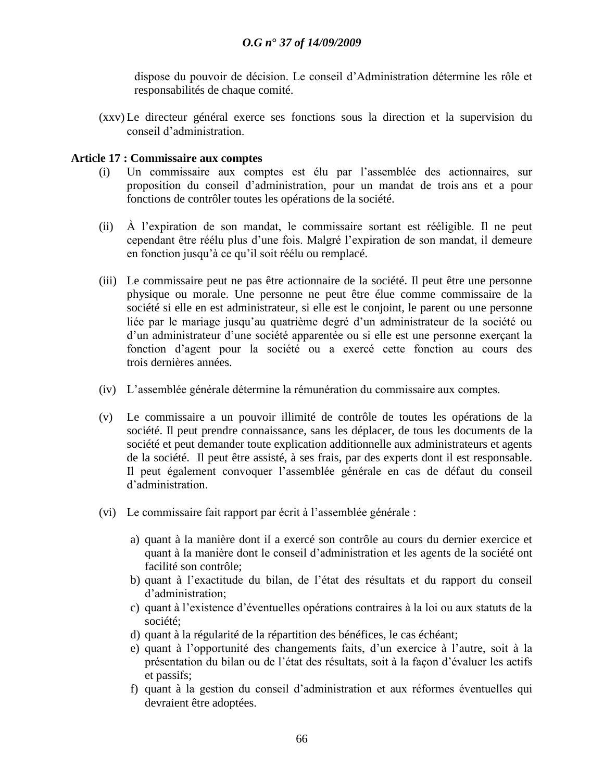dispose du pouvoir de décision. Le conseil d"Administration détermine les rôle et responsabilités de chaque comité.

(xxv) Le directeur général exerce ses fonctions sous la direction et la supervision du conseil d"administration.

#### **Article 17 : Commissaire aux comptes**

- (i) Un commissaire aux comptes est élu par l"assemblée des actionnaires, sur proposition du conseil d"administration, pour un mandat de trois ans et a pour fonctions de contrôler toutes les opérations de la société.
- (ii) À l"expiration de son mandat, le commissaire sortant est rééligible. Il ne peut cependant être réélu plus d"une fois. Malgré l"expiration de son mandat, il demeure en fonction jusqu"à ce qu"il soit réélu ou remplacé.
- (iii) Le commissaire peut ne pas être actionnaire de la société. Il peut être une personne physique ou morale. Une personne ne peut être élue comme commissaire de la société si elle en est administrateur, si elle est le conjoint, le parent ou une personne liée par le mariage jusqu'au quatrième degré d'un administrateur de la société ou d'un administrateur d'une société apparentée ou si elle est une personne exerçant la fonction d"agent pour la société ou a exercé cette fonction au cours des trois dernières années.
- (iv) L"assemblée générale détermine la rémunération du commissaire aux comptes.
- (v) Le commissaire a un pouvoir illimité de contrôle de toutes les opérations de la société. Il peut prendre connaissance, sans les déplacer, de tous les documents de la société et peut demander toute explication additionnelle aux administrateurs et agents de la société. Il peut être assisté, à ses frais, par des experts dont il est responsable. Il peut également convoquer l"assemblée générale en cas de défaut du conseil d"administration.
- (vi) Le commissaire fait rapport par écrit à l"assemblée générale :
	- a) quant à la manière dont il a exercé son contrôle au cours du dernier exercice et quant à la manière dont le conseil d"administration et les agents de la société ont facilité son contrôle;
	- b) quant à l"exactitude du bilan, de l"état des résultats et du rapport du conseil d"administration;
	- c) quant à l"existence d"éventuelles opérations contraires à la loi ou aux statuts de la société;
	- d) quant à la régularité de la répartition des bénéfices, le cas échéant;
	- e) quant à l"opportunité des changements faits, d"un exercice à l"autre, soit à la présentation du bilan ou de l"état des résultats, soit à la façon d"évaluer les actifs et passifs;
	- f) quant à la gestion du conseil d"administration et aux réformes éventuelles qui devraient être adoptées.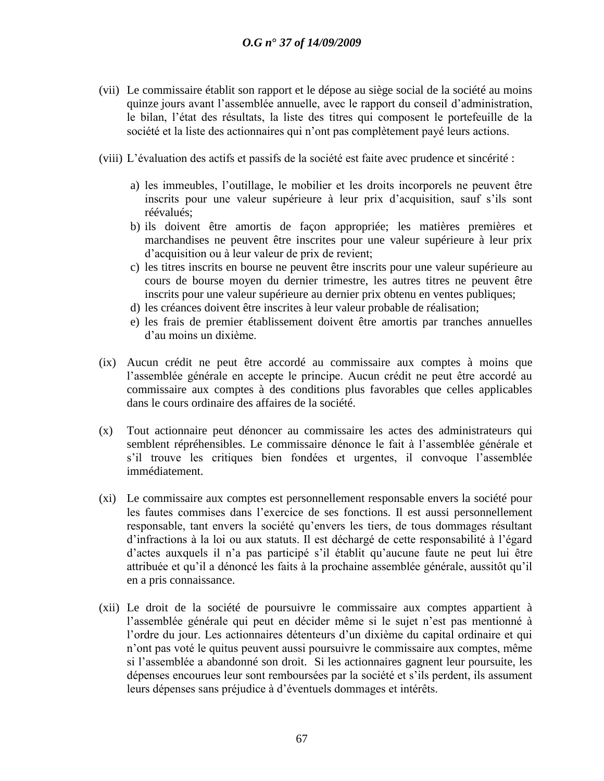- (vii) Le commissaire établit son rapport et le dépose au siège social de la société au moins quinze jours avant l"assemblée annuelle, avec le rapport du conseil d"administration, le bilan, l"état des résultats, la liste des titres qui composent le portefeuille de la société et la liste des actionnaires qui n'ont pas complètement payé leurs actions.
- (viii) L"évaluation des actifs et passifs de la société est faite avec prudence et sincérité :
	- a) les immeubles, l"outillage, le mobilier et les droits incorporels ne peuvent être inscrits pour une valeur supérieure à leur prix d"acquisition, sauf s"ils sont réévalués;
	- b) ils doivent être amortis de façon appropriée; les matières premières et marchandises ne peuvent être inscrites pour une valeur supérieure à leur prix d"acquisition ou à leur valeur de prix de revient;
	- c) les titres inscrits en bourse ne peuvent être inscrits pour une valeur supérieure au cours de bourse moyen du dernier trimestre, les autres titres ne peuvent être inscrits pour une valeur supérieure au dernier prix obtenu en ventes publiques;
	- d) les créances doivent être inscrites à leur valeur probable de réalisation;
	- e) les frais de premier établissement doivent être amortis par tranches annuelles d"au moins un dixième.
- (ix) Aucun crédit ne peut être accordé au commissaire aux comptes à moins que l"assemblée générale en accepte le principe. Aucun crédit ne peut être accordé au commissaire aux comptes à des conditions plus favorables que celles applicables dans le cours ordinaire des affaires de la société.
- (x) Tout actionnaire peut dénoncer au commissaire les actes des administrateurs qui semblent répréhensibles. Le commissaire dénonce le fait à l"assemblée générale et s"il trouve les critiques bien fondées et urgentes, il convoque l"assemblée immédiatement.
- (xi) Le commissaire aux comptes est personnellement responsable envers la société pour les fautes commises dans l"exercice de ses fonctions. Il est aussi personnellement responsable, tant envers la société qu"envers les tiers, de tous dommages résultant d"infractions à la loi ou aux statuts. Il est déchargé de cette responsabilité à l"égard d'actes auxquels il n'a pas participé s'il établit qu'aucune faute ne peut lui être attribuée et qu"il a dénoncé les faits à la prochaine assemblée générale, aussitôt qu"il en a pris connaissance.
- (xii) Le droit de la société de poursuivre le commissaire aux comptes appartient à l"assemblée générale qui peut en décider même si le sujet n"est pas mentionné à l"ordre du jour. Les actionnaires détenteurs d"un dixième du capital ordinaire et qui n"ont pas voté le quitus peuvent aussi poursuivre le commissaire aux comptes, même si l"assemblée a abandonné son droit. Si les actionnaires gagnent leur poursuite, les dépenses encourues leur sont remboursées par la société et s"ils perdent, ils assument leurs dépenses sans préjudice à d"éventuels dommages et intérêts.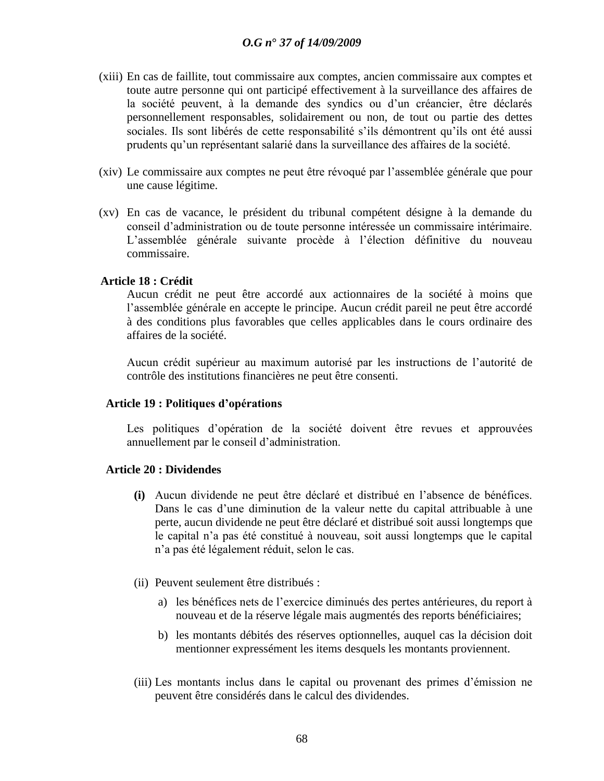- (xiii) En cas de faillite, tout commissaire aux comptes, ancien commissaire aux comptes et toute autre personne qui ont participé effectivement à la surveillance des affaires de la société peuvent, à la demande des syndics ou d'un créancier, être déclarés personnellement responsables, solidairement ou non, de tout ou partie des dettes sociales. Ils sont libérés de cette responsabilité s"ils démontrent qu"ils ont été aussi prudents qu"un représentant salarié dans la surveillance des affaires de la société.
- (xiv) Le commissaire aux comptes ne peut être révoqué par l"assemblée générale que pour une cause légitime.
- (xv) En cas de vacance, le président du tribunal compétent désigne à la demande du conseil d"administration ou de toute personne intéressée un commissaire intérimaire. L"assemblée générale suivante procède à l"élection définitive du nouveau commissaire.

#### **Article 18 : Crédit**

Aucun crédit ne peut être accordé aux actionnaires de la société à moins que l"assemblée générale en accepte le principe. Aucun crédit pareil ne peut être accordé à des conditions plus favorables que celles applicables dans le cours ordinaire des affaires de la société.

Aucun crédit supérieur au maximum autorisé par les instructions de l"autorité de contrôle des institutions financières ne peut être consenti.

#### **Article 19 : Politiques d"opérations**

Les politiques d"opération de la société doivent être revues et approuvées annuellement par le conseil d"administration.

### **Article 20 : Dividendes**

- **(i)** Aucun dividende ne peut être déclaré et distribué en l"absence de bénéfices. Dans le cas d"une diminution de la valeur nette du capital attribuable à une perte, aucun dividende ne peut être déclaré et distribué soit aussi longtemps que le capital n"a pas été constitué à nouveau, soit aussi longtemps que le capital n"a pas été légalement réduit, selon le cas.
- (ii) Peuvent seulement être distribués :
	- a) les bénéfices nets de l"exercice diminués des pertes antérieures, du report à nouveau et de la réserve légale mais augmentés des reports bénéficiaires;
	- b) les montants débités des réserves optionnelles, auquel cas la décision doit mentionner expressément les items desquels les montants proviennent.
- (iii) Les montants inclus dans le capital ou provenant des primes d"émission ne peuvent être considérés dans le calcul des dividendes.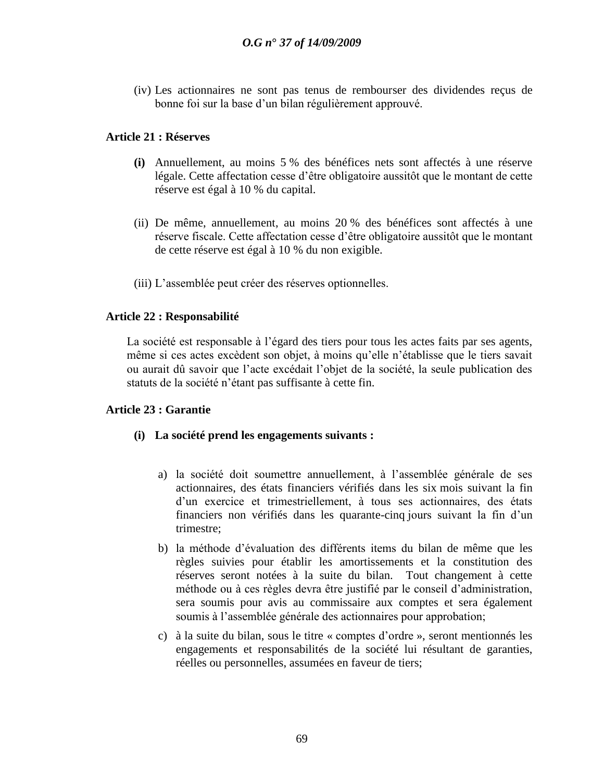(iv) Les actionnaires ne sont pas tenus de rembourser des dividendes reçus de bonne foi sur la base d"un bilan régulièrement approuvé.

# **Article 21 : Réserves**

- **(i)** Annuellement, au moins 5 % des bénéfices nets sont affectés à une réserve légale. Cette affectation cesse d"être obligatoire aussitôt que le montant de cette réserve est égal à 10 % du capital.
- (ii) De même, annuellement, au moins 20 % des bénéfices sont affectés à une réserve fiscale. Cette affectation cesse d"être obligatoire aussitôt que le montant de cette réserve est égal à 10 % du non exigible.
- (iii) L"assemblée peut créer des réserves optionnelles.

# **Article 22 : Responsabilité**

La société est responsable à l'égard des tiers pour tous les actes faits par ses agents, même si ces actes excèdent son objet, à moins qu"elle n"établisse que le tiers savait ou aurait dû savoir que l"acte excédait l"objet de la société, la seule publication des statuts de la société n"étant pas suffisante à cette fin.

### **Article 23 : Garantie**

### **(i) La société prend les engagements suivants :**

- a) la société doit soumettre annuellement, à l"assemblée générale de ses actionnaires, des états financiers vérifiés dans les six mois suivant la fin d"un exercice et trimestriellement, à tous ses actionnaires, des états financiers non vérifiés dans les quarante-cinq jours suivant la fin d'un trimestre;
- b) la méthode d"évaluation des différents items du bilan de même que les règles suivies pour établir les amortissements et la constitution des réserves seront notées à la suite du bilan. Tout changement à cette méthode ou à ces règles devra être justifié par le conseil d"administration, sera soumis pour avis au commissaire aux comptes et sera également soumis à l"assemblée générale des actionnaires pour approbation;
- c) à la suite du bilan, sous le titre « comptes d"ordre », seront mentionnés les engagements et responsabilités de la société lui résultant de garanties, réelles ou personnelles, assumées en faveur de tiers;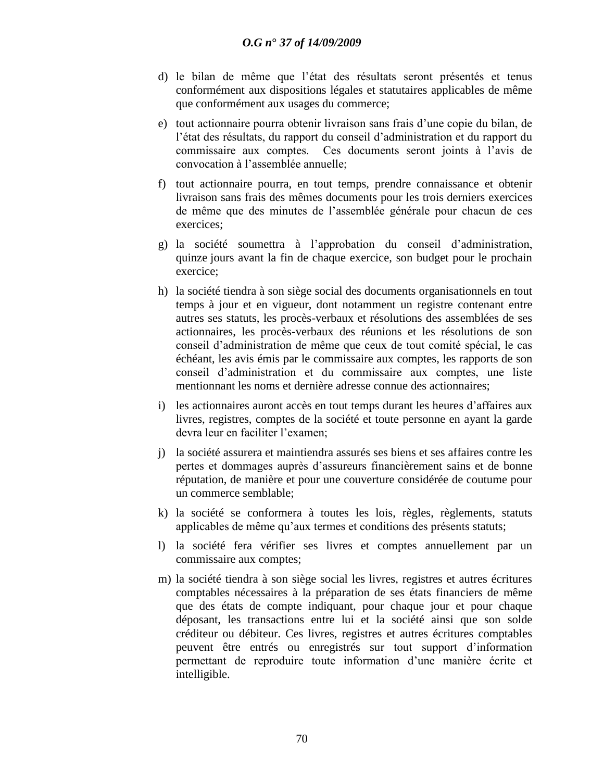- d) le bilan de même que l"état des résultats seront présentés et tenus conformément aux dispositions légales et statutaires applicables de même que conformément aux usages du commerce;
- e) tout actionnaire pourra obtenir livraison sans frais d"une copie du bilan, de l"état des résultats, du rapport du conseil d"administration et du rapport du commissaire aux comptes. Ces documents seront joints à l"avis de convocation à l"assemblée annuelle;
- f) tout actionnaire pourra, en tout temps, prendre connaissance et obtenir livraison sans frais des mêmes documents pour les trois derniers exercices de même que des minutes de l"assemblée générale pour chacun de ces exercices;
- g) la société soumettra à l"approbation du conseil d"administration, quinze jours avant la fin de chaque exercice, son budget pour le prochain exercice;
- h) la société tiendra à son siège social des documents organisationnels en tout temps à jour et en vigueur, dont notamment un registre contenant entre autres ses statuts, les procès-verbaux et résolutions des assemblées de ses actionnaires, les procès-verbaux des réunions et les résolutions de son conseil d"administration de même que ceux de tout comité spécial, le cas échéant, les avis émis par le commissaire aux comptes, les rapports de son conseil d"administration et du commissaire aux comptes, une liste mentionnant les noms et dernière adresse connue des actionnaires;
- i) les actionnaires auront accès en tout temps durant les heures d"affaires aux livres, registres, comptes de la société et toute personne en ayant la garde devra leur en faciliter l"examen;
- j) la société assurera et maintiendra assurés ses biens et ses affaires contre les pertes et dommages auprès d"assureurs financièrement sains et de bonne réputation, de manière et pour une couverture considérée de coutume pour un commerce semblable;
- k) la société se conformera à toutes les lois, règles, règlements, statuts applicables de même qu"aux termes et conditions des présents statuts;
- l) la société fera vérifier ses livres et comptes annuellement par un commissaire aux comptes;
- m) la société tiendra à son siège social les livres, registres et autres écritures comptables nécessaires à la préparation de ses états financiers de même que des états de compte indiquant, pour chaque jour et pour chaque déposant, les transactions entre lui et la société ainsi que son solde créditeur ou débiteur. Ces livres, registres et autres écritures comptables peuvent être entrés ou enregistrés sur tout support d"information permettant de reproduire toute information d"une manière écrite et intelligible.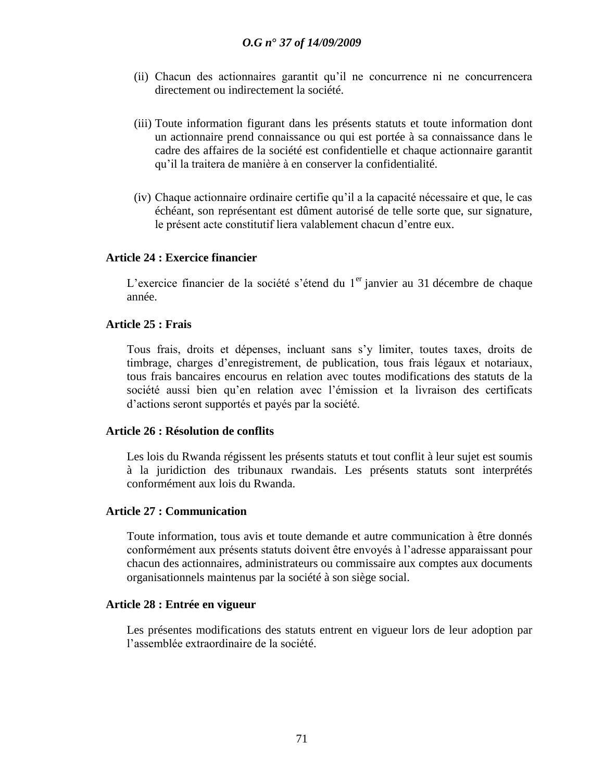- (ii) Chacun des actionnaires garantit qu"il ne concurrence ni ne concurrencera directement ou indirectement la société.
- (iii) Toute information figurant dans les présents statuts et toute information dont un actionnaire prend connaissance ou qui est portée à sa connaissance dans le cadre des affaires de la société est confidentielle et chaque actionnaire garantit qu"il la traitera de manière à en conserver la confidentialité.
- (iv) Chaque actionnaire ordinaire certifie qu"il a la capacité nécessaire et que, le cas échéant, son représentant est dûment autorisé de telle sorte que, sur signature, le présent acte constitutif liera valablement chacun d"entre eux.

### **Article 24 : Exercice financier**

L'exercice financier de la société s'étend du  $1<sup>er</sup>$  janvier au 31 décembre de chaque année.

#### **Article 25 : Frais**

Tous frais, droits et dépenses, incluant sans s"y limiter, toutes taxes, droits de timbrage, charges d"enregistrement, de publication, tous frais légaux et notariaux, tous frais bancaires encourus en relation avec toutes modifications des statuts de la société aussi bien qu"en relation avec l"émission et la livraison des certificats d"actions seront supportés et payés par la société.

#### **Article 26 : Résolution de conflits**

Les lois du Rwanda régissent les présents statuts et tout conflit à leur sujet est soumis à la juridiction des tribunaux rwandais. Les présents statuts sont interprétés conformément aux lois du Rwanda.

### **Article 27 : Communication**

Toute information, tous avis et toute demande et autre communication à être donnés conformément aux présents statuts doivent être envoyés à l"adresse apparaissant pour chacun des actionnaires, administrateurs ou commissaire aux comptes aux documents organisationnels maintenus par la société à son siège social.

#### **Article 28 : Entrée en vigueur**

Les présentes modifications des statuts entrent en vigueur lors de leur adoption par l"assemblée extraordinaire de la société.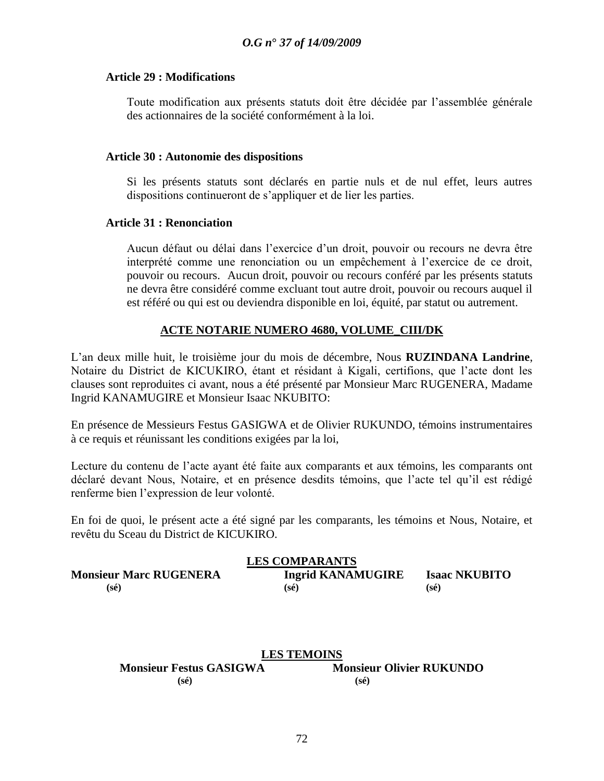#### **Article 29 : Modifications**

Toute modification aux présents statuts doit être décidée par l"assemblée générale des actionnaires de la société conformément à la loi.

#### **Article 30 : Autonomie des dispositions**

Si les présents statuts sont déclarés en partie nuls et de nul effet, leurs autres dispositions continueront de s"appliquer et de lier les parties.

#### **Article 31 : Renonciation**

Aucun défaut ou délai dans l"exercice d"un droit, pouvoir ou recours ne devra être interprété comme une renonciation ou un empêchement à l"exercice de ce droit, pouvoir ou recours. Aucun droit, pouvoir ou recours conféré par les présents statuts ne devra être considéré comme excluant tout autre droit, pouvoir ou recours auquel il est référé ou qui est ou deviendra disponible en loi, équité, par statut ou autrement.

# **ACTE NOTARIE NUMERO 4680, VOLUME**\_**CIII/DK**

L"an deux mille huit, le troisième jour du mois de décembre, Nous **RUZINDANA Landrine**, Notaire du District de KICUKIRO, étant et résidant à Kigali, certifions, que l"acte dont les clauses sont reproduites ci avant, nous a été présenté par Monsieur Marc RUGENERA, Madame Ingrid KANAMUGIRE et Monsieur Isaac NKUBITO:

En présence de Messieurs Festus GASIGWA et de Olivier RUKUNDO, témoins instrumentaires à ce requis et réunissant les conditions exigées par la loi,

Lecture du contenu de l"acte ayant été faite aux comparants et aux témoins, les comparants ont déclaré devant Nous, Notaire, et en présence desdits témoins, que l"acte tel qu"il est rédigé renferme bien l"expression de leur volonté.

En foi de quoi, le présent acte a été signé par les comparants, les témoins et Nous, Notaire, et revêtu du Sceau du District de KICUKIRO.

| <b>LES COMPARANTS</b>         |                          |                      |  |
|-------------------------------|--------------------------|----------------------|--|
| <b>Monsieur Marc RUGENERA</b> | <b>Ingrid KANAMUGIRE</b> | <b>Isaac NKUBITO</b> |  |
| $(s\acute{e})$                | $(s\acute{e})$           | $(s\acute{e})$       |  |

### **LES TEMOINS**

| <b>Monsieur Festus GASIGWA</b> | <b>Monsieur Olivier RUKUNDO</b> |
|--------------------------------|---------------------------------|
| $(s\acute{e})$                 | $(s\acute{e})$                  |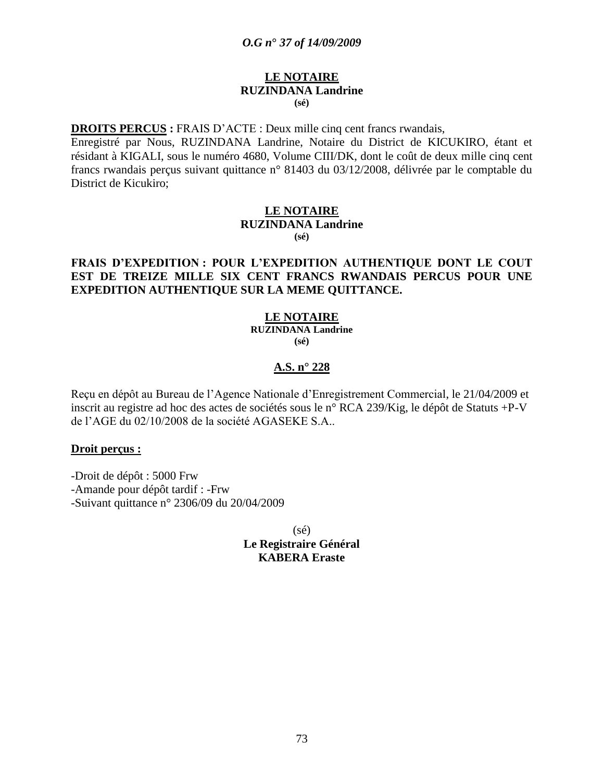#### **LE NOTAIRE RUZINDANA Landrine (sé)**

**DROITS PERCUS :** FRAIS D"ACTE : Deux mille cinq cent francs rwandais,

Enregistré par Nous, RUZINDANA Landrine, Notaire du District de KICUKIRO, étant et résidant à KIGALI, sous le numéro 4680, Volume CIII/DK, dont le coût de deux mille cinq cent francs rwandais perçus suivant quittance n° 81403 du 03/12/2008, délivrée par le comptable du District de Kicukiro;

#### **LE NOTAIRE RUZINDANA Landrine (sé)**

### **FRAIS D"EXPEDITION : POUR L"EXPEDITION AUTHENTIQUE DONT LE COUT EST DE TREIZE MILLE SIX CENT FRANCS RWANDAIS PERCUS POUR UNE EXPEDITION AUTHENTIQUE SUR LA MEME QUITTANCE.**

#### **LE NOTAIRE RUZINDANA Landrine**

**(sé)**

### **A.S. n° 228**

Reçu en dépôt au Bureau de l"Agence Nationale d"Enregistrement Commercial, le 21/04/2009 et inscrit au registre ad hoc des actes de sociétés sous le n° RCA 239/Kig, le dépôt de Statuts +P-V de l"AGE du 02/10/2008 de la société AGASEKE S.A..

#### **Droit perçus :**

-Droit de dépôt : 5000 Frw

-Amande pour dépôt tardif : -Frw

-Suivant quittance n° 2306/09 du 20/04/2009

 $(s\acute{e})$ **Le Registraire Général KABERA Eraste**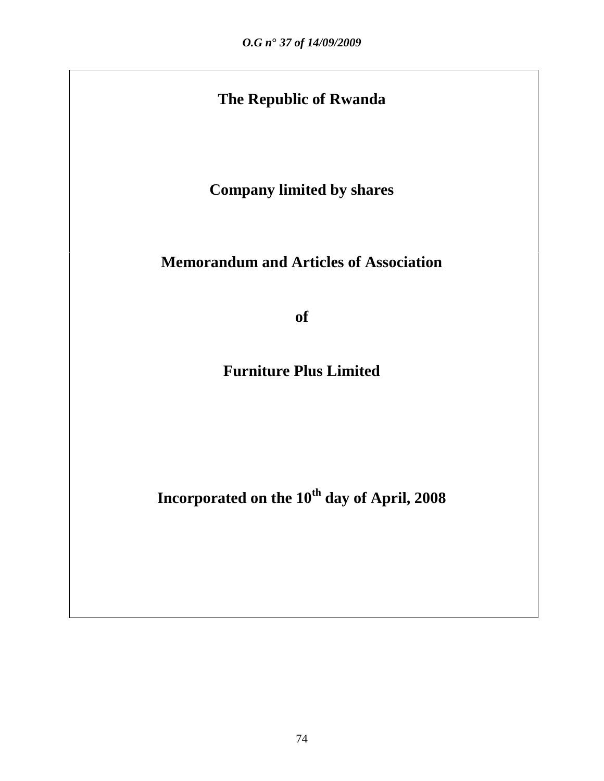# **The Republic of Rwanda**

**Company limited by shares**

# **Memorandum and Articles of Association**

**of**

**Furniture Plus Limited**

**Incorporated on the 10th day of April, 2008**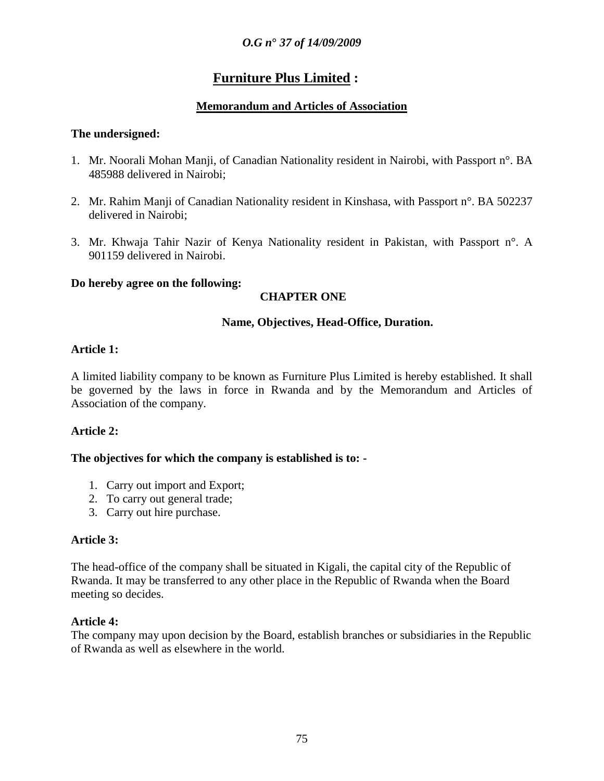# **Furniture Plus Limited :**

# **Memorandum and Articles of Association**

### **The undersigned:**

- 1. Mr. Noorali Mohan Manji, of Canadian Nationality resident in Nairobi, with Passport n°. BA 485988 delivered in Nairobi;
- 2. Mr. Rahim Manji of Canadian Nationality resident in Kinshasa, with Passport n°. BA 502237 delivered in Nairobi;
- 3. Mr. Khwaja Tahir Nazir of Kenya Nationality resident in Pakistan, with Passport n°. A 901159 delivered in Nairobi.

### **Do hereby agree on the following:**

# **CHAPTER ONE**

### **Name, Objectives, Head-Office, Duration.**

### **Article 1:**

A limited liability company to be known as Furniture Plus Limited is hereby established. It shall be governed by the laws in force in Rwanda and by the Memorandum and Articles of Association of the company.

### **Article 2:**

### **The objectives for which the company is established is to: -**

- 1. Carry out import and Export;
- 2. To carry out general trade;
- 3. Carry out hire purchase.

### **Article 3:**

The head-office of the company shall be situated in Kigali, the capital city of the Republic of Rwanda. It may be transferred to any other place in the Republic of Rwanda when the Board meeting so decides.

### **Article 4:**

The company may upon decision by the Board, establish branches or subsidiaries in the Republic of Rwanda as well as elsewhere in the world.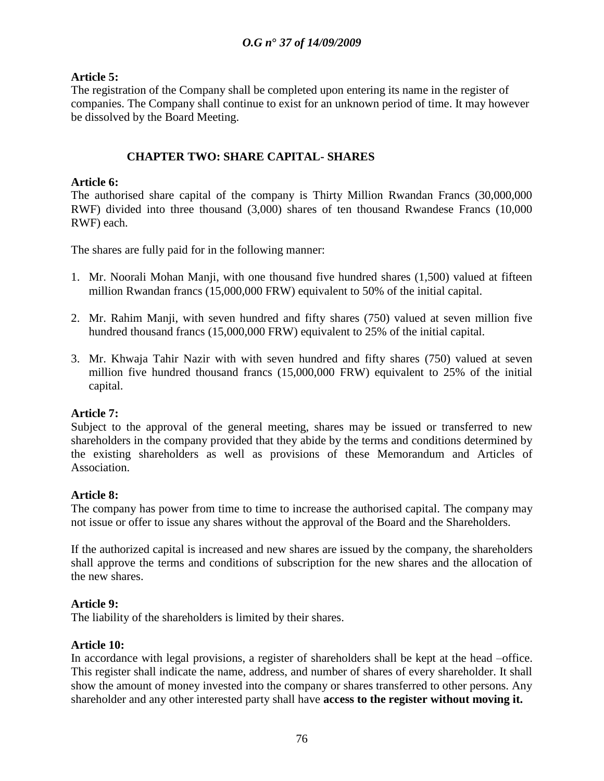### **Article 5:**

The registration of the Company shall be completed upon entering its name in the register of companies. The Company shall continue to exist for an unknown period of time. It may however be dissolved by the Board Meeting.

# **CHAPTER TWO: SHARE CAPITAL- SHARES**

### **Article 6:**

The authorised share capital of the company is Thirty Million Rwandan Francs (30,000,000 RWF) divided into three thousand (3,000) shares of ten thousand Rwandese Francs (10,000 RWF) each.

The shares are fully paid for in the following manner:

- 1. Mr. Noorali Mohan Manji, with one thousand five hundred shares (1,500) valued at fifteen million Rwandan francs (15,000,000 FRW) equivalent to 50% of the initial capital.
- 2. Mr. Rahim Manji, with seven hundred and fifty shares (750) valued at seven million five hundred thousand francs (15,000,000 FRW) equivalent to 25% of the initial capital.
- 3. Mr. Khwaja Tahir Nazir with with seven hundred and fifty shares (750) valued at seven million five hundred thousand francs (15,000,000 FRW) equivalent to 25% of the initial capital.

### **Article 7:**

Subject to the approval of the general meeting, shares may be issued or transferred to new shareholders in the company provided that they abide by the terms and conditions determined by the existing shareholders as well as provisions of these Memorandum and Articles of Association.

### **Article 8:**

The company has power from time to time to increase the authorised capital. The company may not issue or offer to issue any shares without the approval of the Board and the Shareholders.

If the authorized capital is increased and new shares are issued by the company, the shareholders shall approve the terms and conditions of subscription for the new shares and the allocation of the new shares.

#### **Article 9:**

The liability of the shareholders is limited by their shares.

#### **Article 10:**

In accordance with legal provisions, a register of shareholders shall be kept at the head –office. This register shall indicate the name, address, and number of shares of every shareholder. It shall show the amount of money invested into the company or shares transferred to other persons. Any shareholder and any other interested party shall have **access to the register without moving it.**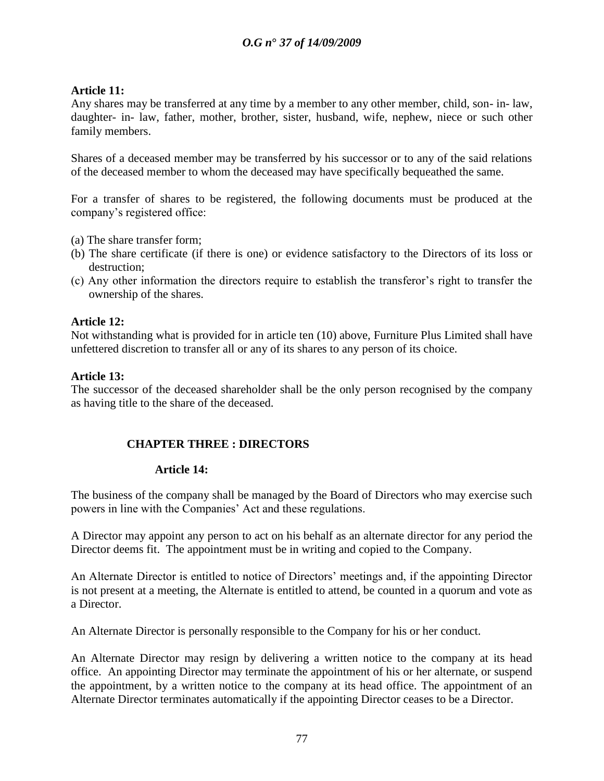### **Article 11:**

Any shares may be transferred at any time by a member to any other member, child, son- in- law, daughter- in- law, father, mother, brother, sister, husband, wife, nephew, niece or such other family members.

Shares of a deceased member may be transferred by his successor or to any of the said relations of the deceased member to whom the deceased may have specifically bequeathed the same.

For a transfer of shares to be registered, the following documents must be produced at the company"s registered office:

- (a) The share transfer form;
- (b) The share certificate (if there is one) or evidence satisfactory to the Directors of its loss or destruction;
- (c) Any other information the directors require to establish the transferor"s right to transfer the ownership of the shares.

#### **Article 12:**

Not withstanding what is provided for in article ten (10) above, Furniture Plus Limited shall have unfettered discretion to transfer all or any of its shares to any person of its choice.

#### **Article 13:**

The successor of the deceased shareholder shall be the only person recognised by the company as having title to the share of the deceased.

#### **CHAPTER THREE : DIRECTORS**

#### **Article 14:**

The business of the company shall be managed by the Board of Directors who may exercise such powers in line with the Companies" Act and these regulations.

A Director may appoint any person to act on his behalf as an alternate director for any period the Director deems fit. The appointment must be in writing and copied to the Company.

An Alternate Director is entitled to notice of Directors" meetings and, if the appointing Director is not present at a meeting, the Alternate is entitled to attend, be counted in a quorum and vote as a Director.

An Alternate Director is personally responsible to the Company for his or her conduct.

An Alternate Director may resign by delivering a written notice to the company at its head office. An appointing Director may terminate the appointment of his or her alternate, or suspend the appointment, by a written notice to the company at its head office. The appointment of an Alternate Director terminates automatically if the appointing Director ceases to be a Director.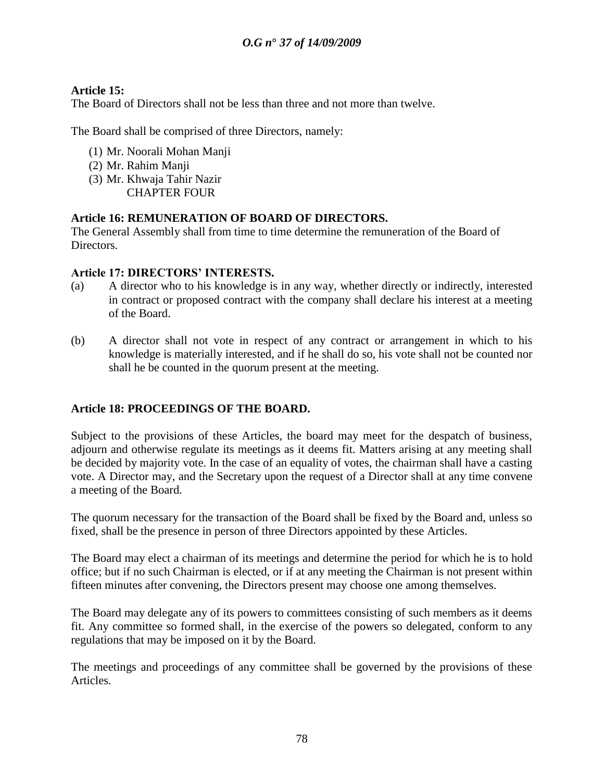# **Article 15:**

The Board of Directors shall not be less than three and not more than twelve.

The Board shall be comprised of three Directors, namely:

- (1) Mr. Noorali Mohan Manji
- (2) Mr. Rahim Manji
- (3) Mr. Khwaja Tahir Nazir CHAPTER FOUR

# **Article 16: REMUNERATION OF BOARD OF DIRECTORS.**

The General Assembly shall from time to time determine the remuneration of the Board of Directors.

### **Article 17: DIRECTORS" INTERESTS.**

- (a) A director who to his knowledge is in any way, whether directly or indirectly, interested in contract or proposed contract with the company shall declare his interest at a meeting of the Board.
- (b) A director shall not vote in respect of any contract or arrangement in which to his knowledge is materially interested, and if he shall do so, his vote shall not be counted nor shall he be counted in the quorum present at the meeting.

# **Article 18: PROCEEDINGS OF THE BOARD.**

Subject to the provisions of these Articles, the board may meet for the despatch of business, adjourn and otherwise regulate its meetings as it deems fit. Matters arising at any meeting shall be decided by majority vote. In the case of an equality of votes, the chairman shall have a casting vote. A Director may, and the Secretary upon the request of a Director shall at any time convene a meeting of the Board.

The quorum necessary for the transaction of the Board shall be fixed by the Board and, unless so fixed, shall be the presence in person of three Directors appointed by these Articles.

The Board may elect a chairman of its meetings and determine the period for which he is to hold office; but if no such Chairman is elected, or if at any meeting the Chairman is not present within fifteen minutes after convening, the Directors present may choose one among themselves.

The Board may delegate any of its powers to committees consisting of such members as it deems fit. Any committee so formed shall, in the exercise of the powers so delegated, conform to any regulations that may be imposed on it by the Board.

The meetings and proceedings of any committee shall be governed by the provisions of these Articles.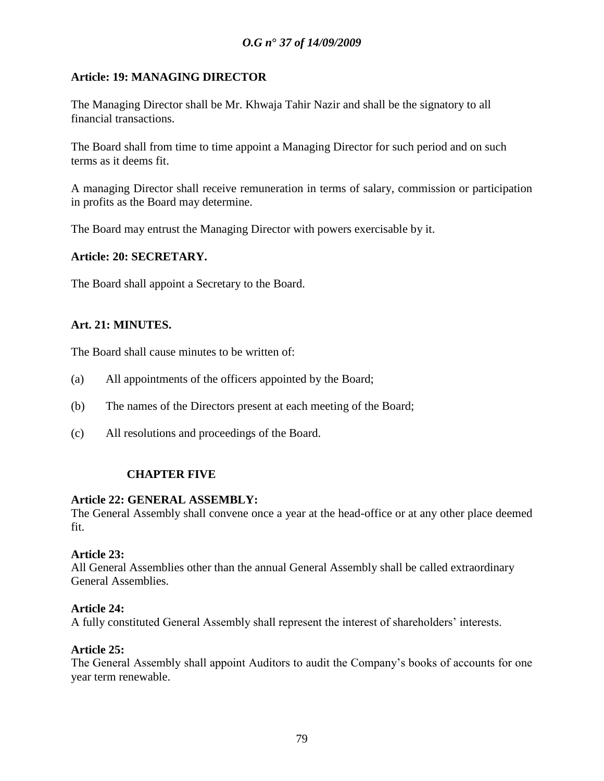# **Article: 19: MANAGING DIRECTOR**

The Managing Director shall be Mr. Khwaja Tahir Nazir and shall be the signatory to all financial transactions.

The Board shall from time to time appoint a Managing Director for such period and on such terms as it deems fit.

A managing Director shall receive remuneration in terms of salary, commission or participation in profits as the Board may determine.

The Board may entrust the Managing Director with powers exercisable by it.

### **Article: 20: SECRETARY.**

The Board shall appoint a Secretary to the Board.

### **Art. 21: MINUTES.**

The Board shall cause minutes to be written of:

- (a) All appointments of the officers appointed by the Board;
- (b) The names of the Directors present at each meeting of the Board;
- (c) All resolutions and proceedings of the Board.

### **CHAPTER FIVE**

#### **Article 22: GENERAL ASSEMBLY:**

The General Assembly shall convene once a year at the head-office or at any other place deemed fit.

#### **Article 23:**

All General Assemblies other than the annual General Assembly shall be called extraordinary General Assemblies.

#### **Article 24:**

A fully constituted General Assembly shall represent the interest of shareholders" interests.

### **Article 25:**

The General Assembly shall appoint Auditors to audit the Company"s books of accounts for one year term renewable.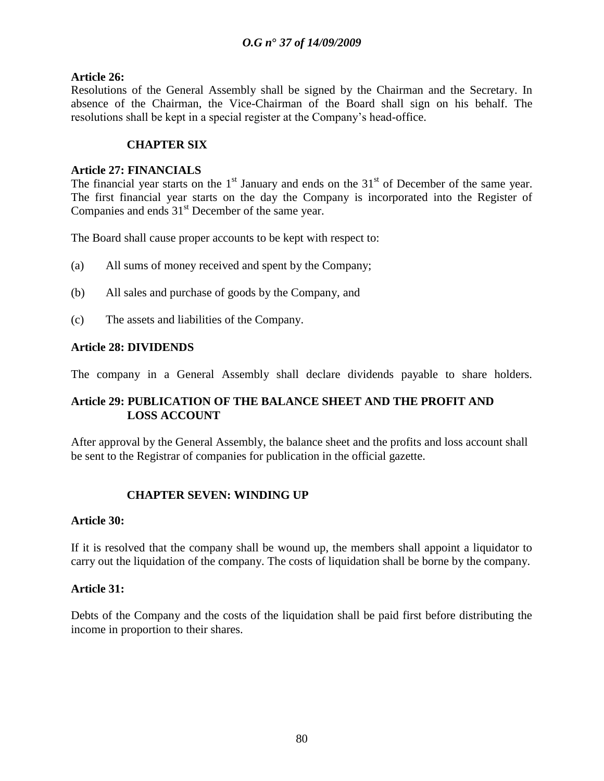### **Article 26:**

Resolutions of the General Assembly shall be signed by the Chairman and the Secretary. In absence of the Chairman, the Vice-Chairman of the Board shall sign on his behalf. The resolutions shall be kept in a special register at the Company"s head-office.

### **CHAPTER SIX**

#### **Article 27: FINANCIALS**

The financial year starts on the  $1<sup>st</sup>$  January and ends on the  $31<sup>st</sup>$  of December of the same year. The first financial year starts on the day the Company is incorporated into the Register of Companies and ends  $31<sup>st</sup>$  December of the same year.

The Board shall cause proper accounts to be kept with respect to:

- (a) All sums of money received and spent by the Company;
- (b) All sales and purchase of goods by the Company, and
- (c) The assets and liabilities of the Company.

### **Article 28: DIVIDENDS**

The company in a General Assembly shall declare dividends payable to share holders.

# **Article 29: PUBLICATION OF THE BALANCE SHEET AND THE PROFIT AND LOSS ACCOUNT**

After approval by the General Assembly, the balance sheet and the profits and loss account shall be sent to the Registrar of companies for publication in the official gazette.

### **CHAPTER SEVEN: WINDING UP**

#### **Article 30:**

If it is resolved that the company shall be wound up, the members shall appoint a liquidator to carry out the liquidation of the company. The costs of liquidation shall be borne by the company.

#### **Article 31:**

Debts of the Company and the costs of the liquidation shall be paid first before distributing the income in proportion to their shares.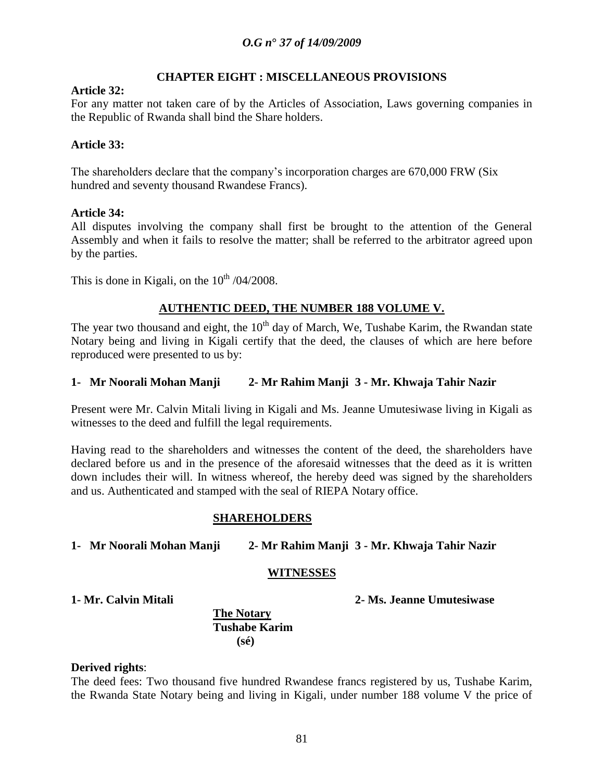#### **CHAPTER EIGHT : MISCELLANEOUS PROVISIONS**

#### **Article 32:**

For any matter not taken care of by the Articles of Association, Laws governing companies in the Republic of Rwanda shall bind the Share holders.

#### **Article 33:**

The shareholders declare that the company's incorporation charges are 670,000 FRW (Six hundred and seventy thousand Rwandese Francs).

#### **Article 34:**

All disputes involving the company shall first be brought to the attention of the General Assembly and when it fails to resolve the matter; shall be referred to the arbitrator agreed upon by the parties.

This is done in Kigali, on the  $10^{th}$  /04/2008.

### **AUTHENTIC DEED, THE NUMBER 188 VOLUME V.**

The year two thousand and eight, the  $10<sup>th</sup>$  day of March, We, Tushabe Karim, the Rwandan state Notary being and living in Kigali certify that the deed, the clauses of which are here before reproduced were presented to us by:

#### **1- Mr Noorali Mohan Manji 2- Mr Rahim Manji 3 - Mr. Khwaja Tahir Nazir**

Present were Mr. Calvin Mitali living in Kigali and Ms. Jeanne Umutesiwase living in Kigali as witnesses to the deed and fulfill the legal requirements.

Having read to the shareholders and witnesses the content of the deed, the shareholders have declared before us and in the presence of the aforesaid witnesses that the deed as it is written down includes their will. In witness whereof, the hereby deed was signed by the shareholders and us. Authenticated and stamped with the seal of RIEPA Notary office.

#### **SHAREHOLDERS**

**1- Mr Noorali Mohan Manji 2- Mr Rahim Manji 3 - Mr. Khwaja Tahir Nazir**

#### **WITNESSES**

**1- Mr. Calvin Mitali 2- Ms. Jeanne Umutesiwase**

#### **The Notary Tushabe Karim (sé)**

#### **Derived rights**:

The deed fees: Two thousand five hundred Rwandese francs registered by us, Tushabe Karim, the Rwanda State Notary being and living in Kigali, under number 188 volume V the price of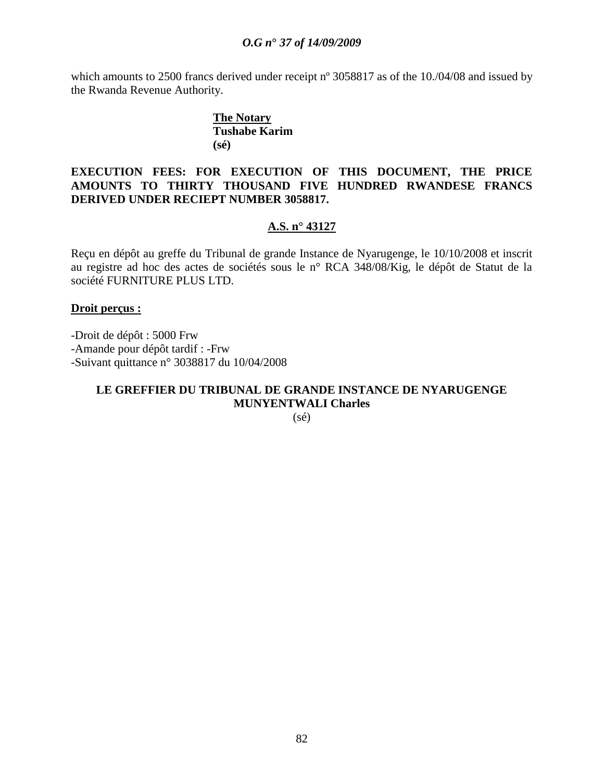which amounts to 2500 francs derived under receipt n° 3058817 as of the 10./04/08 and issued by the Rwanda Revenue Authority.

### **The Notary Tushabe Karim (sé)**

### **EXECUTION FEES: FOR EXECUTION OF THIS DOCUMENT, THE PRICE AMOUNTS TO THIRTY THOUSAND FIVE HUNDRED RWANDESE FRANCS DERIVED UNDER RECIEPT NUMBER 3058817.**

### **A.S. n° 43127**

Reçu en dépôt au greffe du Tribunal de grande Instance de Nyarugenge, le 10/10/2008 et inscrit au registre ad hoc des actes de sociétés sous le n° RCA 348/08/Kig, le dépôt de Statut de la société FURNITURE PLUS LTD.

#### **Droit perçus :**

-Droit de dépôt : 5000 Frw -Amande pour dépôt tardif : -Frw -Suivant quittance n° 3038817 du 10/04/2008

# **LE GREFFIER DU TRIBUNAL DE GRANDE INSTANCE DE NYARUGENGE MUNYENTWALI Charles**

(sé)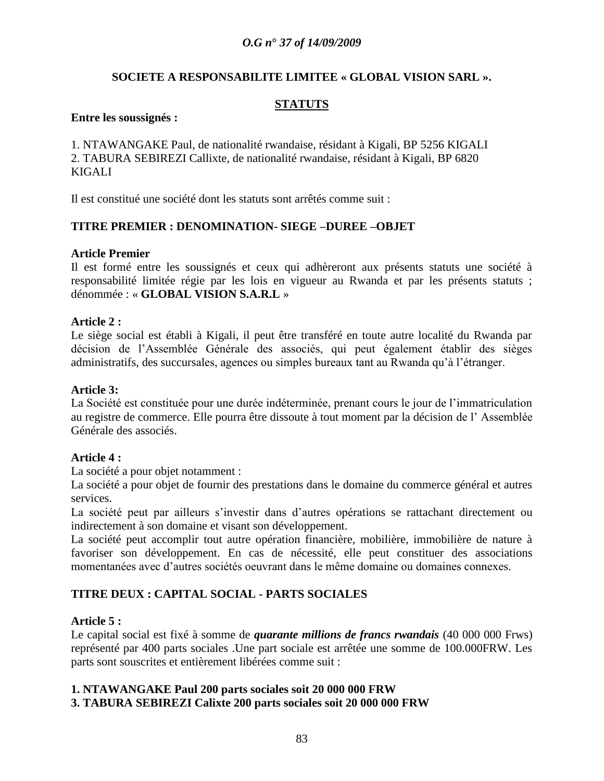#### **SOCIETE A RESPONSABILITE LIMITEE « GLOBAL VISION SARL ».**

## **STATUTS**

#### **Entre les soussignés :**

1. NTAWANGAKE Paul, de nationalité rwandaise, résidant à Kigali, BP 5256 KIGALI 2. TABURA SEBIREZI Callixte, de nationalité rwandaise, résidant à Kigali, BP 6820 KIGALI

Il est constitué une société dont les statuts sont arrêtés comme suit :

### **TITRE PREMIER : DENOMINATION- SIEGE –DUREE –OBJET**

#### **Article Premier**

Il est formé entre les soussignés et ceux qui adhèreront aux présents statuts une société à responsabilité limitée régie par les lois en vigueur au Rwanda et par les présents statuts ; dénommée : « **GLOBAL VISION S.A.R.L** »

#### **Article 2 :**

Le siège social est établi à Kigali, il peut être transféré en toute autre localité du Rwanda par décision de l"Assemblée Générale des associés, qui peut également établir des sièges administratifs, des succursales, agences ou simples bureaux tant au Rwanda qu"à l"étranger.

#### **Article 3:**

La Société est constituée pour une durée indéterminée, prenant cours le jour de l"immatriculation au registre de commerce. Elle pourra être dissoute à tout moment par la décision de l" Assemblée Générale des associés.

#### **Article 4 :**

La société a pour objet notamment :

La société a pour objet de fournir des prestations dans le domaine du commerce général et autres services.

La société peut par ailleurs s"investir dans d"autres opérations se rattachant directement ou indirectement à son domaine et visant son développement.

La société peut accomplir tout autre opération financière, mobilière, immobilière de nature à favoriser son développement. En cas de nécessité, elle peut constituer des associations momentanées avec d"autres sociétés oeuvrant dans le même domaine ou domaines connexes.

### **TITRE DEUX : CAPITAL SOCIAL - PARTS SOCIALES**

#### **Article 5 :**

Le capital social est fixé à somme de *quarante millions de francs rwandais* (40 000 000 Frws) représenté par 400 parts sociales .Une part sociale est arrêtée une somme de 100.000FRW. Les parts sont souscrites et entièrement libérées comme suit :

### **1. NTAWANGAKE Paul 200 parts sociales soit 20 000 000 FRW**

#### **3. TABURA SEBIREZI Calixte 200 parts sociales soit 20 000 000 FRW**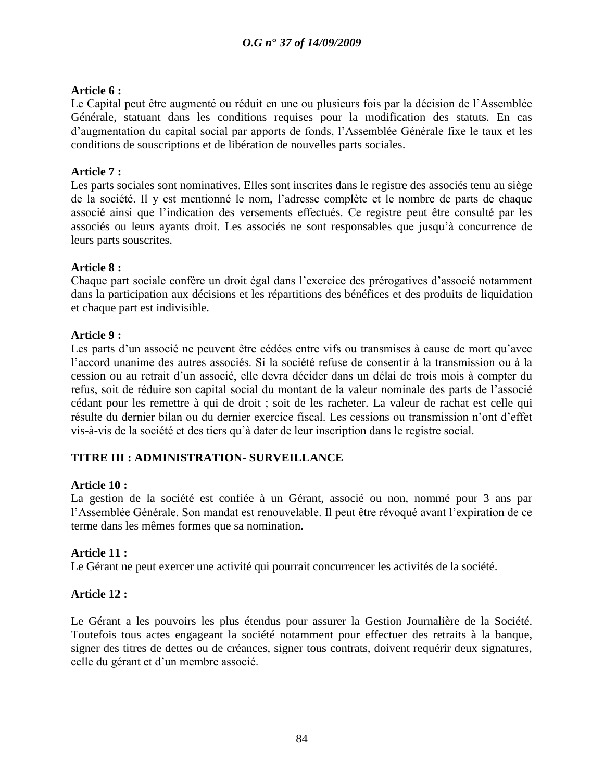## **Article 6 :**

Le Capital peut être augmenté ou réduit en une ou plusieurs fois par la décision de l"Assemblée Générale, statuant dans les conditions requises pour la modification des statuts. En cas d"augmentation du capital social par apports de fonds, l"Assemblée Générale fixe le taux et les conditions de souscriptions et de libération de nouvelles parts sociales.

### **Article 7 :**

Les parts sociales sont nominatives. Elles sont inscrites dans le registre des associés tenu au siège de la société. Il y est mentionné le nom, l"adresse complète et le nombre de parts de chaque associé ainsi que l"indication des versements effectués. Ce registre peut être consulté par les associés ou leurs ayants droit. Les associés ne sont responsables que jusqu"à concurrence de leurs parts souscrites.

### **Article 8 :**

Chaque part sociale confère un droit égal dans l"exercice des prérogatives d"associé notamment dans la participation aux décisions et les répartitions des bénéfices et des produits de liquidation et chaque part est indivisible.

### **Article 9 :**

Les parts d'un associé ne peuvent être cédées entre vifs ou transmises à cause de mort qu'avec l"accord unanime des autres associés. Si la société refuse de consentir à la transmission ou à la cession ou au retrait d"un associé, elle devra décider dans un délai de trois mois à compter du refus, soit de réduire son capital social du montant de la valeur nominale des parts de l"associé cédant pour les remettre à qui de droit ; soit de les racheter. La valeur de rachat est celle qui résulte du dernier bilan ou du dernier exercice fiscal. Les cessions ou transmission n"ont d"effet vis-à-vis de la société et des tiers qu"à dater de leur inscription dans le registre social.

### **TITRE III : ADMINISTRATION- SURVEILLANCE**

### **Article 10 :**

La gestion de la société est confiée à un Gérant, associé ou non, nommé pour 3 ans par l"Assemblée Générale. Son mandat est renouvelable. Il peut être révoqué avant l"expiration de ce terme dans les mêmes formes que sa nomination.

### **Article 11 :**

Le Gérant ne peut exercer une activité qui pourrait concurrencer les activités de la société.

### **Article 12 :**

Le Gérant a les pouvoirs les plus étendus pour assurer la Gestion Journalière de la Société. Toutefois tous actes engageant la société notamment pour effectuer des retraits à la banque, signer des titres de dettes ou de créances, signer tous contrats, doivent requérir deux signatures, celle du gérant et d"un membre associé.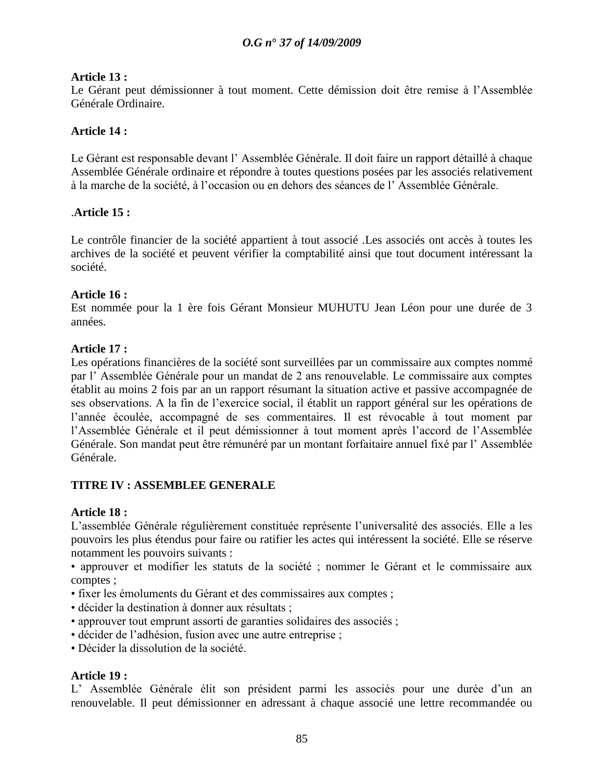# **Article 13 :**

Le Gérant peut démissionner à tout moment. Cette démission doit être remise à l"Assemblée Générale Ordinaire.

## **Article 14 :**

Le Gérant est responsable devant l" Assemblée Générale. Il doit faire un rapport détaillé à chaque Assemblée Générale ordinaire et répondre à toutes questions posées par les associés relativement à la marche de la société, à l"occasion ou en dehors des séances de l" Assemblée Générale.

### .**Article 15 :**

Le contrôle financier de la société appartient à tout associé .Les associés ont accès à toutes les archives de la société et peuvent vérifier la comptabilité ainsi que tout document intéressant la société.

### **Article 16 :**

Est nommée pour la 1 ère fois Gérant Monsieur MUHUTU Jean Léon pour une durée de 3 années.

# **Article 17 :**

Les opérations financières de la société sont surveillées par un commissaire aux comptes nommé par l" Assemblée Générale pour un mandat de 2 ans renouvelable. Le commissaire aux comptes établit au moins 2 fois par an un rapport résumant la situation active et passive accompagnée de ses observations. A la fin de l"exercice social, il établit un rapport général sur les opérations de l"année écoulée, accompagné de ses commentaires. Il est révocable à tout moment par l"Assemblée Générale et il peut démissionner à tout moment après l"accord de l"Assemblée Générale. Son mandat peut être rémunéré par un montant forfaitaire annuel fixé par l" Assemblée Générale.

# **TITRE IV : ASSEMBLEE GENERALE**

### **Article 18 :**

L"assemblée Générale régulièrement constituée représente l"universalité des associés. Elle a les pouvoirs les plus étendus pour faire ou ratifier les actes qui intéressent la société. Elle se réserve notamment les pouvoirs suivants :

• approuver et modifier les statuts de la société ; nommer le Gérant et le commissaire aux comptes ;

- fixer les émoluments du Gérant et des commissaires aux comptes ;
- décider la destination à donner aux résultats ;
- approuver tout emprunt assorti de garanties solidaires des associés ;
- décider de l"adhésion, fusion avec une autre entreprise ;
- Décider la dissolution de la société.

# **Article 19 :**

L' Assemblée Générale élit son président parmi les associés pour une durée d'un an renouvelable. Il peut démissionner en adressant à chaque associé une lettre recommandée ou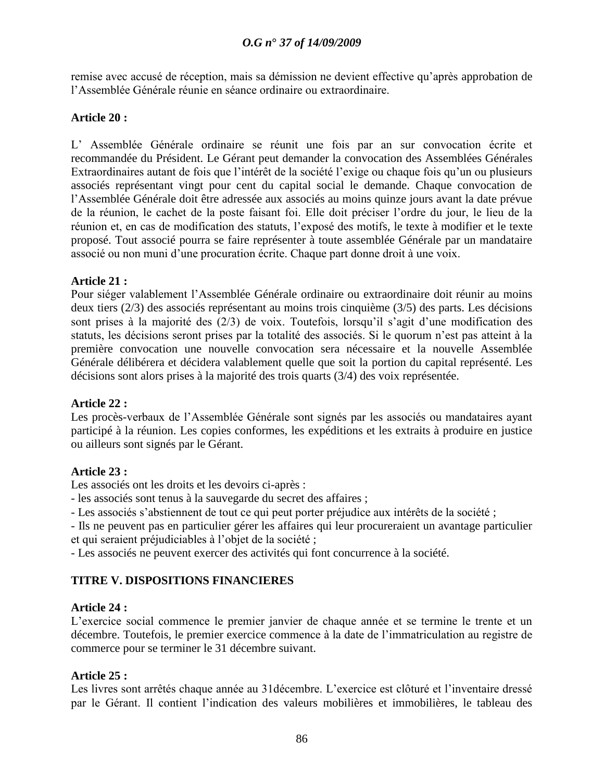remise avec accusé de réception, mais sa démission ne devient effective qu"après approbation de l"Assemblée Générale réunie en séance ordinaire ou extraordinaire.

### **Article 20 :**

L" Assemblée Générale ordinaire se réunit une fois par an sur convocation écrite et recommandée du Président. Le Gérant peut demander la convocation des Assemblées Générales Extraordinaires autant de fois que l'intérêt de la société l'exige ou chaque fois qu'un ou plusieurs associés représentant vingt pour cent du capital social le demande. Chaque convocation de l"Assemblée Générale doit être adressée aux associés au moins quinze jours avant la date prévue de la réunion, le cachet de la poste faisant foi. Elle doit préciser l"ordre du jour, le lieu de la réunion et, en cas de modification des statuts, l"exposé des motifs, le texte à modifier et le texte proposé. Tout associé pourra se faire représenter à toute assemblée Générale par un mandataire associé ou non muni d"une procuration écrite. Chaque part donne droit à une voix.

### **Article 21 :**

Pour siéger valablement l"Assemblée Générale ordinaire ou extraordinaire doit réunir au moins deux tiers (2/3) des associés représentant au moins trois cinquième (3/5) des parts. Les décisions sont prises à la majorité des (2/3) de voix. Toutefois, lorsqu'il s'agit d'une modification des statuts, les décisions seront prises par la totalité des associés. Si le quorum n"est pas atteint à la première convocation une nouvelle convocation sera nécessaire et la nouvelle Assemblée Générale délibérera et décidera valablement quelle que soit la portion du capital représenté. Les décisions sont alors prises à la majorité des trois quarts (3/4) des voix représentée.

### **Article 22 :**

Les procès-verbaux de l"Assemblée Générale sont signés par les associés ou mandataires ayant participé à la réunion. Les copies conformes, les expéditions et les extraits à produire en justice ou ailleurs sont signés par le Gérant.

### **Article 23 :**

Les associés ont les droits et les devoirs ci-après :

- les associés sont tenus à la sauvegarde du secret des affaires ;

- Les associés s'abstiennent de tout ce qui peut porter préjudice aux intérêts de la société ;

- Ils ne peuvent pas en particulier gérer les affaires qui leur procureraient un avantage particulier et qui seraient préjudiciables à l"objet de la société ;

- Les associés ne peuvent exercer des activités qui font concurrence à la société.

# **TITRE V. DISPOSITIONS FINANCIERES**

### **Article 24 :**

L"exercice social commence le premier janvier de chaque année et se termine le trente et un décembre. Toutefois, le premier exercice commence à la date de l"immatriculation au registre de commerce pour se terminer le 31 décembre suivant.

### **Article 25 :**

Les livres sont arrêtés chaque année au 31 décembre. L'exercice est clôturé et l'inventaire dressé par le Gérant. Il contient l"indication des valeurs mobilières et immobilières, le tableau des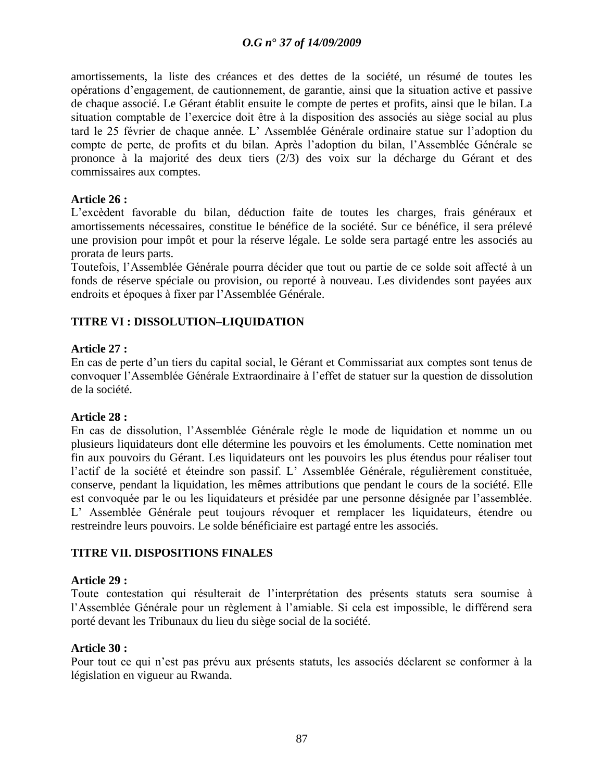amortissements, la liste des créances et des dettes de la société, un résumé de toutes les opérations d"engagement, de cautionnement, de garantie, ainsi que la situation active et passive de chaque associé. Le Gérant établit ensuite le compte de pertes et profits, ainsi que le bilan. La situation comptable de l"exercice doit être à la disposition des associés au siège social au plus tard le 25 février de chaque année. L" Assemblée Générale ordinaire statue sur l"adoption du compte de perte, de profits et du bilan. Après l"adoption du bilan, l"Assemblée Générale se prononce à la majorité des deux tiers (2/3) des voix sur la décharge du Gérant et des commissaires aux comptes.

#### **Article 26 :**

L"excèdent favorable du bilan, déduction faite de toutes les charges, frais généraux et amortissements nécessaires, constitue le bénéfice de la société. Sur ce bénéfice, il sera prélevé une provision pour impôt et pour la réserve légale. Le solde sera partagé entre les associés au prorata de leurs parts.

Toutefois, l"Assemblée Générale pourra décider que tout ou partie de ce solde soit affecté à un fonds de réserve spéciale ou provision, ou reporté à nouveau. Les dividendes sont payées aux endroits et époques à fixer par l"Assemblée Générale.

#### **TITRE VI : DISSOLUTION–LIQUIDATION**

#### **Article 27 :**

En cas de perte d"un tiers du capital social, le Gérant et Commissariat aux comptes sont tenus de convoquer l"Assemblée Générale Extraordinaire à l"effet de statuer sur la question de dissolution de la société.

#### **Article 28 :**

En cas de dissolution, l"Assemblée Générale règle le mode de liquidation et nomme un ou plusieurs liquidateurs dont elle détermine les pouvoirs et les émoluments. Cette nomination met fin aux pouvoirs du Gérant. Les liquidateurs ont les pouvoirs les plus étendus pour réaliser tout l"actif de la société et éteindre son passif. L" Assemblée Générale, régulièrement constituée, conserve, pendant la liquidation, les mêmes attributions que pendant le cours de la société. Elle est convoquée par le ou les liquidateurs et présidée par une personne désignée par l"assemblée. L" Assemblée Générale peut toujours révoquer et remplacer les liquidateurs, étendre ou restreindre leurs pouvoirs. Le solde bénéficiaire est partagé entre les associés.

#### **TITRE VII. DISPOSITIONS FINALES**

#### **Article 29 :**

Toute contestation qui résulterait de l"interprétation des présents statuts sera soumise à l"Assemblée Générale pour un règlement à l"amiable. Si cela est impossible, le différend sera porté devant les Tribunaux du lieu du siège social de la société.

#### **Article 30 :**

Pour tout ce qui n"est pas prévu aux présents statuts, les associés déclarent se conformer à la législation en vigueur au Rwanda.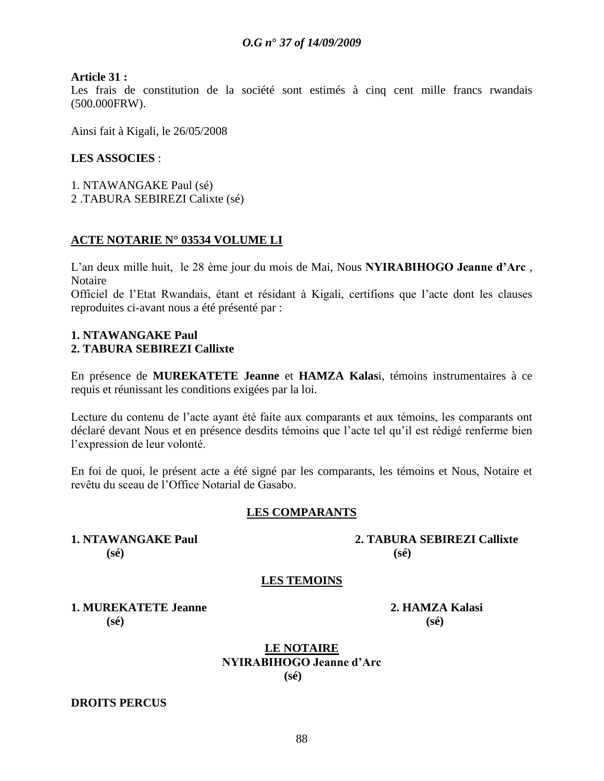#### **Article 31 :**

Les frais de constitution de la société sont estimés à cinq cent mille francs rwandais (500.000FRW).

Ainsi fait à Kigali, le 26/05/2008

#### **LES ASSOCIES** :

1. NTAWANGAKE Paul (sé)

2 .TABURA SEBIREZI Calixte (sé)

#### **ACTE NOTARIE N° 03534 VOLUME LI**

L"an deux mille huit, le 28 ème jour du mois de Mai, Nous **NYIRABIHOGO Jeanne d"Arc** , Notaire

Officiel de l"Etat Rwandais, étant et résidant à Kigali, certifions que l"acte dont les clauses reproduites ci-avant nous a été présenté par :

#### **1. NTAWANGAKE Paul 2. TABURA SEBIREZI Callixte**

En présence de **MUREKATETE Jeanne** et **HAMZA Kalas**i, témoins instrumentaires à ce requis et réunissant les conditions exigées par la loi.

Lecture du contenu de l"acte ayant été faite aux comparants et aux témoins, les comparants ont déclaré devant Nous et en présence desdits témoins que l"acte tel qu"il est rédigé renferme bien l"expression de leur volonté.

En foi de quoi, le présent acte a été signé par les comparants, les témoins et Nous, Notaire et revêtu du sceau de l"Office Notarial de Gasabo.

### **LES COMPARANTS**

**(sé) (sé)**

**1. NTAWANGAKE Paul 2. TABURA SEBIREZI Callixte**

### **LES TEMOINS**

**1. MUREKATETE Jeanne 2. HAMZA Kalasi (sé) (sé)**

**LE NOTAIRE NYIRABIHOGO Jeanne d"Arc (sé)**

#### **DROITS PERCUS**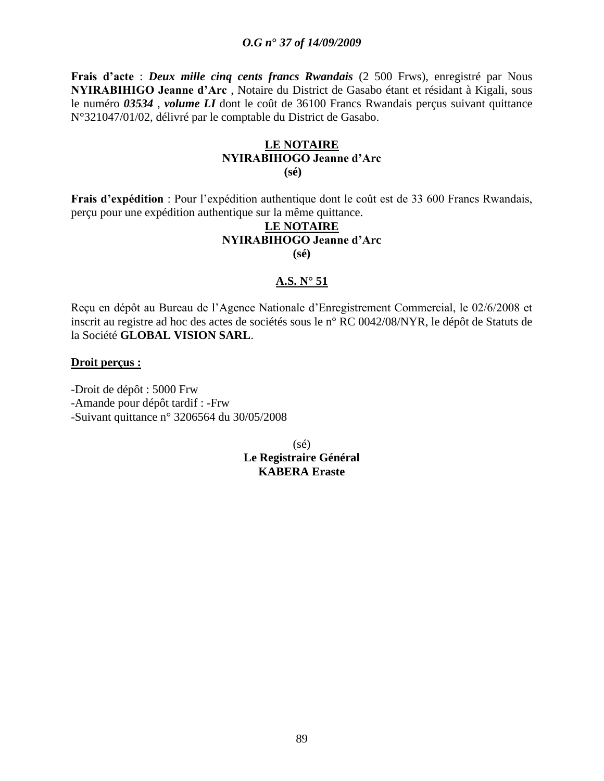**Frais d"acte** : *Deux mille cinq cents francs Rwandais* (2 500 Frws), enregistré par Nous **NYIRABIHIGO Jeanne d"Arc** , Notaire du District de Gasabo étant et résidant à Kigali, sous le numéro *03534* , *volume LI* dont le coût de 36100 Francs Rwandais perçus suivant quittance N°321047/01/02, délivré par le comptable du District de Gasabo.

#### **LE NOTAIRE NYIRABIHOGO Jeanne d"Arc (sé)**

**Frais d"expédition** : Pour l"expédition authentique dont le coût est de 33 600 Francs Rwandais, perçu pour une expédition authentique sur la même quittance.

### **LE NOTAIRE NYIRABIHOGO Jeanne d"Arc (sé)**

#### **A.S. N° 51**

Reçu en dépôt au Bureau de l"Agence Nationale d"Enregistrement Commercial, le 02/6/2008 et inscrit au registre ad hoc des actes de sociétés sous le n° RC 0042/08/NYR, le dépôt de Statuts de la Société **GLOBAL VISION SARL**.

#### **Droit perçus :**

-Droit de dépôt : 5000 Frw -Amande pour dépôt tardif : -Frw -Suivant quittance n° 3206564 du 30/05/2008

> (sé) **Le Registraire Général KABERA Eraste**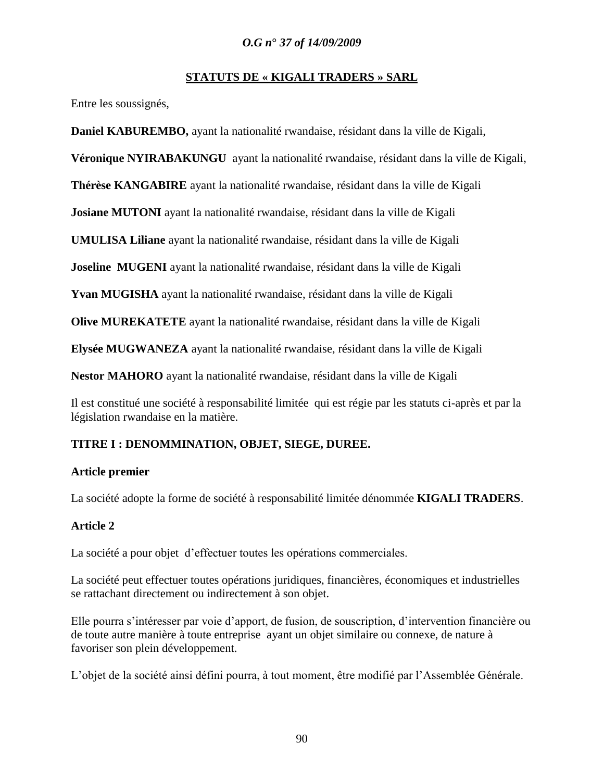### **STATUTS DE « KIGALI TRADERS » SARL**

Entre les soussignés,

**Daniel KABUREMBO,** ayant la nationalité rwandaise, résidant dans la ville de Kigali,

**Véronique NYIRABAKUNGU** ayant la nationalité rwandaise, résidant dans la ville de Kigali,

**Thérèse KANGABIRE** ayant la nationalité rwandaise, résidant dans la ville de Kigali

**Josiane MUTONI** ayant la nationalité rwandaise, résidant dans la ville de Kigali

**UMULISA Liliane** ayant la nationalité rwandaise, résidant dans la ville de Kigali

**Joseline MUGENI** ayant la nationalité rwandaise, résidant dans la ville de Kigali

**Yvan MUGISHA** ayant la nationalité rwandaise, résidant dans la ville de Kigali

**Olive MUREKATETE** ayant la nationalité rwandaise, résidant dans la ville de Kigali

**Elysée MUGWANEZA** ayant la nationalité rwandaise, résidant dans la ville de Kigali

**Nestor MAHORO** ayant la nationalité rwandaise, résidant dans la ville de Kigali

Il est constitué une société à responsabilité limitée qui est régie par les statuts ci-après et par la législation rwandaise en la matière.

# **TITRE I : DENOMMINATION, OBJET, SIEGE, DUREE.**

### **Article premier**

La société adopte la forme de société à responsabilité limitée dénommée **KIGALI TRADERS**.

### **Article 2**

La société a pour objet d'effectuer toutes les opérations commerciales.

La société peut effectuer toutes opérations juridiques, financières, économiques et industrielles se rattachant directement ou indirectement à son objet.

Elle pourra s"intéresser par voie d"apport, de fusion, de souscription, d"intervention financière ou de toute autre manière à toute entreprise ayant un objet similaire ou connexe, de nature à favoriser son plein développement.

L"objet de la société ainsi défini pourra, à tout moment, être modifié par l"Assemblée Générale.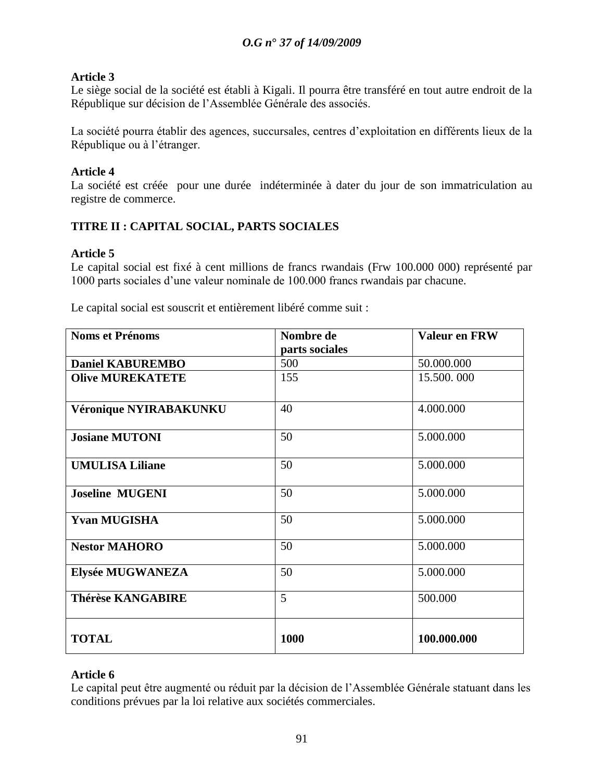# **Article 3**

Le siège social de la société est établi à Kigali. Il pourra être transféré en tout autre endroit de la République sur décision de l"Assemblée Générale des associés.

La société pourra établir des agences, succursales, centres d"exploitation en différents lieux de la République ou à l"étranger.

## **Article 4**

La société est créée pour une durée indéterminée à dater du jour de son immatriculation au registre de commerce.

# **TITRE II : CAPITAL SOCIAL, PARTS SOCIALES**

# **Article 5**

Le capital social est fixé à cent millions de francs rwandais (Frw 100.000 000) représenté par 1000 parts sociales d"une valeur nominale de 100.000 francs rwandais par chacune.

| Le capital social est souscrit et entièrement libéré comme suit : |  |  |  |  |
|-------------------------------------------------------------------|--|--|--|--|
|-------------------------------------------------------------------|--|--|--|--|

| <b>Noms et Prénoms</b>  | Nombre de      | Valeur en FRW |
|-------------------------|----------------|---------------|
|                         | parts sociales |               |
| <b>Daniel KABUREMBO</b> | 500            | 50.000.000    |
| <b>Olive MUREKATETE</b> | 155            | 15.500.000    |
| Véronique NYIRABAKUNKU  | 40             | 4.000.000     |
| <b>Josiane MUTONI</b>   | 50             | 5.000.000     |
| <b>UMULISA Liliane</b>  | 50             | 5.000.000     |
| <b>Joseline MUGENI</b>  | 50             | 5.000.000     |
| <b>Yvan MUGISHA</b>     | 50             | 5.000.000     |
| <b>Nestor MAHORO</b>    | 50             | 5.000.000     |
| Elysée MUGWANEZA        | 50             | 5.000.000     |
| Thérèse KANGABIRE       | 5              | 500.000       |
| <b>TOTAL</b>            | 1000           | 100.000.000   |

### **Article 6**

Le capital peut être augmenté ou réduit par la décision de l'Assemblée Générale statuant dans les conditions prévues par la loi relative aux sociétés commerciales.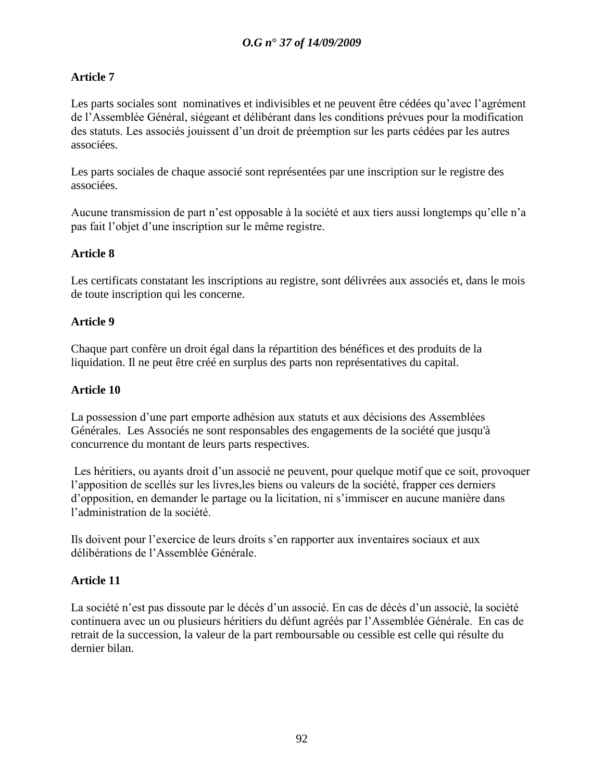# **Article 7**

Les parts sociales sont nominatives et indivisibles et ne peuvent être cédées qu'avec l'agrément de l"Assemblée Général, siégeant et délibérant dans les conditions prévues pour la modification des statuts. Les associés jouissent d"un droit de préemption sur les parts cédées par les autres associées.

Les parts sociales de chaque associé sont représentées par une inscription sur le registre des associées.

Aucune transmission de part n"est opposable à la société et aux tiers aussi longtemps qu"elle n"a pas fait l"objet d"une inscription sur le même registre.

# **Article 8**

Les certificats constatant les inscriptions au registre, sont délivrées aux associés et, dans le mois de toute inscription qui les concerne.

### **Article 9**

Chaque part confère un droit égal dans la répartition des bénéfices et des produits de la liquidation. Il ne peut être créé en surplus des parts non représentatives du capital.

### **Article 10**

La possession d'une part emporte adhésion aux statuts et aux décisions des Assemblées Générales. Les Associés ne sont responsables des engagements de la société que jusqu'à concurrence du montant de leurs parts respectives.

Les héritiers, ou ayants droit d'un associé ne peuvent, pour quelque motif que ce soit, provoquer l"apposition de scellés sur les livres,les biens ou valeurs de la société, frapper ces derniers d"opposition, en demander le partage ou la licitation, ni s"immiscer en aucune manière dans l"administration de la société.

Ils doivent pour l"exercice de leurs droits s"en rapporter aux inventaires sociaux et aux délibérations de l"Assemblée Générale.

### **Article 11**

La société n'est pas dissoute par le décès d'un associé. En cas de décès d'un associé, la société continuera avec un ou plusieurs héritiers du défunt agréés par l"Assemblée Générale. En cas de retrait de la succession, la valeur de la part remboursable ou cessible est celle qui résulte du dernier bilan.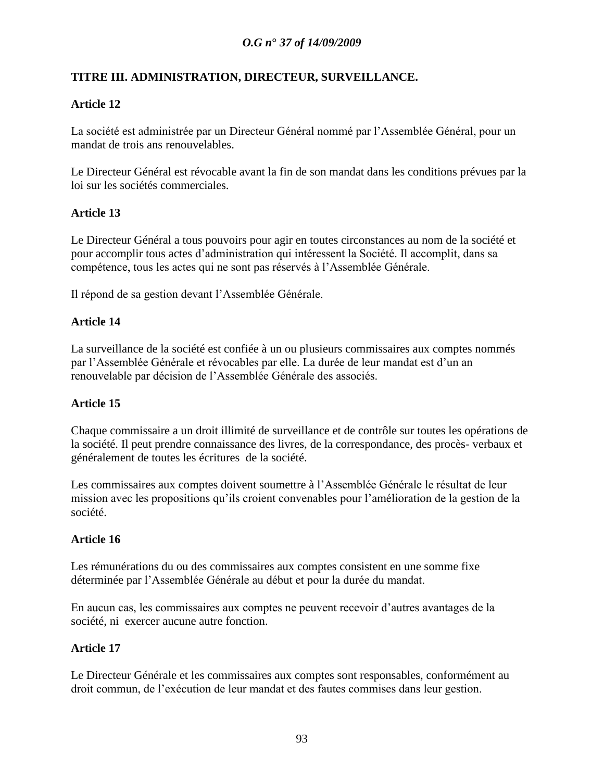# **TITRE III. ADMINISTRATION, DIRECTEUR, SURVEILLANCE.**

# **Article 12**

La société est administrée par un Directeur Général nommé par l"Assemblée Général, pour un mandat de trois ans renouvelables.

Le Directeur Général est révocable avant la fin de son mandat dans les conditions prévues par la loi sur les sociétés commerciales.

# **Article 13**

Le Directeur Général a tous pouvoirs pour agir en toutes circonstances au nom de la société et pour accomplir tous actes d"administration qui intéressent la Société. Il accomplit, dans sa compétence, tous les actes qui ne sont pas réservés à l"Assemblée Générale.

Il répond de sa gestion devant l"Assemblée Générale.

# **Article 14**

La surveillance de la société est confiée à un ou plusieurs commissaires aux comptes nommés par l"Assemblée Générale et révocables par elle. La durée de leur mandat est d"un an renouvelable par décision de l"Assemblée Générale des associés.

### **Article 15**

Chaque commissaire a un droit illimité de surveillance et de contrôle sur toutes les opérations de la société. Il peut prendre connaissance des livres, de la correspondance, des procès- verbaux et généralement de toutes les écritures de la société.

Les commissaires aux comptes doivent soumettre à l"Assemblée Générale le résultat de leur mission avec les propositions qu"ils croient convenables pour l"amélioration de la gestion de la société.

### **Article 16**

Les rémunérations du ou des commissaires aux comptes consistent en une somme fixe déterminée par l"Assemblée Générale au début et pour la durée du mandat.

En aucun cas, les commissaires aux comptes ne peuvent recevoir d"autres avantages de la société, ni exercer aucune autre fonction.

### **Article 17**

Le Directeur Générale et les commissaires aux comptes sont responsables, conformément au droit commun, de l"exécution de leur mandat et des fautes commises dans leur gestion.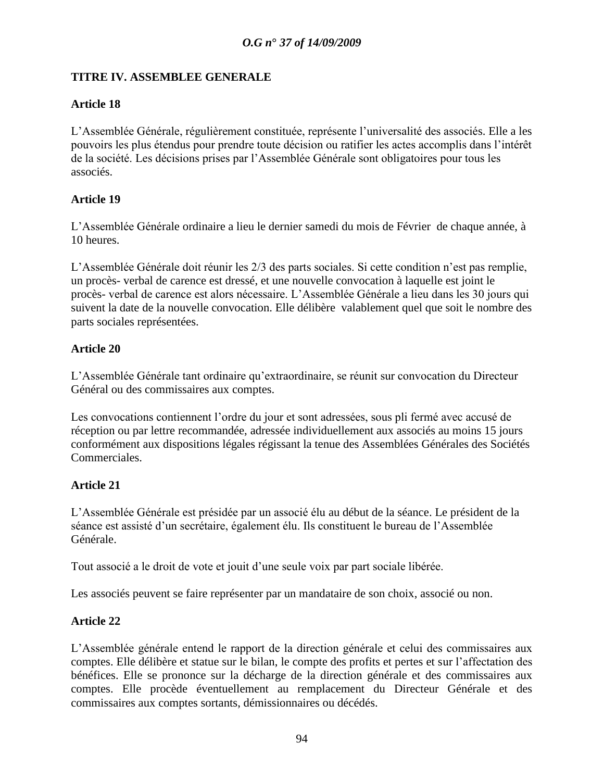### **TITRE IV. ASSEMBLEE GENERALE**

## **Article 18**

L"Assemblée Générale, régulièrement constituée, représente l"universalité des associés. Elle a les pouvoirs les plus étendus pour prendre toute décision ou ratifier les actes accomplis dans l"intérêt de la société. Les décisions prises par l"Assemblée Générale sont obligatoires pour tous les associés.

### **Article 19**

L"Assemblée Générale ordinaire a lieu le dernier samedi du mois de Février de chaque année, à 10 heures.

L"Assemblée Générale doit réunir les 2/3 des parts sociales. Si cette condition n"est pas remplie, un procès- verbal de carence est dressé, et une nouvelle convocation à laquelle est joint le procès- verbal de carence est alors nécessaire. L"Assemblée Générale a lieu dans les 30 jours qui suivent la date de la nouvelle convocation. Elle délibère valablement quel que soit le nombre des parts sociales représentées.

# **Article 20**

L"Assemblée Générale tant ordinaire qu"extraordinaire, se réunit sur convocation du Directeur Général ou des commissaires aux comptes.

Les convocations contiennent l'ordre du jour et sont adressées, sous pli fermé avec accusé de réception ou par lettre recommandée, adressée individuellement aux associés au moins 15 jours conformément aux dispositions légales régissant la tenue des Assemblées Générales des Sociétés Commerciales.

# **Article 21**

L"Assemblée Générale est présidée par un associé élu au début de la séance. Le président de la séance est assisté d'un secrétaire, également élu. Ils constituent le bureau de l'Assemblée Générale.

Tout associé a le droit de vote et jouit d"une seule voix par part sociale libérée.

Les associés peuvent se faire représenter par un mandataire de son choix, associé ou non.

### **Article 22**

L"Assemblée générale entend le rapport de la direction générale et celui des commissaires aux comptes. Elle délibère et statue sur le bilan, le compte des profits et pertes et sur l"affectation des bénéfices. Elle se prononce sur la décharge de la direction générale et des commissaires aux comptes. Elle procède éventuellement au remplacement du Directeur Générale et des commissaires aux comptes sortants, démissionnaires ou décédés.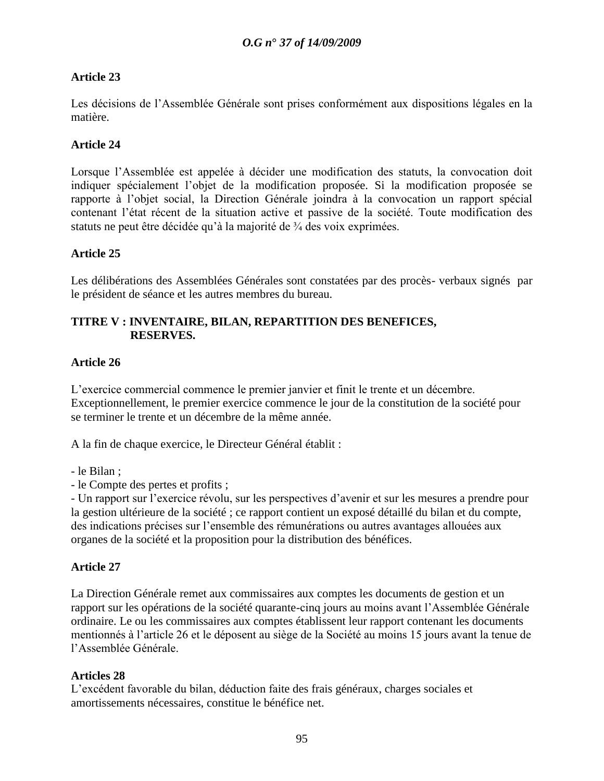# **Article 23**

Les décisions de l"Assemblée Générale sont prises conformément aux dispositions légales en la matière.

### **Article 24**

Lorsque l"Assemblée est appelée à décider une modification des statuts, la convocation doit indiquer spécialement l"objet de la modification proposée. Si la modification proposée se rapporte à l"objet social, la Direction Générale joindra à la convocation un rapport spécial contenant l"état récent de la situation active et passive de la société. Toute modification des statuts ne peut être décidée qu"à la majorité de ¾ des voix exprimées.

### **Article 25**

Les délibérations des Assemblées Générales sont constatées par des procès- verbaux signés par le président de séance et les autres membres du bureau.

### **TITRE V : INVENTAIRE, BILAN, REPARTITION DES BENEFICES, RESERVES.**

### **Article 26**

L"exercice commercial commence le premier janvier et finit le trente et un décembre. Exceptionnellement, le premier exercice commence le jour de la constitution de la société pour se terminer le trente et un décembre de la même année.

A la fin de chaque exercice, le Directeur Général établit :

- le Bilan ;
- le Compte des pertes et profits ;

- Un rapport sur l"exercice révolu, sur les perspectives d"avenir et sur les mesures a prendre pour la gestion ultérieure de la société ; ce rapport contient un exposé détaillé du bilan et du compte, des indications précises sur l"ensemble des rémunérations ou autres avantages allouées aux organes de la société et la proposition pour la distribution des bénéfices.

### **Article 27**

La Direction Générale remet aux commissaires aux comptes les documents de gestion et un rapport sur les opérations de la société quarante-cinq jours au moins avant l"Assemblée Générale ordinaire. Le ou les commissaires aux comptes établissent leur rapport contenant les documents mentionnés à l"article 26 et le déposent au siège de la Société au moins 15 jours avant la tenue de l"Assemblée Générale.

### **Articles 28**

L"excédent favorable du bilan, déduction faite des frais généraux, charges sociales et amortissements nécessaires, constitue le bénéfice net.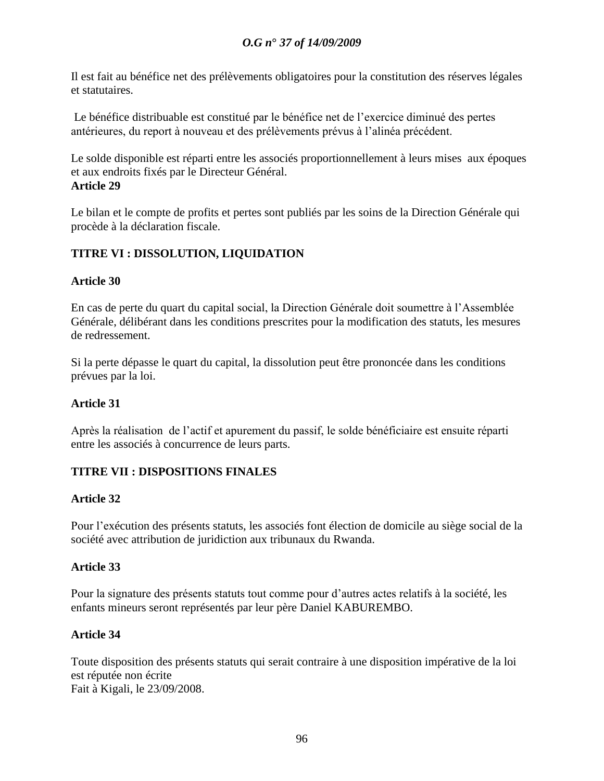Il est fait au bénéfice net des prélèvements obligatoires pour la constitution des réserves légales et statutaires.

Le bénéfice distribuable est constitué par le bénéfice net de l"exercice diminué des pertes antérieures, du report à nouveau et des prélèvements prévus à l"alinéa précédent.

Le solde disponible est réparti entre les associés proportionnellement à leurs mises aux époques et aux endroits fixés par le Directeur Général. **Article 29**

Le bilan et le compte de profits et pertes sont publiés par les soins de la Direction Générale qui procède à la déclaration fiscale.

# **TITRE VI : DISSOLUTION, LIQUIDATION**

### **Article 30**

En cas de perte du quart du capital social, la Direction Générale doit soumettre à l"Assemblée Générale, délibérant dans les conditions prescrites pour la modification des statuts, les mesures de redressement.

Si la perte dépasse le quart du capital, la dissolution peut être prononcée dans les conditions prévues par la loi.

### **Article 31**

Après la réalisation de l"actif et apurement du passif, le solde bénéficiaire est ensuite réparti entre les associés à concurrence de leurs parts.

### **TITRE VII : DISPOSITIONS FINALES**

### **Article 32**

Pour l"exécution des présents statuts, les associés font élection de domicile au siège social de la société avec attribution de juridiction aux tribunaux du Rwanda.

### **Article 33**

Pour la signature des présents statuts tout comme pour d"autres actes relatifs à la société, les enfants mineurs seront représentés par leur père Daniel KABUREMBO.

### **Article 34**

Toute disposition des présents statuts qui serait contraire à une disposition impérative de la loi est réputée non écrite Fait à Kigali, le 23/09/2008.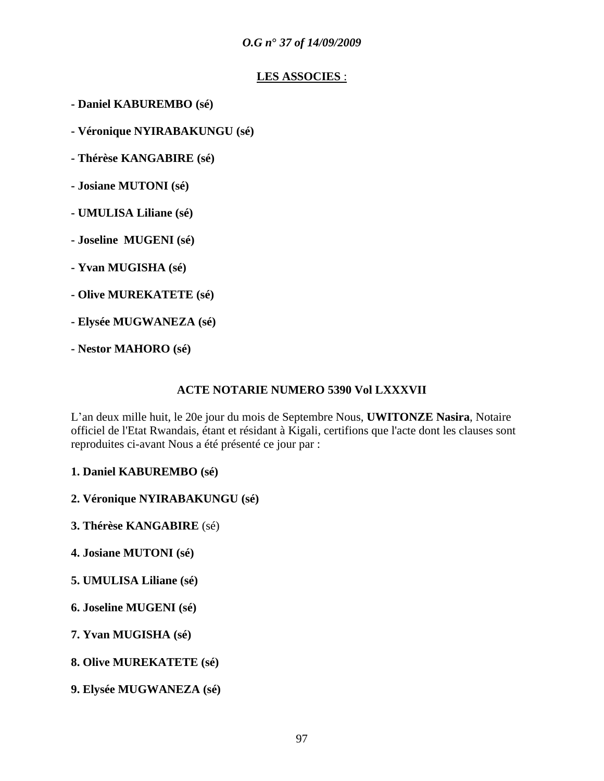# **LES ASSOCIES** :

- **- Daniel KABUREMBO (sé)**
- **- Véronique NYIRABAKUNGU (sé)**
- **- Thérèse KANGABIRE (sé)**
- **- Josiane MUTONI (sé)**
- **- UMULISA Liliane (sé)**
- **- Joseline MUGENI (sé)**
- **- Yvan MUGISHA (sé)**
- **- Olive MUREKATETE (sé)**
- **- Elysée MUGWANEZA (sé)**
- **- Nestor MAHORO (sé)**

#### **ACTE NOTARIE NUMERO 5390 Vol LXXXVII**

L"an deux mille huit, le 20e jour du mois de Septembre Nous, **UWITONZE Nasira**, Notaire officiel de l'Etat Rwandais, étant et résidant à Kigali, certifions que l'acte dont les clauses sont reproduites ci-avant Nous a été présenté ce jour par :

- **1. Daniel KABUREMBO (sé)**
- **2. Véronique NYIRABAKUNGU (sé)**
- **3. Thérèse KANGABIRE** (sé)
- **4. Josiane MUTONI (sé)**
- **5. UMULISA Liliane (sé)**
- **6. Joseline MUGENI (sé)**
- **7. Yvan MUGISHA (sé)**
- **8. Olive MUREKATETE (sé)**
- **9. Elysée MUGWANEZA (sé)**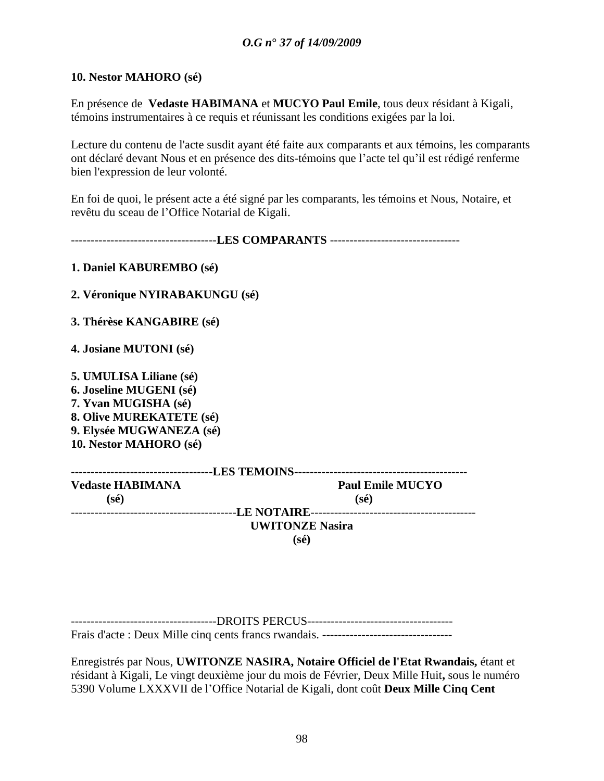### **10. Nestor MAHORO (sé)**

En présence de **Vedaste HABIMANA** et **MUCYO Paul Emile**, tous deux résidant à Kigali, témoins instrumentaires à ce requis et réunissant les conditions exigées par la loi.

Lecture du contenu de l'acte susdit ayant été faite aux comparants et aux témoins, les comparants ont déclaré devant Nous et en présence des dits-témoins que l"acte tel qu"il est rédigé renferme bien l'expression de leur volonté.

En foi de quoi, le présent acte a été signé par les comparants, les témoins et Nous, Notaire, et revêtu du sceau de l"Office Notarial de Kigali.

-------------------------------------**LES COMPARANTS** ---------------------------------

**1. Daniel KABUREMBO (sé)**

**2. Véronique NYIRABAKUNGU (sé)**

**3. Thérèse KANGABIRE (sé)**

**4. Josiane MUTONI (sé)**

**5. UMULISA Liliane (sé) 6. Joseline MUGENI (sé) 7. Yvan MUGISHA (sé) 8. Olive MUREKATETE (sé) 9. Elysée MUGWANEZA (sé) 10. Nestor MAHORO (sé)**

| <b>Vedaste HABIMANA</b> | <b>Paul Emile MUCYO</b> |  |
|-------------------------|-------------------------|--|
| (sé)                    | (sé)                    |  |
|                         |                         |  |
|                         | <b>UWITONZE Nasira</b>  |  |
|                         | (sé)                    |  |

-------------------------------------DROITS PERCUS------------------------------------- Frais d'acte : Deux Mille cinq cents francs rwandais. ---------------------------------

Enregistrés par Nous, **UWITONZE NASIRA, Notaire Officiel de l'Etat Rwandais,** étant et résidant à Kigali, Le vingt deuxième jour du mois de Février, Deux Mille Huit**,** sous le numéro 5390 Volume LXXXVII de l"Office Notarial de Kigali, dont coût **Deux Mille Cinq Cent**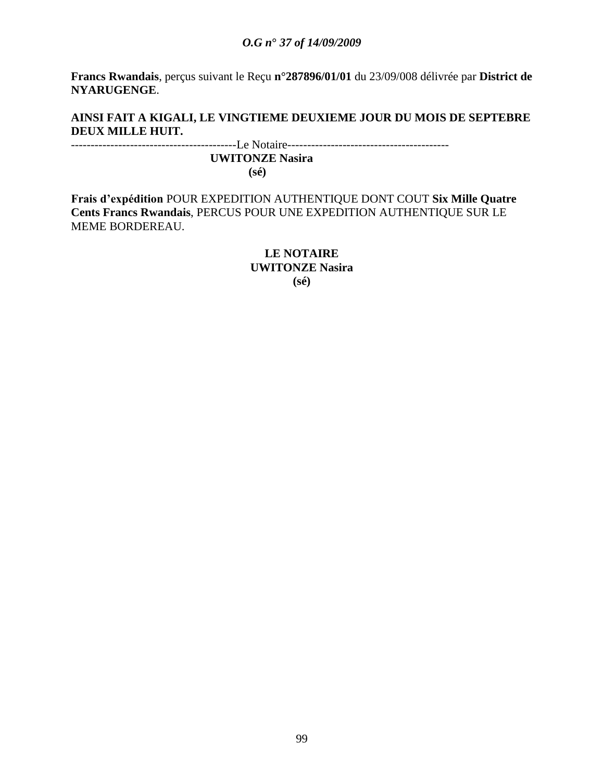**Francs Rwandais**, perçus suivant le Reçu **n°287896/01/01** du 23/09/008 délivrée par **District de NYARUGENGE**.

### **AINSI FAIT A KIGALI, LE VINGTIEME DEUXIEME JOUR DU MOIS DE SEPTEBRE DEUX MILLE HUIT.**

------------------------------------------Le Notaire-----------------------------------------  **UWITONZE Nasira (sé)**

**Frais d"expédition** POUR EXPEDITION AUTHENTIQUE DONT COUT **Six Mille Quatre Cents Francs Rwandais**, PERCUS POUR UNE EXPEDITION AUTHENTIQUE SUR LE MEME BORDEREAU.

> **LE NOTAIRE UWITONZE Nasira (sé)**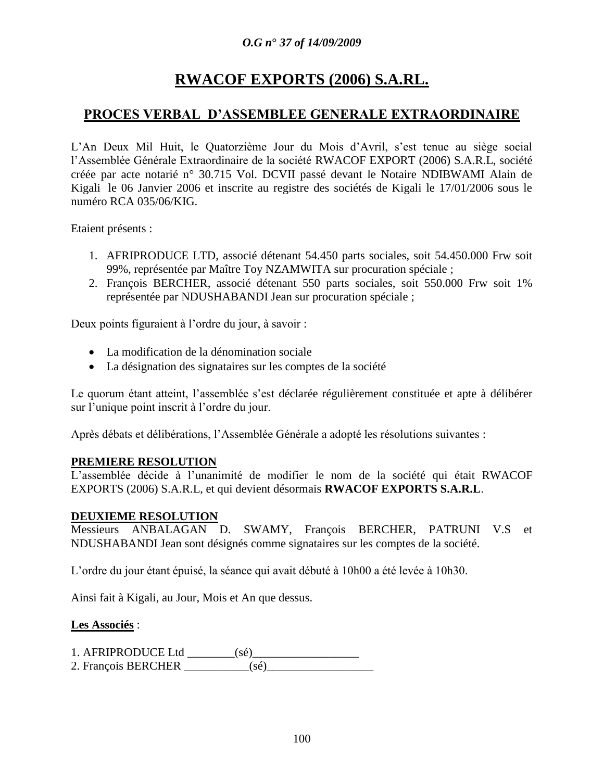# **RWACOF EXPORTS (2006) S.A.RL.**

# **PROCES VERBAL D"ASSEMBLEE GENERALE EXTRAORDINAIRE**

L"An Deux Mil Huit, le Quatorzième Jour du Mois d"Avril, s"est tenue au siège social l"Assemblée Générale Extraordinaire de la société RWACOF EXPORT (2006) S.A.R.L, société créée par acte notarié n° 30.715 Vol. DCVII passé devant le Notaire NDIBWAMI Alain de Kigali le 06 Janvier 2006 et inscrite au registre des sociétés de Kigali le 17/01/2006 sous le numéro RCA 035/06/KIG.

Etaient présents :

- 1. AFRIPRODUCE LTD, associé détenant 54.450 parts sociales, soit 54.450.000 Frw soit 99%, représentée par Maître Toy NZAMWITA sur procuration spéciale ;
- 2. François BERCHER, associé détenant 550 parts sociales, soit 550.000 Frw soit 1% représentée par NDUSHABANDI Jean sur procuration spéciale ;

Deux points figuraient à l'ordre du jour, à savoir :

- La modification de la dénomination sociale
- La désignation des signataires sur les comptes de la société

Le quorum étant atteint, l'assemblée s'est déclarée régulièrement constituée et apte à délibérer sur l"unique point inscrit à l"ordre du jour.

Après débats et délibérations, l"Assemblée Générale a adopté les résolutions suivantes :

### **PREMIERE RESOLUTION**

L"assemblée décide à l"unanimité de modifier le nom de la société qui était RWACOF EXPORTS (2006) S.A.R.L, et qui devient désormais **RWACOF EXPORTS S.A.R.L**.

### **DEUXIEME RESOLUTION**

Messieurs ANBALAGAN D. SWAMY, François BERCHER, PATRUNI V.S et NDUSHABANDI Jean sont désignés comme signataires sur les comptes de la société.

L"ordre du jour étant épuisé, la séance qui avait débuté à 10h00 a été levée à 10h30.

Ainsi fait à Kigali, au Jour, Mois et An que dessus.

#### **Les Associés** :

1. AFRIPRODUCE Ltd \_\_\_\_\_\_\_\_(sé)\_\_\_\_\_\_\_\_\_\_\_\_\_\_\_\_\_\_

2. François BERCHER \_\_\_\_\_\_\_\_\_\_\_(sé)\_\_\_\_\_\_\_\_\_\_\_\_\_\_\_\_\_\_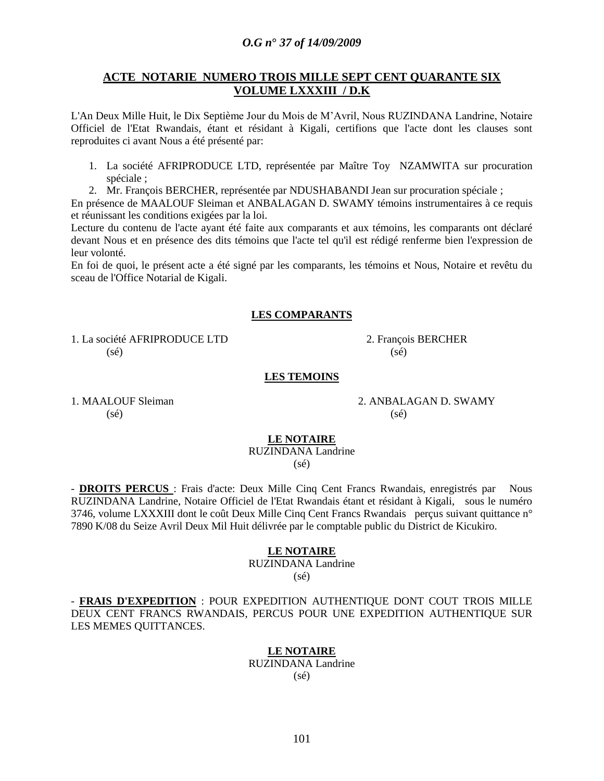#### **ACTE NOTARIE NUMERO TROIS MILLE SEPT CENT QUARANTE SIX VOLUME LXXXIII / D.K**

L'An Deux Mille Huit, le Dix Septième Jour du Mois de M"Avril, Nous RUZINDANA Landrine, Notaire Officiel de l'Etat Rwandais, étant et résidant à Kigali, certifions que l'acte dont les clauses sont reproduites ci avant Nous a été présenté par:

- 1. La société AFRIPRODUCE LTD, représentée par Maître Toy NZAMWITA sur procuration spéciale ;
- 2. Mr. François BERCHER, représentée par NDUSHABANDI Jean sur procuration spéciale ;

En présence de MAALOUF Sleiman et ANBALAGAN D. SWAMY témoins instrumentaires à ce requis et réunissant les conditions exigées par la loi.

Lecture du contenu de l'acte ayant été faite aux comparants et aux témoins, les comparants ont déclaré devant Nous et en présence des dits témoins que l'acte tel qu'il est rédigé renferme bien l'expression de leur volonté.

En foi de quoi, le présent acte a été signé par les comparants, les témoins et Nous, Notaire et revêtu du sceau de l'Office Notarial de Kigali.

#### **LES COMPARANTS**

1. La société AFRIPRODUCE LTD 2. François BERCHER  $(s\acute{e})$  (sé)

#### **LES TEMOINS**

 $(s\acute{e})$  (sé)

1. MAALOUF Sleiman 2. ANBALAGAN D. SWAMY

#### **LE NOTAIRE**

RUZINDANA Landrine (sé)

- **DROITS PERCUS** : Frais d'acte: Deux Mille Cinq Cent Francs Rwandais, enregistrés par Nous RUZINDANA Landrine, Notaire Officiel de l'Etat Rwandais étant et résidant à Kigali, sous le numéro 3746, volume LXXXIII dont le coût Deux Mille Cinq Cent Francs Rwandais perçus suivant quittance n° 7890 K/08 du Seize Avril Deux Mil Huit délivrée par le comptable public du District de Kicukiro.

#### **LE NOTAIRE**

#### RUZINDANA Landrine (sé)

- **FRAIS D'EXPEDITION** : POUR EXPEDITION AUTHENTIQUE DONT COUT TROIS MILLE DEUX CENT FRANCS RWANDAIS, PERCUS POUR UNE EXPEDITION AUTHENTIQUE SUR LES MEMES QUITTANCES.

#### **LE NOTAIRE**

RUZINDANA Landrine (sé)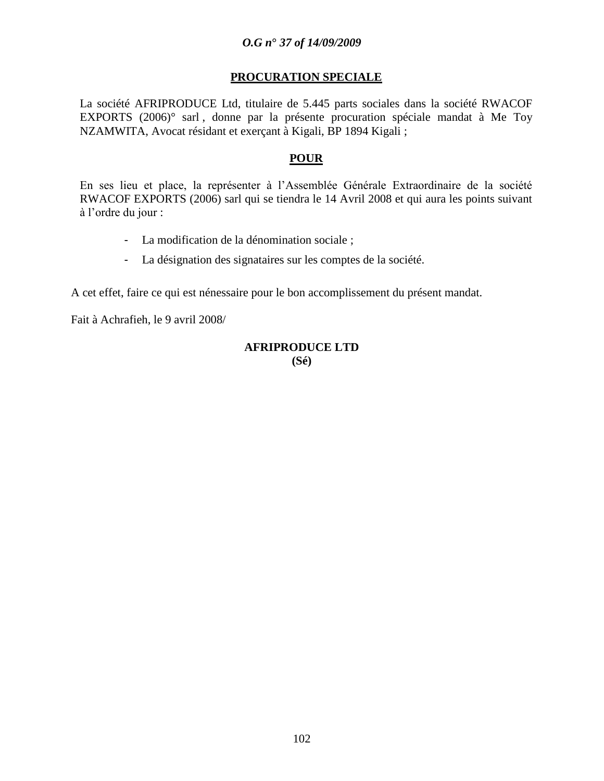#### **PROCURATION SPECIALE**

La société AFRIPRODUCE Ltd, titulaire de 5.445 parts sociales dans la société RWACOF EXPORTS (2006)° sarl , donne par la présente procuration spéciale mandat à Me Toy NZAMWITA, Avocat résidant et exerçant à Kigali, BP 1894 Kigali ;

#### **POUR**

En ses lieu et place, la représenter à l"Assemblée Générale Extraordinaire de la société RWACOF EXPORTS (2006) sarl qui se tiendra le 14 Avril 2008 et qui aura les points suivant à l"ordre du jour :

- La modification de la dénomination sociale ;
- La désignation des signataires sur les comptes de la société.

A cet effet, faire ce qui est nénessaire pour le bon accomplissement du présent mandat.

Fait à Achrafieh, le 9 avril 2008/

#### **AFRIPRODUCE LTD (Sé)**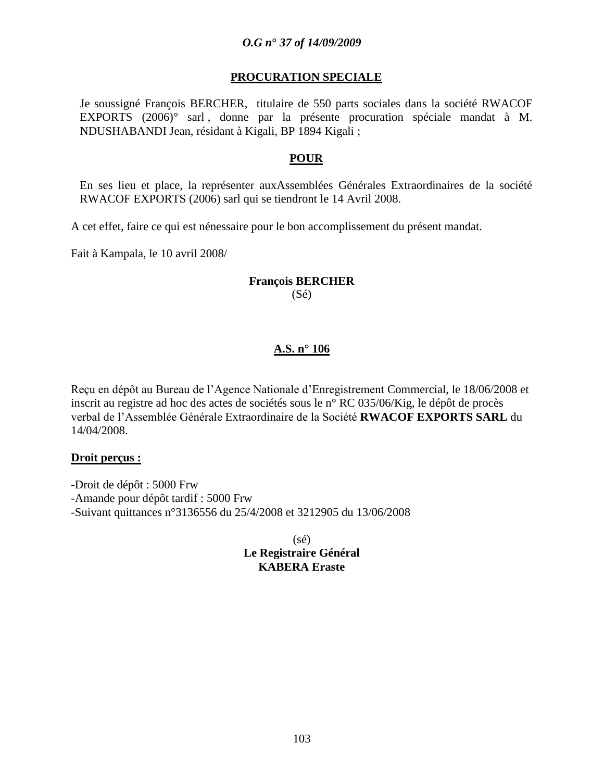### **PROCURATION SPECIALE**

Je soussigné François BERCHER, titulaire de 550 parts sociales dans la société RWACOF EXPORTS (2006)° sarl , donne par la présente procuration spéciale mandat à M. NDUSHABANDI Jean, résidant à Kigali, BP 1894 Kigali ;

#### **POUR**

En ses lieu et place, la représenter auxAssemblées Générales Extraordinaires de la société RWACOF EXPORTS (2006) sarl qui se tiendront le 14 Avril 2008.

A cet effet, faire ce qui est nénessaire pour le bon accomplissement du présent mandat.

Fait à Kampala, le 10 avril 2008/

#### **François BERCHER** (Sé)

### **A.S. n° 106**

Reçu en dépôt au Bureau de l"Agence Nationale d"Enregistrement Commercial, le 18/06/2008 et inscrit au registre ad hoc des actes de sociétés sous le n° RC 035/06/Kig, le dépôt de procès verbal de l"Assemblée Générale Extraordinaire de la Société **RWACOF EXPORTS SARL** du 14/04/2008.

#### **Droit perçus :**

-Droit de dépôt : 5000 Frw -Amande pour dépôt tardif : 5000 Frw -Suivant quittances n°3136556 du 25/4/2008 et 3212905 du 13/06/2008

> (sé) **Le Registraire Général KABERA Eraste**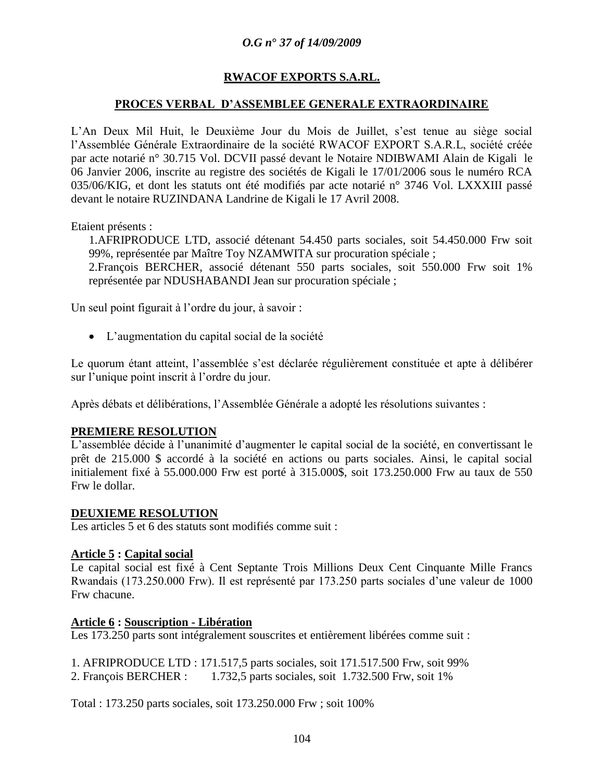### **RWACOF EXPORTS S.A.RL.**

#### **PROCES VERBAL D"ASSEMBLEE GENERALE EXTRAORDINAIRE**

L"An Deux Mil Huit, le Deuxième Jour du Mois de Juillet, s"est tenue au siège social l"Assemblée Générale Extraordinaire de la société RWACOF EXPORT S.A.R.L, société créée par acte notarié n° 30.715 Vol. DCVII passé devant le Notaire NDIBWAMI Alain de Kigali le 06 Janvier 2006, inscrite au registre des sociétés de Kigali le 17/01/2006 sous le numéro RCA 035/06/KIG, et dont les statuts ont été modifiés par acte notarié n° 3746 Vol. LXXXIII passé devant le notaire RUZINDANA Landrine de Kigali le 17 Avril 2008.

Etaient présents :

1.AFRIPRODUCE LTD, associé détenant 54.450 parts sociales, soit 54.450.000 Frw soit 99%, représentée par Maître Toy NZAMWITA sur procuration spéciale ; 2.François BERCHER, associé détenant 550 parts sociales, soit 550.000 Frw soit 1% représentée par NDUSHABANDI Jean sur procuration spéciale ;

Un seul point figurait à l'ordre du jour, à savoir :

L"augmentation du capital social de la société

Le quorum étant atteint, l'assemblée s'est déclarée régulièrement constituée et apte à délibérer sur l"unique point inscrit à l"ordre du jour.

Après débats et délibérations, l"Assemblée Générale a adopté les résolutions suivantes :

#### **PREMIERE RESOLUTION**

L"assemblée décide à l"unanimité d"augmenter le capital social de la société, en convertissant le prêt de 215.000 \$ accordé à la société en actions ou parts sociales. Ainsi, le capital social initialement fixé à 55.000.000 Frw est porté à 315.000\$, soit 173.250.000 Frw au taux de 550 Frw le dollar.

#### **DEUXIEME RESOLUTION**

Les articles 5 et 6 des statuts sont modifiés comme suit :

#### **Article 5 : Capital social**

Le capital social est fixé à Cent Septante Trois Millions Deux Cent Cinquante Mille Francs Rwandais (173.250.000 Frw). Il est représenté par 173.250 parts sociales d"une valeur de 1000 Frw chacune.

#### **Article 6 : Souscription - Libération**

Les 173.250 parts sont intégralement souscrites et entièrement libérées comme suit :

1. AFRIPRODUCE LTD : 171.517,5 parts sociales, soit 171.517.500 Frw, soit 99%

2. François BERCHER : 1.732,5 parts sociales, soit 1.732.500 Frw, soit 1%

Total : 173.250 parts sociales, soit 173.250.000 Frw ; soit 100%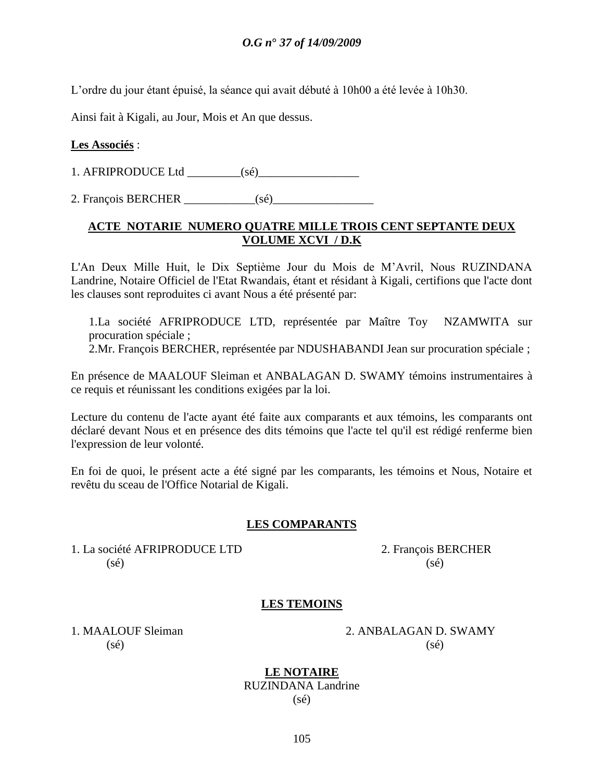L"ordre du jour étant épuisé, la séance qui avait débuté à 10h00 a été levée à 10h30.

Ainsi fait à Kigali, au Jour, Mois et An que dessus.

### **Les Associés** :

1. AFRIPRODUCE Ltd \_\_\_\_\_\_\_\_\_(sé)\_\_\_\_\_\_\_\_\_\_\_\_\_\_\_\_\_

2. François BERCHER \_\_\_\_\_\_\_\_\_\_\_\_(sé)\_\_\_\_\_\_\_\_\_\_\_\_\_\_\_\_\_

# **ACTE NOTARIE NUMERO QUATRE MILLE TROIS CENT SEPTANTE DEUX VOLUME XCVI / D.K**

L'An Deux Mille Huit, le Dix Septième Jour du Mois de M"Avril, Nous RUZINDANA Landrine, Notaire Officiel de l'Etat Rwandais, étant et résidant à Kigali, certifions que l'acte dont les clauses sont reproduites ci avant Nous a été présenté par:

1.La société AFRIPRODUCE LTD, représentée par Maître Toy NZAMWITA sur procuration spéciale ;

2.Mr. François BERCHER, représentée par NDUSHABANDI Jean sur procuration spéciale ;

En présence de MAALOUF Sleiman et ANBALAGAN D. SWAMY témoins instrumentaires à ce requis et réunissant les conditions exigées par la loi.

Lecture du contenu de l'acte ayant été faite aux comparants et aux témoins, les comparants ont déclaré devant Nous et en présence des dits témoins que l'acte tel qu'il est rédigé renferme bien l'expression de leur volonté.

En foi de quoi, le présent acte a été signé par les comparants, les témoins et Nous, Notaire et revêtu du sceau de l'Office Notarial de Kigali.

#### **LES COMPARANTS**

1. La société AFRIPRODUCE LTD 2. François BERCHER  $(s\acute{e})$  (sé)

### **LES TEMOINS**

1. MAALOUF Sleiman 2. ANBALAGAN D. SWAMY  $(s\acute{e})$  (sé)

> **LE NOTAIRE** RUZINDANA Landrine (sé)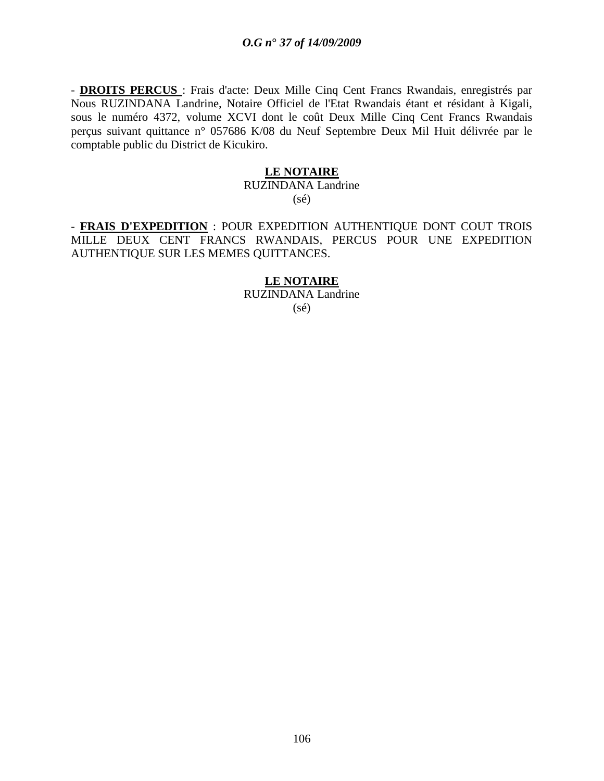- **DROITS PERCUS** : Frais d'acte: Deux Mille Cinq Cent Francs Rwandais, enregistrés par Nous RUZINDANA Landrine, Notaire Officiel de l'Etat Rwandais étant et résidant à Kigali, sous le numéro 4372, volume XCVI dont le coût Deux Mille Cinq Cent Francs Rwandais perçus suivant quittance n° 057686 K/08 du Neuf Septembre Deux Mil Huit délivrée par le comptable public du District de Kicukiro.

#### **LE NOTAIRE**

#### RUZINDANA Landrine  $(s\acute{e})$

- **FRAIS D'EXPEDITION** : POUR EXPEDITION AUTHENTIQUE DONT COUT TROIS MILLE DEUX CENT FRANCS RWANDAIS, PERCUS POUR UNE EXPEDITION AUTHENTIQUE SUR LES MEMES QUITTANCES.

#### **LE NOTAIRE**

RUZINDANA Landrine (sé)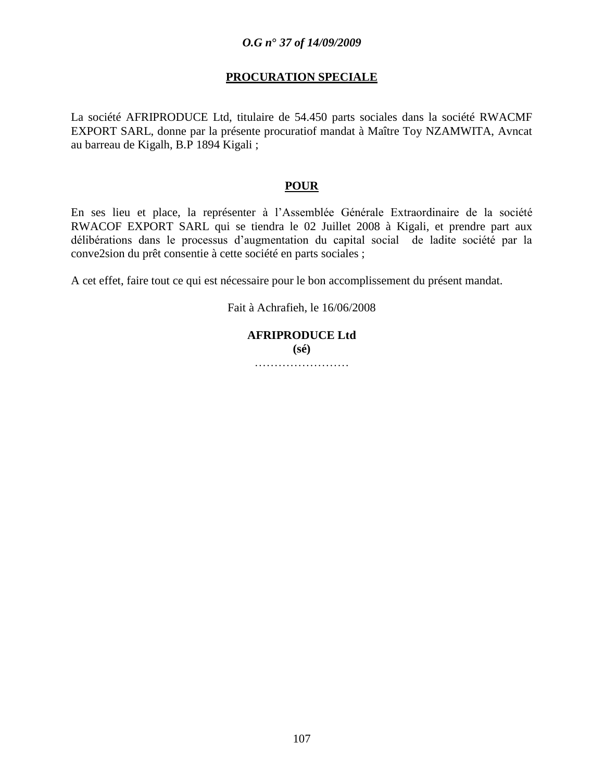### **PROCURATION SPECIALE**

La société AFRIPRODUCE Ltd, titulaire de 54.450 parts sociales dans la société RWACMF EXPORT SARL, donne par la présente procuratiof mandat à Maître Toy NZAMWITA, Avncat au barreau de Kigalh, B.P 1894 Kigali ;

#### **POUR**

En ses lieu et place, la représenter à l"Assemblée Générale Extraordinaire de la société RWACOF EXPORT SARL qui se tiendra le 02 Juillet 2008 à Kigali, et prendre part aux délibérations dans le processus d"augmentation du capital social de ladite société par la conve2sion du prêt consentie à cette société en parts sociales ;

A cet effet, faire tout ce qui est nécessaire pour le bon accomplissement du présent mandat.

Fait à Achrafieh, le 16/06/2008

# **AFRIPRODUCE Ltd (sé)**

…………………………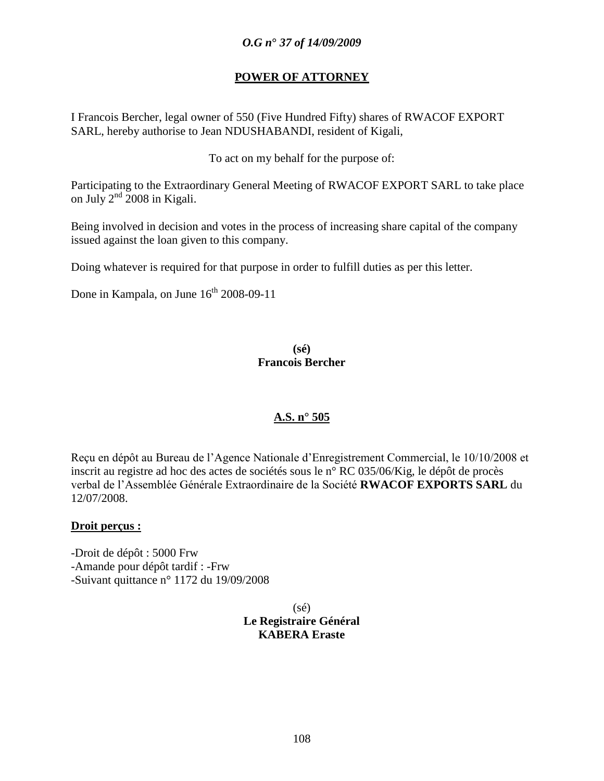#### **POWER OF ATTORNEY**

I Francois Bercher, legal owner of 550 (Five Hundred Fifty) shares of RWACOF EXPORT SARL, hereby authorise to Jean NDUSHABANDI, resident of Kigali,

To act on my behalf for the purpose of:

Participating to the Extraordinary General Meeting of RWACOF EXPORT SARL to take place on July  $2^{nd}$  2008 in Kigali.

Being involved in decision and votes in the process of increasing share capital of the company issued against the loan given to this company.

Doing whatever is required for that purpose in order to fulfill duties as per this letter.

Done in Kampala, on June  $16^{th}$  2008-09-11

**(sé) Francois Bercher**

#### **A.S. n° 505**

Reçu en dépôt au Bureau de l"Agence Nationale d"Enregistrement Commercial, le 10/10/2008 et inscrit au registre ad hoc des actes de sociétés sous le n° RC 035/06/Kig, le dépôt de procès verbal de l"Assemblée Générale Extraordinaire de la Société **RWACOF EXPORTS SARL** du 12/07/2008.

#### **Droit perçus :**

-Droit de dépôt : 5000 Frw -Amande pour dépôt tardif : -Frw -Suivant quittance n° 1172 du 19/09/2008

> (sé) **Le Registraire Général KABERA Eraste**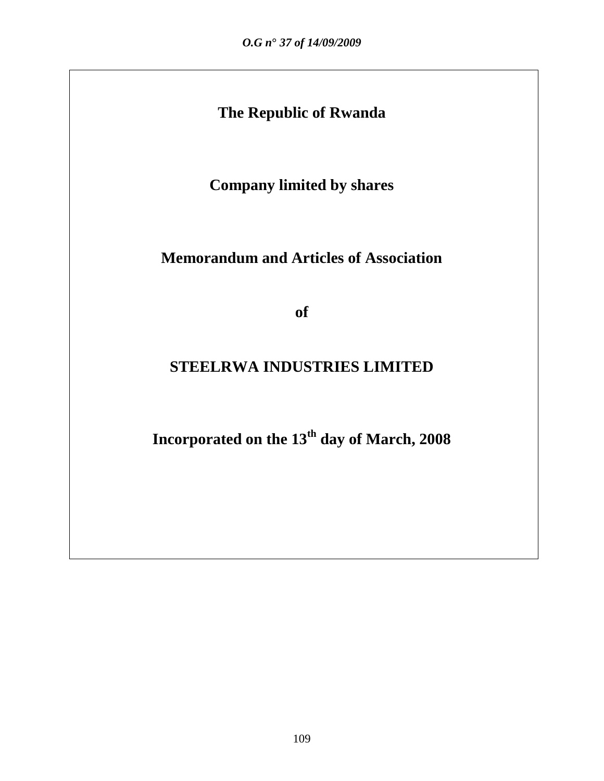# **The Republic of Rwanda**

**Company limited by shares**

# **Memorandum and Articles of Association**

**of**

# **STEELRWA INDUSTRIES LIMITED**

**Incorporated on the 13th day of March, 2008**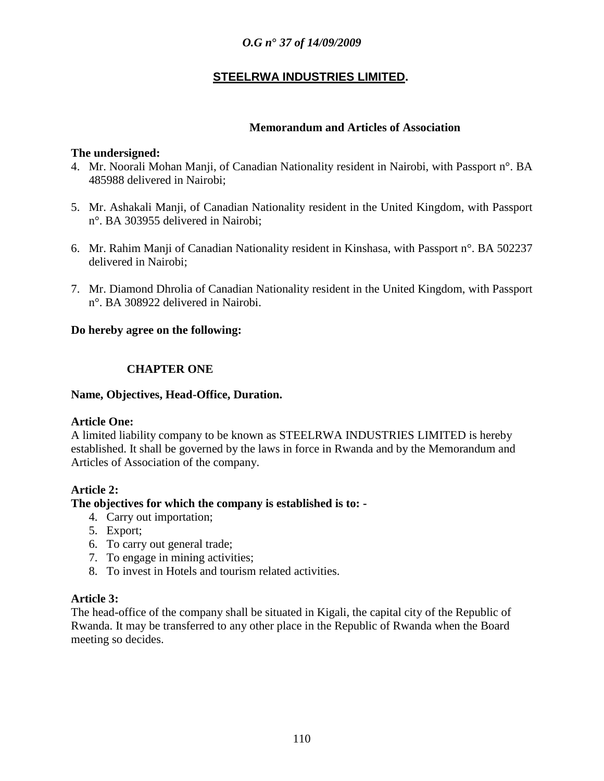# **STEELRWA INDUSTRIES LIMITED.**

# **Memorandum and Articles of Association**

#### **The undersigned:**

- 4. Mr. Noorali Mohan Manji, of Canadian Nationality resident in Nairobi, with Passport n°. BA 485988 delivered in Nairobi;
- 5. Mr. Ashakali Manji, of Canadian Nationality resident in the United Kingdom, with Passport n°. BA 303955 delivered in Nairobi;
- 6. Mr. Rahim Manji of Canadian Nationality resident in Kinshasa, with Passport n°. BA 502237 delivered in Nairobi;
- 7. Mr. Diamond Dhrolia of Canadian Nationality resident in the United Kingdom, with Passport n°. BA 308922 delivered in Nairobi.

#### **Do hereby agree on the following:**

# **CHAPTER ONE**

#### **Name, Objectives, Head-Office, Duration.**

#### **Article One:**

A limited liability company to be known as STEELRWA INDUSTRIES LIMITED is hereby established. It shall be governed by the laws in force in Rwanda and by the Memorandum and Articles of Association of the company.

#### **Article 2:**

#### **The objectives for which the company is established is to: -**

- 4. Carry out importation;
- 5. Export;
- 6. To carry out general trade;
- 7. To engage in mining activities;
- 8. To invest in Hotels and tourism related activities.

#### **Article 3:**

The head-office of the company shall be situated in Kigali, the capital city of the Republic of Rwanda. It may be transferred to any other place in the Republic of Rwanda when the Board meeting so decides.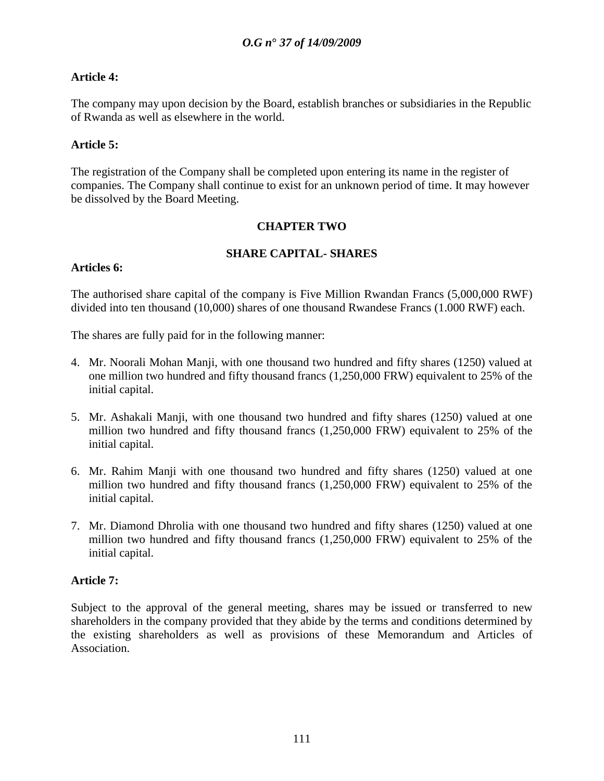# **Article 4:**

The company may upon decision by the Board, establish branches or subsidiaries in the Republic of Rwanda as well as elsewhere in the world.

# **Article 5:**

The registration of the Company shall be completed upon entering its name in the register of companies. The Company shall continue to exist for an unknown period of time. It may however be dissolved by the Board Meeting.

# **CHAPTER TWO**

# **SHARE CAPITAL- SHARES**

# **Articles 6:**

The authorised share capital of the company is Five Million Rwandan Francs (5,000,000 RWF) divided into ten thousand (10,000) shares of one thousand Rwandese Francs (1.000 RWF) each.

The shares are fully paid for in the following manner:

- 4. Mr. Noorali Mohan Manji, with one thousand two hundred and fifty shares (1250) valued at one million two hundred and fifty thousand francs (1,250,000 FRW) equivalent to 25% of the initial capital.
- 5. Mr. Ashakali Manji, with one thousand two hundred and fifty shares (1250) valued at one million two hundred and fifty thousand francs (1,250,000 FRW) equivalent to 25% of the initial capital.
- 6. Mr. Rahim Manji with one thousand two hundred and fifty shares (1250) valued at one million two hundred and fifty thousand francs (1,250,000 FRW) equivalent to 25% of the initial capital.
- 7. Mr. Diamond Dhrolia with one thousand two hundred and fifty shares (1250) valued at one million two hundred and fifty thousand francs (1,250,000 FRW) equivalent to 25% of the initial capital.

# **Article 7:**

Subject to the approval of the general meeting, shares may be issued or transferred to new shareholders in the company provided that they abide by the terms and conditions determined by the existing shareholders as well as provisions of these Memorandum and Articles of Association.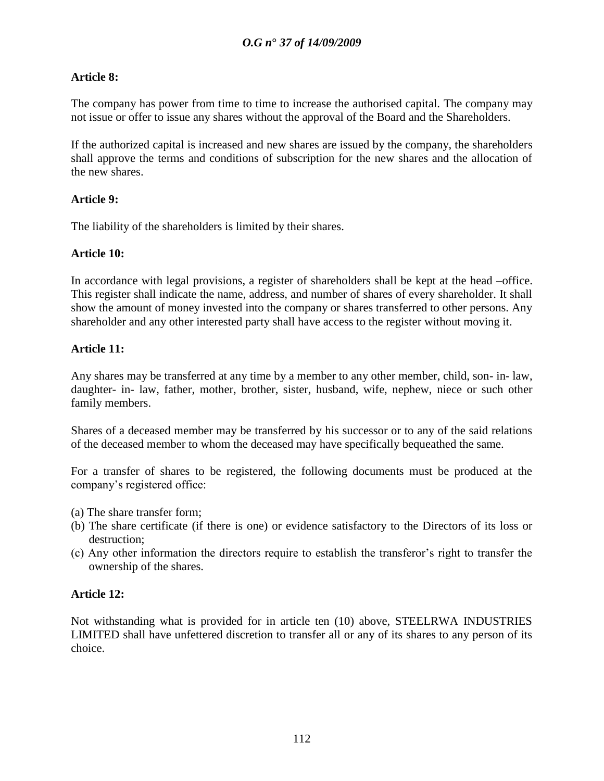# **Article 8:**

The company has power from time to time to increase the authorised capital. The company may not issue or offer to issue any shares without the approval of the Board and the Shareholders.

If the authorized capital is increased and new shares are issued by the company, the shareholders shall approve the terms and conditions of subscription for the new shares and the allocation of the new shares.

# **Article 9:**

The liability of the shareholders is limited by their shares.

# **Article 10:**

In accordance with legal provisions, a register of shareholders shall be kept at the head –office. This register shall indicate the name, address, and number of shares of every shareholder. It shall show the amount of money invested into the company or shares transferred to other persons. Any shareholder and any other interested party shall have access to the register without moving it.

# **Article 11:**

Any shares may be transferred at any time by a member to any other member, child, son- in- law, daughter- in- law, father, mother, brother, sister, husband, wife, nephew, niece or such other family members.

Shares of a deceased member may be transferred by his successor or to any of the said relations of the deceased member to whom the deceased may have specifically bequeathed the same.

For a transfer of shares to be registered, the following documents must be produced at the company"s registered office:

- (a) The share transfer form;
- (b) The share certificate (if there is one) or evidence satisfactory to the Directors of its loss or destruction;
- (c) Any other information the directors require to establish the transferor"s right to transfer the ownership of the shares.

# **Article 12:**

Not withstanding what is provided for in article ten (10) above, STEELRWA INDUSTRIES LIMITED shall have unfettered discretion to transfer all or any of its shares to any person of its choice.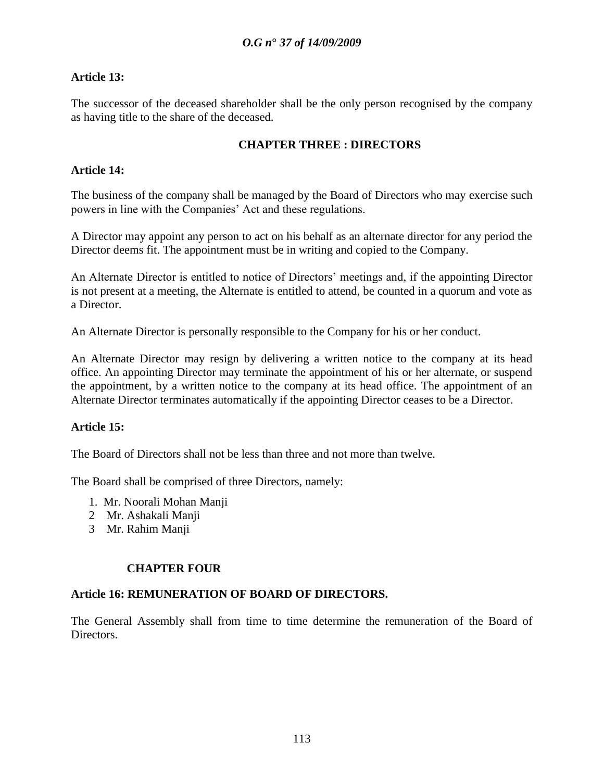# **Article 13:**

The successor of the deceased shareholder shall be the only person recognised by the company as having title to the share of the deceased.

# **CHAPTER THREE : DIRECTORS**

# **Article 14:**

The business of the company shall be managed by the Board of Directors who may exercise such powers in line with the Companies" Act and these regulations.

A Director may appoint any person to act on his behalf as an alternate director for any period the Director deems fit. The appointment must be in writing and copied to the Company.

An Alternate Director is entitled to notice of Directors' meetings and, if the appointing Director is not present at a meeting, the Alternate is entitled to attend, be counted in a quorum and vote as a Director.

An Alternate Director is personally responsible to the Company for his or her conduct.

An Alternate Director may resign by delivering a written notice to the company at its head office. An appointing Director may terminate the appointment of his or her alternate, or suspend the appointment, by a written notice to the company at its head office. The appointment of an Alternate Director terminates automatically if the appointing Director ceases to be a Director.

# **Article 15:**

The Board of Directors shall not be less than three and not more than twelve.

The Board shall be comprised of three Directors, namely:

- 1. Mr. Noorali Mohan Manji
- 2 Mr. Ashakali Manji
- 3 Mr. Rahim Manji

# **CHAPTER FOUR**

#### **Article 16: REMUNERATION OF BOARD OF DIRECTORS.**

The General Assembly shall from time to time determine the remuneration of the Board of Directors.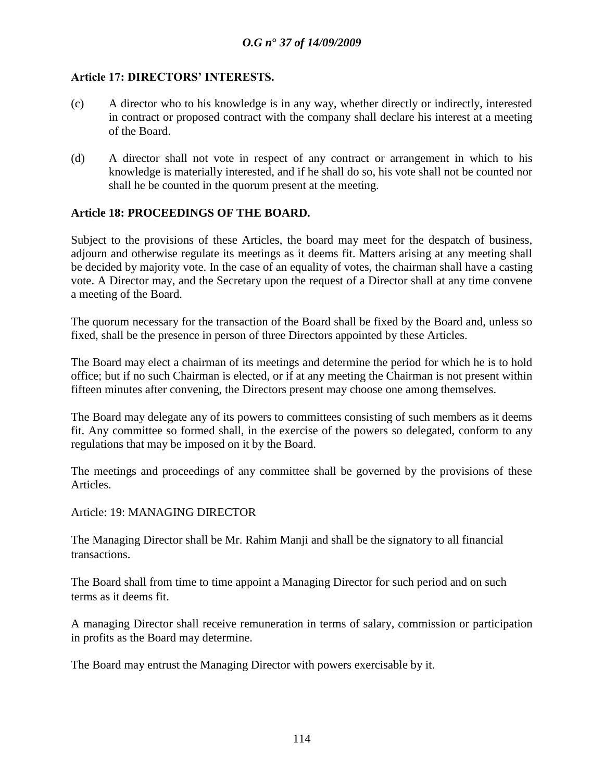# **Article 17: DIRECTORS" INTERESTS.**

- (c) A director who to his knowledge is in any way, whether directly or indirectly, interested in contract or proposed contract with the company shall declare his interest at a meeting of the Board.
- (d) A director shall not vote in respect of any contract or arrangement in which to his knowledge is materially interested, and if he shall do so, his vote shall not be counted nor shall he be counted in the quorum present at the meeting.

# **Article 18: PROCEEDINGS OF THE BOARD.**

Subject to the provisions of these Articles, the board may meet for the despatch of business, adjourn and otherwise regulate its meetings as it deems fit. Matters arising at any meeting shall be decided by majority vote. In the case of an equality of votes, the chairman shall have a casting vote. A Director may, and the Secretary upon the request of a Director shall at any time convene a meeting of the Board.

The quorum necessary for the transaction of the Board shall be fixed by the Board and, unless so fixed, shall be the presence in person of three Directors appointed by these Articles.

The Board may elect a chairman of its meetings and determine the period for which he is to hold office; but if no such Chairman is elected, or if at any meeting the Chairman is not present within fifteen minutes after convening, the Directors present may choose one among themselves.

The Board may delegate any of its powers to committees consisting of such members as it deems fit. Any committee so formed shall, in the exercise of the powers so delegated, conform to any regulations that may be imposed on it by the Board.

The meetings and proceedings of any committee shall be governed by the provisions of these Articles.

Article: 19: MANAGING DIRECTOR

The Managing Director shall be Mr. Rahim Manji and shall be the signatory to all financial transactions.

The Board shall from time to time appoint a Managing Director for such period and on such terms as it deems fit.

A managing Director shall receive remuneration in terms of salary, commission or participation in profits as the Board may determine.

The Board may entrust the Managing Director with powers exercisable by it.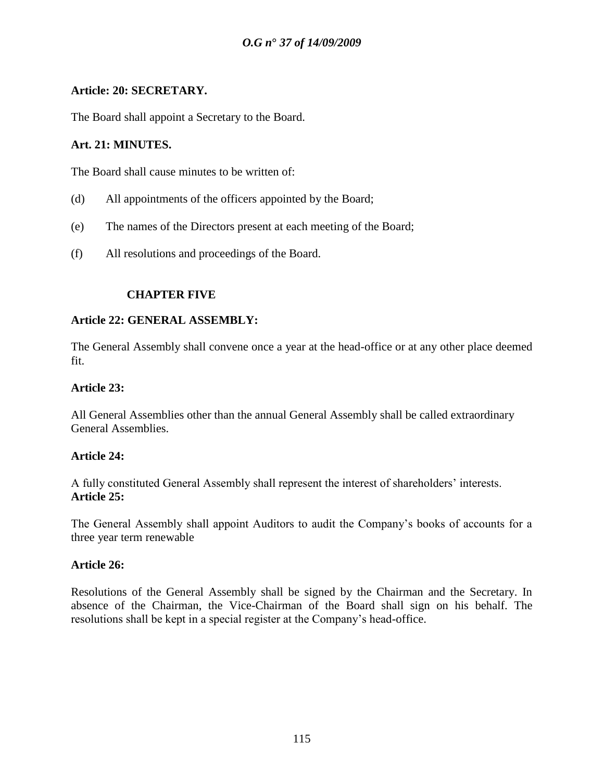# **Article: 20: SECRETARY.**

The Board shall appoint a Secretary to the Board.

# **Art. 21: MINUTES.**

The Board shall cause minutes to be written of:

- (d) All appointments of the officers appointed by the Board;
- (e) The names of the Directors present at each meeting of the Board;
- (f) All resolutions and proceedings of the Board.

# **CHAPTER FIVE**

#### **Article 22: GENERAL ASSEMBLY:**

The General Assembly shall convene once a year at the head-office or at any other place deemed fit.

#### **Article 23:**

All General Assemblies other than the annual General Assembly shall be called extraordinary General Assemblies.

#### **Article 24:**

A fully constituted General Assembly shall represent the interest of shareholders" interests. **Article 25:**

The General Assembly shall appoint Auditors to audit the Company"s books of accounts for a three year term renewable

#### **Article 26:**

Resolutions of the General Assembly shall be signed by the Chairman and the Secretary. In absence of the Chairman, the Vice-Chairman of the Board shall sign on his behalf. The resolutions shall be kept in a special register at the Company"s head-office.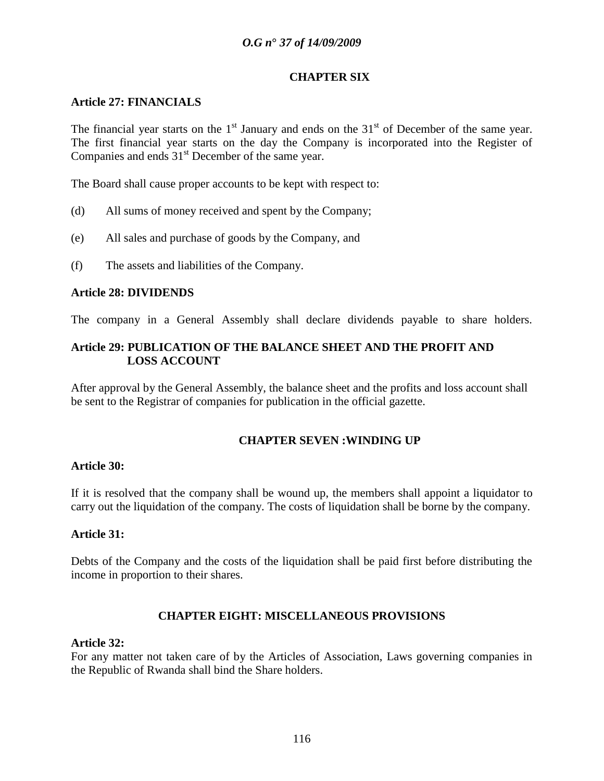#### **CHAPTER SIX**

# **Article 27: FINANCIALS**

The financial year starts on the  $1<sup>st</sup>$  January and ends on the  $31<sup>st</sup>$  of December of the same year. The first financial year starts on the day the Company is incorporated into the Register of Companies and ends 31<sup>st</sup> December of the same year.

The Board shall cause proper accounts to be kept with respect to:

- (d) All sums of money received and spent by the Company;
- (e) All sales and purchase of goods by the Company, and
- (f) The assets and liabilities of the Company.

# **Article 28: DIVIDENDS**

The company in a General Assembly shall declare dividends payable to share holders.

# **Article 29: PUBLICATION OF THE BALANCE SHEET AND THE PROFIT AND LOSS ACCOUNT**

After approval by the General Assembly, the balance sheet and the profits and loss account shall be sent to the Registrar of companies for publication in the official gazette.

# **CHAPTER SEVEN :WINDING UP**

#### **Article 30:**

If it is resolved that the company shall be wound up, the members shall appoint a liquidator to carry out the liquidation of the company. The costs of liquidation shall be borne by the company.

#### **Article 31:**

Debts of the Company and the costs of the liquidation shall be paid first before distributing the income in proportion to their shares.

#### **CHAPTER EIGHT: MISCELLANEOUS PROVISIONS**

#### **Article 32:**

For any matter not taken care of by the Articles of Association, Laws governing companies in the Republic of Rwanda shall bind the Share holders.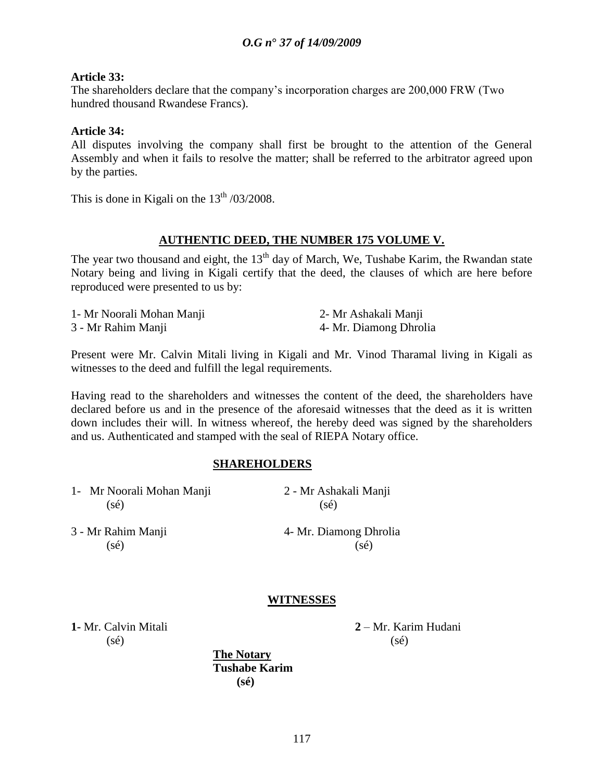#### **Article 33:**

The shareholders declare that the company"s incorporation charges are 200,000 FRW (Two hundred thousand Rwandese Francs).

#### **Article 34:**

All disputes involving the company shall first be brought to the attention of the General Assembly and when it fails to resolve the matter; shall be referred to the arbitrator agreed upon by the parties.

This is done in Kigali on the  $13<sup>th</sup> / 03/2008$ .

#### **AUTHENTIC DEED, THE NUMBER 175 VOLUME V.**

The year two thousand and eight, the  $13<sup>th</sup>$  day of March, We, Tushabe Karim, the Rwandan state Notary being and living in Kigali certify that the deed, the clauses of which are here before reproduced were presented to us by:

| 1- Mr Noorali Mohan Manji | 2- Mr Ashakali Manji   |
|---------------------------|------------------------|
| 3 - Mr Rahim Manji        | 4- Mr. Diamong Dhrolia |

Present were Mr. Calvin Mitali living in Kigali and Mr. Vinod Tharamal living in Kigali as witnesses to the deed and fulfill the legal requirements.

Having read to the shareholders and witnesses the content of the deed, the shareholders have declared before us and in the presence of the aforesaid witnesses that the deed as it is written down includes their will. In witness whereof, the hereby deed was signed by the shareholders and us. Authenticated and stamped with the seal of RIEPA Notary office.

#### **SHAREHOLDERS**

| 1- Mr Noorali Mohan Manji | 2 - Mr Ashakali Manji  |  |  |
|---------------------------|------------------------|--|--|
| $(s\acute{e})$            | $(s\acute{e})$         |  |  |
| 3 - Mr Rahim Manji        | 4- Mr. Diamong Dhrolia |  |  |
| $(s\acute{e})$            | $(s\acute{e})$         |  |  |
|                           | <b>WITNESSES</b>       |  |  |

 $(s\acute{e})$  (sé)

**1-** Mr. Calvin Mitali **2** – Mr. Karim Hudani

**The Notary Tushabe Karim (sé)**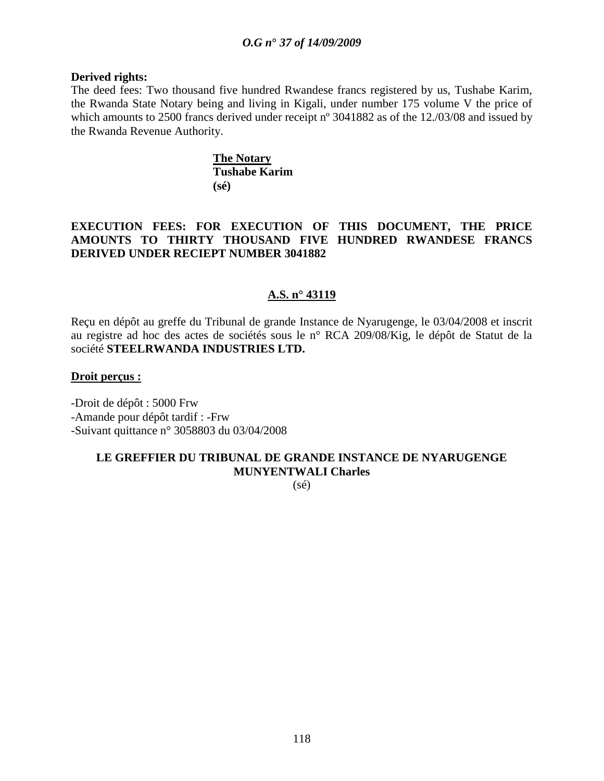#### **Derived rights:**

The deed fees: Two thousand five hundred Rwandese francs registered by us, Tushabe Karim, the Rwanda State Notary being and living in Kigali, under number 175 volume V the price of which amounts to 2500 francs derived under receipt n° 3041882 as of the 12./03/08 and issued by the Rwanda Revenue Authority.

> **The Notary Tushabe Karim (sé)**

# **EXECUTION FEES: FOR EXECUTION OF THIS DOCUMENT, THE PRICE AMOUNTS TO THIRTY THOUSAND FIVE HUNDRED RWANDESE FRANCS DERIVED UNDER RECIEPT NUMBER 3041882**

# **A.S. n° 43119**

Reçu en dépôt au greffe du Tribunal de grande Instance de Nyarugenge, le 03/04/2008 et inscrit au registre ad hoc des actes de sociétés sous le n° RCA 209/08/Kig, le dépôt de Statut de la société **STEELRWANDA INDUSTRIES LTD.**

#### **Droit perçus :**

-Droit de dépôt : 5000 Frw -Amande pour dépôt tardif : -Frw -Suivant quittance n° 3058803 du 03/04/2008

# **LE GREFFIER DU TRIBUNAL DE GRANDE INSTANCE DE NYARUGENGE MUNYENTWALI Charles**

 $(sé)$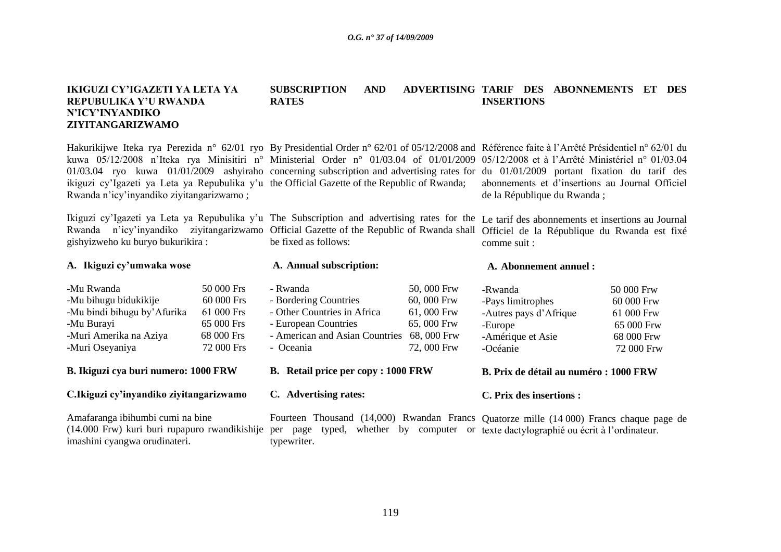#### **IKIGUZI CY"IGAZETI YA LETA YA REPUBULIKA Y"U RWANDA N"ICY"INYANDIKO ZIYITANGARIZWAMO SUBSCRIPTION AND RATES** ADVERTISING TARIF DES ABONNEMENTS ET DES **INSERTIONS**

Hakurikijwe Iteka rya Perezida n° 62/01 ryo By Presidential Order n° 62/01 of 05/12/2008 and Référence faite à l'Arrêté Présidentiel n° 62/01 du kuwa 05/12/2008 n'Iteka rya Minisitiri n° Ministerial Order n° 01/03.04 of 01/01/2009 05/12/2008 et à l'Arrêté Ministériel n° 01/03.04 01/03.04 ryo kuwa 01/01/2009 ashyiraho concerning subscription and advertising rates for du 01/01/2009 portant fixation du tarif des ikiguzi cy'Igazeti ya Leta ya Repubulika y'u the Official Gazette of the Republic of Rwanda; Rwanda n"icy"inyandiko ziyitangarizwamo ; abonnements et d"insertions au Journal Officiel de la République du Rwanda ;

Ikiguzi cy'Igazeti ya Leta ya Repubulika y'u The Subscription and advertising rates for the Le tarif des abonnements et insertions au Journal Rwanda n'icy'inyandiko ziyitangarizwamo Official Gazette of the Republic of Rwanda shall Officiel de la République du Rwanda est fixé gishyizweho ku buryo bukurikira : be fixed as follows: comme suit :

| A. Ikiguzi cy'umwaka wose                                                                                                      |                                                                                   | A. Annual subscription:                                                                                                                             |                                                                      | A. Abonnement annuel:                                                                              |                                                                                  |  |
|--------------------------------------------------------------------------------------------------------------------------------|-----------------------------------------------------------------------------------|-----------------------------------------------------------------------------------------------------------------------------------------------------|----------------------------------------------------------------------|----------------------------------------------------------------------------------------------------|----------------------------------------------------------------------------------|--|
| -Mu Rwanda<br>-Mu bihugu bidukikije<br>-Mu bindi bihugu by' Afurika<br>-Mu Burayi<br>-Muri Amerika na Aziya<br>-Muri Oseyaniya | 50 000 Frs<br>$60000$ Frs<br>61 000 Frs<br>65 000 Frs<br>68 000 Frs<br>72 000 Frs | - Rwanda<br>- Bordering Countries<br>- Other Countries in Africa<br>- European Countries<br>- American and Asian Countries 68, 000 Frw<br>- Oceania | 50,000 Frw<br>$60,000$ Frw<br>61,000 Frw<br>65,000 Frw<br>72,000 Frw | -Rwanda<br>-Pays limitrophes<br>-Autres pays d'Afrique<br>-Europe<br>-Amérique et Asie<br>-Océanie | 50 000 Frw<br>60 000 Frw<br>61 000 Frw<br>65 000 Frw<br>68 000 Frw<br>72 000 Frw |  |
| B. Ikiguzi cya buri numero: 1000 FRW                                                                                           |                                                                                   | <b>B.</b> Retail price per copy : 1000 FRW                                                                                                          |                                                                      | B. Prix de détail au numéro : 1000 FRW                                                             |                                                                                  |  |
| C.Ikiguzi cy'inyandiko ziyitangarizwamo                                                                                        |                                                                                   | C. Advertising rates:                                                                                                                               |                                                                      |                                                                                                    | C. Prix des insertions :                                                         |  |
| Amafaranga ibihumbi cumi na bine                                                                                               |                                                                                   | Fourteen Thousand (14,000) Rwandan Francs Quatorze mille (14,000) Francs chaque page                                                                |                                                                      |                                                                                                    |                                                                                  |  |

Amafaranga ibihumbi cumi na bine (14.000 Frw) kuri buri rupapuro rwandikishije per page typed, whether by computer or texte dactylographié ou écrit à l"ordinateur.imashini cyangwa orudinateri. Fourteen Thousand (14,000) Rwandan Francs typewriter. nque page de